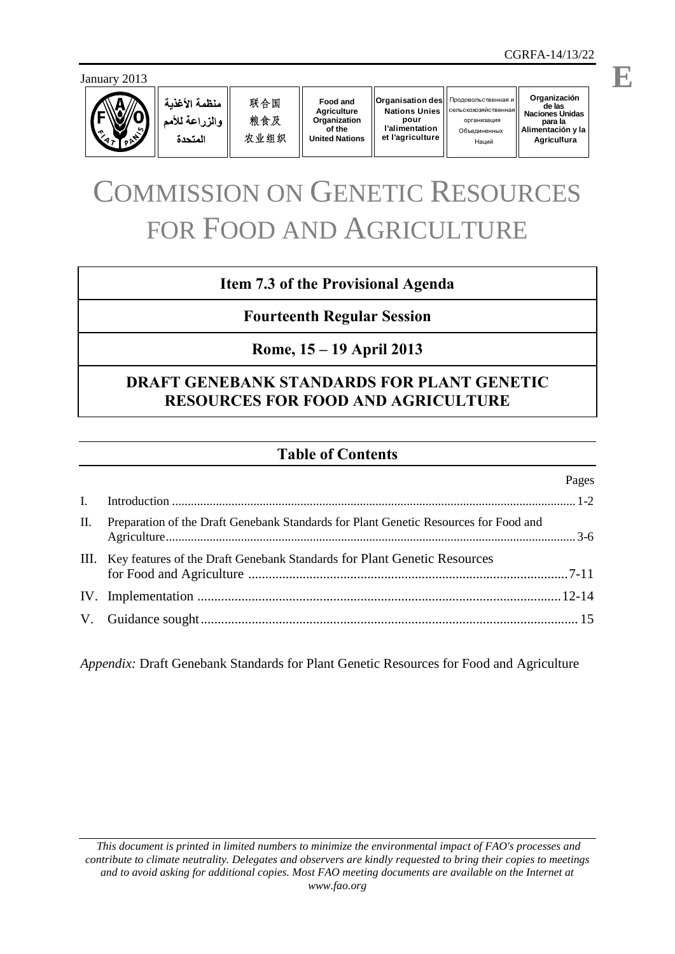January 2013



**Organisation des Nations Unies pour l'alimentation et l'agriculture**

организация **para la Alimentación y la** О бъединенных Наций Продовольственная и cельскохозяйственная

**Organización de las Naciones Unidas Agricultura**

**E**

# <span id="page-0-0"></span>COMMISSION ON GENETIC RESOURCES FOR FOOD AND AGRICULTURE

# **Item 7.3 of the Provisional Agenda**

# **Fourteenth Regular Session**

# **Rome, 15 – 19 April 2013**

# **DRAFT GENEBANK STANDARDS FOR PLANT GENETIC RESOURCES FOR FOOD AND AGRICULTURE**

# **Table of Contents**

# Food and<br>Agriculture<br>Organization<br>United Nations<br>United Nations<br>United Nations<br>Interactions<br>Interactions<br>Interactions<br>Interactions<br>Interactions<br>Interactions<br>Interactions<br>Interactions<br>Interactions<br>Interactions<br>Interactions<br> Pages I. Introduction [.................................................................................................................................](#page-0-0) 1-2 II. [Preparation of the Draft Genebank Standards for Plant Genetic Resources for Food and](#page-1-0)  [Agriculture...................................................................................................................................](#page-1-0) 3-6 III. [Key features of the Draft Genebank Standards](#page-2-0) for Plant Genetic Resources [for Food and Agriculture ..............................................................................................7](#page-2-0)-11 IV. [Implementation ...........................................................................................................12-14](#page-2-1) V. [Guidance sought...............................................................................................................](#page-2-1) 15

*Appendix:* Draft Genebank Standards for Plant Genetic Resources for Food and Agriculture

*This document is printed in limited numbers to minimize the environmental impact of FAO's processes and contribute to climate neutrality. Delegates and observers are kindly requested to bring their copies to meetings and to avoid asking for additional copies. Most FAO meeting documents are available on the Internet at*  www.fao.org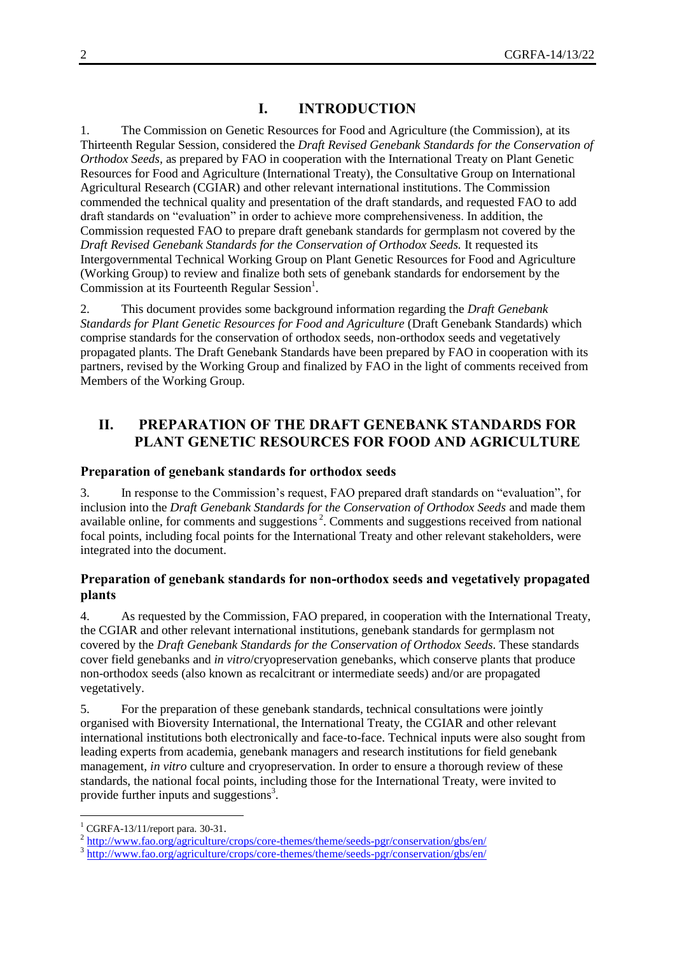# **I. INTRODUCTION**

1. The Commission on Genetic Resources for Food and Agriculture (the Commission), at its Thirteenth Regular Session, considered the *Draft Revised Genebank Standards for the Conservation of Orthodox Seeds,* as prepared by FAO in cooperation with the International Treaty on Plant Genetic Resources for Food and Agriculture (International Treaty), the Consultative Group on International Agricultural Research (CGIAR) and other relevant international institutions. The Commission commended the technical quality and presentation of the draft standards, and requested FAO to add draft standards on "evaluation" in order to achieve more comprehensiveness. In addition, the Commission requested FAO to prepare draft genebank standards for germplasm not covered by the *Draft Revised Genebank Standards for the Conservation of Orthodox Seeds.* It requested its Intergovernmental Technical Working Group on Plant Genetic Resources for Food and Agriculture (Working Group) to review and finalize both sets of genebank standards for endorsement by the Commission at its Fourteenth Regular Session<sup>1</sup>.

2. This document provides some background information regarding the *Draft Genebank Standards for Plant Genetic Resources for Food and Agriculture* (Draft Genebank Standards) which comprise standards for the conservation of orthodox seeds, non-orthodox seeds and vegetatively propagated plants. The Draft Genebank Standards have been prepared by FAO in cooperation with its partners, revised by the Working Group and finalized by FAO in the light of comments received from Members of the Working Group.

# <span id="page-1-0"></span>**II. PREPARATION OF THE DRAFT GENEBANK STANDARDS FOR PLANT GENETIC RESOURCES FOR FOOD AND AGRICULTURE**

# **Preparation of genebank standards for orthodox seeds**

3. In response to the Commission's request, FAO prepared draft standards on "evaluation", for inclusion into the *Draft Genebank Standards for the Conservation of Orthodox Seeds* and made them available online, for comments and suggestions<sup>2</sup>. Comments and suggestions received from national focal points, including focal points for the International Treaty and other relevant stakeholders, were integrated into the document.

# **Preparation of genebank standards for non-orthodox seeds and vegetatively propagated plants**

4. As requested by the Commission, FAO prepared, in cooperation with the International Treaty, the CGIAR and other relevant international institutions, genebank standards for germplasm not covered by the *Draft Genebank Standards for the Conservation of Orthodox Seeds*. These standards cover field genebanks and *in vitro*/cryopreservation genebanks, which conserve plants that produce non-orthodox seeds (also known as recalcitrant or intermediate seeds) and/or are propagated vegetatively.

5. For the preparation of these genebank standards, technical consultations were jointly organised with Bioversity International, the International Treaty, the CGIAR and other relevant international institutions both electronically and face-to-face. Technical inputs were also sought from leading experts from academia, genebank managers and research institutions for field genebank management, *in vitro* culture and cryopreservation. In order to ensure a thorough review of these standards, the national focal points, including those for the International Treaty, were invited to provide further inputs and suggestions<sup>3</sup>.

 $\overline{a}$ 

 $1 \text{ CGRFA-13/11/report para. } 30-31.$ 

<sup>&</sup>lt;sup>2</sup> <http://www.fao.org/agriculture/crops/core-themes/theme/seeds-pgr/conservation/gbs/en/>

<sup>&</sup>lt;sup>3</sup> <http://www.fao.org/agriculture/crops/core-themes/theme/seeds-pgr/conservation/gbs/en/>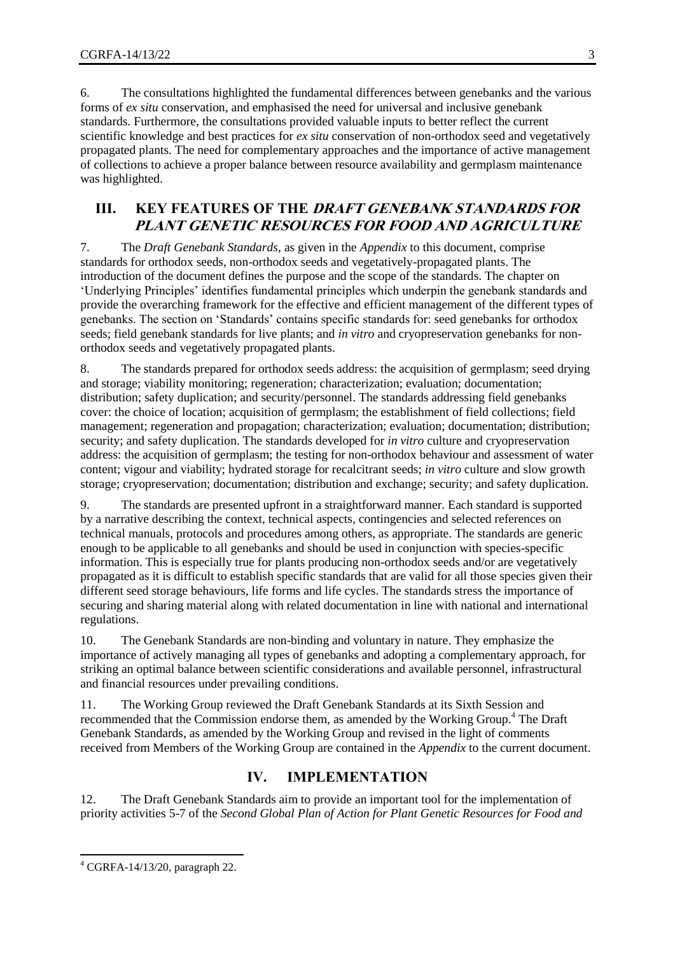6. The consultations highlighted the fundamental differences between genebanks and the various forms of *ex situ* conservation, and emphasised the need for universal and inclusive genebank standards. Furthermore, the consultations provided valuable inputs to better reflect the current scientific knowledge and best practices for *ex situ* conservation of non-orthodox seed and vegetatively propagated plants. The need for complementary approaches and the importance of active management of collections to achieve a proper balance between resource availability and germplasm maintenance was highlighted.

# <span id="page-2-0"></span>**III. KEY FEATURES OF THE DRAFT GENEBANK STANDARDS FOR PLANT GENETIC RESOURCES FOR FOOD AND AGRICULTURE**

7. The *Draft Genebank Standards*, as given in the *Appendix* to this document*,* comprise standards for orthodox seeds, non-orthodox seeds and vegetatively-propagated plants. The introduction of the document defines the purpose and the scope of the standards. The chapter on 'Underlying Principles' identifies fundamental principles which underpin the genebank standards and provide the overarching framework for the effective and efficient management of the different types of genebanks. The section on 'Standards' contains specific standards for: seed genebanks for orthodox seeds; field genebank standards for live plants; and *in vitro* and cryopreservation genebanks for nonorthodox seeds and vegetatively propagated plants.

8. The standards prepared for orthodox seeds address: the acquisition of germplasm; seed drying and storage; viability monitoring; regeneration; characterization; evaluation; documentation; distribution; safety duplication; and security/personnel. The standards addressing field genebanks cover: the choice of location; acquisition of germplasm; the establishment of field collections; field management; regeneration and propagation; characterization; evaluation; documentation; distribution; security; and safety duplication. The standards developed for *in vitro* culture and cryopreservation address: the acquisition of germplasm; the testing for non-orthodox behaviour and assessment of water content; vigour and viability; hydrated storage for recalcitrant seeds; *in vitro* culture and slow growth storage; cryopreservation; documentation; distribution and exchange; security; and safety duplication.

9. The standards are presented upfront in a straightforward manner. Each standard is supported by a narrative describing the context, technical aspects, contingencies and selected references on technical manuals, protocols and procedures among others, as appropriate. The standards are generic enough to be applicable to all genebanks and should be used in conjunction with species-specific information. This is especially true for plants producing non-orthodox seeds and/or are vegetatively propagated as it is difficult to establish specific standards that are valid for all those species given their different seed storage behaviours, life forms and life cycles. The standards stress the importance of securing and sharing material along with related documentation in line with national and international regulations.

10. The Genebank Standards are non-binding and voluntary in nature. They emphasize the importance of actively managing all types of genebanks and adopting a complementary approach, for striking an optimal balance between scientific considerations and available personnel, infrastructural and financial resources under prevailing conditions.

11. The Working Group reviewed the Draft Genebank Standards at its Sixth Session and recommended that the Commission endorse them, as amended by the Working Group.<sup>4</sup> The Draft Genebank Standards, as amended by the Working Group and revised in the light of comments received from Members of the Working Group are contained in the *Appendix* to the current document.

# **IV. IMPLEMENTATION**

<span id="page-2-1"></span>12. The Draft Genebank Standards aim to provide an important tool for the implementation of priority activities 5-7 of the *Second Global Plan of Action for Plant Genetic Resources for Food and* 

 $\overline{a}$  $4$  CGRFA-14/13/20, paragraph 22.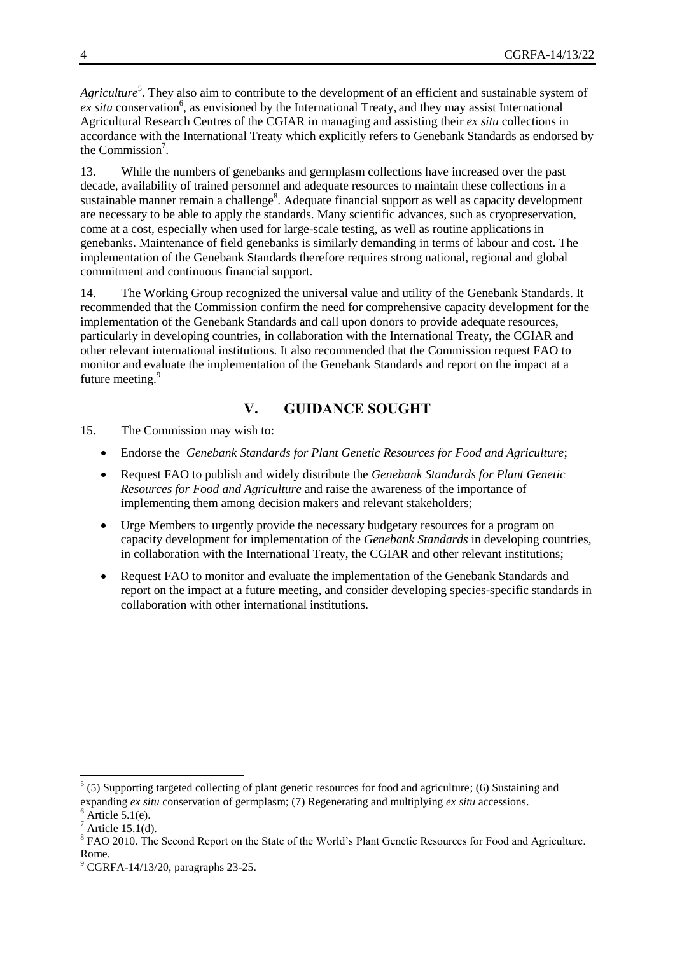Agriculture<sup>5</sup>. They also aim to contribute to the development of an efficient and sustainable system of ex situ conservation<sup>6</sup>, as envisioned by the International Treaty, and they may assist International Agricultural Research Centres of the CGIAR in managing and assisting their *ex situ* collections in accordance with the International Treaty which explicitly refers to Genebank Standards as endorsed by the Commission<sup>7</sup>.

13. While the numbers of genebanks and germplasm collections have increased over the past decade, availability of trained personnel and adequate resources to maintain these collections in a sustainable manner remain a challenge<sup>8</sup>. Adequate financial support as well as capacity development are necessary to be able to apply the standards. Many scientific advances, such as cryopreservation, come at a cost, especially when used for large-scale testing, as well as routine applications in genebanks. Maintenance of field genebanks is similarly demanding in terms of labour and cost. The implementation of the Genebank Standards therefore requires strong national, regional and global commitment and continuous financial support.

14. The Working Group recognized the universal value and utility of the Genebank Standards. It recommended that the Commission confirm the need for comprehensive capacity development for the implementation of the Genebank Standards and call upon donors to provide adequate resources, particularly in developing countries, in collaboration with the International Treaty, the CGIAR and other relevant international institutions. It also recommended that the Commission request FAO to monitor and evaluate the implementation of the Genebank Standards and report on the impact at a future meeting.<sup>9</sup>

# **V. GUIDANCE SOUGHT**

- 15. The Commission may wish to:
	- Endorse the *Genebank Standards for Plant Genetic Resources for Food and Agriculture*;
	- Request FAO to publish and widely distribute the *Genebank Standards for Plant Genetic Resources for Food and Agriculture* and raise the awareness of the importance of implementing them among decision makers and relevant stakeholders;
	- Urge Members to urgently provide the necessary budgetary resources for a program on capacity development for implementation of the *Genebank Standards* in developing countries, in collaboration with the International Treaty, the CGIAR and other relevant institutions;
	- Request FAO to monitor and evaluate the implementation of the Genebank Standards and report on the impact at a future meeting, and consider developing species-specific standards in collaboration with other international institutions.

 $\overline{a}$ 

<sup>5</sup> (5) Supporting targeted collecting of plant genetic resources for food and agriculture; (6) Sustaining and expanding *ex situ* conservation of germplasm; (7) Regenerating and multiplying *ex situ* accessions.

 $6$  Article 5.1(e).  $^7$  Article 15.1(d).

<sup>&</sup>lt;sup>8</sup> FAO 2010. The Second Report on the State of the World's Plant Genetic Resources for Food and Agriculture. Rome.

 $<sup>9</sup> CGRFA-14/13/20$ , paragraphs 23-25.</sup>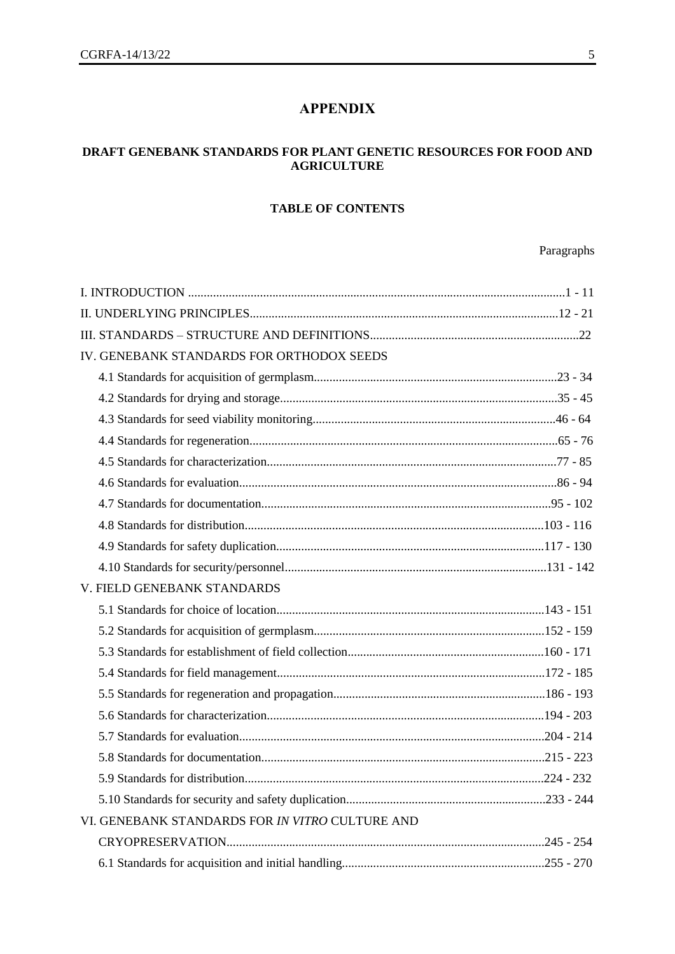# **APPENDIX**

# **DRAFT GENEBANK STANDARDS FOR PLANT GENETIC RESOURCES FOR FOOD AND AGRICULTURE**

# **TABLE OF CONTENTS**

Paragraphs

| IV. GENEBANK STANDARDS FOR ORTHODOX SEEDS       |  |  |
|-------------------------------------------------|--|--|
|                                                 |  |  |
|                                                 |  |  |
|                                                 |  |  |
|                                                 |  |  |
|                                                 |  |  |
|                                                 |  |  |
|                                                 |  |  |
|                                                 |  |  |
|                                                 |  |  |
|                                                 |  |  |
| V. FIELD GENEBANK STANDARDS                     |  |  |
|                                                 |  |  |
|                                                 |  |  |
|                                                 |  |  |
|                                                 |  |  |
|                                                 |  |  |
|                                                 |  |  |
|                                                 |  |  |
|                                                 |  |  |
|                                                 |  |  |
|                                                 |  |  |
| VI. GENEBANK STANDARDS FOR IN VITRO CULTURE AND |  |  |
|                                                 |  |  |
|                                                 |  |  |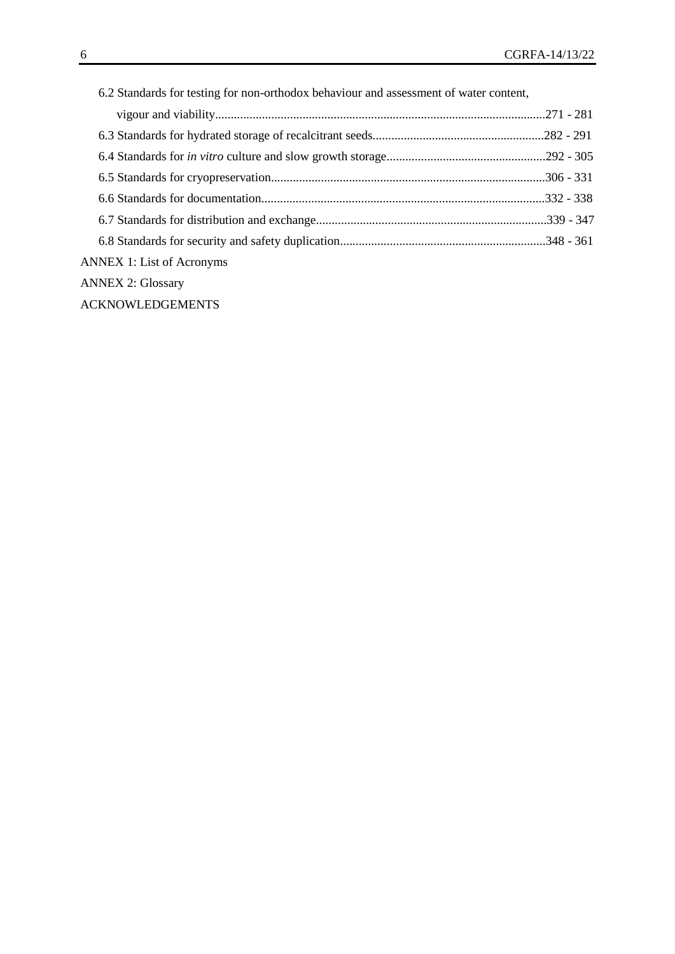| 6.2 Standards for testing for non-orthodox behaviour and assessment of water content, |                                  |  |
|---------------------------------------------------------------------------------------|----------------------------------|--|
|                                                                                       |                                  |  |
|                                                                                       |                                  |  |
|                                                                                       |                                  |  |
|                                                                                       |                                  |  |
|                                                                                       |                                  |  |
|                                                                                       |                                  |  |
|                                                                                       |                                  |  |
|                                                                                       | <b>ANNEX 1: List of Acronyms</b> |  |
|                                                                                       | $\lambda$                        |  |

ANNEX 2: Glossary

ACKNOWLEDGEMENTS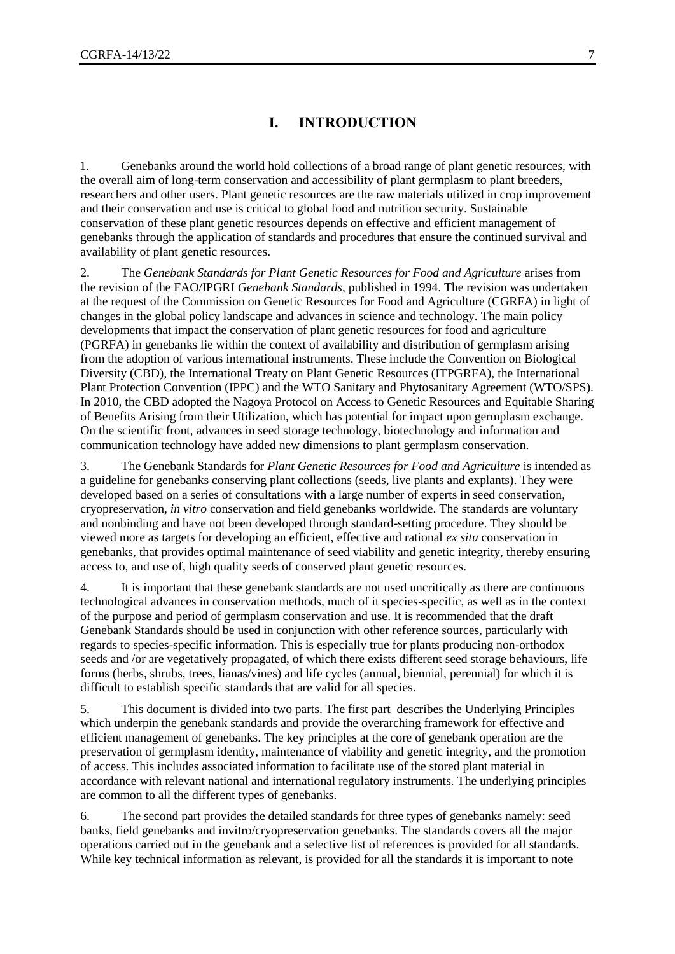# **I. INTRODUCTION**

1. Genebanks around the world hold collections of a broad range of plant genetic resources, with the overall aim of long-term conservation and accessibility of plant germplasm to plant breeders, researchers and other users. Plant genetic resources are the raw materials utilized in crop improvement and their conservation and use is critical to global food and nutrition security. Sustainable conservation of these plant genetic resources depends on effective and efficient management of genebanks through the application of standards and procedures that ensure the continued survival and availability of plant genetic resources.

2. The *Genebank Standards for Plant Genetic Resources for Food and Agriculture* arises from the revision of the FAO/IPGRI *Genebank Standards*, published in 1994. The revision was undertaken at the request of the Commission on Genetic Resources for Food and Agriculture (CGRFA) in light of changes in the global policy landscape and advances in science and technology. The main policy developments that impact the conservation of plant genetic resources for food and agriculture (PGRFA) in genebanks lie within the context of availability and distribution of germplasm arising from the adoption of various international instruments. These include the Convention on Biological Diversity (CBD), the International Treaty on Plant Genetic Resources (ITPGRFA), the International Plant Protection Convention (IPPC) and the WTO Sanitary and Phytosanitary Agreement (WTO/SPS). In 2010, the CBD adopted the Nagoya Protocol on Access to Genetic Resources and Equitable Sharing of Benefits Arising from their Utilization, which has potential for impact upon germplasm exchange. On the scientific front, advances in seed storage technology, biotechnology and information and communication technology have added new dimensions to plant germplasm conservation.

3. The Genebank Standards for *Plant Genetic Resources for Food and Agriculture* is intended as a guideline for genebanks conserving plant collections (seeds, live plants and explants). They were developed based on a series of consultations with a large number of experts in seed conservation, cryopreservation, *in vitro* conservation and field genebanks worldwide. The standards are voluntary and nonbinding and have not been developed through standard-setting procedure. They should be viewed more as targets for developing an efficient, effective and rational *ex situ* conservation in genebanks, that provides optimal maintenance of seed viability and genetic integrity, thereby ensuring access to, and use of, high quality seeds of conserved plant genetic resources.

4. It is important that these genebank standards are not used uncritically as there are continuous technological advances in conservation methods, much of it species-specific, as well as in the context of the purpose and period of germplasm conservation and use. It is recommended that the draft Genebank Standards should be used in conjunction with other reference sources, particularly with regards to species-specific information. This is especially true for plants producing non-orthodox seeds and /or are vegetatively propagated, of which there exists different seed storage behaviours, life forms (herbs, shrubs, trees, lianas/vines) and life cycles (annual, biennial, perennial) for which it is difficult to establish specific standards that are valid for all species.

5. This document is divided into two parts. The first part describes the Underlying Principles which underpin the genebank standards and provide the overarching framework for effective and efficient management of genebanks. The key principles at the core of genebank operation are the preservation of germplasm identity, maintenance of viability and genetic integrity, and the promotion of access. This includes associated information to facilitate use of the stored plant material in accordance with relevant national and international regulatory instruments. The underlying principles are common to all the different types of genebanks.

6. The second part provides the detailed standards for three types of genebanks namely: seed banks, field genebanks and invitro/cryopreservation genebanks. The standards covers all the major operations carried out in the genebank and a selective list of references is provided for all standards. While key technical information as relevant, is provided for all the standards it is important to note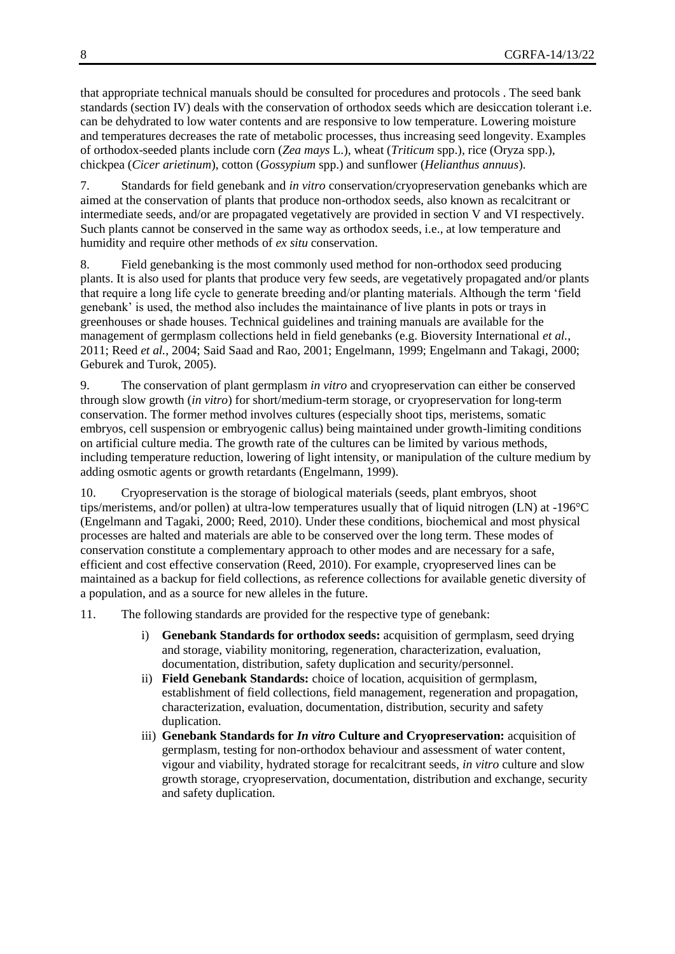that appropriate technical manuals should be consulted for procedures and protocols . The seed bank standards (section IV) deals with the conservation of orthodox seeds which are desiccation tolerant i.e. can be dehydrated to low water contents and are responsive to low temperature. Lowering moisture and temperatures decreases the rate of metabolic processes, thus increasing seed longevity. Examples of orthodox-seeded plants include corn (*Zea mays* L.), wheat (*Triticum* spp.), rice (Oryza spp.), chickpea (*Cicer arietinum*), cotton (*Gossypium* spp.) and sunflower (*Helianthus annuus*).

7. Standards for field genebank and *in vitro* conservation/cryopreservation genebanks which are aimed at the conservation of plants that produce non-orthodox seeds, also known as recalcitrant or intermediate seeds, and/or are propagated vegetatively are provided in section V and VI respectively. Such plants cannot be conserved in the same way as orthodox seeds, i.e., at low temperature and humidity and require other methods of *ex situ* conservation.

8. Field genebanking is the most commonly used method for non-orthodox seed producing plants. It is also used for plants that produce very few seeds, are vegetatively propagated and/or plants that require a long life cycle to generate breeding and/or planting materials. Although the term 'field genebank' is used, the method also includes the maintainance of live plants in pots or trays in greenhouses or shade houses. Technical guidelines and training manuals are available for the management of germplasm collections held in field genebanks (e.g. Bioversity International *et al.*, 2011; Reed *et al.*, 2004; Said Saad and Rao, 2001; Engelmann, 1999; Engelmann and Takagi, 2000; Geburek and Turok, 2005).

9. The conservation of plant germplasm *in vitro* and cryopreservation can either be conserved through slow growth (*in vitro*) for short/medium-term storage, or cryopreservation for long-term conservation. The former method involves cultures (especially shoot tips, meristems, somatic embryos, cell suspension or embryogenic callus) being maintained under growth-limiting conditions on artificial culture media. The growth rate of the cultures can be limited by various methods, including temperature reduction, lowering of light intensity, or manipulation of the culture medium by adding osmotic agents or growth retardants (Engelmann, 1999).

10. Cryopreservation is the storage of biological materials (seeds, plant embryos, shoot tips/meristems, and/or pollen) at ultra-low temperatures usually that of liquid nitrogen (LN) at -196°C (Engelmann and Tagaki, 2000; Reed, 2010). Under these conditions, biochemical and most physical processes are halted and materials are able to be conserved over the long term. These modes of conservation constitute a complementary approach to other modes and are necessary for a safe, efficient and cost effective conservation (Reed, 2010). For example, cryopreserved lines can be maintained as a backup for field collections, as reference collections for available genetic diversity of a population, and as a source for new alleles in the future.

11. The following standards are provided for the respective type of genebank:

- i) **Genebank Standards for orthodox seeds:** acquisition of germplasm, seed drying and storage, viability monitoring, regeneration, characterization, evaluation, documentation, distribution, safety duplication and security/personnel.
- ii) **Field Genebank Standards:** choice of location, acquisition of germplasm, establishment of field collections, field management, regeneration and propagation, characterization, evaluation, documentation, distribution, security and safety duplication.
- iii) **Genebank Standards for** *In vitro* **Culture and Cryopreservation:** acquisition of germplasm, testing for non-orthodox behaviour and assessment of water content, vigour and viability, hydrated storage for recalcitrant seeds, *in vitro* culture and slow growth storage, cryopreservation, documentation, distribution and exchange, security and safety duplication.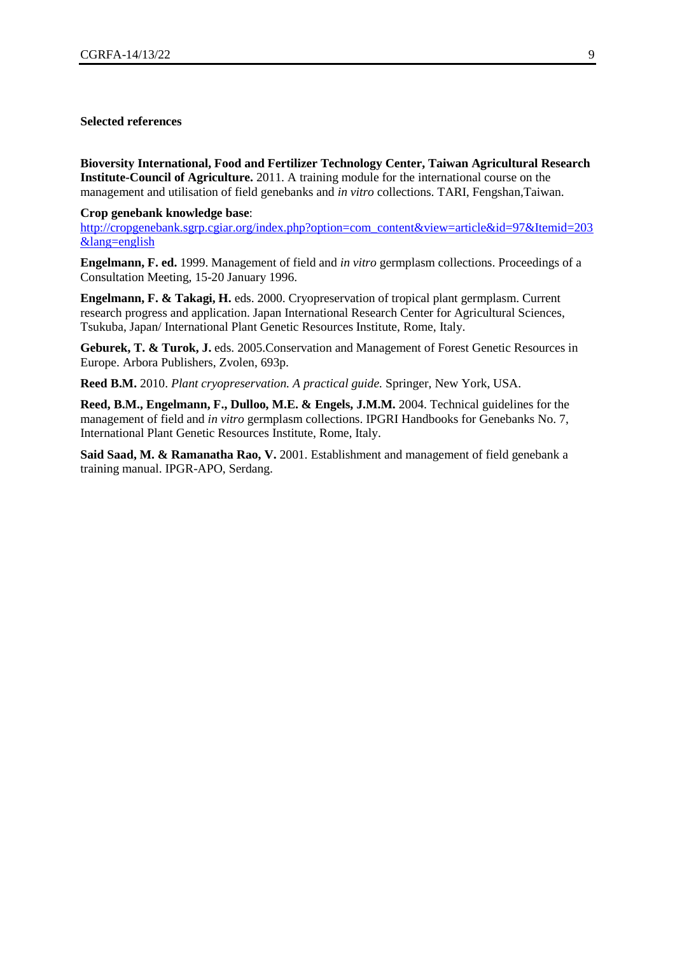#### **Selected references**

**Bioversity International, Food and Fertilizer Technology Center, Taiwan Agricultural Research Institute-Council of Agriculture.** 2011. A training module for the international course on the management and utilisation of field genebanks and *in vitro* collections. TARI, Fengshan,Taiwan.

#### **Crop genebank knowledge base**:

[http://cropgenebank.sgrp.cgiar.org/index.php?option=com\\_content&view=article&id=97&Itemid=203](http://cropgenebank.sgrp.cgiar.org/index.php?option=com_content&view=article&id=97&Itemid=203&lang=english) [&lang=english](http://cropgenebank.sgrp.cgiar.org/index.php?option=com_content&view=article&id=97&Itemid=203&lang=english)

**Engelmann, F. ed.** 1999. Management of field and *in vitro* germplasm collections. Proceedings of a Consultation Meeting, 15-20 January 1996.

**Engelmann, F. & Takagi, H.** eds. 2000. Cryopreservation of tropical plant germplasm. Current research progress and application. Japan International Research Center for Agricultural Sciences, Tsukuba, Japan/ International Plant Genetic Resources Institute, Rome, Italy.

Geburek, T. & Turok, J. eds. 2005. Conservation and Management of Forest Genetic Resources in Europe. Arbora Publishers, Zvolen, 693p.

**Reed B.M.** 2010. *Plant cryopreservation. A practical guide.* Springer, New York, USA.

**Reed, B.M., Engelmann, F., Dulloo, M.E. & Engels, J.M.M.** 2004. Technical guidelines for the management of field and *in vitro* germplasm collections. IPGRI Handbooks for Genebanks No. 7, International Plant Genetic Resources Institute, Rome, Italy.

**Said Saad, M. & Ramanatha Rao, V.** 2001. Establishment and management of field genebank a training manual. IPGR-APO, Serdang.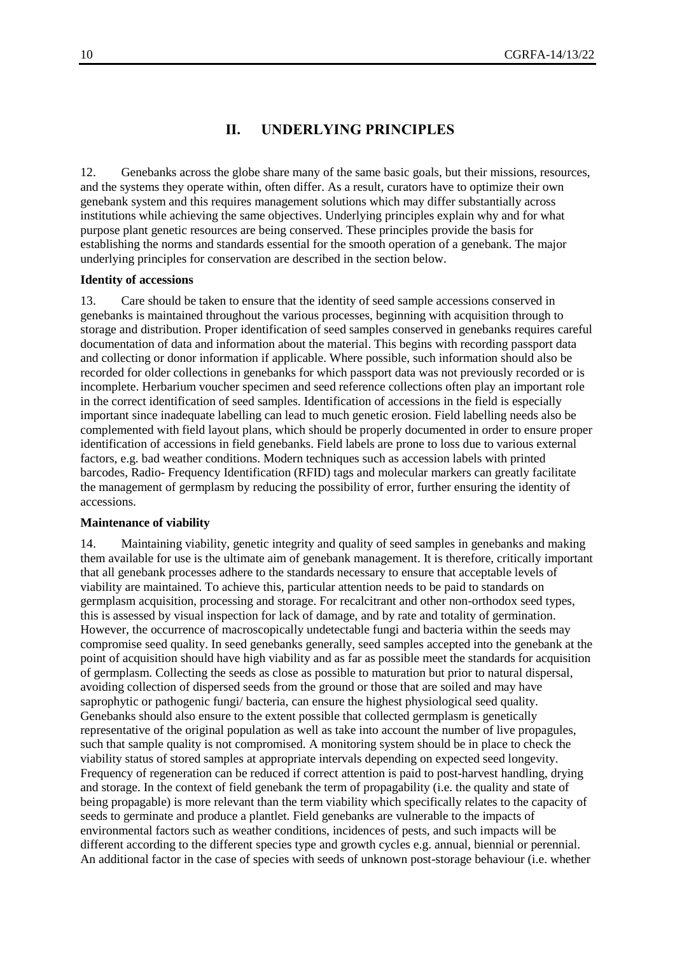# **II. UNDERLYING PRINCIPLES**

12. Genebanks across the globe share many of the same basic goals, but their missions, resources, and the systems they operate within, often differ. As a result, curators have to optimize their own genebank system and this requires management solutions which may differ substantially across institutions while achieving the same objectives. Underlying principles explain why and for what purpose plant genetic resources are being conserved. These principles provide the basis for establishing the norms and standards essential for the smooth operation of a genebank. The major underlying principles for conservation are described in the section below.

#### **Identity of accessions**

13. Care should be taken to ensure that the identity of seed sample accessions conserved in genebanks is maintained throughout the various processes, beginning with acquisition through to storage and distribution. Proper identification of seed samples conserved in genebanks requires careful documentation of data and information about the material. This begins with recording passport data and collecting or donor information if applicable. Where possible, such information should also be recorded for older collections in genebanks for which passport data was not previously recorded or is incomplete. Herbarium voucher specimen and seed reference collections often play an important role in the correct identification of seed samples. Identification of accessions in the field is especially important since inadequate labelling can lead to much genetic erosion. Field labelling needs also be complemented with field layout plans, which should be properly documented in order to ensure proper identification of accessions in field genebanks. Field labels are prone to loss due to various external factors, e.g. bad weather conditions. Modern techniques such as accession labels with printed barcodes, Radio- Frequency Identification (RFID) tags and molecular markers can greatly facilitate the management of germplasm by reducing the possibility of error, further ensuring the identity of accessions.

#### **Maintenance of viability**

14. Maintaining viability, genetic integrity and quality of seed samples in genebanks and making them available for use is the ultimate aim of genebank management. It is therefore, critically important that all genebank processes adhere to the standards necessary to ensure that acceptable levels of viability are maintained. To achieve this, particular attention needs to be paid to standards on germplasm acquisition, processing and storage. For recalcitrant and other non-orthodox seed types, this is assessed by visual inspection for lack of damage, and by rate and totality of germination. However, the occurrence of macroscopically undetectable fungi and bacteria within the seeds may compromise seed quality. In seed genebanks generally, seed samples accepted into the genebank at the point of acquisition should have high viability and as far as possible meet the standards for acquisition of germplasm. Collecting the seeds as close as possible to maturation but prior to natural dispersal, avoiding collection of dispersed seeds from the ground or those that are soiled and may have saprophytic or pathogenic fungi/ bacteria, can ensure the highest physiological seed quality. Genebanks should also ensure to the extent possible that collected germplasm is genetically representative of the original population as well as take into account the number of live propagules, such that sample quality is not compromised. A monitoring system should be in place to check the viability status of stored samples at appropriate intervals depending on expected seed longevity. Frequency of regeneration can be reduced if correct attention is paid to post-harvest handling, drying and storage. In the context of field genebank the term of propagability (i.e. the quality and state of being propagable) is more relevant than the term viability which specifically relates to the capacity of seeds to germinate and produce a plantlet. Field genebanks are vulnerable to the impacts of environmental factors such as weather conditions, incidences of pests, and such impacts will be different according to the different species type and growth cycles e.g. annual, biennial or perennial. An additional factor in the case of species with seeds of unknown post-storage behaviour (i.e. whether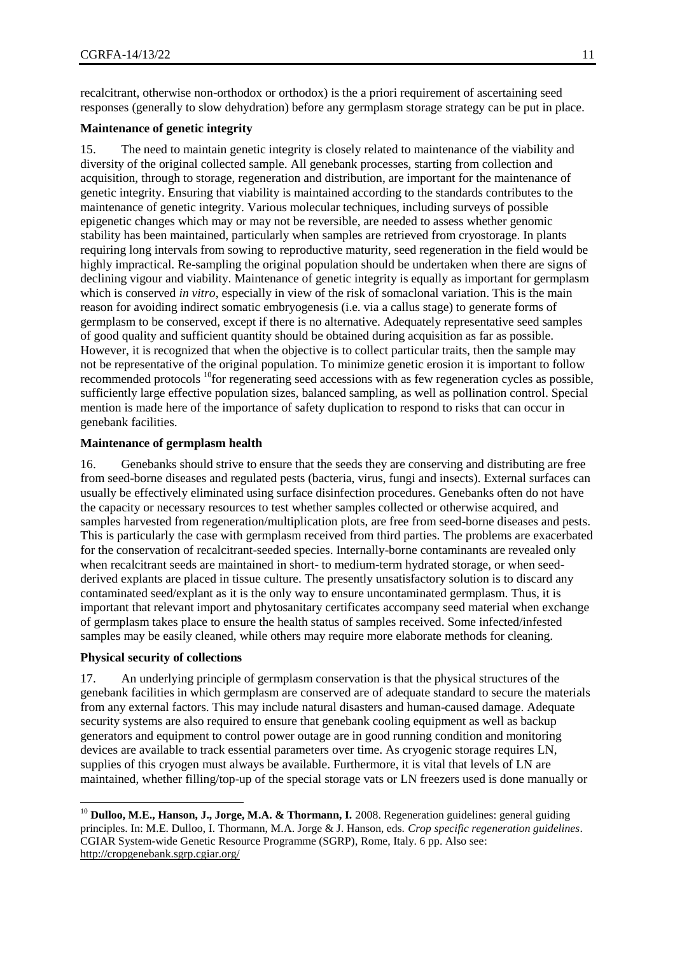recalcitrant, otherwise non-orthodox or orthodox) is the a priori requirement of ascertaining seed responses (generally to slow dehydration) before any germplasm storage strategy can be put in place.

#### **Maintenance of genetic integrity**

15. The need to maintain genetic integrity is closely related to maintenance of the viability and diversity of the original collected sample. All genebank processes, starting from collection and acquisition, through to storage, regeneration and distribution, are important for the maintenance of genetic integrity. Ensuring that viability is maintained according to the standards contributes to the maintenance of genetic integrity. Various molecular techniques, including surveys of possible epigenetic changes which may or may not be reversible, are needed to assess whether genomic stability has been maintained, particularly when samples are retrieved from cryostorage. In plants requiring long intervals from sowing to reproductive maturity, seed regeneration in the field would be highly impractical. Re-sampling the original population should be undertaken when there are signs of declining vigour and viability. Maintenance of genetic integrity is equally as important for germplasm which is conserved *in vitro*, especially in view of the risk of somaclonal variation. This is the main reason for avoiding indirect somatic embryogenesis (i.e. via a callus stage) to generate forms of germplasm to be conserved, except if there is no alternative. Adequately representative seed samples of good quality and sufficient quantity should be obtained during acquisition as far as possible. However, it is recognized that when the objective is to collect particular traits, then the sample may not be representative of the original population. To minimize genetic erosion it is important to follow recommended protocols <sup>10</sup>for regenerating seed accessions with as few regeneration cycles as possible, sufficiently large effective population sizes, balanced sampling, as well as pollination control. Special mention is made here of the importance of safety duplication to respond to risks that can occur in genebank facilities.

#### **Maintenance of germplasm health**

16. Genebanks should strive to ensure that the seeds they are conserving and distributing are free from seed-borne diseases and regulated pests (bacteria, virus, fungi and insects). External surfaces can usually be effectively eliminated using surface disinfection procedures. Genebanks often do not have the capacity or necessary resources to test whether samples collected or otherwise acquired, and samples harvested from regeneration/multiplication plots, are free from seed-borne diseases and pests. This is particularly the case with germplasm received from third parties. The problems are exacerbated for the conservation of recalcitrant-seeded species. Internally-borne contaminants are revealed only when recalcitrant seeds are maintained in short- to medium-term hydrated storage, or when seedderived explants are placed in tissue culture. The presently unsatisfactory solution is to discard any contaminated seed/explant as it is the only way to ensure uncontaminated germplasm. Thus, it is important that relevant import and phytosanitary certificates accompany seed material when exchange of germplasm takes place to ensure the health status of samples received. Some infected/infested samples may be easily cleaned, while others may require more elaborate methods for cleaning.

#### **Physical security of collections**

l

17. An underlying principle of germplasm conservation is that the physical structures of the genebank facilities in which germplasm are conserved are of adequate standard to secure the materials from any external factors. This may include natural disasters and human-caused damage. Adequate security systems are also required to ensure that genebank cooling equipment as well as backup generators and equipment to control power outage are in good running condition and monitoring devices are available to track essential parameters over time. As cryogenic storage requires LN, supplies of this cryogen must always be available. Furthermore, it is vital that levels of LN are maintained, whether filling/top-up of the special storage vats or LN freezers used is done manually or

<sup>&</sup>lt;sup>10</sup> **Dulloo, M.E., Hanson, J., Jorge, M.A. & Thormann, I.** 2008. Regeneration guidelines: general guiding principles. In: M.E. Dulloo, I. Thormann, M.A. Jorge & J. Hanson, eds. *Crop specific regeneration guidelines*. CGIAR System-wide Genetic Resource Programme (SGRP), Rome, Italy. 6 pp. Also see: <http://cropgenebank.sgrp.cgiar.org/>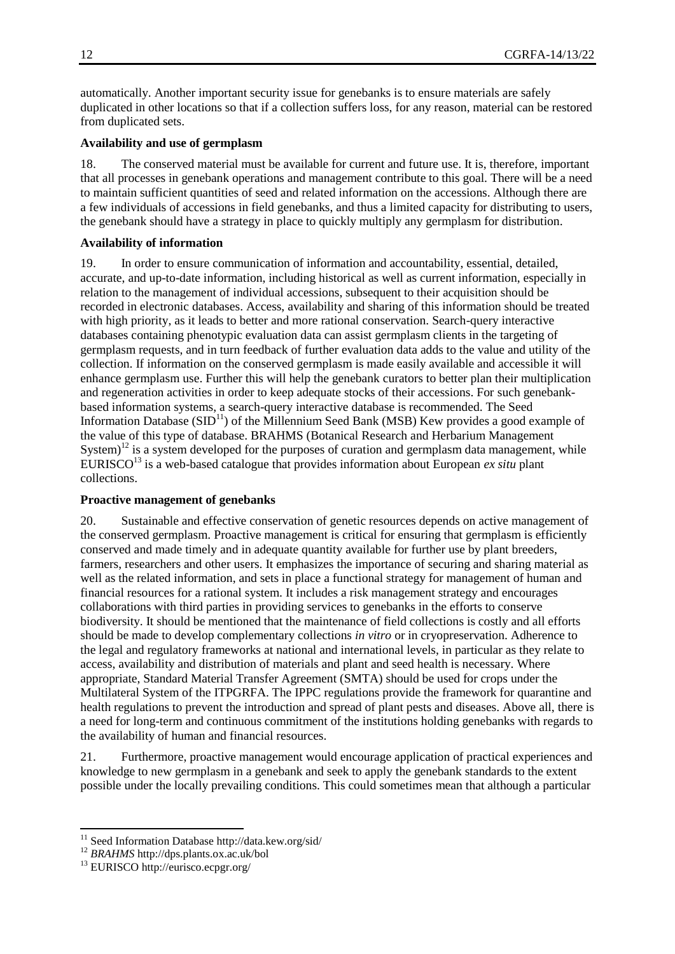automatically. Another important security issue for genebanks is to ensure materials are safely duplicated in other locations so that if a collection suffers loss, for any reason, material can be restored from duplicated sets.

# **Availability and use of germplasm**

18. The conserved material must be available for current and future use. It is, therefore, important that all processes in genebank operations and management contribute to this goal. There will be a need to maintain sufficient quantities of seed and related information on the accessions. Although there are a few individuals of accessions in field genebanks, and thus a limited capacity for distributing to users, the genebank should have a strategy in place to quickly multiply any germplasm for distribution.

# **Availability of information**

19. In order to ensure communication of information and accountability, essential, detailed, accurate, and up-to-date information, including historical as well as current information, especially in relation to the management of individual accessions, subsequent to their acquisition should be recorded in electronic databases. Access, availability and sharing of this information should be treated with high priority, as it leads to better and more rational conservation. Search-query interactive databases containing phenotypic evaluation data can assist germplasm clients in the targeting of germplasm requests, and in turn feedback of further evaluation data adds to the value and utility of the collection. If information on the conserved germplasm is made easily available and accessible it will enhance germplasm use. Further this will help the genebank curators to better plan their multiplication and regeneration activities in order to keep adequate stocks of their accessions. For such genebankbased information systems, a search-query interactive database is recommended. The Seed Information Database  $(SID<sup>11</sup>)$  of the Millennium Seed Bank (MSB) Kew provides a good example of the value of this type of database. BRAHMS (Botanical Research and Herbarium Management System)<sup>12</sup> is a system developed for the purposes of curation and germplasm data management, while EURISCO<sup>13</sup> is a web-based catalogue that provides information about European *ex situ* plant collections.

#### **Proactive management of genebanks**

20. Sustainable and effective conservation of genetic resources depends on active management of the conserved germplasm. Proactive management is critical for ensuring that germplasm is efficiently conserved and made timely and in adequate quantity available for further use by plant breeders, farmers, researchers and other users. It emphasizes the importance of securing and sharing material as well as the related information, and sets in place a functional strategy for management of human and financial resources for a rational system. It includes a risk management strategy and encourages collaborations with third parties in providing services to genebanks in the efforts to conserve biodiversity. It should be mentioned that the maintenance of field collections is costly and all efforts should be made to develop complementary collections *in vitro* or in cryopreservation. Adherence to the legal and regulatory frameworks at national and international levels, in particular as they relate to access, availability and distribution of materials and plant and seed health is necessary. Where appropriate, Standard Material Transfer Agreement (SMTA) should be used for crops under the Multilateral System of the ITPGRFA. The IPPC regulations provide the framework for quarantine and health regulations to prevent the introduction and spread of plant pests and diseases. Above all, there is a need for long-term and continuous commitment of the institutions holding genebanks with regards to the availability of human and financial resources.

21. Furthermore, proactive management would encourage application of practical experiences and knowledge to new germplasm in a genebank and seek to apply the genebank standards to the extent possible under the locally prevailing conditions. This could sometimes mean that although a particular

l

<sup>&</sup>lt;sup>11</sup> Seed Information Database http://data.kew.org/sid/

<sup>12</sup> *BRAHMS* http://dps.plants.ox.ac.uk/bol

<sup>13</sup> EURISCO http://eurisco.ecpgr.org/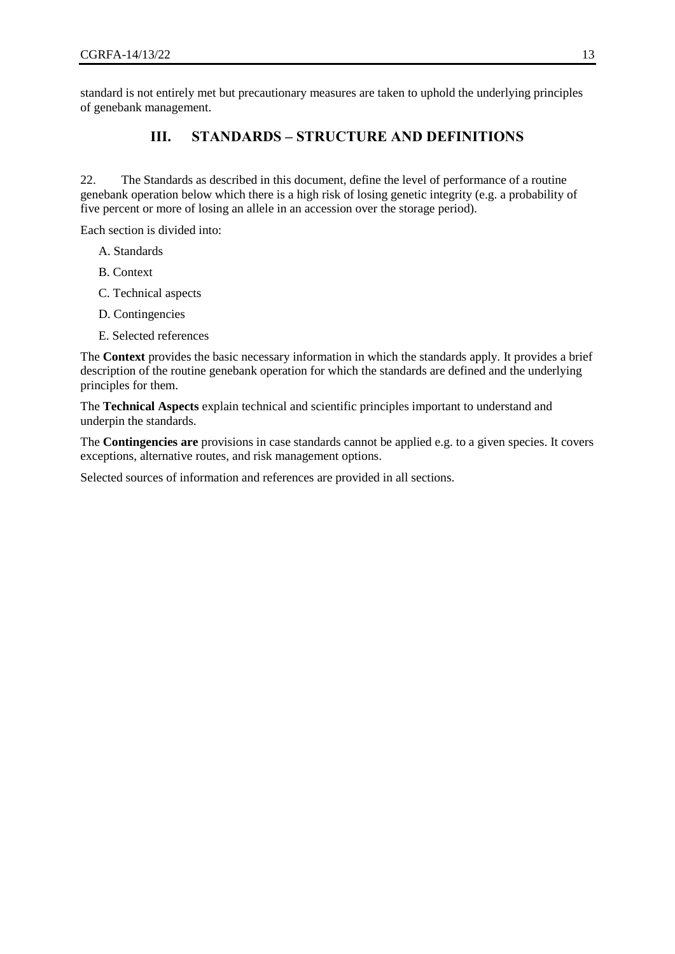standard is not entirely met but precautionary measures are taken to uphold the underlying principles of genebank management.

# **III. STANDARDS – STRUCTURE AND DEFINITIONS**

22. The Standards as described in this document, define the level of performance of a routine genebank operation below which there is a high risk of losing genetic integrity (e.g. a probability of five percent or more of losing an allele in an accession over the storage period).

Each section is divided into:

- A. Standards
- B. Context
- C. Technical aspects
- D. Contingencies
- E. Selected references

The **Context** provides the basic necessary information in which the standards apply. It provides a brief description of the routine genebank operation for which the standards are defined and the underlying principles for them.

The **Technical Aspects** explain technical and scientific principles important to understand and underpin the standards.

The **Contingencies are** provisions in case standards cannot be applied e.g. to a given species. It covers exceptions, alternative routes, and risk management options.

Selected sources of information and references are provided in all sections.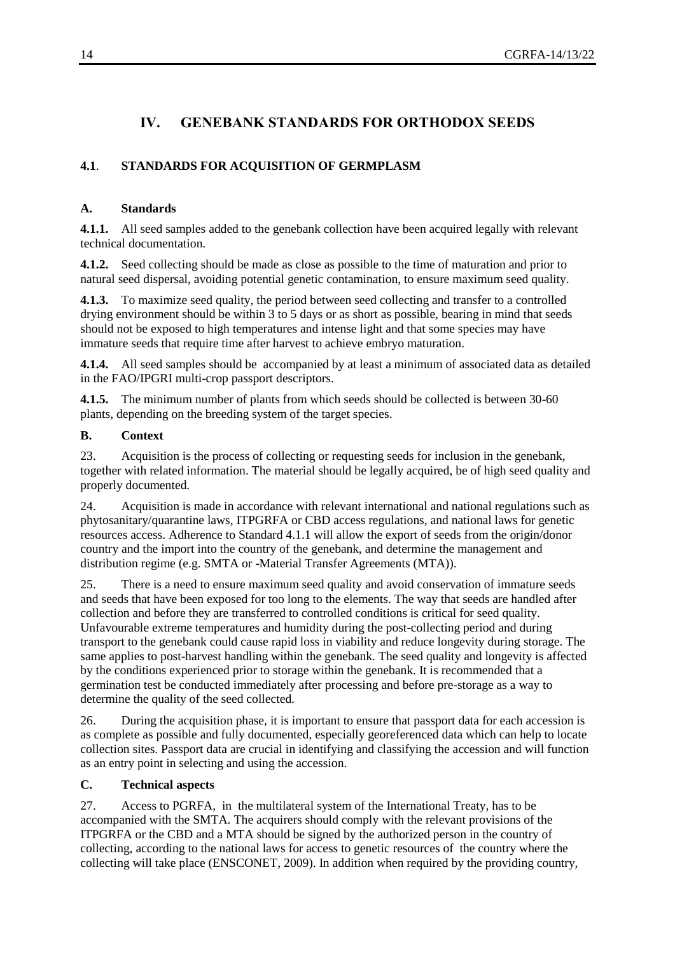# **IV. GENEBANK STANDARDS FOR ORTHODOX SEEDS**

# **4.1**. **STANDARDS FOR ACQUISITION OF GERMPLASM**

# **A. Standards**

**4.1.1.** All seed samples added to the genebank collection have been acquired legally with relevant technical documentation.

**4.1.2.** Seed collecting should be made as close as possible to the time of maturation and prior to natural seed dispersal, avoiding potential genetic contamination, to ensure maximum seed quality.

**4.1.3.** To maximize seed quality, the period between seed collecting and transfer to a controlled drying environment should be within 3 to 5 days or as short as possible, bearing in mind that seeds should not be exposed to high temperatures and intense light and that some species may have immature seeds that require time after harvest to achieve embryo maturation.

**4.1.4.** All seed samples should be accompanied by at least a minimum of associated data as detailed in the FAO/IPGRI multi-crop passport descriptors.

**4.1.5.** The minimum number of plants from which seeds should be collected is between 30-60 plants, depending on the breeding system of the target species.

# **B. Context**

23. Acquisition is the process of collecting or requesting seeds for inclusion in the genebank, together with related information. The material should be legally acquired, be of high seed quality and properly documented.

24. Acquisition is made in accordance with relevant international and national regulations such as phytosanitary/quarantine laws, ITPGRFA or CBD access regulations, and national laws for genetic resources access. Adherence to Standard 4.1.1 will allow the export of seeds from the origin/donor country and the import into the country of the genebank, and determine the management and distribution regime (e.g. SMTA or -Material Transfer Agreements (MTA)).

25. There is a need to ensure maximum seed quality and avoid conservation of immature seeds and seeds that have been exposed for too long to the elements. The way that seeds are handled after collection and before they are transferred to controlled conditions is critical for seed quality. Unfavourable extreme temperatures and humidity during the post-collecting period and during transport to the genebank could cause rapid loss in viability and reduce longevity during storage. The same applies to post-harvest handling within the genebank. The seed quality and longevity is affected by the conditions experienced prior to storage within the genebank. It is recommended that a germination test be conducted immediately after processing and before pre-storage as a way to determine the quality of the seed collected.

26. During the acquisition phase, it is important to ensure that passport data for each accession is as complete as possible and fully documented, especially georeferenced data which can help to locate collection sites. Passport data are crucial in identifying and classifying the accession and will function as an entry point in selecting and using the accession.

# **C. Technical aspects**

27. Access to PGRFA, in the multilateral system of the International Treaty, has to be accompanied with the SMTA. The acquirers should comply with the relevant provisions of the ITPGRFA or the CBD and a MTA should be signed by the authorized person in the country of collecting, according to the national laws for access to genetic resources of the country where the collecting will take place (ENSCONET, 2009). In addition when required by the providing country,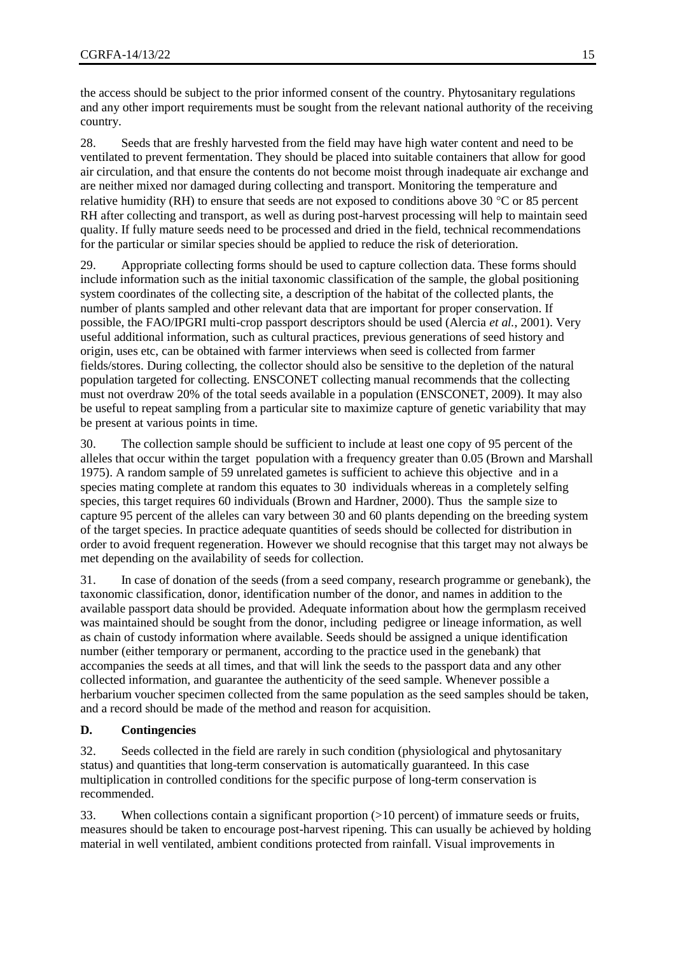the access should be subject to the prior informed consent of the country. Phytosanitary regulations and any other import requirements must be sought from the relevant national authority of the receiving country.

28. Seeds that are freshly harvested from the field may have high water content and need to be ventilated to prevent fermentation. They should be placed into suitable containers that allow for good air circulation, and that ensure the contents do not become moist through inadequate air exchange and are neither mixed nor damaged during collecting and transport. Monitoring the temperature and relative humidity (RH) to ensure that seeds are not exposed to conditions above 30  $^{\circ}$ C or 85 percent RH after collecting and transport, as well as during post-harvest processing will help to maintain seed quality. If fully mature seeds need to be processed and dried in the field, technical recommendations for the particular or similar species should be applied to reduce the risk of deterioration.

29. Appropriate collecting forms should be used to capture collection data. These forms should include information such as the initial taxonomic classification of the sample, the global positioning system coordinates of the collecting site, a description of the habitat of the collected plants, the number of plants sampled and other relevant data that are important for proper conservation. If possible, the FAO/IPGRI multi-crop passport descriptors should be used (Alercia *et al.*, 2001). Very useful additional information, such as cultural practices, previous generations of seed history and origin, uses etc, can be obtained with farmer interviews when seed is collected from farmer fields/stores. During collecting, the collector should also be sensitive to the depletion of the natural population targeted for collecting. ENSCONET collecting manual recommends that the collecting must not overdraw 20% of the total seeds available in a population (ENSCONET, 2009). It may also be useful to repeat sampling from a particular site to maximize capture of genetic variability that may be present at various points in time.

30. The collection sample should be sufficient to include at least one copy of 95 percent of the alleles that occur within the target population with a frequency greater than 0.05 (Brown and Marshall 1975). A random sample of 59 unrelated gametes is sufficient to achieve this objective and in a species mating complete at random this equates to 30 individuals whereas in a completely selfing species, this target requires 60 individuals (Brown and Hardner, 2000). Thus the sample size to capture 95 percent of the alleles can vary between 30 and 60 plants depending on the breeding system of the target species. In practice adequate quantities of seeds should be collected for distribution in order to avoid frequent regeneration. However we should recognise that this target may not always be met depending on the availability of seeds for collection.

31. In case of donation of the seeds (from a seed company, research programme or genebank), the taxonomic classification, donor, identification number of the donor, and names in addition to the available passport data should be provided. Adequate information about how the germplasm received was maintained should be sought from the donor, including pedigree or lineage information, as well as chain of custody information where available. Seeds should be assigned a unique identification number (either temporary or permanent, according to the practice used in the genebank) that accompanies the seeds at all times, and that will link the seeds to the passport data and any other collected information, and guarantee the authenticity of the seed sample. Whenever possible a herbarium voucher specimen collected from the same population as the seed samples should be taken, and a record should be made of the method and reason for acquisition.

#### **D. Contingencies**

32. Seeds collected in the field are rarely in such condition (physiological and phytosanitary status) and quantities that long-term conservation is automatically guaranteed. In this case multiplication in controlled conditions for the specific purpose of long-term conservation is recommended.

33. When collections contain a significant proportion (>10 percent) of immature seeds or fruits, measures should be taken to encourage post-harvest ripening. This can usually be achieved by holding material in well ventilated, ambient conditions protected from rainfall. Visual improvements in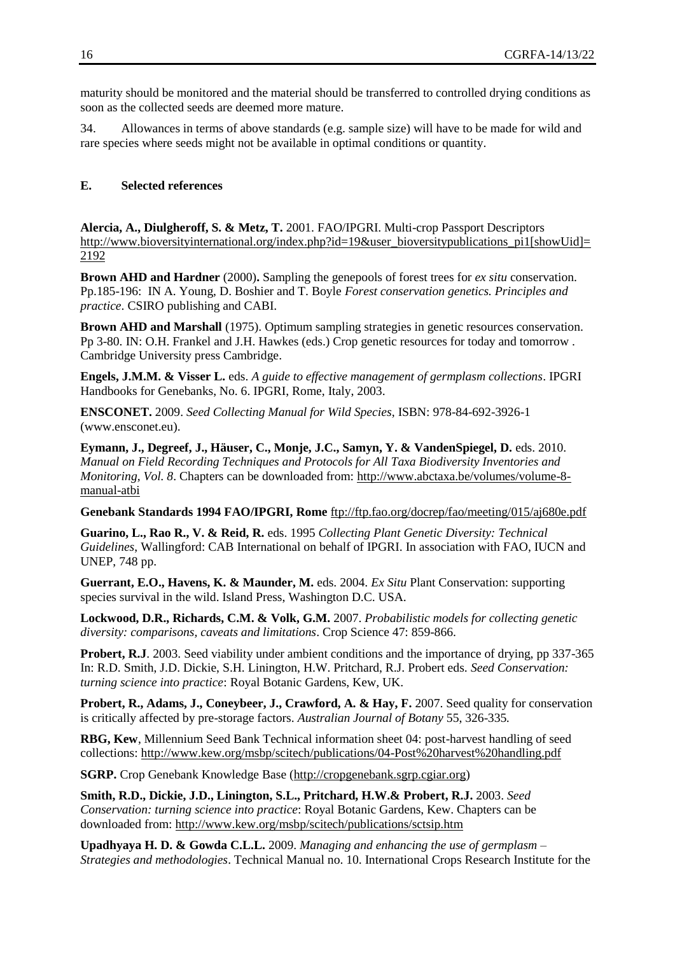maturity should be monitored and the material should be transferred to controlled drying conditions as soon as the collected seeds are deemed more mature.

34. Allowances in terms of above standards (e.g. sample size) will have to be made for wild and rare species where seeds might not be available in optimal conditions or quantity.

# **E. Selected references**

**Alercia, A., Diulgheroff, S. & Metz, T.** 2001. FAO/IPGRI. Multi-crop Passport Descriptors [http://www.bioversityinternational.org/index.php?id=19&user\\_bioversitypublications\\_pi1\[showUid\]=](http://www.bioversityinternational.org/index.php?id=19&user_bioversitypublications_pi1%5bshowUid%5d=2192) [2192](http://www.bioversityinternational.org/index.php?id=19&user_bioversitypublications_pi1%5bshowUid%5d=2192)

**Brown AHD and Hardner** (2000)**.** Sampling the genepools of forest trees for *ex situ* conservation. Pp.185-196: IN A. Young, D. Boshier and T. Boyle *Forest conservation genetics. Principles and practice*. CSIRO publishing and CABI.

**Brown AHD and Marshall** (1975). Optimum sampling strategies in genetic resources conservation. Pp 3-80. IN: O.H. Frankel and J.H. Hawkes (eds.) Crop genetic resources for today and tomorrow . Cambridge University press Cambridge.

**Engels, J.M.M. & Visser L.** eds. *A guide to effective management of germplasm collections*. IPGRI Handbooks for Genebanks, No. 6. IPGRI, Rome, Italy, 2003.

**ENSCONET.** 2009. *Seed Collecting Manual for Wild Species*, ISBN: 978-84-692-3926-1 (www.ensconet.eu).

**Eymann, J., Degreef, J., Häuser, C., Monje, J.C., Samyn, Y. & VandenSpiegel, D.** eds. 2010. *Manual on Field Recording Techniques and Protocols for All Taxa Biodiversity Inventories and Monitoring, Vol. 8*. Chapters can be downloaded from: [http://www.abctaxa.be/volumes/volume-8](http://www.abctaxa.be/volumes/volume-8-manual-atbi) [manual-atbi](http://www.abctaxa.be/volumes/volume-8-manual-atbi)

**Genebank Standards 1994 FAO/IPGRI, Rome** ftp://ftp.fao.org/docrep/fao/meeting/015/aj680e.pdf

**Guarino, L., Rao R., V. & Reid, R.** eds. 1995 *Collecting Plant Genetic Diversity: Technical Guidelines*, Wallingford: CAB International on behalf of IPGRI. In association with FAO, IUCN and UNEP, 748 pp.

**Guerrant, E.O., Havens, K. & Maunder, M.** eds. 2004. *Ex Situ* Plant Conservation: supporting species survival in the wild. Island Press, Washington D.C. USA.

**Lockwood, D.R., Richards, C.M. & Volk, G.M.** 2007. *Probabilistic models for collecting genetic diversity: comparisons, caveats and limitations*. Crop Science 47: 859-866.

**Probert, R.J**. 2003. Seed viability under ambient conditions and the importance of drying, pp 337-365 In: R.D. Smith, J.D. Dickie, S.H. Linington, H.W. Pritchard, R.J. Probert eds. *Seed Conservation: turning science into practice*: Royal Botanic Gardens, Kew, UK.

**Probert, R., Adams, J., Coneybeer, J., Crawford, A. & Hay, F.** 2007. Seed quality for conservation is critically affected by pre-storage factors. *Australian Journal of Botany* 55, 326-335*.*

**RBG, Kew**, Millennium Seed Bank Technical information sheet 04: post-harvest handling of seed collections: http://www.kew.org/msbp/scitech/publications/04-Post%20harvest%20handling.pdf

**SGRP.** Crop Genebank Knowledge Base (http://cropgenebank.sgrp.cgiar.org)

**Smith, R.D., Dickie, J.D., Linington, S.L., Pritchard, H.W.& Probert, R.J.** 2003. *Seed Conservation: turning science into practice*: Royal Botanic Gardens, Kew. Chapters can be downloaded from: http://www.kew.org/msbp/scitech/publications/sctsip.htm

**Upadhyaya H. D. & Gowda C.L.L.** 2009. *Managing and enhancing the use of germplasm – Strategies and methodologies*. Technical Manual no. 10. International Crops Research Institute for the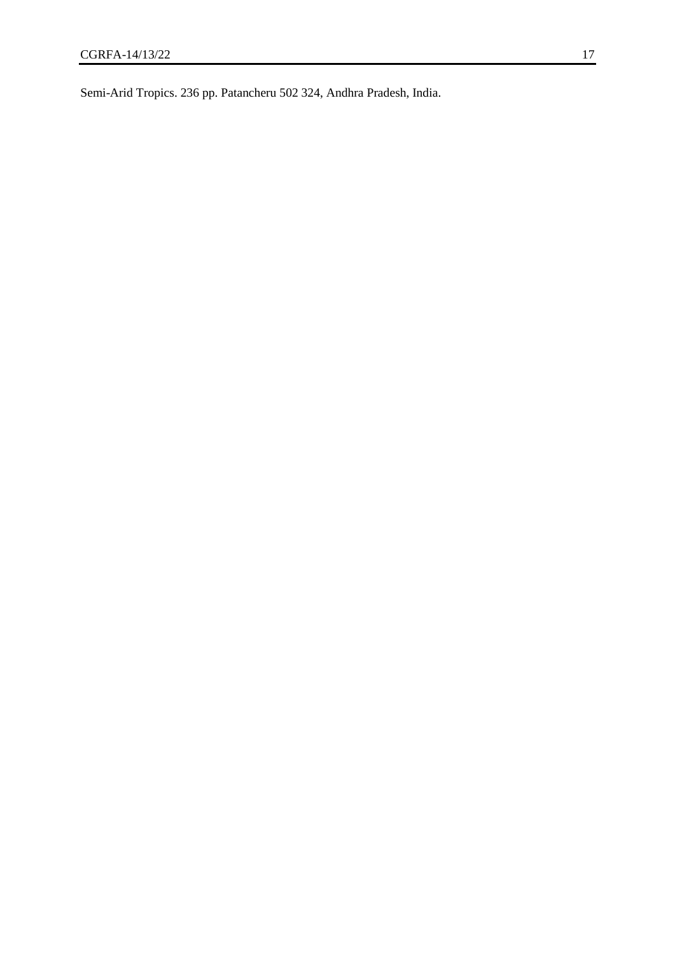Semi-Arid Tropics. 236 pp. Patancheru 502 324, Andhra Pradesh, India.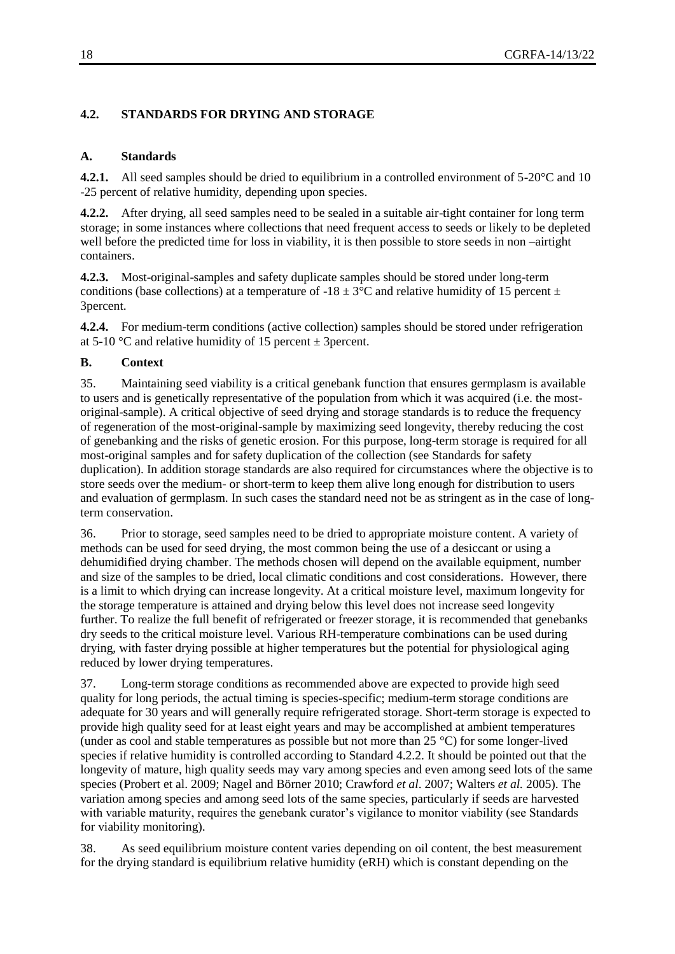# **4.2. STANDARDS FOR DRYING AND STORAGE**

# **A. Standards**

**4.2.1.** All seed samples should be dried to equilibrium in a controlled environment of 5-20°C and 10 -25 percent of relative humidity, depending upon species.

**4.2.2.** After drying, all seed samples need to be sealed in a suitable air-tight container for long term storage; in some instances where collections that need frequent access to seeds or likely to be depleted well before the predicted time for loss in viability, it is then possible to store seeds in non-airtight containers.

**4.2.3.** Most-original-samples and safety duplicate samples should be stored under long-term conditions (base collections) at a temperature of  $-18 \pm 3$ °C and relative humidity of 15 percent  $\pm$ 3percent.

**4.2.4.** For medium-term conditions (active collection) samples should be stored under refrigeration at 5-10  $\degree$ C and relative humidity of 15 percent  $\pm$  3 percent.

# **B. Context**

35. Maintaining seed viability is a critical genebank function that ensures germplasm is available to users and is genetically representative of the population from which it was acquired (i.e. the mostoriginal-sample). A critical objective of seed drying and storage standards is to reduce the frequency of regeneration of the most-original-sample by maximizing seed longevity, thereby reducing the cost of genebanking and the risks of genetic erosion. For this purpose, long-term storage is required for all most-original samples and for safety duplication of the collection (see Standards for safety duplication). In addition storage standards are also required for circumstances where the objective is to store seeds over the medium- or short-term to keep them alive long enough for distribution to users and evaluation of germplasm. In such cases the standard need not be as stringent as in the case of longterm conservation.

36. Prior to storage, seed samples need to be dried to appropriate moisture content. A variety of methods can be used for seed drying, the most common being the use of a desiccant or using a dehumidified drying chamber. The methods chosen will depend on the available equipment, number and size of the samples to be dried, local climatic conditions and cost considerations. However, there is a limit to which drying can increase longevity. At a critical moisture level, maximum longevity for the storage temperature is attained and drying below this level does not increase seed longevity further. To realize the full benefit of refrigerated or freezer storage, it is recommended that genebanks dry seeds to the critical moisture level. Various RH-temperature combinations can be used during drying, with faster drying possible at higher temperatures but the potential for physiological aging reduced by lower drying temperatures.

37. Long-term storage conditions as recommended above are expected to provide high seed quality for long periods, the actual timing is species-specific; medium-term storage conditions are adequate for 30 years and will generally require refrigerated storage. Short-term storage is expected to provide high quality seed for at least eight years and may be accomplished at ambient temperatures (under as cool and stable temperatures as possible but not more than 25 °C) for some longer-lived species if relative humidity is controlled according to Standard 4.2.2. It should be pointed out that the longevity of mature, high quality seeds may vary among species and even among seed lots of the same species (Probert et al. 2009; Nagel and Börner 2010; Crawford *et al*. 2007; Walters *et al.* 2005). The variation among species and among seed lots of the same species, particularly if seeds are harvested with variable maturity, requires the genebank curator's vigilance to monitor viability (see Standards) for viability monitoring).

38. As seed equilibrium moisture content varies depending on oil content, the best measurement for the drying standard is equilibrium relative humidity (eRH) which is constant depending on the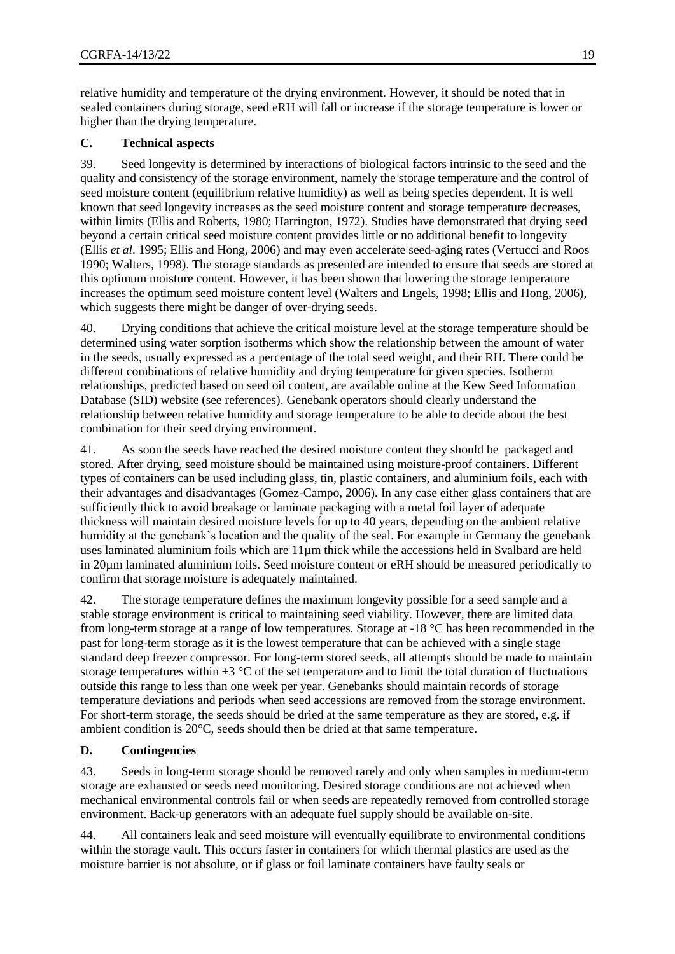relative humidity and temperature of the drying environment. However, it should be noted that in sealed containers during storage, seed eRH will fall or increase if the storage temperature is lower or higher than the drying temperature.

# **C. Technical aspects**

39. Seed longevity is determined by interactions of biological factors intrinsic to the seed and the quality and consistency of the storage environment, namely the storage temperature and the control of seed moisture content (equilibrium relative humidity) as well as being species dependent. It is well known that seed longevity increases as the seed moisture content and storage temperature decreases, within limits (Ellis and Roberts, 1980; Harrington, 1972). Studies have demonstrated that drying seed beyond a certain critical seed moisture content provides little or no additional benefit to longevity (Ellis *et al*. 1995; Ellis and Hong, 2006) and may even accelerate seed-aging rates (Vertucci and Roos 1990; Walters, 1998). The storage standards as presented are intended to ensure that seeds are stored at this optimum moisture content. However, it has been shown that lowering the storage temperature increases the optimum seed moisture content level (Walters and Engels, 1998; Ellis and Hong, 2006), which suggests there might be danger of over-drying seeds.

40. Drying conditions that achieve the critical moisture level at the storage temperature should be determined using water sorption isotherms which show the relationship between the amount of water in the seeds, usually expressed as a percentage of the total seed weight, and their RH. There could be different combinations of relative humidity and drying temperature for given species. Isotherm relationships, predicted based on seed oil content, are available online at the Kew Seed Information Database (SID) website (see references). Genebank operators should clearly understand the relationship between relative humidity and storage temperature to be able to decide about the best combination for their seed drying environment.

41. As soon the seeds have reached the desired moisture content they should be packaged and stored. After drying, seed moisture should be maintained using moisture-proof containers. Different types of containers can be used including glass, tin, plastic containers, and aluminium foils, each with their advantages and disadvantages (Gomez-Campo, 2006). In any case either glass containers that are sufficiently thick to avoid breakage or laminate packaging with a metal foil layer of adequate thickness will maintain desired moisture levels for up to 40 years, depending on the ambient relative humidity at the genebank's location and the quality of the seal. For example in Germany the genebank uses laminated aluminium foils which are 11µm thick while the accessions held in Svalbard are held in 20µm laminated aluminium foils. Seed moisture content or eRH should be measured periodically to confirm that storage moisture is adequately maintained.

42. The storage temperature defines the maximum longevity possible for a seed sample and a stable storage environment is critical to maintaining seed viability. However, there are limited data from long-term storage at a range of low temperatures. Storage at -18 °C has been recommended in the past for long-term storage as it is the lowest temperature that can be achieved with a single stage standard deep freezer compressor. For long-term stored seeds, all attempts should be made to maintain storage temperatures within  $\pm 3$  °C of the set temperature and to limit the total duration of fluctuations outside this range to less than one week per year. Genebanks should maintain records of storage temperature deviations and periods when seed accessions are removed from the storage environment. For short-term storage, the seeds should be dried at the same temperature as they are stored, e.g. if ambient condition is 20°C, seeds should then be dried at that same temperature.

# **D. Contingencies**

43. Seeds in long-term storage should be removed rarely and only when samples in medium-term storage are exhausted or seeds need monitoring. Desired storage conditions are not achieved when mechanical environmental controls fail or when seeds are repeatedly removed from controlled storage environment. Back-up generators with an adequate fuel supply should be available on-site.

44. All containers leak and seed moisture will eventually equilibrate to environmental conditions within the storage vault. This occurs faster in containers for which thermal plastics are used as the moisture barrier is not absolute, or if glass or foil laminate containers have faulty seals or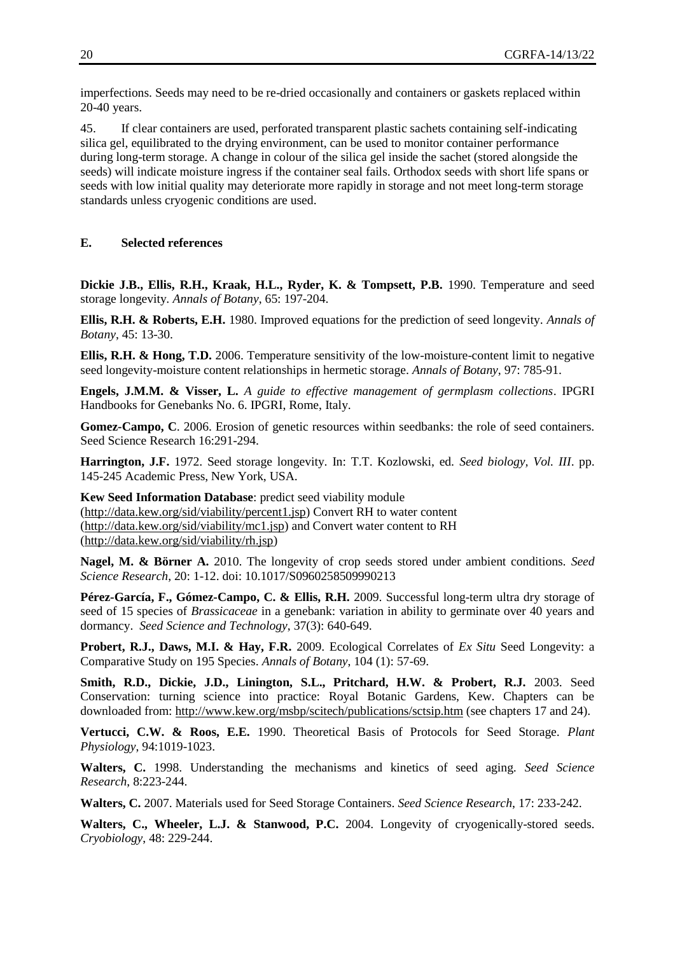imperfections. Seeds may need to be re-dried occasionally and containers or gaskets replaced within 20-40 years.

45. If clear containers are used, perforated transparent plastic sachets containing self-indicating silica gel, equilibrated to the drying environment, can be used to monitor container performance during long-term storage. A change in colour of the silica gel inside the sachet (stored alongside the seeds) will indicate moisture ingress if the container seal fails. Orthodox seeds with short life spans or seeds with low initial quality may deteriorate more rapidly in storage and not meet long-term storage standards unless cryogenic conditions are used.

# **E. Selected references**

**Dickie J.B., Ellis, R.H., Kraak, H.L., Ryder, K. & Tompsett, P.B.** 1990. Temperature and seed storage longevity*. Annals of Botany*, 65: 197-204.

**Ellis, R.H. & Roberts, E.H.** 1980. Improved equations for the prediction of seed longevity. *Annals of Botany*, 45: 13-30.

**Ellis, R.H. & Hong, T.D.** 2006. Temperature sensitivity of the low-moisture-content limit to negative seed longevity-moisture content relationships in hermetic storage. *Annals of Botany*, 97: 785-91.

**Engels, J.M.M. & Visser, L.** *A guide to effective management of germplasm collections*. IPGRI Handbooks for Genebanks No. 6. IPGRI, Rome, Italy.

Gomez-Campo, C. 2006. Erosion of genetic resources within seedbanks: the role of seed containers. Seed Science Research 16:291-294.

**Harrington, J.F.** 1972. Seed storage longevity. In: T.T. Kozlowski, ed. *Seed biology, Vol. III*. pp. 145-245 Academic Press, New York, USA.

**Kew Seed Information Database**: predict seed viability module (http://data.kew.org/sid/viability/percent1.jsp) Convert RH to water content (http://data.kew.org/sid/viability/mc1.jsp) and Convert water content to RH (http://data.kew.org/sid/viability/rh.jsp)

**Nagel, M. & Börner A.** 2010. The longevity of crop seeds stored under ambient conditions. *Seed Science Research*, 20: 1-12. doi: 10.1017/S0960258509990213

**Pérez-García, F., Gómez-Campo, C. & Ellis, R.H.** 2009. Successful long-term ultra dry storage of seed of 15 species of *Brassicaceae* in a genebank: variation in ability to germinate over 40 years and dormancy. *Seed Science and Technology*, 37(3): 640-649.

**Probert, R.J., Daws, M.I. & Hay, F.R.** 2009. Ecological Correlates of *Ex Situ* Seed Longevity: a Comparative Study on 195 Species. *Annals of Botany*, 104 (1): 57-69.

**Smith, R.D., Dickie, J.D., Linington, S.L., Pritchard, H.W. & Probert, R.J.** 2003. Seed Conservation: turning science into practice: Royal Botanic Gardens, Kew. Chapters can be downloaded from: http://www.kew.org/msbp/scitech/publications/sctsip.htm (see chapters 17 and 24).

**Vertucci, C.W. & Roos, E.E.** 1990. Theoretical Basis of Protocols for Seed Storage. *Plant Physiology*, 94:1019-1023.

**Walters, C.** 1998. Understanding the mechanisms and kinetics of seed aging. *Seed Science Research*, 8:223-244.

**Walters, C.** 2007. Materials used for Seed Storage Containers. *Seed Science Research*, 17: 233-242.

Walters, C., Wheeler, L.J. & Stanwood, P.C. 2004. Longevity of cryogenically-stored seeds. *Cryobiology*, 48: 229-244.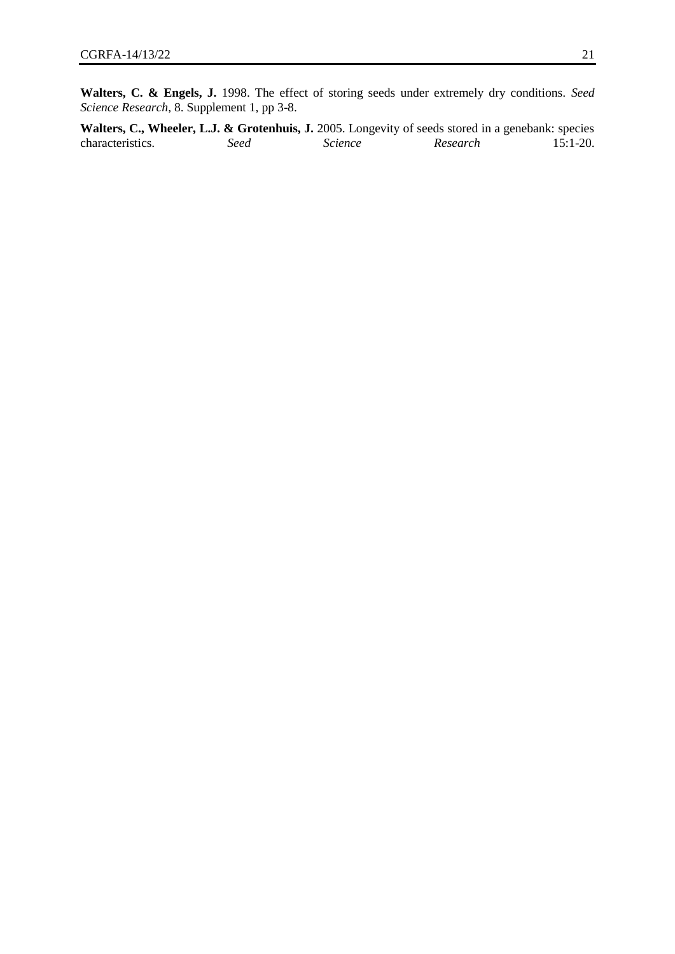**Walters, C. & Engels, J.** 1998. The effect of storing seeds under extremely dry conditions*. Seed Science Research*, 8. Supplement 1, pp 3-8.

**Walters, C., Wheeler, L.J. & Grotenhuis, J.** 2005. Longevity of seeds stored in a genebank: species characteristics. Seed Science Research 15:1-20. characteristics.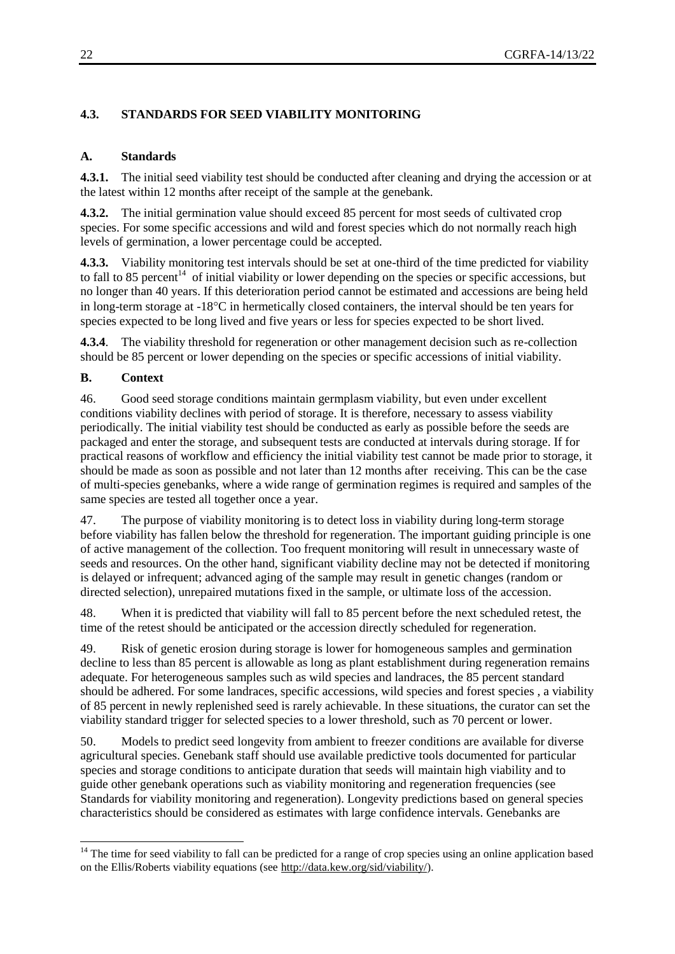# **4.3. STANDARDS FOR SEED VIABILITY MONITORING**

# **A. Standards**

**4.3.1.** The initial seed viability test should be conducted after cleaning and drying the accession or at the latest within 12 months after receipt of the sample at the genebank.

**4.3.2.** The initial germination value should exceed 85 percent for most seeds of cultivated crop species. For some specific accessions and wild and forest species which do not normally reach high levels of germination, a lower percentage could be accepted.

**4.3.3.** Viability monitoring test intervals should be set at one-third of the time predicted for viability to fall to 85 percent<sup>14</sup> of initial viability or lower depending on the species or specific accessions, but no longer than 40 years. If this deterioration period cannot be estimated and accessions are being held in long-term storage at  $-18^{\circ}$ C in hermetically closed containers, the interval should be ten years for species expected to be long lived and five years or less for species expected to be short lived.

**4.3.4**. The viability threshold for regeneration or other management decision such as re-collection should be 85 percent or lower depending on the species or specific accessions of initial viability.

# **B. Context**

l

46. Good seed storage conditions maintain germplasm viability, but even under excellent conditions viability declines with period of storage. It is therefore, necessary to assess viability periodically. The initial viability test should be conducted as early as possible before the seeds are packaged and enter the storage, and subsequent tests are conducted at intervals during storage. If for practical reasons of workflow and efficiency the initial viability test cannot be made prior to storage, it should be made as soon as possible and not later than 12 months after receiving. This can be the case of multi-species genebanks, where a wide range of germination regimes is required and samples of the same species are tested all together once a year.

47. The purpose of viability monitoring is to detect loss in viability during long-term storage before viability has fallen below the threshold for regeneration. The important guiding principle is one of active management of the collection. Too frequent monitoring will result in unnecessary waste of seeds and resources. On the other hand, significant viability decline may not be detected if monitoring is delayed or infrequent; advanced aging of the sample may result in genetic changes (random or directed selection), unrepaired mutations fixed in the sample, or ultimate loss of the accession.

48. When it is predicted that viability will fall to 85 percent before the next scheduled retest, the time of the retest should be anticipated or the accession directly scheduled for regeneration.

49. Risk of genetic erosion during storage is lower for homogeneous samples and germination decline to less than 85 percent is allowable as long as plant establishment during regeneration remains adequate. For heterogeneous samples such as wild species and landraces, the 85 percent standard should be adhered. For some landraces, specific accessions, wild species and forest species , a viability of 85 percent in newly replenished seed is rarely achievable. In these situations, the curator can set the viability standard trigger for selected species to a lower threshold, such as 70 percent or lower.

50. Models to predict seed longevity from ambient to freezer conditions are available for diverse agricultural species. Genebank staff should use available predictive tools documented for particular species and storage conditions to anticipate duration that seeds will maintain high viability and to guide other genebank operations such as viability monitoring and regeneration frequencies (see Standards for viability monitoring and regeneration). Longevity predictions based on general species characteristics should be considered as estimates with large confidence intervals. Genebanks are

<sup>&</sup>lt;sup>14</sup> The time for seed viability to fall can be predicted for a range of crop species using an online application based on the Ellis/Roberts viability equations (see http://data.kew.org/sid/viability/).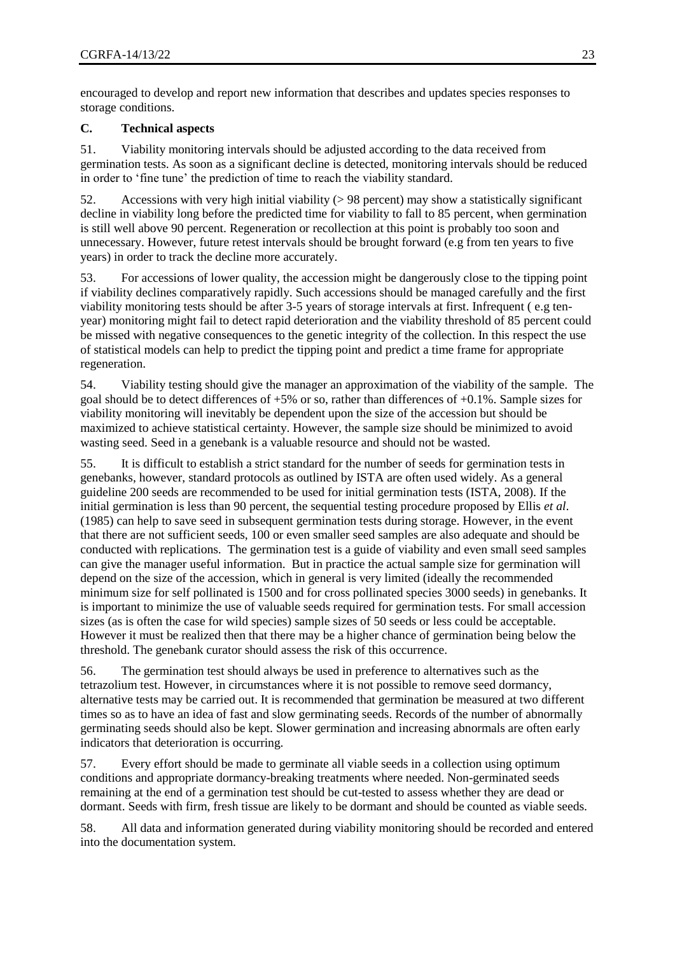encouraged to develop and report new information that describes and updates species responses to storage conditions.

# **C. Technical aspects**

51. Viability monitoring intervals should be adjusted according to the data received from germination tests. As soon as a significant decline is detected, monitoring intervals should be reduced in order to 'fine tune' the prediction of time to reach the viability standard.

52. Accessions with very high initial viability (> 98 percent) may show a statistically significant decline in viability long before the predicted time for viability to fall to 85 percent, when germination is still well above 90 percent. Regeneration or recollection at this point is probably too soon and unnecessary. However, future retest intervals should be brought forward (e.g from ten years to five years) in order to track the decline more accurately.

53. For accessions of lower quality, the accession might be dangerously close to the tipping point if viability declines comparatively rapidly. Such accessions should be managed carefully and the first viability monitoring tests should be after 3-5 years of storage intervals at first. Infrequent ( e.g tenyear) monitoring might fail to detect rapid deterioration and the viability threshold of 85 percent could be missed with negative consequences to the genetic integrity of the collection. In this respect the use of statistical models can help to predict the tipping point and predict a time frame for appropriate regeneration.

54. Viability testing should give the manager an approximation of the viability of the sample. The goal should be to detect differences of +5% or so, rather than differences of +0.1%. Sample sizes for viability monitoring will inevitably be dependent upon the size of the accession but should be maximized to achieve statistical certainty. However, the sample size should be minimized to avoid wasting seed. Seed in a genebank is a valuable resource and should not be wasted.

55. It is difficult to establish a strict standard for the number of seeds for germination tests in genebanks, however, standard protocols as outlined by ISTA are often used widely. As a general guideline 200 seeds are recommended to be used for initial germination tests (ISTA, 2008). If the initial germination is less than 90 percent, the sequential testing procedure proposed by Ellis *et al*. (1985) can help to save seed in subsequent germination tests during storage. However, in the event that there are not sufficient seeds, 100 or even smaller seed samples are also adequate and should be conducted with replications. The germination test is a guide of viability and even small seed samples can give the manager useful information. But in practice the actual sample size for germination will depend on the size of the accession, which in general is very limited (ideally the recommended minimum size for self pollinated is 1500 and for cross pollinated species 3000 seeds) in genebanks. It is important to minimize the use of valuable seeds required for germination tests. For small accession sizes (as is often the case for wild species) sample sizes of 50 seeds or less could be acceptable. However it must be realized then that there may be a higher chance of germination being below the threshold. The genebank curator should assess the risk of this occurrence.

56. The germination test should always be used in preference to alternatives such as the tetrazolium test. However, in circumstances where it is not possible to remove seed dormancy, alternative tests may be carried out. It is recommended that germination be measured at two different times so as to have an idea of fast and slow germinating seeds. Records of the number of abnormally germinating seeds should also be kept. Slower germination and increasing abnormals are often early indicators that deterioration is occurring.

57. Every effort should be made to germinate all viable seeds in a collection using optimum conditions and appropriate dormancy-breaking treatments where needed. Non-germinated seeds remaining at the end of a germination test should be cut-tested to assess whether they are dead or dormant. Seeds with firm, fresh tissue are likely to be dormant and should be counted as viable seeds.

58. All data and information generated during viability monitoring should be recorded and entered into the documentation system.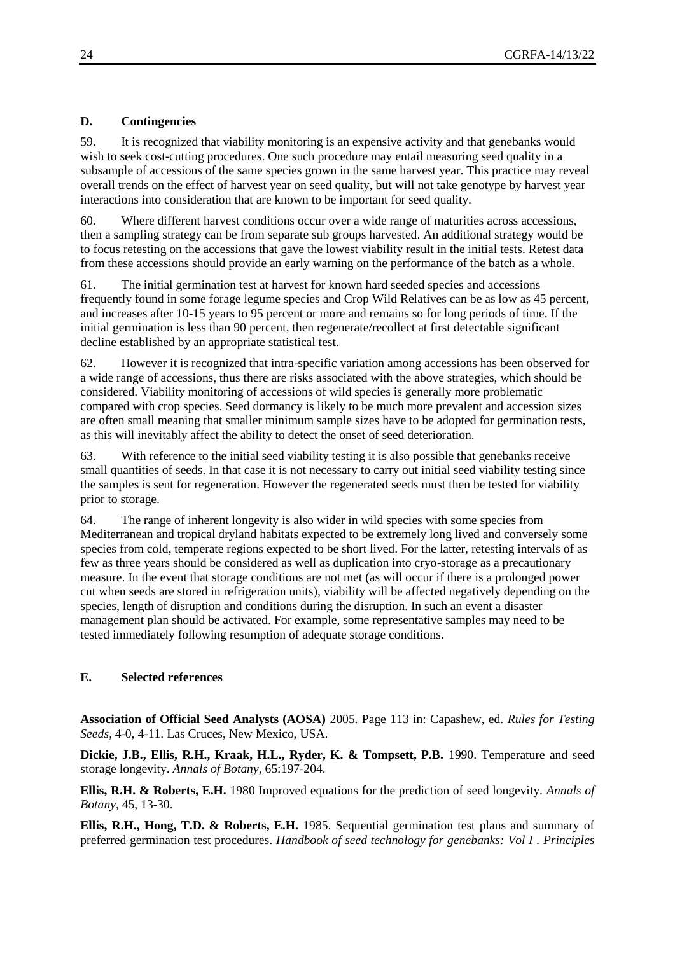# **D. Contingencies**

59. It is recognized that viability monitoring is an expensive activity and that genebanks would wish to seek cost-cutting procedures. One such procedure may entail measuring seed quality in a subsample of accessions of the same species grown in the same harvest year. This practice may reveal overall trends on the effect of harvest year on seed quality, but will not take genotype by harvest year interactions into consideration that are known to be important for seed quality.

60. Where different harvest conditions occur over a wide range of maturities across accessions, then a sampling strategy can be from separate sub groups harvested. An additional strategy would be to focus retesting on the accessions that gave the lowest viability result in the initial tests. Retest data from these accessions should provide an early warning on the performance of the batch as a whole.

61. The initial germination test at harvest for known hard seeded species and accessions frequently found in some forage legume species and Crop Wild Relatives can be as low as 45 percent, and increases after 10-15 years to 95 percent or more and remains so for long periods of time. If the initial germination is less than 90 percent, then regenerate/recollect at first detectable significant decline established by an appropriate statistical test.

62. However it is recognized that intra-specific variation among accessions has been observed for a wide range of accessions, thus there are risks associated with the above strategies, which should be considered. Viability monitoring of accessions of wild species is generally more problematic compared with crop species. Seed dormancy is likely to be much more prevalent and accession sizes are often small meaning that smaller minimum sample sizes have to be adopted for germination tests, as this will inevitably affect the ability to detect the onset of seed deterioration.

63. With reference to the initial seed viability testing it is also possible that genebanks receive small quantities of seeds. In that case it is not necessary to carry out initial seed viability testing since the samples is sent for regeneration. However the regenerated seeds must then be tested for viability prior to storage.

64. The range of inherent longevity is also wider in wild species with some species from Mediterranean and tropical dryland habitats expected to be extremely long lived and conversely some species from cold, temperate regions expected to be short lived. For the latter, retesting intervals of as few as three years should be considered as well as duplication into cryo-storage as a precautionary measure. In the event that storage conditions are not met (as will occur if there is a prolonged power cut when seeds are stored in refrigeration units), viability will be affected negatively depending on the species, length of disruption and conditions during the disruption. In such an event a disaster management plan should be activated. For example, some representative samples may need to be tested immediately following resumption of adequate storage conditions.

# **E. Selected references**

**Association of Official Seed Analysts (AOSA)** 2005. Page 113 in: Capashew, ed. *Rules for Testing Seeds*, 4-0, 4-11. Las Cruces, New Mexico, USA.

**Dickie, J.B., Ellis, R.H., Kraak, H.L., Ryder, K. & Tompsett, P.B.** 1990. Temperature and seed storage longevity. *Annals of Botany*, 65:197-204.

**Ellis, R.H. & Roberts, E.H.** 1980 Improved equations for the prediction of seed longevity. *Annals of Botany*, 45, 13-30.

**Ellis, R.H., Hong, T.D. & Roberts, E.H.** 1985. Sequential germination test plans and summary of preferred germination test procedures. *Handbook of seed technology for genebanks: Vol I . Principles*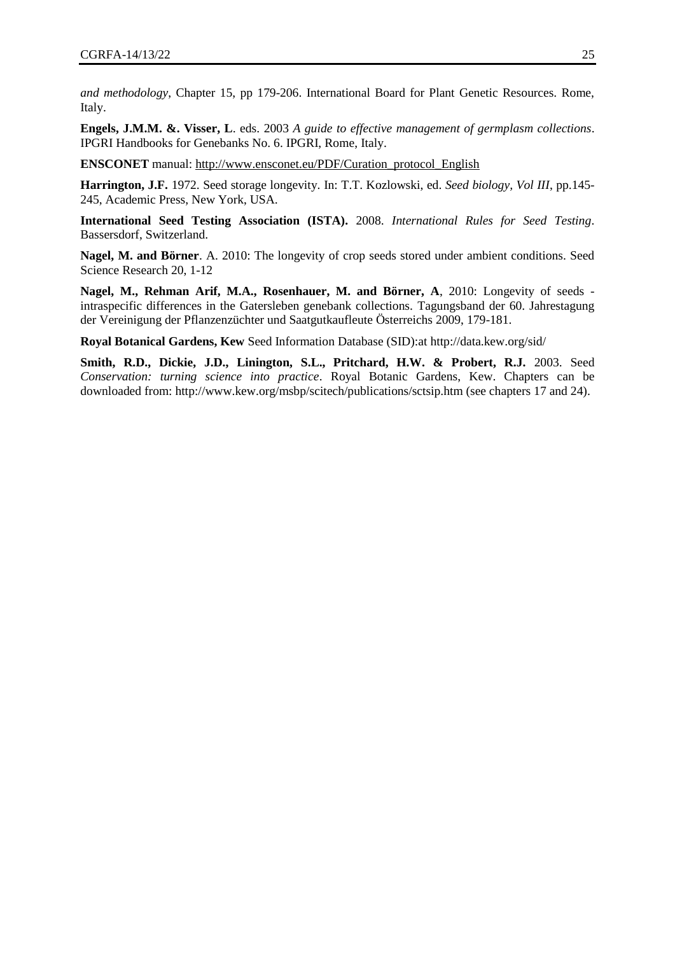*and methodology*, Chapter 15, pp 179-206. International Board for Plant Genetic Resources. Rome, Italy.

**Engels, J.M.M. &. Visser, L**. eds. 2003 *A guide to effective management of germplasm collections*. IPGRI Handbooks for Genebanks No. 6. IPGRI, Rome, Italy.

**ENSCONET** manual: http://www.ensconet.eu/PDF/Curation\_protocol\_English

**Harrington, J.F.** 1972. Seed storage longevity. In: T.T. Kozlowski, ed. *Seed biology, Vol III*, pp.145- 245, Academic Press, New York, USA.

**International Seed Testing Association (ISTA).** 2008. *International Rules for Seed Testing*. Bassersdorf, Switzerland.

**Nagel, M. and Börner**. A. 2010: The longevity of crop seeds stored under ambient conditions. Seed Science Research 20, 1-12

**Nagel, M., Rehman Arif, M.A., Rosenhauer, M. and Börner, A**, 2010: Longevity of seeds intraspecific differences in the Gatersleben genebank collections. Tagungsband der 60. Jahrestagung der Vereinigung der Pflanzenzüchter und Saatgutkaufleute Österreichs 2009, 179-181.

**Royal Botanical Gardens, Kew** Seed Information Database (SID):at http://data.kew.org/sid/

**Smith, R.D., Dickie, J.D., Linington, S.L., Pritchard, H.W. & Probert, R.J.** 2003. Seed *Conservation: turning science into practice*. Royal Botanic Gardens, Kew. Chapters can be downloaded from: http://www.kew.org/msbp/scitech/publications/sctsip.htm (see chapters 17 and 24).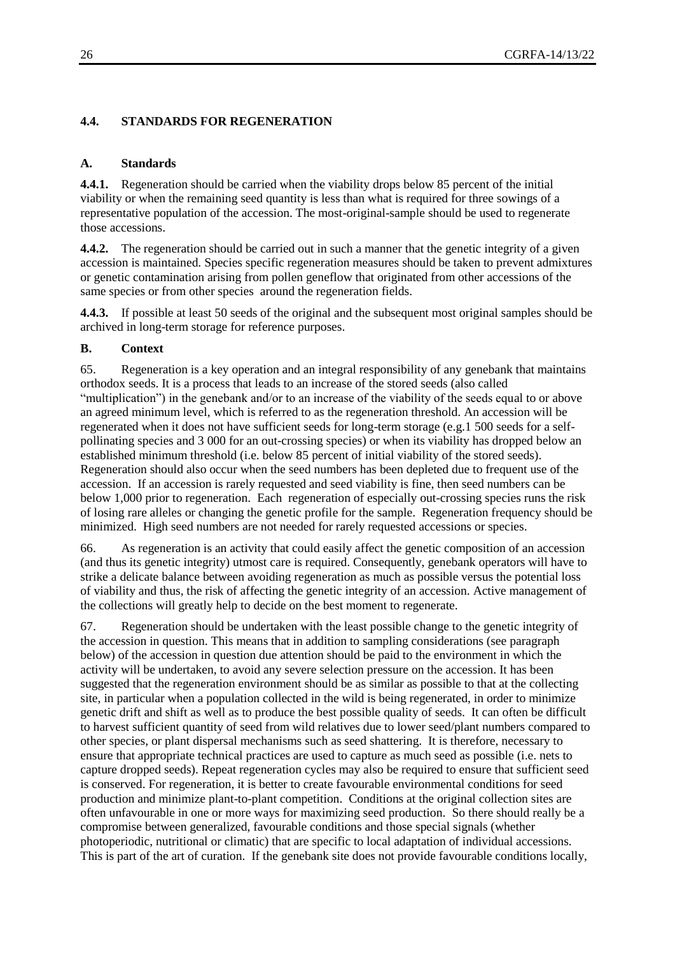# **4.4. STANDARDS FOR REGENERATION**

# **A. Standards**

**4.4.1.** Regeneration should be carried when the viability drops below 85 percent of the initial viability or when the remaining seed quantity is less than what is required for three sowings of a representative population of the accession. The most-original-sample should be used to regenerate those accessions.

**4.4.2.** The regeneration should be carried out in such a manner that the genetic integrity of a given accession is maintained. Species specific regeneration measures should be taken to prevent admixtures or genetic contamination arising from pollen geneflow that originated from other accessions of the same species or from other species around the regeneration fields.

**4.4.3.** If possible at least 50 seeds of the original and the subsequent most original samples should be archived in long-term storage for reference purposes.

# **B. Context**

65. Regeneration is a key operation and an integral responsibility of any genebank that maintains orthodox seeds. It is a process that leads to an increase of the stored seeds (also called "multiplication") in the genebank and/or to an increase of the viability of the seeds equal to or above an agreed minimum level, which is referred to as the regeneration threshold. An accession will be regenerated when it does not have sufficient seeds for long-term storage (e.g.1 500 seeds for a selfpollinating species and 3 000 for an out-crossing species) or when its viability has dropped below an established minimum threshold (i.e. below 85 percent of initial viability of the stored seeds). Regeneration should also occur when the seed numbers has been depleted due to frequent use of the accession. If an accession is rarely requested and seed viability is fine, then seed numbers can be below 1,000 prior to regeneration. Each regeneration of especially out-crossing species runs the risk of losing rare alleles or changing the genetic profile for the sample. Regeneration frequency should be minimized. High seed numbers are not needed for rarely requested accessions or species.

66. As regeneration is an activity that could easily affect the genetic composition of an accession (and thus its genetic integrity) utmost care is required. Consequently, genebank operators will have to strike a delicate balance between avoiding regeneration as much as possible versus the potential loss of viability and thus, the risk of affecting the genetic integrity of an accession. Active management of the collections will greatly help to decide on the best moment to regenerate.

67. Regeneration should be undertaken with the least possible change to the genetic integrity of the accession in question. This means that in addition to sampling considerations (see paragraph below) of the accession in question due attention should be paid to the environment in which the activity will be undertaken, to avoid any severe selection pressure on the accession. It has been suggested that the regeneration environment should be as similar as possible to that at the collecting site, in particular when a population collected in the wild is being regenerated, in order to minimize genetic drift and shift as well as to produce the best possible quality of seeds. It can often be difficult to harvest sufficient quantity of seed from wild relatives due to lower seed/plant numbers compared to other species, or plant dispersal mechanisms such as seed shattering. It is therefore, necessary to ensure that appropriate technical practices are used to capture as much seed as possible (i.e. nets to capture dropped seeds). Repeat regeneration cycles may also be required to ensure that sufficient seed is conserved. For regeneration, it is better to create favourable environmental conditions for seed production and minimize plant-to-plant competition. Conditions at the original collection sites are often unfavourable in one or more ways for maximizing seed production. So there should really be a compromise between generalized, favourable conditions and those special signals (whether photoperiodic, nutritional or climatic) that are specific to local adaptation of individual accessions. This is part of the art of curation. If the genebank site does not provide favourable conditions locally,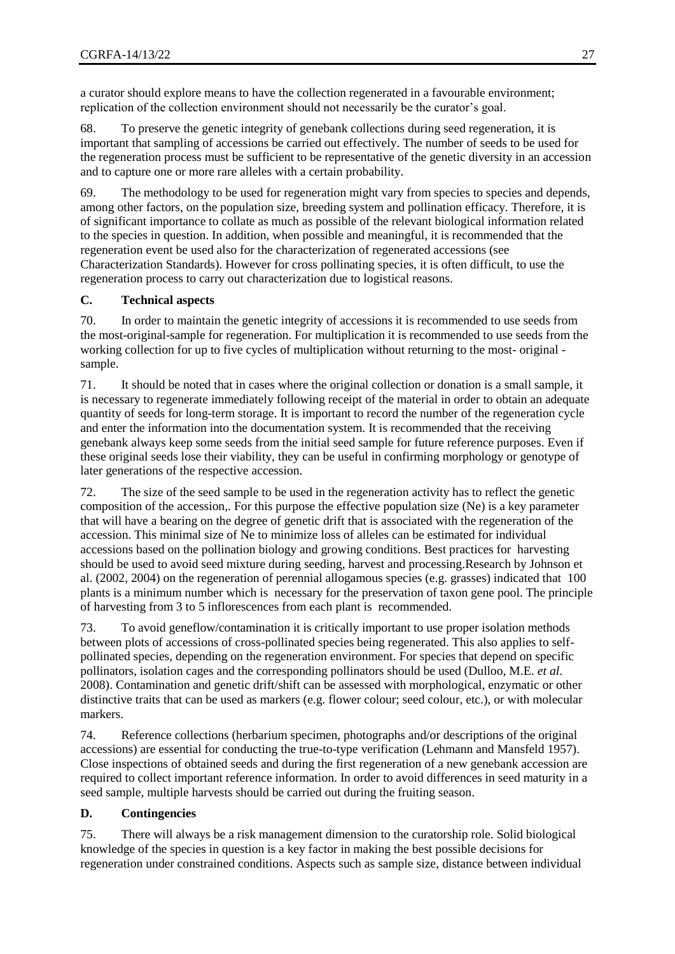a curator should explore means to have the collection regenerated in a favourable environment; replication of the collection environment should not necessarily be the curator's goal.

68. To preserve the genetic integrity of genebank collections during seed regeneration, it is important that sampling of accessions be carried out effectively. The number of seeds to be used for the regeneration process must be sufficient to be representative of the genetic diversity in an accession and to capture one or more rare alleles with a certain probability.

69. The methodology to be used for regeneration might vary from species to species and depends, among other factors, on the population size, breeding system and pollination efficacy. Therefore, it is of significant importance to collate as much as possible of the relevant biological information related to the species in question. In addition, when possible and meaningful, it is recommended that the regeneration event be used also for the characterization of regenerated accessions (see Characterization Standards). However for cross pollinating species, it is often difficult, to use the regeneration process to carry out characterization due to logistical reasons.

# **C. Technical aspects**

70. In order to maintain the genetic integrity of accessions it is recommended to use seeds from the most-original-sample for regeneration. For multiplication it is recommended to use seeds from the working collection for up to five cycles of multiplication without returning to the most- original sample.

71. It should be noted that in cases where the original collection or donation is a small sample, it is necessary to regenerate immediately following receipt of the material in order to obtain an adequate quantity of seeds for long-term storage. It is important to record the number of the regeneration cycle and enter the information into the documentation system. It is recommended that the receiving genebank always keep some seeds from the initial seed sample for future reference purposes. Even if these original seeds lose their viability, they can be useful in confirming morphology or genotype of later generations of the respective accession.

72. The size of the seed sample to be used in the regeneration activity has to reflect the genetic composition of the accession,. For this purpose the effective population size (Ne) is a key parameter that will have a bearing on the degree of genetic drift that is associated with the regeneration of the accession. This minimal size of Ne to minimize loss of alleles can be estimated for individual accessions based on the pollination biology and growing conditions. Best practices for harvesting should be used to avoid seed mixture during seeding, harvest and processing.Research by Johnson et al. (2002, 2004) on the regeneration of perennial allogamous species (e.g. grasses) indicated that 100 plants is a minimum number which is necessary for the preservation of taxon gene pool. The principle of harvesting from 3 to 5 inflorescences from each plant is recommended.

73. To avoid geneflow/contamination it is critically important to use proper isolation methods between plots of accessions of cross-pollinated species being regenerated. This also applies to selfpollinated species, depending on the regeneration environment. For species that depend on specific pollinators, isolation cages and the corresponding pollinators should be used (Dulloo, M.E. *et al*. 2008). Contamination and genetic drift/shift can be assessed with morphological, enzymatic or other distinctive traits that can be used as markers (e.g. flower colour; seed colour, etc.), or with molecular markers.

74. Reference collections (herbarium specimen, photographs and/or descriptions of the original accessions) are essential for conducting the true-to-type verification (Lehmann and Mansfeld 1957). Close inspections of obtained seeds and during the first regeneration of a new genebank accession are required to collect important reference information. In order to avoid differences in seed maturity in a seed sample, multiple harvests should be carried out during the fruiting season.

# **D. Contingencies**

75. There will always be a risk management dimension to the curatorship role. Solid biological knowledge of the species in question is a key factor in making the best possible decisions for regeneration under constrained conditions. Aspects such as sample size, distance between individual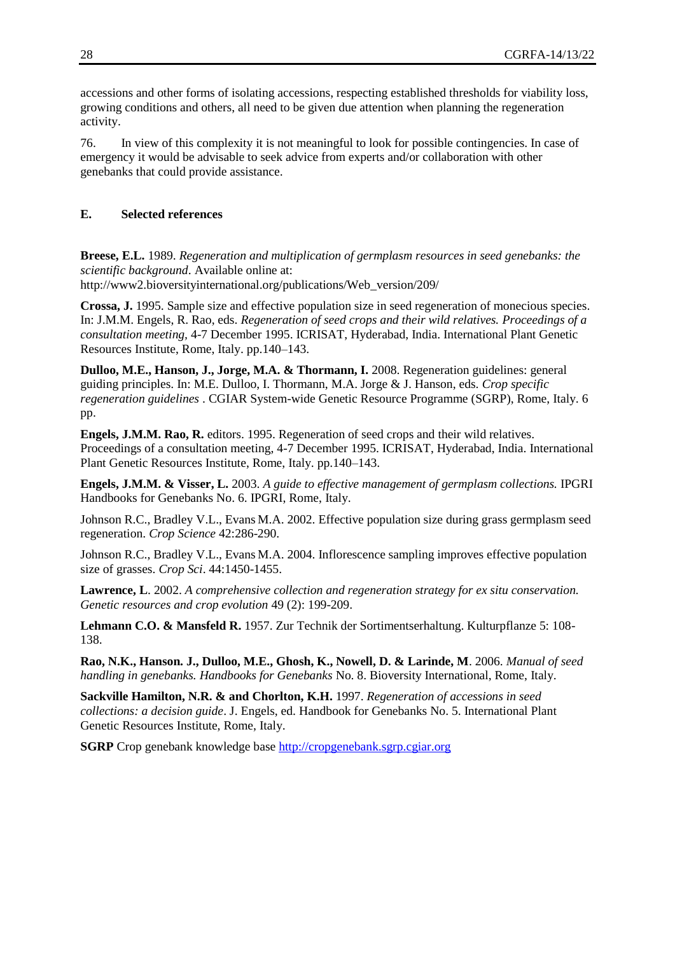accessions and other forms of isolating accessions, respecting established thresholds for viability loss, growing conditions and others, all need to be given due attention when planning the regeneration activity.

76. In view of this complexity it is not meaningful to look for possible contingencies. In case of emergency it would be advisable to seek advice from experts and/or collaboration with other genebanks that could provide assistance.

# **E. Selected references**

**Breese, E.L.** 1989. *Regeneration and multiplication of germplasm resources in seed genebanks: the scientific background*. Available online at:

[http://www2.bioversityinternational.org/publications/Web\\_version/209/](http://www2.bioversityinternational.org/publications/Web_version/209/)

**Crossa, J.** 1995. Sample size and effective population size in seed regeneration of monecious species. In: J.M.M. Engels, R. Rao, eds. *Regeneration of seed crops and their wild relatives. Proceedings of a consultation meeting,* 4-7 December 1995. ICRISAT, Hyderabad, India. International Plant Genetic Resources Institute, Rome, Italy. pp.140–143.

**Dulloo, M.E., Hanson, J., Jorge, M.A. & Thormann, I.** 2008. Regeneration guidelines: general guiding principles. In: M.E. Dulloo, I. Thormann, M.A. Jorge & J. Hanson, eds. *Crop specific regeneration guidelines* . CGIAR System-wide Genetic Resource Programme (SGRP), Rome, Italy. 6 pp.

**Engels, J.M.M. Rao, R.** editors. 1995. Regeneration of seed crops and their wild relatives. Proceedings of a consultation meeting, 4-7 December 1995. ICRISAT, Hyderabad, India. International Plant Genetic Resources Institute, Rome, Italy. pp.140–143.

**Engels, J.M.M. & Visser, L.** 2003. *A guide to effective management of germplasm collections.* IPGRI Handbooks for Genebanks No. 6. IPGRI, Rome, Italy.

Johnson R.C., Bradley V.L., Evans M.A. 2002. Effective population size during grass germplasm seed regeneration. *Crop Science* 42:286-290.

Johnson R.C., Bradley V.L., Evans M.A. 2004. Inflorescence sampling improves effective population size of grasses. *Crop Sci*. 44:1450-1455.

**Lawrence, L**. 2002. *A comprehensive collection and regeneration strategy for ex situ conservation. Genetic resources and crop evolution* 49 (2): 199-209.

**Lehmann C.O. & Mansfeld R.** 1957. Zur Technik der Sortimentserhaltung. Kulturpflanze 5: 108- 138.

**Rao, N.K., Hanson. J., Dulloo, M.E., Ghosh, K., Nowell, D. & Larinde, M**. 2006. *Manual of seed handling in genebanks. Handbooks for Genebanks* No. 8. Bioversity International, Rome, Italy.

**Sackville Hamilton, N.R. & and Chorlton, K.H.** 1997. *Regeneration of accessions in seed collections: a decision guide*. J. Engels, ed. Handbook for Genebanks No. 5. International Plant Genetic Resources Institute, Rome, Italy.

**SGRP** Crop genebank knowledge base [http://cropgenebank.sgrp.cgiar.org](http://cropgenebank.sgrp.cgiar.org/)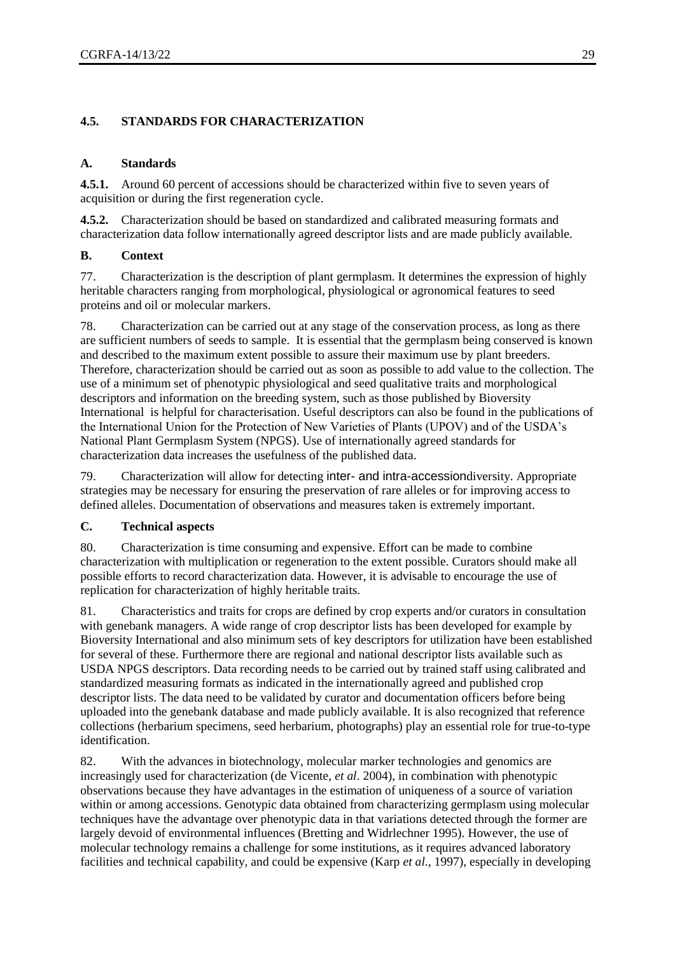# **4.5. STANDARDS FOR CHARACTERIZATION**

# **A. Standards**

**4.5.1.** Around 60 percent of accessions should be characterized within five to seven years of acquisition or during the first regeneration cycle.

**4.5.2.** Characterization should be based on standardized and calibrated measuring formats and characterization data follow internationally agreed descriptor lists and are made publicly available.

#### **B. Context**

77. Characterization is the description of plant germplasm. It determines the expression of highly heritable characters ranging from morphological, physiological or agronomical features to seed proteins and oil or molecular markers.

78. Characterization can be carried out at any stage of the conservation process, as long as there are sufficient numbers of seeds to sample. It is essential that the germplasm being conserved is known and described to the maximum extent possible to assure their maximum use by plant breeders. Therefore, characterization should be carried out as soon as possible to add value to the collection. The use of a minimum set of phenotypic physiological and seed qualitative traits and morphological descriptors and information on the breeding system, such as those published by Bioversity International is helpful for characterisation. Useful descriptors can also be found in the publications of the International Union for the Protection of New Varieties of Plants (UPOV) and of the USDA's National Plant Germplasm System (NPGS). Use of internationally agreed standards for characterization data increases the usefulness of the published data.

79. Characterization will allow for detecting inter- and intra-accessiondiversity. Appropriate strategies may be necessary for ensuring the preservation of rare alleles or for improving access to defined alleles. Documentation of observations and measures taken is extremely important.

# **C. Technical aspects**

80. Characterization is time consuming and expensive. Effort can be made to combine characterization with multiplication or regeneration to the extent possible. Curators should make all possible efforts to record characterization data. However, it is advisable to encourage the use of replication for characterization of highly heritable traits.

81. Characteristics and traits for crops are defined by crop experts and/or curators in consultation with genebank managers. A wide range of crop descriptor lists has been developed for example by Bioversity International and also minimum sets of key descriptors for utilization have been established for several of these. Furthermore there are regional and national descriptor lists available such as USDA NPGS descriptors. Data recording needs to be carried out by trained staff using calibrated and standardized measuring formats as indicated in the internationally agreed and published crop descriptor lists. The data need to be validated by curator and documentation officers before being uploaded into the genebank database and made publicly available. It is also recognized that reference collections (herbarium specimens, seed herbarium, photographs) play an essential role for true-to-type identification.

82. With the advances in biotechnology, molecular marker technologies and genomics are increasingly used for characterization (de Vicente, *et al*. 2004), in combination with phenotypic observations because they have advantages in the estimation of uniqueness of a source of variation within or among accessions. Genotypic data obtained from characterizing germplasm using molecular techniques have the advantage over phenotypic data in that variations detected through the former are largely devoid of environmental influences (Bretting and Widrlechner 1995). However, the use of molecular technology remains a challenge for some institutions, as it requires advanced laboratory facilities and technical capability, and could be expensive (Karp *et al*., 1997), especially in developing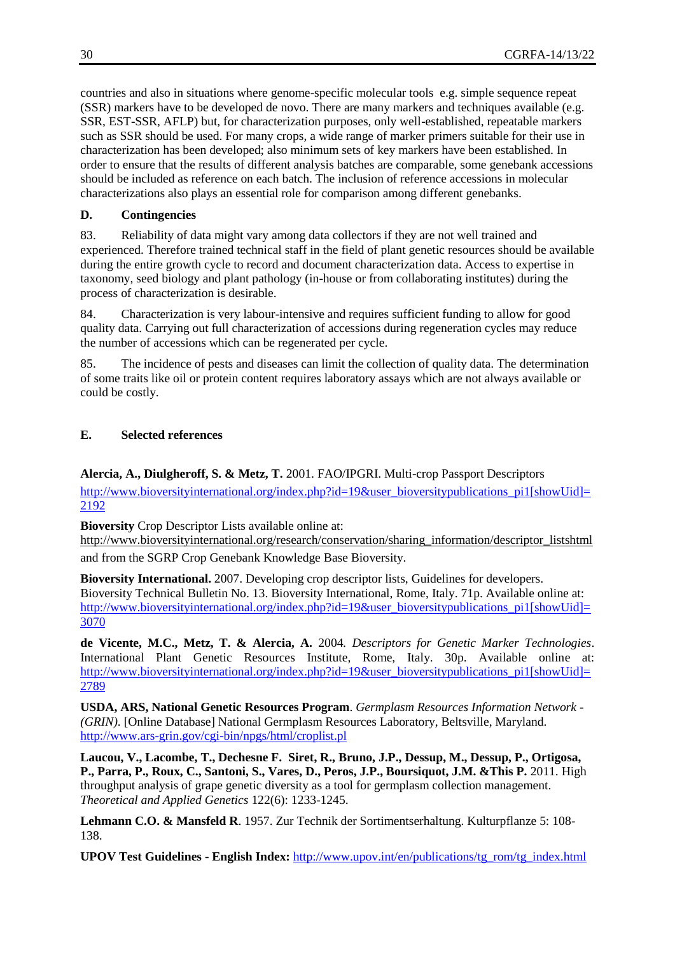countries and also in situations where genome-specific molecular tools e.g. simple sequence repeat (SSR) markers have to be developed de novo. There are many markers and techniques available (e.g. SSR, EST-SSR, AFLP) but, for characterization purposes, only well-established, repeatable markers such as SSR should be used. For many crops, a wide range of marker primers suitable for their use in characterization has been developed; also minimum sets of key markers have been established. In order to ensure that the results of different analysis batches are comparable, some genebank accessions should be included as reference on each batch. The inclusion of reference accessions in molecular characterizations also plays an essential role for comparison among different genebanks.

# **D. Contingencies**

83. Reliability of data might vary among data collectors if they are not well trained and experienced. Therefore trained technical staff in the field of plant genetic resources should be available during the entire growth cycle to record and document characterization data. Access to expertise in taxonomy, seed biology and plant pathology (in-house or from collaborating institutes) during the process of characterization is desirable.

84. Characterization is very labour-intensive and requires sufficient funding to allow for good quality data. Carrying out full characterization of accessions during regeneration cycles may reduce the number of accessions which can be regenerated per cycle.

85. The incidence of pests and diseases can limit the collection of quality data. The determination of some traits like oil or protein content requires laboratory assays which are not always available or could be costly.

# **E. Selected references**

**Alercia, A., Diulgheroff, S. & Metz, T.** 2001. FAO/IPGRI. Multi-crop Passport Descriptors [http://www.bioversityinternational.org/index.php?id=19&user\\_bioversitypublications\\_pi1\[showUid\]=](http://www.bioversityinternational.org/index.php?id=19&user_bioversitypublications_pi1%5bshowUid%5d=2192) [2192](http://www.bioversityinternational.org/index.php?id=19&user_bioversitypublications_pi1%5bshowUid%5d=2192)

**Bioversity** Crop Descriptor Lists available online at:

http://www.bioversityinternational.org/research/conservation/sharing\_information/descriptor\_listshtml and from the SGRP Crop Genebank Knowledge Base Bioversity.

**Bioversity International.** 2007. Developing crop descriptor lists, Guidelines for developers. Bioversity Technical Bulletin No. 13. Bioversity International, Rome, Italy. 71p. Available online at: [http://www.bioversityinternational.org/index.php?id=19&user\\_bioversitypublications\\_pi1\[showUid\]=](http://www.bioversityinternational.org/index.php?id=19&user_bioversitypublications_pi1%5bshowUid%5d=3070) [3070](http://www.bioversityinternational.org/index.php?id=19&user_bioversitypublications_pi1%5bshowUid%5d=3070)

**de Vicente, M.C., Metz, T. & Alercia, A.** 2004*. Descriptors for Genetic Marker Technologies*. International Plant Genetic Resources Institute, Rome, Italy. 30p. Available online at: [http://www.bioversityinternational.org/index.php?id=19&user\\_bioversitypublications\\_pi1\[showUid\]=](http://www.bioversityinternational.org/index.php?id=19&user_bioversitypublications_pi1%5bshowUid%5d=2789) [2789](http://www.bioversityinternational.org/index.php?id=19&user_bioversitypublications_pi1%5bshowUid%5d=2789)

**USDA, ARS, National Genetic Resources Program**. *Germplasm Resources Information Network - (GRIN)*. [Online Database] National Germplasm Resources Laboratory, Beltsville, Maryland. <http://www.ars-grin.gov/cgi-bin/npgs/html/croplist.pl>

**Laucou, V., Lacombe, T., Dechesne F. Siret, R., Bruno, J.P., Dessup, M., Dessup, P., Ortigosa, P., Parra, P., Roux, C., Santoni, S., Vares, D., Peros, J.P., Boursiquot, J.M. &This P.** 2011. High throughput analysis of grape genetic diversity as a tool for germplasm collection management. *Theoretical and Applied Genetics* 122(6): 1233-1245.

**Lehmann C.O. & Mansfeld R**. 1957. Zur Technik der Sortimentserhaltung. Kulturpflanze 5: 108- 138.

**UPOV Test Guidelines - English Index:** [http://www.upov.int/en/publications/tg\\_rom/tg\\_index.html](http://www.upov.int/en/publications/tg_rom/tg_index.html)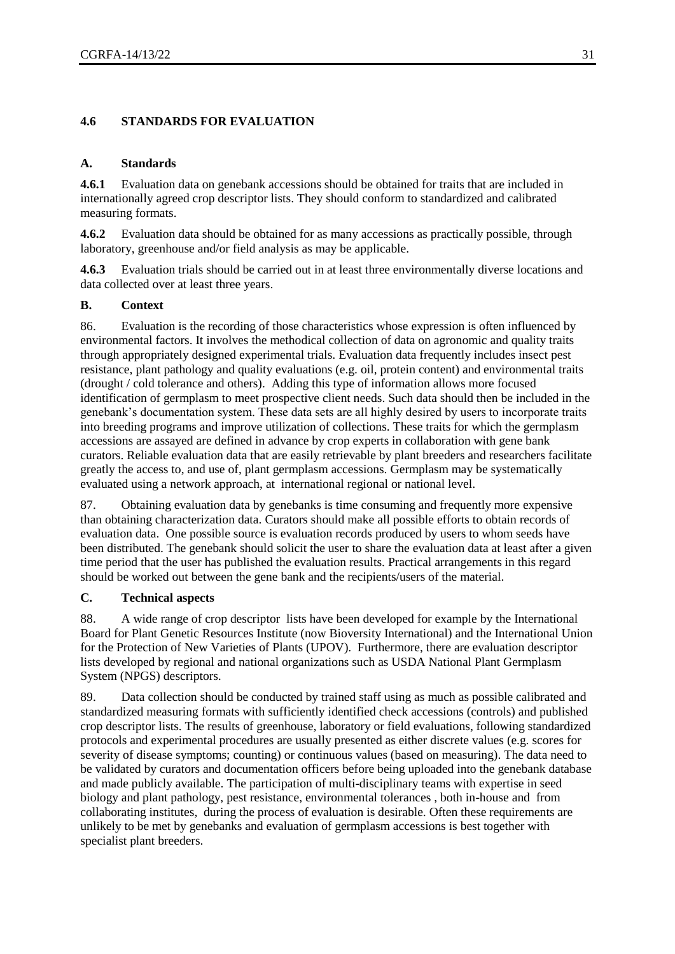# **4.6 STANDARDS FOR EVALUATION**

#### **A. Standards**

**4.6.1** Evaluation data on genebank accessions should be obtained for traits that are included in internationally agreed crop descriptor lists. They should conform to standardized and calibrated measuring formats.

**4.6.2** Evaluation data should be obtained for as many accessions as practically possible, through laboratory, greenhouse and/or field analysis as may be applicable.

**4.6.3** Evaluation trials should be carried out in at least three environmentally diverse locations and data collected over at least three years.

#### **B. Context**

86. Evaluation is the recording of those characteristics whose expression is often influenced by environmental factors. It involves the methodical collection of data on agronomic and quality traits through appropriately designed experimental trials. Evaluation data frequently includes insect pest resistance, plant pathology and quality evaluations (e.g. oil, protein content) and environmental traits (drought / cold tolerance and others). Adding this type of information allows more focused identification of germplasm to meet prospective client needs. Such data should then be included in the genebank's documentation system. These data sets are all highly desired by users to incorporate traits into breeding programs and improve utilization of collections. These traits for which the germplasm accessions are assayed are defined in advance by crop experts in collaboration with gene bank curators. Reliable evaluation data that are easily retrievable by plant breeders and researchers facilitate greatly the access to, and use of, plant germplasm accessions. Germplasm may be systematically evaluated using a network approach, at international regional or national level.

87. Obtaining evaluation data by genebanks is time consuming and frequently more expensive than obtaining characterization data. Curators should make all possible efforts to obtain records of evaluation data. One possible source is evaluation records produced by users to whom seeds have been distributed. The genebank should solicit the user to share the evaluation data at least after a given time period that the user has published the evaluation results. Practical arrangements in this regard should be worked out between the gene bank and the recipients/users of the material.

#### **C. Technical aspects**

88. A wide range of crop descriptor lists have been developed for example by the International Board for Plant Genetic Resources Institute (now Bioversity International) and the International Union for the Protection of New Varieties of Plants (UPOV). Furthermore, there are evaluation descriptor lists developed by regional and national organizations such as USDA National Plant Germplasm System (NPGS) descriptors.

89. Data collection should be conducted by trained staff using as much as possible calibrated and standardized measuring formats with sufficiently identified check accessions (controls) and published crop descriptor lists. The results of greenhouse, laboratory or field evaluations, following standardized protocols and experimental procedures are usually presented as either discrete values (e.g. scores for severity of disease symptoms; counting) or continuous values (based on measuring). The data need to be validated by curators and documentation officers before being uploaded into the genebank database and made publicly available. The participation of multi-disciplinary teams with expertise in seed biology and plant pathology, pest resistance, environmental tolerances , both in-house and from collaborating institutes, during the process of evaluation is desirable. Often these requirements are unlikely to be met by genebanks and evaluation of germplasm accessions is best together with specialist plant breeders.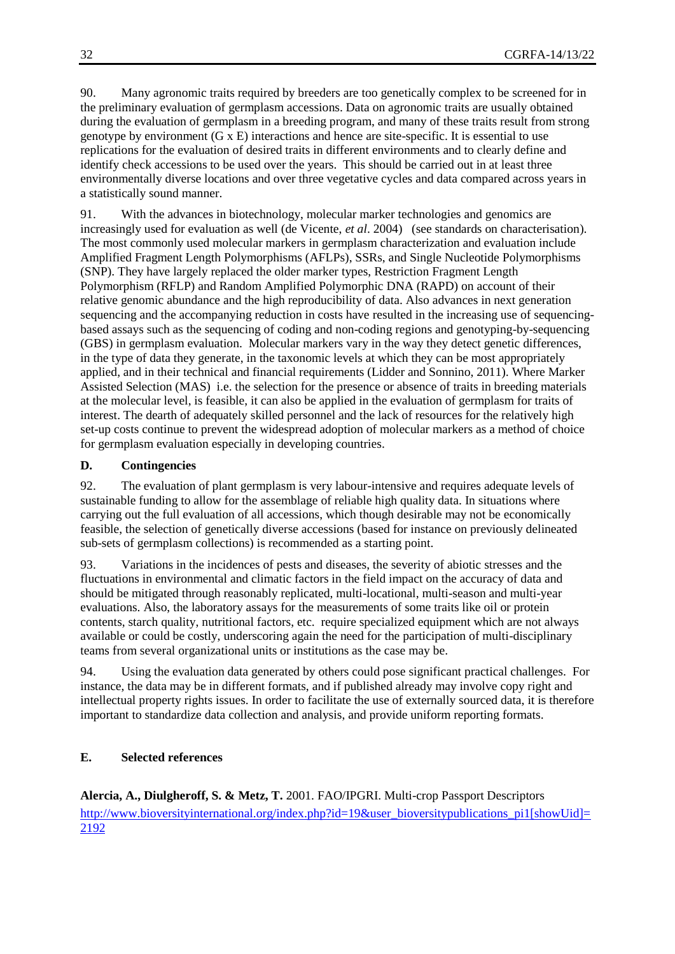90. Many agronomic traits required by breeders are too genetically complex to be screened for in the preliminary evaluation of germplasm accessions. Data on agronomic traits are usually obtained during the evaluation of germplasm in a breeding program, and many of these traits result from strong genotype by environment  $(G \times E)$  interactions and hence are site-specific. It is essential to use replications for the evaluation of desired traits in different environments and to clearly define and identify check accessions to be used over the years. This should be carried out in at least three environmentally diverse locations and over three vegetative cycles and data compared across years in a statistically sound manner.

91. With the advances in biotechnology, molecular marker technologies and genomics are increasingly used for evaluation as well (de Vicente, *et al*. 2004) (see standards on characterisation). The most commonly used molecular markers in germplasm characterization and evaluation include Amplified Fragment Length Polymorphisms (AFLPs), SSRs, and Single Nucleotide Polymorphisms (SNP). They have largely replaced the older marker types, Restriction Fragment Length Polymorphism (RFLP) and Random Amplified Polymorphic DNA (RAPD) on account of their relative genomic abundance and the high reproducibility of data. Also advances in next generation sequencing and the accompanying reduction in costs have resulted in the increasing use of sequencingbased assays such as the sequencing of coding and non-coding regions and genotyping-by-sequencing (GBS) in germplasm evaluation. Molecular markers vary in the way they detect genetic differences, in the type of data they generate, in the taxonomic levels at which they can be most appropriately applied, and in their technical and financial requirements (Lidder and Sonnino, 2011). Where Marker Assisted Selection (MAS) i.e. the selection for the presence or absence of traits in breeding materials at the molecular level, is feasible, it can also be applied in the evaluation of germplasm for traits of interest. The dearth of adequately skilled personnel and the lack of resources for the relatively high set-up costs continue to prevent the widespread adoption of molecular markers as a method of choice for germplasm evaluation especially in developing countries.

# **D. Contingencies**

92. The evaluation of plant germplasm is very labour-intensive and requires adequate levels of sustainable funding to allow for the assemblage of reliable high quality data. In situations where carrying out the full evaluation of all accessions, which though desirable may not be economically feasible, the selection of genetically diverse accessions (based for instance on previously delineated sub-sets of germplasm collections) is recommended as a starting point.

93. Variations in the incidences of pests and diseases, the severity of abiotic stresses and the fluctuations in environmental and climatic factors in the field impact on the accuracy of data and should be mitigated through reasonably replicated, multi-locational, multi-season and multi-year evaluations. Also, the laboratory assays for the measurements of some traits like oil or protein contents, starch quality, nutritional factors, etc. require specialized equipment which are not always available or could be costly, underscoring again the need for the participation of multi-disciplinary teams from several organizational units or institutions as the case may be.

94. Using the evaluation data generated by others could pose significant practical challenges. For instance, the data may be in different formats, and if published already may involve copy right and intellectual property rights issues. In order to facilitate the use of externally sourced data, it is therefore important to standardize data collection and analysis, and provide uniform reporting formats.

# **E. Selected references**

**Alercia, A., Diulgheroff, S. & Metz, T.** 2001. FAO/IPGRI. Multi-crop Passport Descriptors [http://www.bioversityinternational.org/index.php?id=19&user\\_bioversitypublications\\_pi1\[showUid\]=](http://www.bioversityinternational.org/index.php?id=19&user_bioversitypublications_pi1%5bshowUid%5d=2192) [2192](http://www.bioversityinternational.org/index.php?id=19&user_bioversitypublications_pi1%5bshowUid%5d=2192)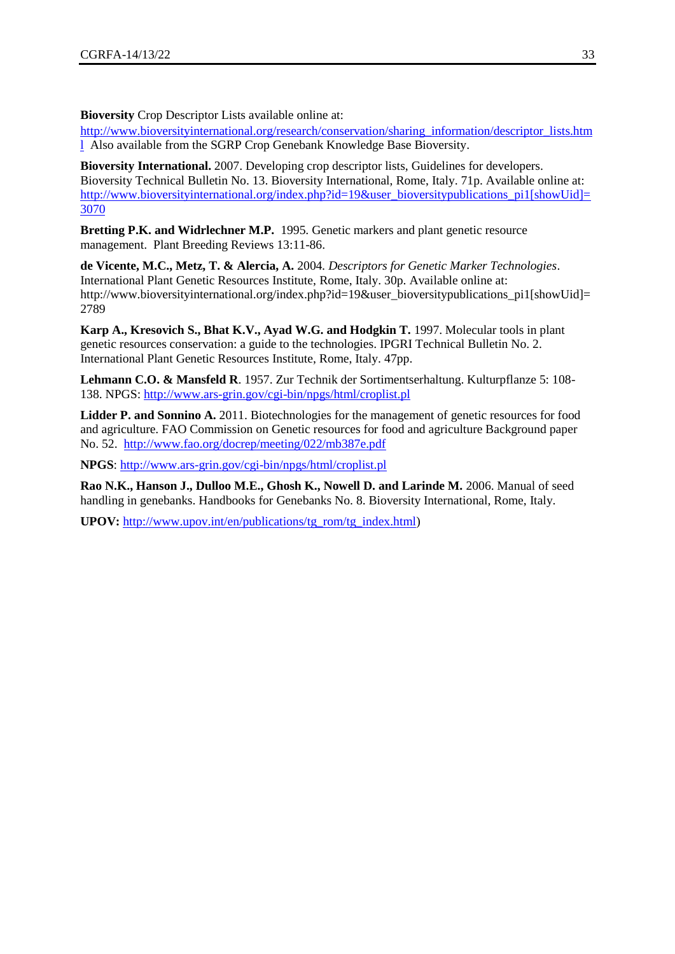**Bioversity** Crop Descriptor Lists available online at:

[http://www.bioversityinternational.org/research/conservation/sharing\\_information/descriptor\\_lists.htm](http://www.bioversityinternational.org/research/conservation/sharing_information/descriptor_lists.html) [l](http://www.bioversityinternational.org/research/conservation/sharing_information/descriptor_lists.html) Also available from the SGRP Crop Genebank Knowledge Base Bioversity.

**Bioversity International.** 2007. Developing crop descriptor lists, Guidelines for developers. Bioversity Technical Bulletin No. 13. Bioversity International, Rome, Italy. 71p. Available online at: [http://www.bioversityinternational.org/index.php?id=19&user\\_bioversitypublications\\_pi1\[showUid\]=](http://www.bioversityinternational.org/index.php?id=19&user_bioversitypublications_pi1%5bshowUid%5d=3070) [3070](http://www.bioversityinternational.org/index.php?id=19&user_bioversitypublications_pi1%5bshowUid%5d=3070)

**Bretting P.K. and Widrlechner M.P.** 1995. Genetic markers and plant genetic resource management. Plant Breeding Reviews 13:11-86.

**de Vicente, M.C., Metz, T. & Alercia, A.** 2004*. Descriptors for Genetic Marker Technologies*. International Plant Genetic Resources Institute, Rome, Italy. 30p. Available online at: http://www.bioversityinternational.org/index.php?id=19&user\_bioversitypublications\_pi1[showUid]= 2789

**Karp A., Kresovich S., Bhat K.V., Ayad W.G. and Hodgkin T.** 1997. Molecular tools in plant genetic resources conservation: a guide to the technologies. IPGRI Technical Bulletin No. 2. International Plant Genetic Resources Institute, Rome, Italy. 47pp.

**Lehmann C.O. & Mansfeld R**. 1957. Zur Technik der Sortimentserhaltung. Kulturpflanze 5: 108- 138. NPGS:<http://www.ars-grin.gov/cgi-bin/npgs/html/croplist.pl>

**Lidder P. and Sonnino A.** 2011. Biotechnologies for the management of genetic resources for food and agriculture. FAO Commission on Genetic resources for food and agriculture Background paper No. 52.<http://www.fao.org/docrep/meeting/022/mb387e.pdf>

**NPGS**:<http://www.ars-grin.gov/cgi-bin/npgs/html/croplist.pl>

**Rao N.K., Hanson J., Dulloo M.E., Ghosh K., Nowell D. and Larinde M.** 2006. Manual of seed handling in genebanks. Handbooks for Genebanks No. 8. Bioversity International, Rome, Italy.

**UPOV:** [http://www.upov.int/en/publications/tg\\_rom/tg\\_index.html\)](http://www.upov.int/en/publications/tg_rom/tg_index.html)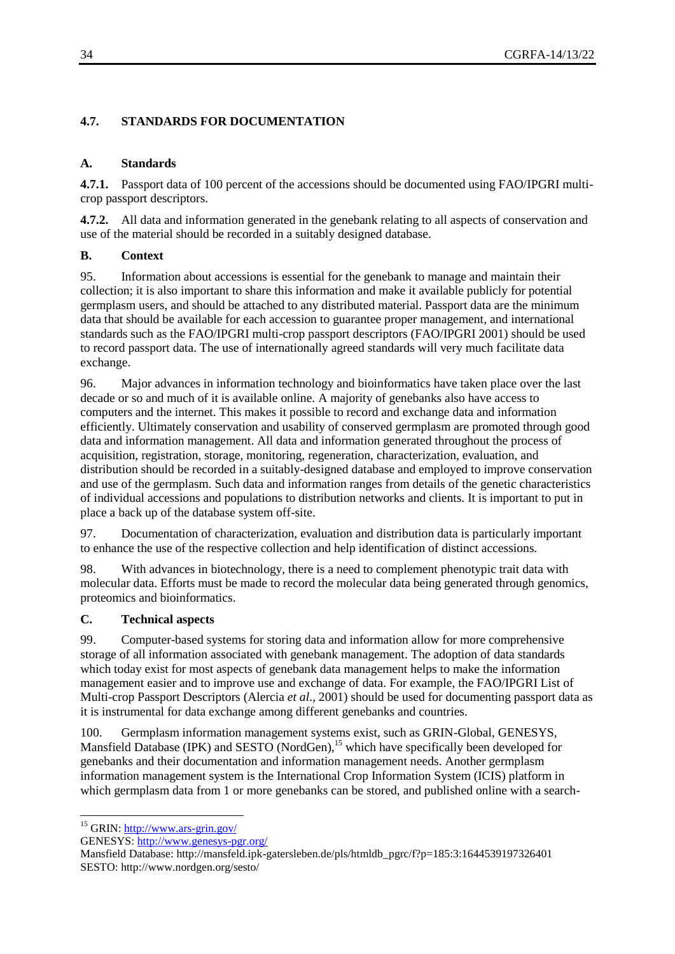# **4.7. STANDARDS FOR DOCUMENTATION**

# **A. Standards**

**4.7.1.** Passport data of 100 percent of the accessions should be documented using FAO/IPGRI multicrop passport descriptors.

**4.7.2.** All data and information generated in the genebank relating to all aspects of conservation and use of the material should be recorded in a suitably designed database.

# **B. Context**

95. Information about accessions is essential for the genebank to manage and maintain their collection; it is also important to share this information and make it available publicly for potential germplasm users, and should be attached to any distributed material. Passport data are the minimum data that should be available for each accession to guarantee proper management, and international standards such as the FAO/IPGRI multi-crop passport descriptors (FAO/IPGRI 2001) should be used to record passport data. The use of internationally agreed standards will very much facilitate data exchange.

96. Major advances in information technology and bioinformatics have taken place over the last decade or so and much of it is available online. A majority of genebanks also have access to computers and the internet. This makes it possible to record and exchange data and information efficiently. Ultimately conservation and usability of conserved germplasm are promoted through good data and information management. All data and information generated throughout the process of acquisition, registration, storage, monitoring, regeneration, characterization, evaluation, and distribution should be recorded in a suitably-designed database and employed to improve conservation and use of the germplasm. Such data and information ranges from details of the genetic characteristics of individual accessions and populations to distribution networks and clients. It is important to put in place a back up of the database system off-site.

97. Documentation of characterization, evaluation and distribution data is particularly important to enhance the use of the respective collection and help identification of distinct accessions.

98. With advances in biotechnology, there is a need to complement phenotypic trait data with molecular data. Efforts must be made to record the molecular data being generated through genomics, proteomics and bioinformatics.

# **C. Technical aspects**

99. Computer-based systems for storing data and information allow for more comprehensive storage of all information associated with genebank management. The adoption of data standards which today exist for most aspects of genebank data management helps to make the information management easier and to improve use and exchange of data. For example, the FAO/IPGRI List of Multi-crop Passport Descriptors (Alercia *et al*., 2001) should be used for documenting passport data as it is instrumental for data exchange among different genebanks and countries.

100. Germplasm information management systems exist, such as GRIN-Global, GENESYS, Mansfield Database (IPK) and SESTO (NordGen),<sup>15</sup> which have specifically been developed for genebanks and their documentation and information management needs. Another germplasm information management system is the International Crop Information System (ICIS) platform in which germplasm data from 1 or more genebanks can be stored, and published online with a search-

<sup>15</sup> GRIN[: http://www.ars-grin.gov/](http://www.ars-grin.gov/)

 $\overline{a}$ 

GENESYS:<http://www.genesys-pgr.org/>

Mansfield Database: http://mansfeld.ipk-gatersleben.de/pls/htmldb\_pgrc/f?p=185:3:1644539197326401 SESTO: http://www.nordgen.org/sesto/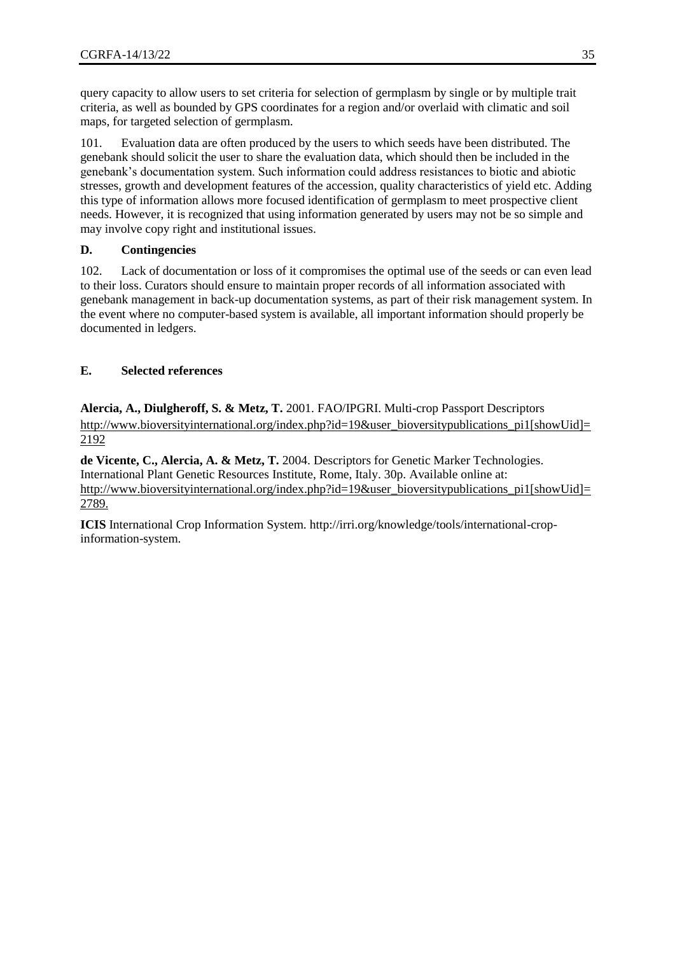query capacity to allow users to set criteria for selection of germplasm by single or by multiple trait criteria, as well as bounded by GPS coordinates for a region and/or overlaid with climatic and soil maps, for targeted selection of germplasm.

101. Evaluation data are often produced by the users to which seeds have been distributed. The genebank should solicit the user to share the evaluation data, which should then be included in the genebank's documentation system. Such information could address resistances to biotic and abiotic stresses, growth and development features of the accession, quality characteristics of yield etc. Adding this type of information allows more focused identification of germplasm to meet prospective client needs. However, it is recognized that using information generated by users may not be so simple and may involve copy right and institutional issues.

# **D. Contingencies**

102. Lack of documentation or loss of it compromises the optimal use of the seeds or can even lead to their loss. Curators should ensure to maintain proper records of all information associated with genebank management in back-up documentation systems, as part of their risk management system. In the event where no computer-based system is available, all important information should properly be documented in ledgers.

# **E. Selected references**

**Alercia, A., Diulgheroff, S. & Metz, T.** 2001. FAO/IPGRI. Multi-crop Passport Descriptors [http://www.bioversityinternational.org/index.php?id=19&user\\_bioversitypublications\\_pi1\[showUid\]=](http://www.bioversityinternational.org/index.php?id=19&user_bioversitypublications_pi1%5bshowUid%5d=2192) [2192](http://www.bioversityinternational.org/index.php?id=19&user_bioversitypublications_pi1%5bshowUid%5d=2192)

**de Vicente, C., Alercia, A. & Metz, T.** 2004. Descriptors for Genetic Marker Technologies. International Plant Genetic Resources Institute, Rome, Italy. 30p. Available online at: http://www.bioversityinternational.org/index.php?id=19&user\_bioversitypublications\_pi1[showUid]= 2789.

**ICIS** International Crop Information System. [http://irri.org/knowledge/tools/international-crop](http://irri.org/knowledge/tools/international-crop-information-system)[information-system.](http://irri.org/knowledge/tools/international-crop-information-system)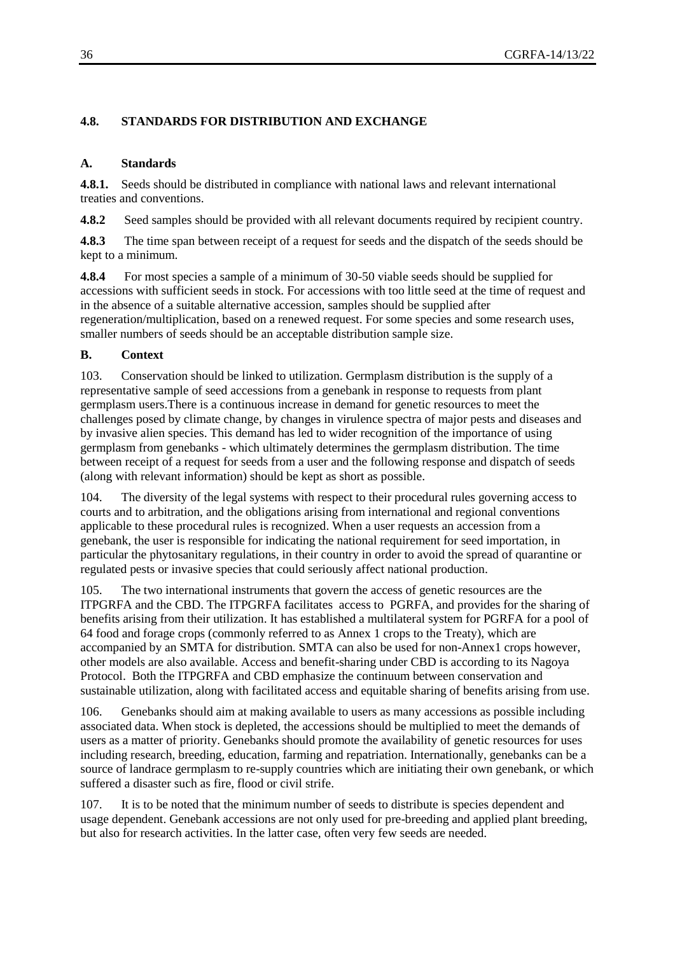# **4.8. STANDARDS FOR DISTRIBUTION AND EXCHANGE**

# **A. Standards**

**4.8.1.** Seeds should be distributed in compliance with national laws and relevant international treaties and conventions.

**4.8.2** Seed samples should be provided with all relevant documents required by recipient country.

**4.8.3** The time span between receipt of a request for seeds and the dispatch of the seeds should be kept to a minimum.

**4.8.4** For most species a sample of a minimum of 30-50 viable seeds should be supplied for accessions with sufficient seeds in stock. For accessions with too little seed at the time of request and in the absence of a suitable alternative accession, samples should be supplied after regeneration/multiplication, based on a renewed request. For some species and some research uses, smaller numbers of seeds should be an acceptable distribution sample size.

# **B. Context**

103. Conservation should be linked to utilization. Germplasm distribution is the supply of a representative sample of seed accessions from a genebank in response to requests from plant germplasm users.There is a continuous increase in demand for genetic resources to meet the challenges posed by climate change, by changes in virulence spectra of major pests and diseases and by invasive alien species. This demand has led to wider recognition of the importance of using germplasm from genebanks - which ultimately determines the germplasm distribution. The time between receipt of a request for seeds from a user and the following response and dispatch of seeds (along with relevant information) should be kept as short as possible.

104. The diversity of the legal systems with respect to their procedural rules governing access to courts and to arbitration, and the obligations arising from international and regional conventions applicable to these procedural rules is recognized. When a user requests an accession from a genebank, the user is responsible for indicating the national requirement for seed importation, in particular the phytosanitary regulations, in their country in order to avoid the spread of quarantine or regulated pests or invasive species that could seriously affect national production.

105. The two international instruments that govern the access of genetic resources are the ITPGRFA and the CBD. The ITPGRFA facilitates access to PGRFA, and provides for the sharing of benefits arising from their utilization. It has established a multilateral system for PGRFA for a pool of 64 food and forage crops (commonly referred to as Annex 1 crops to the Treaty), which are accompanied by an SMTA for distribution. SMTA can also be used for non-Annex1 crops however, other models are also available. Access and benefit-sharing under CBD is according to its Nagoya Protocol. Both the ITPGRFA and CBD emphasize the continuum between conservation and sustainable utilization, along with facilitated access and equitable sharing of benefits arising from use.

106. Genebanks should aim at making available to users as many accessions as possible including associated data. When stock is depleted, the accessions should be multiplied to meet the demands of users as a matter of priority. Genebanks should promote the availability of genetic resources for uses including research, breeding, education, farming and repatriation. Internationally, genebanks can be a source of landrace germplasm to re-supply countries which are initiating their own genebank, or which suffered a disaster such as fire, flood or civil strife.

107. It is to be noted that the minimum number of seeds to distribute is species dependent and usage dependent. Genebank accessions are not only used for pre-breeding and applied plant breeding, but also for research activities. In the latter case, often very few seeds are needed.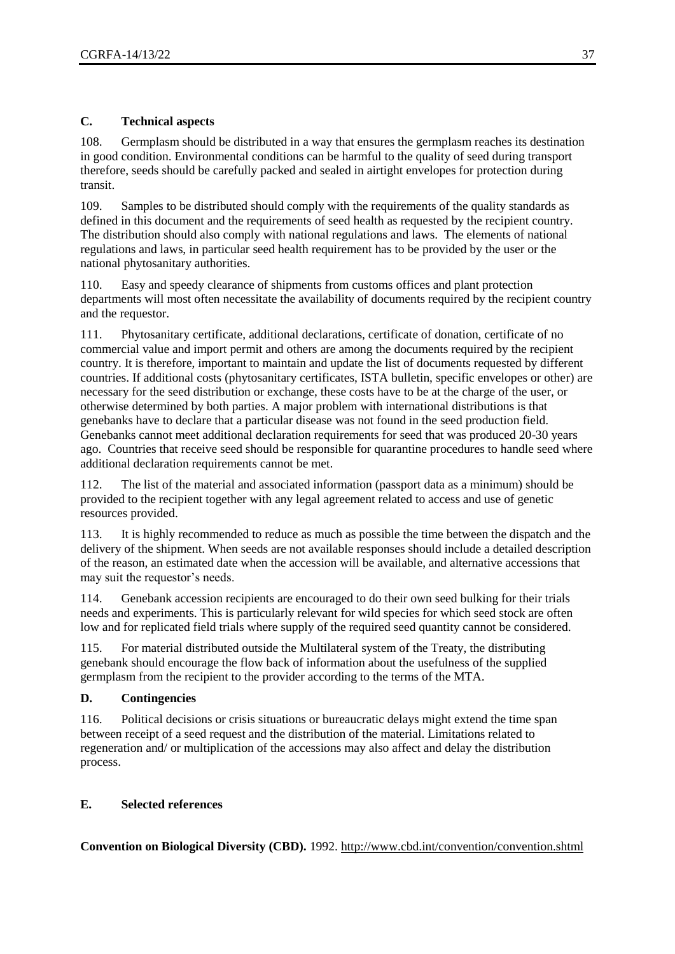## **C. Technical aspects**

108. Germplasm should be distributed in a way that ensures the germplasm reaches its destination in good condition. Environmental conditions can be harmful to the quality of seed during transport therefore, seeds should be carefully packed and sealed in airtight envelopes for protection during transit.

109. Samples to be distributed should comply with the requirements of the quality standards as defined in this document and the requirements of seed health as requested by the recipient country. The distribution should also comply with national regulations and laws. The elements of national regulations and laws, in particular seed health requirement has to be provided by the user or the national phytosanitary authorities.

110. Easy and speedy clearance of shipments from customs offices and plant protection departments will most often necessitate the availability of documents required by the recipient country and the requestor.

111. Phytosanitary certificate, additional declarations, certificate of donation, certificate of no commercial value and import permit and others are among the documents required by the recipient country. It is therefore, important to maintain and update the list of documents requested by different countries. If additional costs (phytosanitary certificates, ISTA bulletin, specific envelopes or other) are necessary for the seed distribution or exchange, these costs have to be at the charge of the user, or otherwise determined by both parties. A major problem with international distributions is that genebanks have to declare that a particular disease was not found in the seed production field. Genebanks cannot meet additional declaration requirements for seed that was produced 20-30 years ago. Countries that receive seed should be responsible for quarantine procedures to handle seed where additional declaration requirements cannot be met.

112. The list of the material and associated information (passport data as a minimum) should be provided to the recipient together with any legal agreement related to access and use of genetic resources provided.

113. It is highly recommended to reduce as much as possible the time between the dispatch and the delivery of the shipment. When seeds are not available responses should include a detailed description of the reason, an estimated date when the accession will be available, and alternative accessions that may suit the requestor's needs.

114. Genebank accession recipients are encouraged to do their own seed bulking for their trials needs and experiments. This is particularly relevant for wild species for which seed stock are often low and for replicated field trials where supply of the required seed quantity cannot be considered.

115. For material distributed outside the Multilateral system of the Treaty, the distributing genebank should encourage the flow back of information about the usefulness of the supplied germplasm from the recipient to the provider according to the terms of the MTA.

## **D. Contingencies**

116. Political decisions or crisis situations or bureaucratic delays might extend the time span between receipt of a seed request and the distribution of the material. Limitations related to regeneration and/ or multiplication of the accessions may also affect and delay the distribution process.

## **E. Selected references**

**Convention on Biological Diversity (CBD).** 1992[. http://www.cbd.int/convention/convention.shtml](http://www.cbd.int/convention/convention.shtml)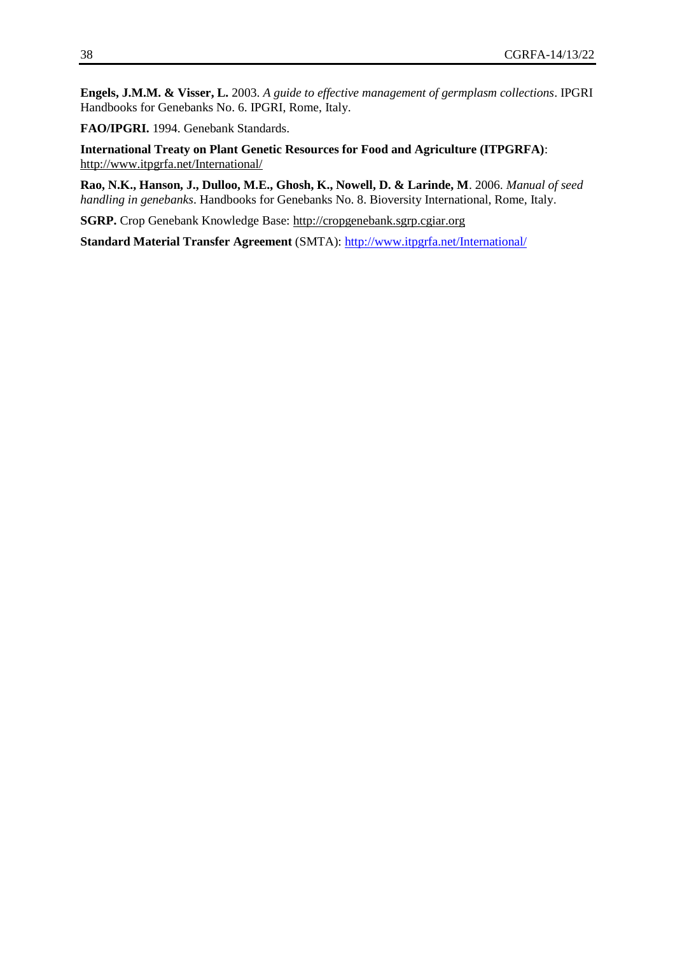**Engels, J.M.M. & Visser, L.** 2003. *A guide to effective management of germplasm collections*. IPGRI Handbooks for Genebanks No. 6. IPGRI, Rome, Italy.

**FAO/IPGRI.** 1994. Genebank Standards.

**International Treaty on Plant Genetic Resources for Food and Agriculture (ITPGRFA)**: http://www.itpgrfa.net/International/

**Rao, N.K., Hanson, J., Dulloo, M.E., Ghosh, K., Nowell, D. & Larinde, M**. 2006. *Manual of seed handling in genebanks*. Handbooks for Genebanks No. 8. Bioversity International, Rome, Italy.

SGRP. Crop Genebank Knowledge Base: [http://cropgenebank.sgrp.cgiar.org](http://cropgenebank.sgrp.cgiar.org/)

**Standard Material Transfer Agreement** (SMTA):<http://www.itpgrfa.net/International/>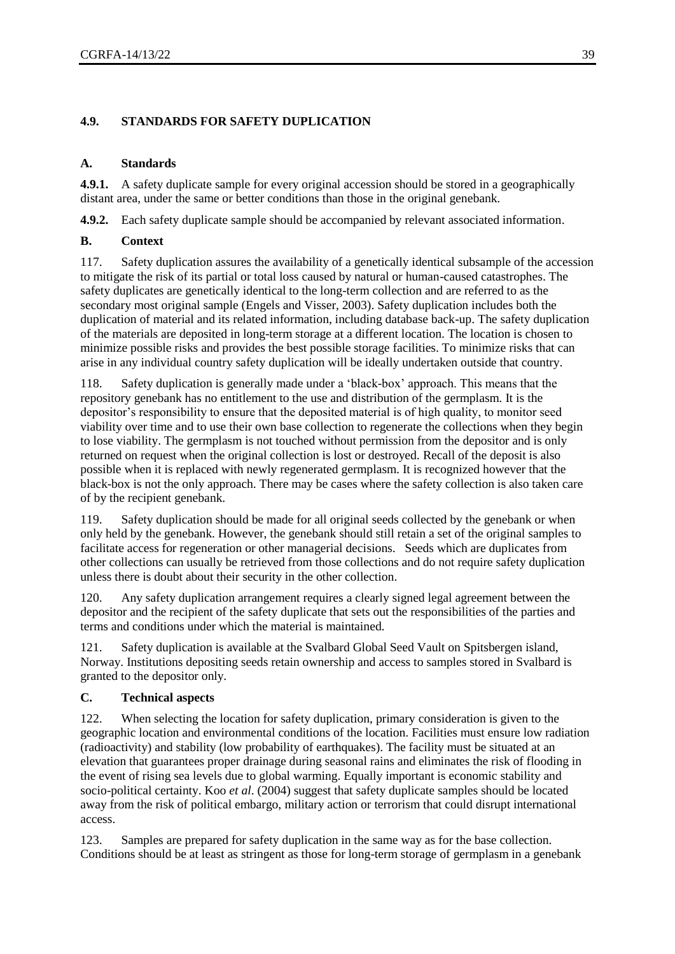## **4.9. STANDARDS FOR SAFETY DUPLICATION**

### **A. Standards**

**4.9.1.** A safety duplicate sample for every original accession should be stored in a geographically distant area, under the same or better conditions than those in the original genebank.

**4.9.2.** Each safety duplicate sample should be accompanied by relevant associated information.

### **B. Context**

117. Safety duplication assures the availability of a genetically identical subsample of the accession to mitigate the risk of its partial or total loss caused by natural or human-caused catastrophes. The safety duplicates are genetically identical to the long-term collection and are referred to as the secondary most original sample (Engels and Visser, 2003). Safety duplication includes both the duplication of material and its related information, including database back-up. The safety duplication of the materials are deposited in long-term storage at a different location. The location is chosen to minimize possible risks and provides the best possible storage facilities. To minimize risks that can arise in any individual country safety duplication will be ideally undertaken outside that country.

118. Safety duplication is generally made under a 'black-box' approach. This means that the repository genebank has no entitlement to the use and distribution of the germplasm. It is the depositor's responsibility to ensure that the deposited material is of high quality, to monitor seed viability over time and to use their own base collection to regenerate the collections when they begin to lose viability. The germplasm is not touched without permission from the depositor and is only returned on request when the original collection is lost or destroyed. Recall of the deposit is also possible when it is replaced with newly regenerated germplasm. It is recognized however that the black-box is not the only approach. There may be cases where the safety collection is also taken care of by the recipient genebank.

119. Safety duplication should be made for all original seeds collected by the genebank or when only held by the genebank. However, the genebank should still retain a set of the original samples to facilitate access for regeneration or other managerial decisions. Seeds which are duplicates from other collections can usually be retrieved from those collections and do not require safety duplication unless there is doubt about their security in the other collection.

120. Any safety duplication arrangement requires a clearly signed legal agreement between the depositor and the recipient of the safety duplicate that sets out the responsibilities of the parties and terms and conditions under which the material is maintained.

121. Safety duplication is available at the Svalbard Global Seed Vault on Spitsbergen island, Norway. Institutions depositing seeds retain ownership and access to samples stored in Svalbard is granted to the depositor only.

#### **C. Technical aspects**

122. When selecting the location for safety duplication, primary consideration is given to the geographic location and environmental conditions of the location. Facilities must ensure low radiation (radioactivity) and stability (low probability of earthquakes). The facility must be situated at an elevation that guarantees proper drainage during seasonal rains and eliminates the risk of flooding in the event of rising sea levels due to global warming. Equally important is economic stability and socio-political certainty. Koo *et al*. (2004) suggest that safety duplicate samples should be located away from the risk of political embargo, military action or terrorism that could disrupt international access.

123. Samples are prepared for safety duplication in the same way as for the base collection. Conditions should be at least as stringent as those for long-term storage of germplasm in a genebank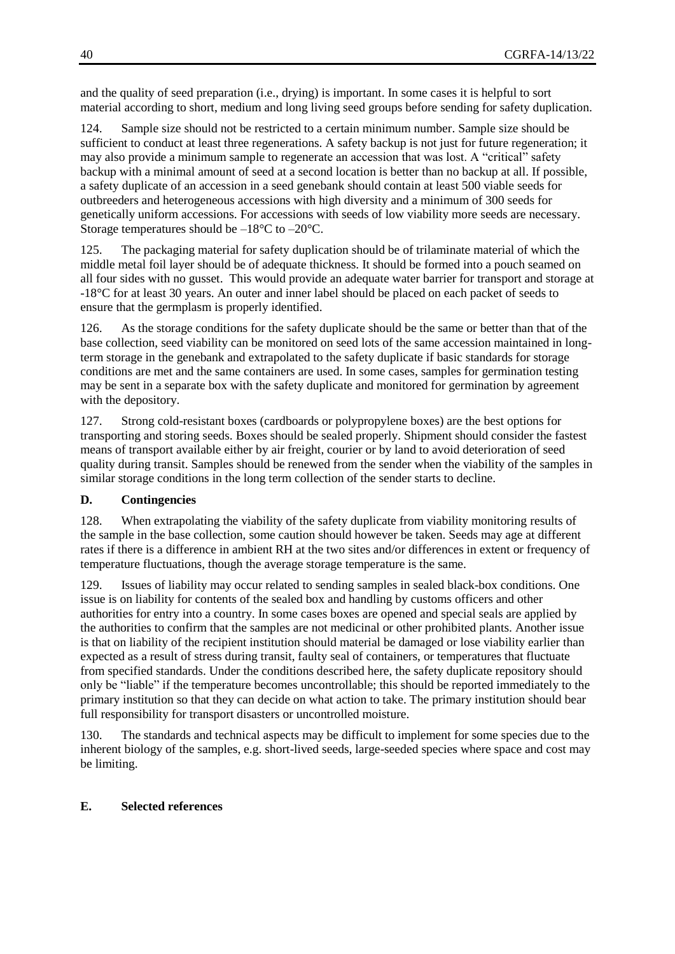and the quality of seed preparation (i.e., drying) is important. In some cases it is helpful to sort material according to short, medium and long living seed groups before sending for safety duplication.

124. Sample size should not be restricted to a certain minimum number. Sample size should be sufficient to conduct at least three regenerations. A safety backup is not just for future regeneration; it may also provide a minimum sample to regenerate an accession that was lost. A "critical" safety backup with a minimal amount of seed at a second location is better than no backup at all. If possible, a safety duplicate of an accession in a seed genebank should contain at least 500 viable seeds for outbreeders and heterogeneous accessions with high diversity and a minimum of 300 seeds for genetically uniform accessions. For accessions with seeds of low viability more seeds are necessary. Storage temperatures should be  $-18^{\circ}$ C to  $-20^{\circ}$ C.

125. The packaging material for safety duplication should be of trilaminate material of which the middle metal foil layer should be of adequate thickness. It should be formed into a pouch seamed on all four sides with no gusset. This would provide an adequate water barrier for transport and storage at -18°C for at least 30 years. An outer and inner label should be placed on each packet of seeds to ensure that the germplasm is properly identified.

126. As the storage conditions for the safety duplicate should be the same or better than that of the base collection, seed viability can be monitored on seed lots of the same accession maintained in longterm storage in the genebank and extrapolated to the safety duplicate if basic standards for storage conditions are met and the same containers are used. In some cases, samples for germination testing may be sent in a separate box with the safety duplicate and monitored for germination by agreement with the depository.

127. Strong cold-resistant boxes (cardboards or polypropylene boxes) are the best options for transporting and storing seeds. Boxes should be sealed properly. Shipment should consider the fastest means of transport available either by air freight, courier or by land to avoid deterioration of seed quality during transit. Samples should be renewed from the sender when the viability of the samples in similar storage conditions in the long term collection of the sender starts to decline.

## **D. Contingencies**

128. When extrapolating the viability of the safety duplicate from viability monitoring results of the sample in the base collection, some caution should however be taken. Seeds may age at different rates if there is a difference in ambient RH at the two sites and/or differences in extent or frequency of temperature fluctuations, though the average storage temperature is the same.

129. Issues of liability may occur related to sending samples in sealed black-box conditions. One issue is on liability for contents of the sealed box and handling by customs officers and other authorities for entry into a country. In some cases boxes are opened and special seals are applied by the authorities to confirm that the samples are not medicinal or other prohibited plants. Another issue is that on liability of the recipient institution should material be damaged or lose viability earlier than expected as a result of stress during transit, faulty seal of containers, or temperatures that fluctuate from specified standards. Under the conditions described here, the safety duplicate repository should only be "liable" if the temperature becomes uncontrollable; this should be reported immediately to the primary institution so that they can decide on what action to take. The primary institution should bear full responsibility for transport disasters or uncontrolled moisture.

130. The standards and technical aspects may be difficult to implement for some species due to the inherent biology of the samples, e.g. short-lived seeds, large-seeded species where space and cost may be limiting.

#### **E. Selected references**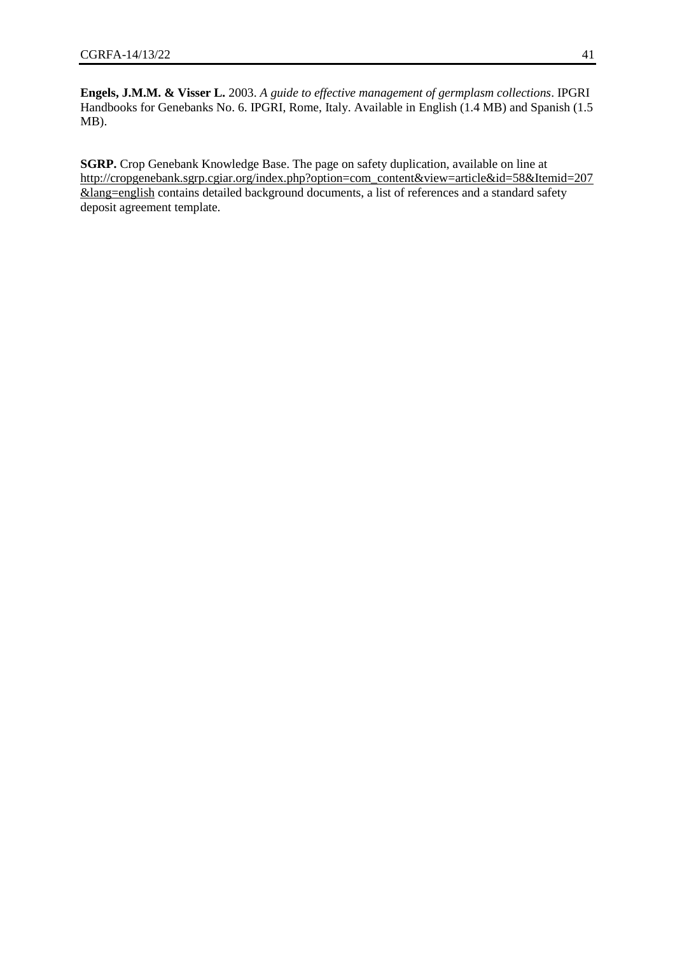**Engels, J.M.M. & Visser L.** 2003. *A guide to effective management of germplasm collections*. IPGRI Handbooks for Genebanks No. 6. IPGRI, Rome, Italy. Available in English (1.4 MB) and Spanish (1.5 MB).

**SGRP.** Crop Genebank Knowledge Base. The page on safety duplication, available on line at http://cropgenebank.sgrp.cgiar.org/index.php?option=com\_content&view=article&id=58&Itemid=207 &lang=english contains detailed background documents, a list of references and a standard safety deposit agreement template.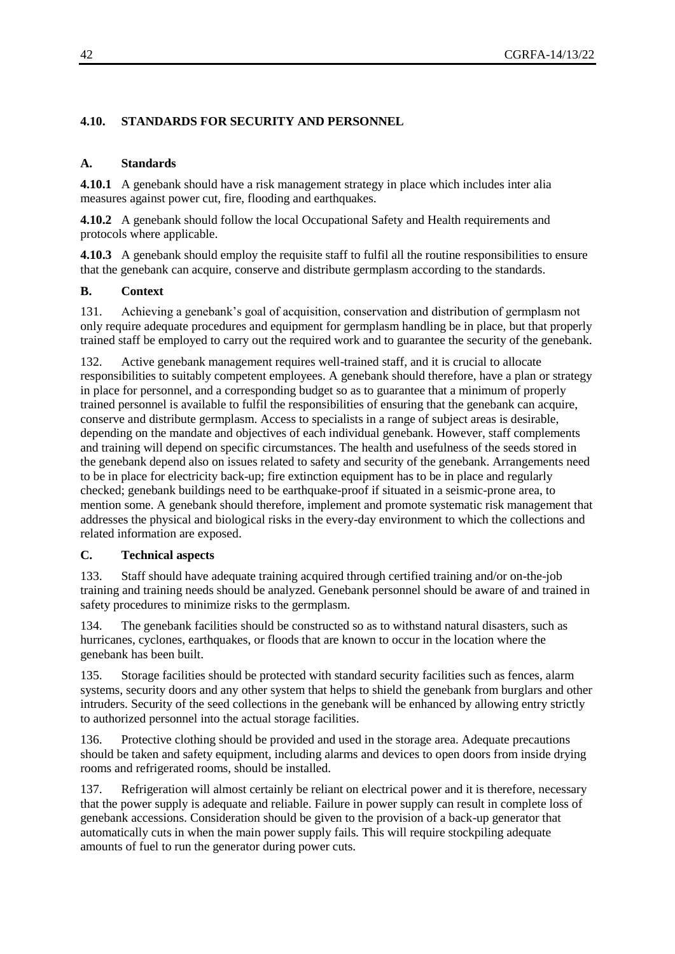## **4.10. STANDARDS FOR SECURITY AND PERSONNEL**

### **A. Standards**

**4.10.1** A genebank should have a risk management strategy in place which includes inter alia measures against power cut, fire, flooding and earthquakes.

**4.10.2** A genebank should follow the local Occupational Safety and Health requirements and protocols where applicable.

**4.10.3** A genebank should employ the requisite staff to fulfil all the routine responsibilities to ensure that the genebank can acquire, conserve and distribute germplasm according to the standards.

#### **B. Context**

131. Achieving a genebank's goal of acquisition, conservation and distribution of germplasm not only require adequate procedures and equipment for germplasm handling be in place, but that properly trained staff be employed to carry out the required work and to guarantee the security of the genebank.

132. Active genebank management requires well-trained staff, and it is crucial to allocate responsibilities to suitably competent employees. A genebank should therefore, have a plan or strategy in place for personnel, and a corresponding budget so as to guarantee that a minimum of properly trained personnel is available to fulfil the responsibilities of ensuring that the genebank can acquire, conserve and distribute germplasm. Access to specialists in a range of subject areas is desirable, depending on the mandate and objectives of each individual genebank. However, staff complements and training will depend on specific circumstances. The health and usefulness of the seeds stored in the genebank depend also on issues related to safety and security of the genebank. Arrangements need to be in place for electricity back-up; fire extinction equipment has to be in place and regularly checked; genebank buildings need to be earthquake-proof if situated in a seismic-prone area, to mention some. A genebank should therefore, implement and promote systematic risk management that addresses the physical and biological risks in the every-day environment to which the collections and related information are exposed.

#### **C. Technical aspects**

133. Staff should have adequate training acquired through certified training and/or on-the-job training and training needs should be analyzed. Genebank personnel should be aware of and trained in safety procedures to minimize risks to the germplasm.

134. The genebank facilities should be constructed so as to withstand natural disasters, such as hurricanes, cyclones, earthquakes, or floods that are known to occur in the location where the genebank has been built.

135. Storage facilities should be protected with standard security facilities such as fences, alarm systems, security doors and any other system that helps to shield the genebank from burglars and other intruders. Security of the seed collections in the genebank will be enhanced by allowing entry strictly to authorized personnel into the actual storage facilities.

136. Protective clothing should be provided and used in the storage area. Adequate precautions should be taken and safety equipment, including alarms and devices to open doors from inside drying rooms and refrigerated rooms, should be installed.

137. Refrigeration will almost certainly be reliant on electrical power and it is therefore, necessary that the power supply is adequate and reliable. Failure in power supply can result in complete loss of genebank accessions. Consideration should be given to the provision of a back-up generator that automatically cuts in when the main power supply fails. This will require stockpiling adequate amounts of fuel to run the generator during power cuts.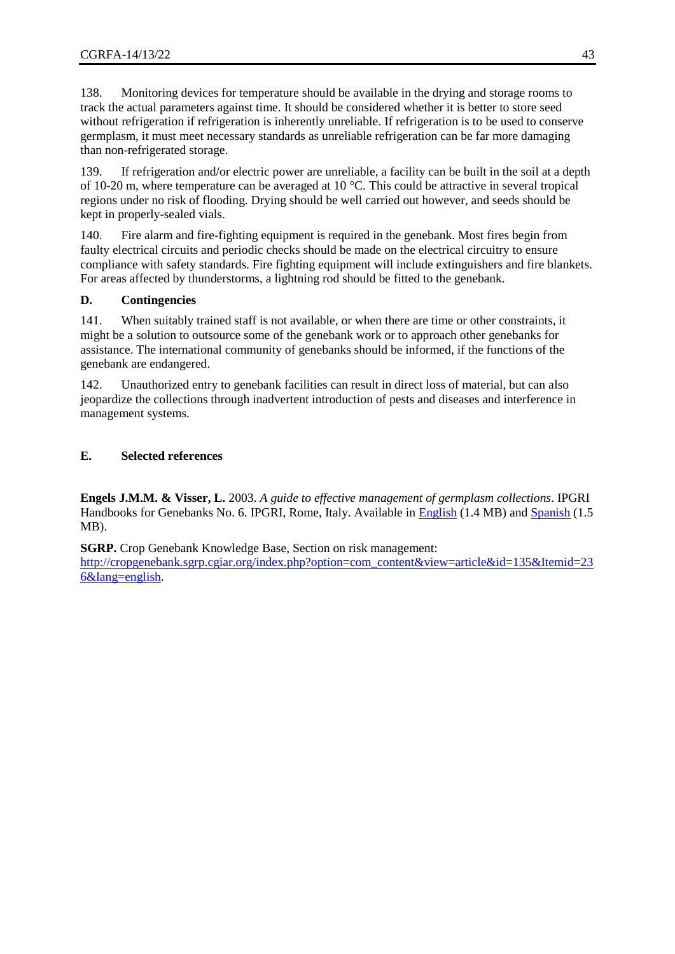138. Monitoring devices for temperature should be available in the drying and storage rooms to track the actual parameters against time. It should be considered whether it is better to store seed without refrigeration if refrigeration is inherently unreliable. If refrigeration is to be used to conserve germplasm, it must meet necessary standards as unreliable refrigeration can be far more damaging than non-refrigerated storage.

139. If refrigeration and/or electric power are unreliable, a facility can be built in the soil at a depth of 10-20 m, where temperature can be averaged at 10 °C. This could be attractive in several tropical regions under no risk of flooding. Drying should be well carried out however, and seeds should be kept in properly-sealed vials.

140. Fire alarm and fire-fighting equipment is required in the genebank. Most fires begin from faulty electrical circuits and periodic checks should be made on the electrical circuitry to ensure compliance with safety standards. Fire fighting equipment will include extinguishers and fire blankets. For areas affected by thunderstorms, a lightning rod should be fitted to the genebank.

## **D. Contingencies**

141. When suitably trained staff is not available, or when there are time or other constraints, it might be a solution to outsource some of the genebank work or to approach other genebanks for assistance. The international community of genebanks should be informed, if the functions of the genebank are endangered.

142. Unauthorized entry to genebank facilities can result in direct loss of material, but can also jeopardize the collections through inadvertent introduction of pests and diseases and interference in management systems.

### **E. Selected references**

**Engels J.M.M. & Visser, L.** 2003. *A guide to effective management of germplasm collections*. IPGRI Handbooks for Genebanks No. 6. IPGRI, Rome, Italy. Available in **[English](http://cropgenebank.sgrp.cgiar.org/images/file/learning_space/genebankmanual6.pdf)** (1.4 MB) and [Spanish](http://cropgenebank.sgrp.cgiar.org/images/file/learning_space/genebankmanual6_spa.pdf) (1.5 MB).

**SGRP.** Crop Genebank Knowledge Base, Section on risk management: [http://cropgenebank.sgrp.cgiar.org/index.php?option=com\\_content&view=article&id=135&Itemid=23](http://cropgenebank.sgrp.cgiar.org/index.php?option=com_content&view=article&id=135&Itemid=236&lang=english) [6&lang=english.](http://cropgenebank.sgrp.cgiar.org/index.php?option=com_content&view=article&id=135&Itemid=236&lang=english)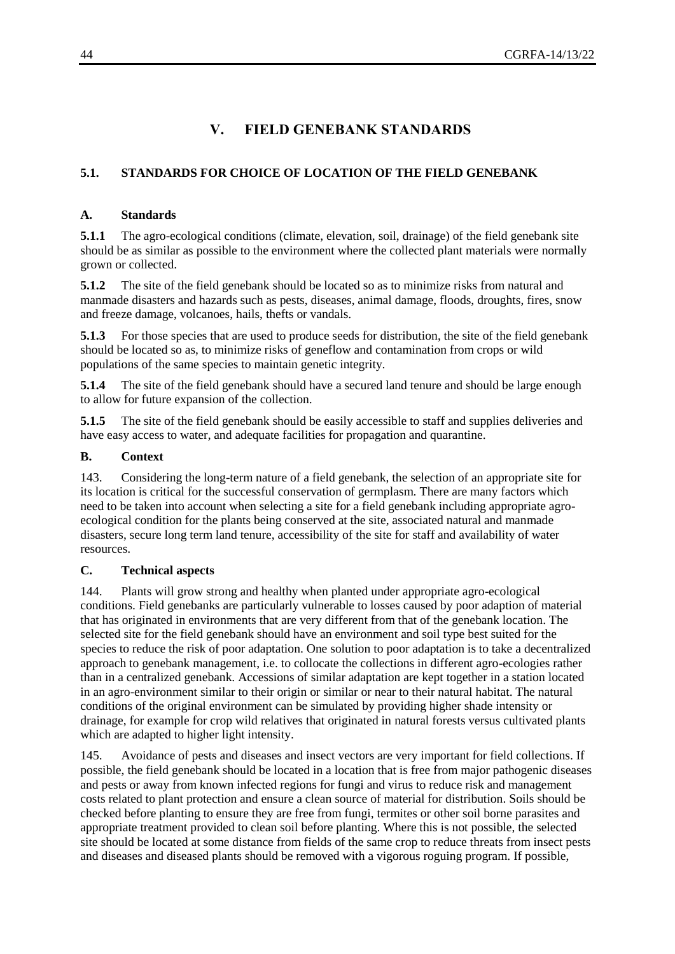# **V. FIELD GENEBANK STANDARDS**

## **5.1. STANDARDS FOR CHOICE OF LOCATION OF THE FIELD GENEBANK**

### **A. Standards**

**5.1.1** The agro-ecological conditions (climate, elevation, soil, drainage) of the field genebank site should be as similar as possible to the environment where the collected plant materials were normally grown or collected.

**5.1.2** The site of the field genebank should be located so as to minimize risks from natural and manmade disasters and hazards such as pests, diseases, animal damage, floods, droughts, fires, snow and freeze damage, volcanoes, hails, thefts or vandals.

**5.1.3** For those species that are used to produce seeds for distribution, the site of the field genebank should be located so as, to minimize risks of geneflow and contamination from crops or wild populations of the same species to maintain genetic integrity.

**5.1.4** The site of the field genebank should have a secured land tenure and should be large enough to allow for future expansion of the collection.

**5.1.5** The site of the field genebank should be easily accessible to staff and supplies deliveries and have easy access to water, and adequate facilities for propagation and quarantine.

### **B. Context**

143. Considering the long-term nature of a field genebank, the selection of an appropriate site for its location is critical for the successful conservation of germplasm. There are many factors which need to be taken into account when selecting a site for a field genebank including appropriate agroecological condition for the plants being conserved at the site, associated natural and manmade disasters, secure long term land tenure, accessibility of the site for staff and availability of water resources.

#### **C. Technical aspects**

144. Plants will grow strong and healthy when planted under appropriate agro-ecological conditions. Field genebanks are particularly vulnerable to losses caused by poor adaption of material that has originated in environments that are very different from that of the genebank location. The selected site for the field genebank should have an environment and soil type best suited for the species to reduce the risk of poor adaptation. One solution to poor adaptation is to take a decentralized approach to genebank management, i.e. to collocate the collections in different agro-ecologies rather than in a centralized genebank. Accessions of similar adaptation are kept together in a station located in an agro-environment similar to their origin or similar or near to their natural habitat. The natural conditions of the original environment can be simulated by providing higher shade intensity or drainage, for example for crop wild relatives that originated in natural forests versus cultivated plants which are adapted to higher light intensity.

145. Avoidance of pests and diseases and insect vectors are very important for field collections. If possible, the field genebank should be located in a location that is free from major pathogenic diseases and pests or away from known infected regions for fungi and virus to reduce risk and management costs related to plant protection and ensure a clean source of material for distribution. Soils should be checked before planting to ensure they are free from fungi, termites or other soil borne parasites and appropriate treatment provided to clean soil before planting. Where this is not possible, the selected site should be located at some distance from fields of the same crop to reduce threats from insect pests and diseases and diseased plants should be removed with a vigorous roguing program. If possible,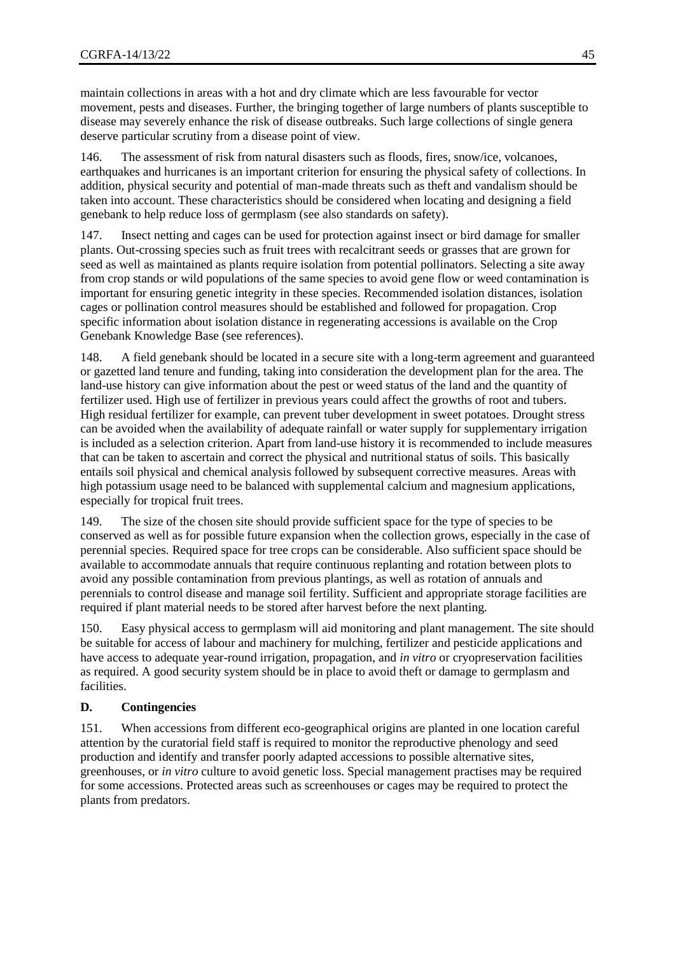maintain collections in areas with a hot and dry climate which are less favourable for vector movement, pests and diseases. Further, the bringing together of large numbers of plants susceptible to disease may severely enhance the risk of disease outbreaks. Such large collections of single genera deserve particular scrutiny from a disease point of view.

146. The assessment of risk from natural disasters such as floods, fires, snow/ice, volcanoes, earthquakes and hurricanes is an important criterion for ensuring the physical safety of collections. In addition, physical security and potential of man-made threats such as theft and vandalism should be taken into account. These characteristics should be considered when locating and designing a field genebank to help reduce loss of germplasm (see also standards on safety).

147. Insect netting and cages can be used for protection against insect or bird damage for smaller plants. Out-crossing species such as fruit trees with recalcitrant seeds or grasses that are grown for seed as well as maintained as plants require isolation from potential pollinators. Selecting a site away from crop stands or wild populations of the same species to avoid gene flow or weed contamination is important for ensuring genetic integrity in these species. Recommended isolation distances, isolation cages or pollination control measures should be established and followed for propagation. Crop specific information about isolation distance in regenerating accessions is available on the Crop Genebank Knowledge Base (see references).

148. A field genebank should be located in a secure site with a long-term agreement and guaranteed or gazetted land tenure and funding, taking into consideration the development plan for the area. The land-use history can give information about the pest or weed status of the land and the quantity of fertilizer used. High use of fertilizer in previous years could affect the growths of root and tubers. High residual fertilizer for example, can prevent tuber development in sweet potatoes. Drought stress can be avoided when the availability of adequate rainfall or water supply for supplementary irrigation is included as a selection criterion. Apart from land-use history it is recommended to include measures that can be taken to ascertain and correct the physical and nutritional status of soils. This basically entails soil physical and chemical analysis followed by subsequent corrective measures. Areas with high potassium usage need to be balanced with supplemental calcium and magnesium applications, especially for tropical fruit trees.

149. The size of the chosen site should provide sufficient space for the type of species to be conserved as well as for possible future expansion when the collection grows, especially in the case of perennial species. Required space for tree crops can be considerable. Also sufficient space should be available to accommodate annuals that require continuous replanting and rotation between plots to avoid any possible contamination from previous plantings, as well as rotation of annuals and perennials to control disease and manage soil fertility. Sufficient and appropriate storage facilities are required if plant material needs to be stored after harvest before the next planting.

150. Easy physical access to germplasm will aid monitoring and plant management. The site should be suitable for access of labour and machinery for mulching, fertilizer and pesticide applications and have access to adequate year-round irrigation, propagation, and *in vitro* or cryopreservation facilities as required. A good security system should be in place to avoid theft or damage to germplasm and facilities.

## **D. Contingencies**

151. When accessions from different eco-geographical origins are planted in one location careful attention by the curatorial field staff is required to monitor the reproductive phenology and seed production and identify and transfer poorly adapted accessions to possible alternative sites, greenhouses, or *in vitro* culture to avoid genetic loss. Special management practises may be required for some accessions. Protected areas such as screenhouses or cages may be required to protect the plants from predators.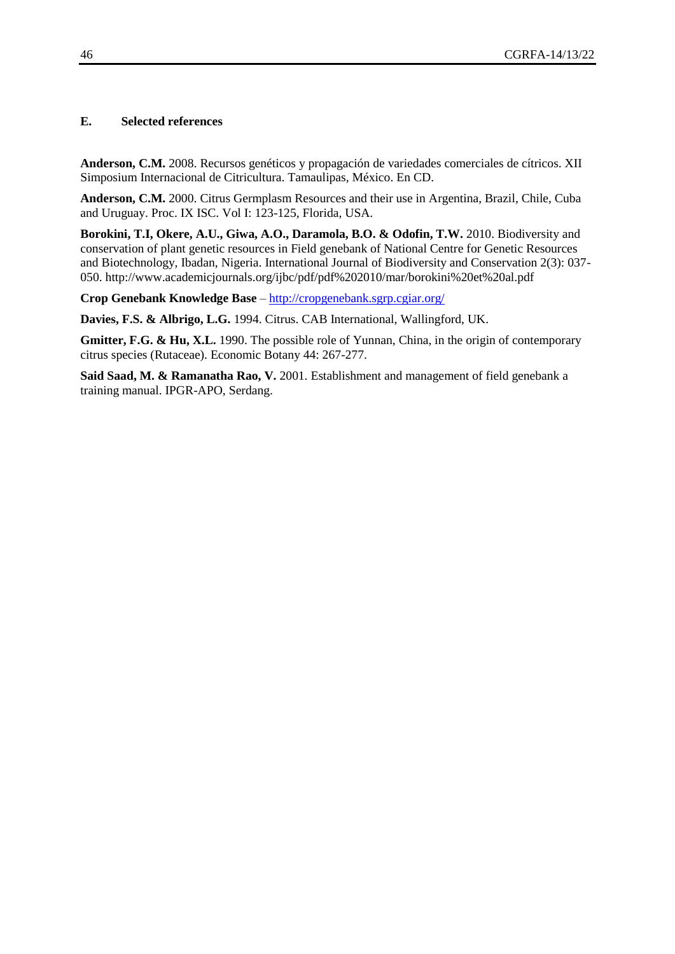#### **E. Selected references**

**Anderson, C.M.** 2008. Recursos genéticos y propagación de variedades comerciales de cítricos. XII Simposium Internacional de Citricultura. Tamaulipas, México. En CD.

**Anderson, C.M.** 2000. Citrus Germplasm Resources and their use in Argentina, Brazil, Chile, Cuba and Uruguay. Proc. IX ISC. Vol I: 123-125, Florida, USA.

**Borokini, T.I, Okere, A.U., Giwa, A.O., Daramola, B.O. & Odofin, T.W.** 2010. Biodiversity and conservation of plant genetic resources in Field genebank of National Centre for Genetic Resources and Biotechnology, Ibadan, Nigeria. International Journal of Biodiversity and Conservation 2(3): 037- 050. http://www.academicjournals.org/ijbc/pdf/pdf%202010/mar/borokini%20et%20al.pdf

**Crop Genebank Knowledge Base** – <http://cropgenebank.sgrp.cgiar.org/>

**Davies, F.S. & Albrigo, L.G.** 1994. Citrus. CAB International, Wallingford, UK.

Gmitter, F.G. & Hu, X.L. 1990. The possible role of Yunnan, China, in the origin of contemporary citrus species (Rutaceae). Economic Botany 44: 267-277.

**Said Saad, M. & Ramanatha Rao, V.** 2001. Establishment and management of field genebank a training manual. IPGR-APO, Serdang.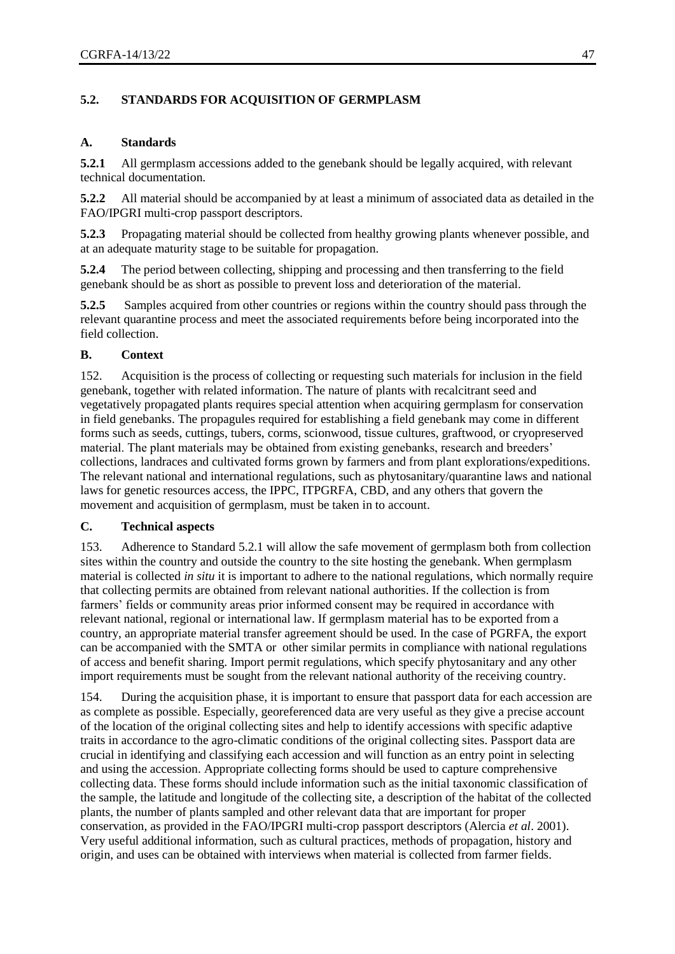# **5.2. STANDARDS FOR ACQUISITION OF GERMPLASM**

### **A. Standards**

**5.2.1** All germplasm accessions added to the genebank should be legally acquired, with relevant technical documentation.

**5.2.2** All material should be accompanied by at least a minimum of associated data as detailed in the FAO/IPGRI multi-crop passport descriptors.

**5.2.3** Propagating material should be collected from healthy growing plants whenever possible, and at an adequate maturity stage to be suitable for propagation.

**5.2.4** The period between collecting, shipping and processing and then transferring to the field genebank should be as short as possible to prevent loss and deterioration of the material.

**5.2.5** Samples acquired from other countries or regions within the country should pass through the relevant quarantine process and meet the associated requirements before being incorporated into the field collection.

#### **B. Context**

152. Acquisition is the process of collecting or requesting such materials for inclusion in the field genebank, together with related information. The nature of plants with recalcitrant seed and vegetatively propagated plants requires special attention when acquiring germplasm for conservation in field genebanks. The propagules required for establishing a field genebank may come in different forms such as seeds, cuttings, tubers, corms, scionwood, tissue cultures, graftwood, or cryopreserved material. The plant materials may be obtained from existing genebanks, research and breeders' collections, landraces and cultivated forms grown by farmers and from plant explorations/expeditions. The relevant national and international regulations, such as phytosanitary/quarantine laws and national laws for genetic resources access, the IPPC, ITPGRFA, CBD, and any others that govern the movement and acquisition of germplasm, must be taken in to account.

#### **C. Technical aspects**

153. Adherence to Standard 5.2.1 will allow the safe movement of germplasm both from collection sites within the country and outside the country to the site hosting the genebank. When germplasm material is collected *in situ* it is important to adhere to the national regulations, which normally require that collecting permits are obtained from relevant national authorities. If the collection is from farmers' fields or community areas prior informed consent may be required in accordance with relevant national, regional or international law. If germplasm material has to be exported from a country, an appropriate material transfer agreement should be used. In the case of PGRFA, the export can be accompanied with the SMTA or other similar permits in compliance with national regulations of access and benefit sharing. Import permit regulations, which specify phytosanitary and any other import requirements must be sought from the relevant national authority of the receiving country.

154. During the acquisition phase, it is important to ensure that passport data for each accession are as complete as possible. Especially, georeferenced data are very useful as they give a precise account of the location of the original collecting sites and help to identify accessions with specific adaptive traits in accordance to the agro-climatic conditions of the original collecting sites. Passport data are crucial in identifying and classifying each accession and will function as an entry point in selecting and using the accession. Appropriate collecting forms should be used to capture comprehensive collecting data. These forms should include information such as the initial taxonomic classification of the sample, the latitude and longitude of the collecting site, a description of the habitat of the collected plants, the number of plants sampled and other relevant data that are important for proper conservation, as provided in the FAO/IPGRI multi-crop passport descriptors (Alercia *et al*. 2001). Very useful additional information, such as cultural practices, methods of propagation, history and origin, and uses can be obtained with interviews when material is collected from farmer fields.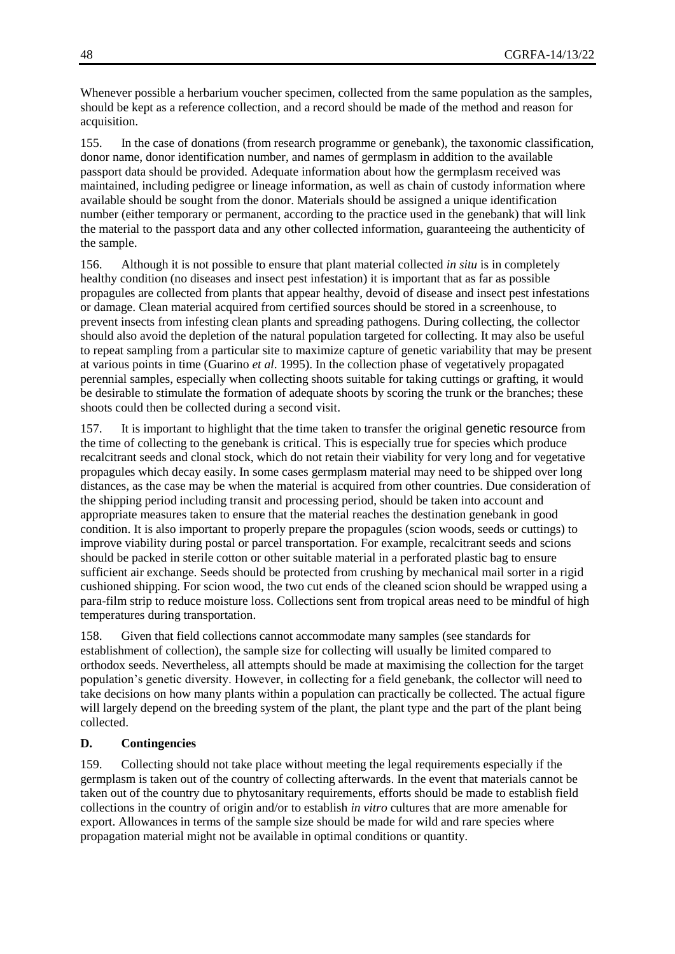Whenever possible a herbarium voucher specimen, collected from the same population as the samples, should be kept as a reference collection, and a record should be made of the method and reason for acquisition.

155. In the case of donations (from research programme or genebank), the taxonomic classification, donor name, donor identification number, and names of germplasm in addition to the available passport data should be provided. Adequate information about how the germplasm received was maintained, including pedigree or lineage information, as well as chain of custody information where available should be sought from the donor. Materials should be assigned a unique identification number (either temporary or permanent, according to the practice used in the genebank) that will link the material to the passport data and any other collected information, guaranteeing the authenticity of the sample.

156. Although it is not possible to ensure that plant material collected *in situ* is in completely healthy condition (no diseases and insect pest infestation) it is important that as far as possible propagules are collected from plants that appear healthy, devoid of disease and insect pest infestations or damage. Clean material acquired from certified sources should be stored in a screenhouse, to prevent insects from infesting clean plants and spreading pathogens. During collecting, the collector should also avoid the depletion of the natural population targeted for collecting. It may also be useful to repeat sampling from a particular site to maximize capture of genetic variability that may be present at various points in time (Guarino *et al*. 1995). In the collection phase of vegetatively propagated perennial samples, especially when collecting shoots suitable for taking cuttings or grafting, it would be desirable to stimulate the formation of adequate shoots by scoring the trunk or the branches; these shoots could then be collected during a second visit.

157. It is important to highlight that the time taken to transfer the original genetic resource from the time of collecting to the genebank is critical. This is especially true for species which produce recalcitrant seeds and clonal stock, which do not retain their viability for very long and for vegetative propagules which decay easily. In some cases germplasm material may need to be shipped over long distances, as the case may be when the material is acquired from other countries. Due consideration of the shipping period including transit and processing period, should be taken into account and appropriate measures taken to ensure that the material reaches the destination genebank in good condition. It is also important to properly prepare the propagules (scion woods, seeds or cuttings) to improve viability during postal or parcel transportation. For example, recalcitrant seeds and scions should be packed in sterile cotton or other suitable material in a perforated plastic bag to ensure sufficient air exchange. Seeds should be protected from crushing by mechanical mail sorter in a rigid cushioned shipping. For scion wood, the two cut ends of the cleaned scion should be wrapped using a para-film strip to reduce moisture loss. Collections sent from tropical areas need to be mindful of high temperatures during transportation.

158. Given that field collections cannot accommodate many samples (see standards for establishment of collection), the sample size for collecting will usually be limited compared to orthodox seeds. Nevertheless, all attempts should be made at maximising the collection for the target population's genetic diversity. However, in collecting for a field genebank, the collector will need to take decisions on how many plants within a population can practically be collected. The actual figure will largely depend on the breeding system of the plant, the plant type and the part of the plant being collected.

#### **D. Contingencies**

159. Collecting should not take place without meeting the legal requirements especially if the germplasm is taken out of the country of collecting afterwards. In the event that materials cannot be taken out of the country due to phytosanitary requirements, efforts should be made to establish field collections in the country of origin and/or to establish *in vitro* cultures that are more amenable for export. Allowances in terms of the sample size should be made for wild and rare species where propagation material might not be available in optimal conditions or quantity.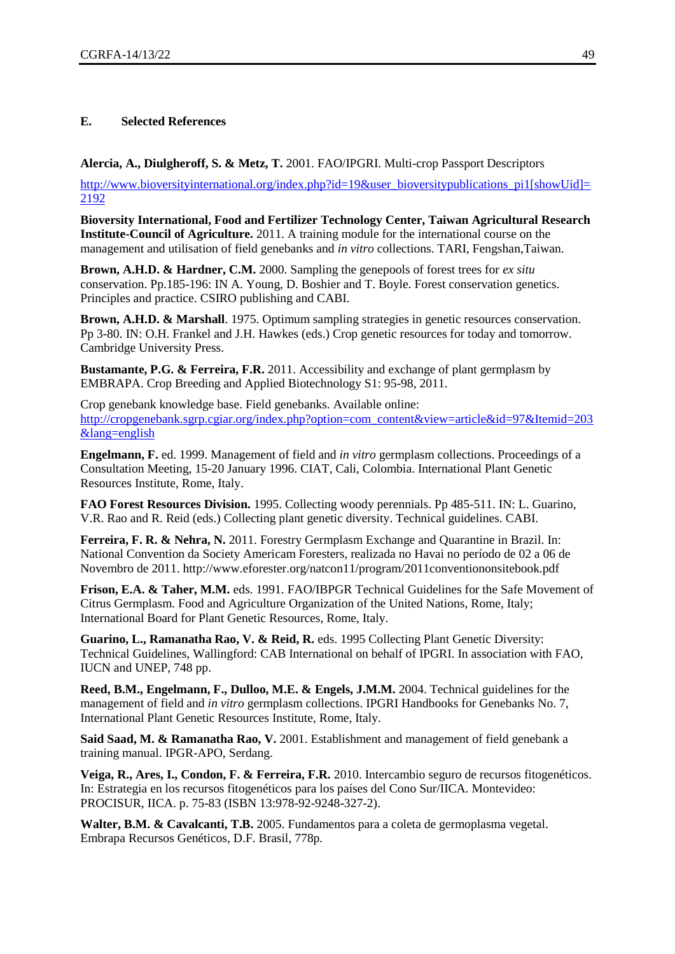## **E. Selected References**

**Alercia, A., Diulgheroff, S. & Metz, T.** 2001. FAO/IPGRI. Multi-crop Passport Descriptors

[http://www.bioversityinternational.org/index.php?id=19&user\\_bioversitypublications\\_pi1\[showUid\]=](http://www.bioversityinternational.org/index.php?id=19&user_bioversitypublications_pi1%5bshowUid%5d=2192) [2192](http://www.bioversityinternational.org/index.php?id=19&user_bioversitypublications_pi1%5bshowUid%5d=2192)

**Bioversity International, Food and Fertilizer Technology Center, Taiwan Agricultural Research Institute-Council of Agriculture.** 2011. A training module for the international course on the management and utilisation of field genebanks and *in vitro* collections. TARI, Fengshan,Taiwan.

**Brown, A.H.D. & Hardner, C.M.** 2000. Sampling the genepools of forest trees for *ex situ* conservation. Pp.185-196: IN A. Young, D. Boshier and T. Boyle. Forest conservation genetics. Principles and practice. CSIRO publishing and CABI.

**Brown, A.H.D. & Marshall**. 1975. Optimum sampling strategies in genetic resources conservation. Pp 3-80. IN: O.H. Frankel and J.H. Hawkes (eds.) Crop genetic resources for today and tomorrow. Cambridge University Press.

**Bustamante, P.G. & Ferreira, F.R.** 2011. Accessibility and exchange of plant germplasm by EMBRAPA. Crop Breeding and Applied Biotechnology S1: 95-98, 2011.

Crop genebank knowledge base. Field genebanks. Available online: [http://cropgenebank.sgrp.cgiar.org/index.php?option=com\\_content&view=article&id=97&Itemid=203](http://cropgenebank.sgrp.cgiar.org/index.php?option=com_content&view=article&id=97&Itemid=203&lang=english) [&lang=english](http://cropgenebank.sgrp.cgiar.org/index.php?option=com_content&view=article&id=97&Itemid=203&lang=english)

**Engelmann, F.** ed. 1999. Management of field and *in vitro* germplasm collections. Proceedings of a Consultation Meeting, 15-20 January 1996. CIAT, Cali, Colombia. International Plant Genetic Resources Institute, Rome, Italy.

**FAO Forest Resources Division.** 1995. Collecting woody perennials. Pp 485-511. IN: L. Guarino, V.R. Rao and R. Reid (eds.) Collecting plant genetic diversity. Technical guidelines. CABI.

**Ferreira, F. R. & Nehra, N.** 2011. Forestry Germplasm Exchange and Quarantine in Brazil. In: National Convention da Society Americam Foresters, realizada no Havai no período de 02 a 06 de Novembro de 2011. http://www.eforester.org/natcon11/program/2011conventiononsitebook.pdf

**Frison, E.A. & Taher, M.M.** eds. 1991. FAO/IBPGR Technical Guidelines for the Safe Movement of Citrus Germplasm. Food and Agriculture Organization of the United Nations, Rome, Italy; International Board for Plant Genetic Resources, Rome, Italy.

**Guarino, L., Ramanatha Rao, V. & Reid, R.** eds. 1995 Collecting Plant Genetic Diversity: Technical Guidelines, Wallingford: CAB International on behalf of IPGRI. In association with FAO, IUCN and UNEP, 748 pp.

**Reed, B.M., Engelmann, F., Dulloo, M.E. & Engels, J.M.M.** 2004. Technical guidelines for the management of field and *in vitro* germplasm collections. IPGRI Handbooks for Genebanks No. 7, International Plant Genetic Resources Institute, Rome, Italy.

**Said Saad, M. & Ramanatha Rao, V.** 2001. Establishment and management of field genebank a training manual. IPGR-APO, Serdang.

**Veiga, R., Ares, I., Condon, F. & Ferreira, F.R.** 2010. Intercambio seguro de recursos fitogenéticos. In: Estrategia en los recursos fitogenéticos para los países del Cono Sur/IICA. Montevideo: PROCISUR, IICA. p. 75-83 (ISBN 13:978-92-9248-327-2).

**Walter, B.M. & Cavalcanti, T.B.** 2005. Fundamentos para a coleta de germoplasma vegetal. Embrapa Recursos Genéticos, D.F. Brasil, 778p.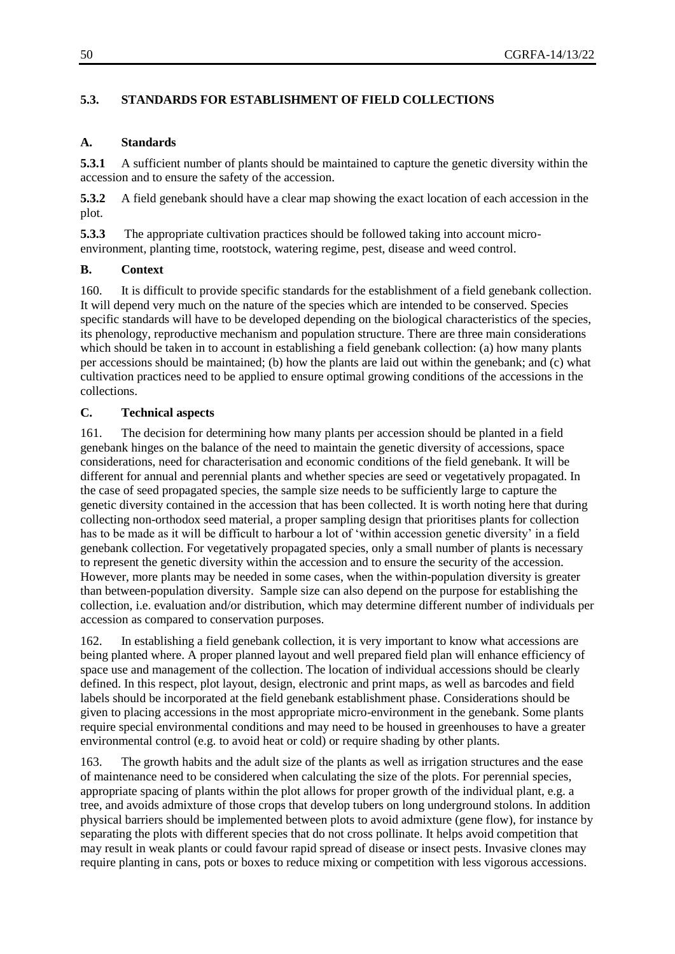## **5.3. STANDARDS FOR ESTABLISHMENT OF FIELD COLLECTIONS**

## **A. Standards**

**5.3.1** A sufficient number of plants should be maintained to capture the genetic diversity within the accession and to ensure the safety of the accession.

**5.3.2** A field genebank should have a clear map showing the exact location of each accession in the plot.

**5.3.3** The appropriate cultivation practices should be followed taking into account microenvironment, planting time, rootstock, watering regime, pest, disease and weed control.

### **B. Context**

160. It is difficult to provide specific standards for the establishment of a field genebank collection. It will depend very much on the nature of the species which are intended to be conserved. Species specific standards will have to be developed depending on the biological characteristics of the species, its phenology, reproductive mechanism and population structure. There are three main considerations which should be taken in to account in establishing a field genebank collection: (a) how many plants per accessions should be maintained; (b) how the plants are laid out within the genebank; and (c) what cultivation practices need to be applied to ensure optimal growing conditions of the accessions in the collections.

#### **C. Technical aspects**

161. The decision for determining how many plants per accession should be planted in a field genebank hinges on the balance of the need to maintain the genetic diversity of accessions, space considerations, need for characterisation and economic conditions of the field genebank. It will be different for annual and perennial plants and whether species are seed or vegetatively propagated. In the case of seed propagated species, the sample size needs to be sufficiently large to capture the genetic diversity contained in the accession that has been collected. It is worth noting here that during collecting non-orthodox seed material, a proper sampling design that prioritises plants for collection has to be made as it will be difficult to harbour a lot of 'within accession genetic diversity' in a field genebank collection. For vegetatively propagated species, only a small number of plants is necessary to represent the genetic diversity within the accession and to ensure the security of the accession. However, more plants may be needed in some cases, when the within-population diversity is greater than between-population diversity. Sample size can also depend on the purpose for establishing the collection, i.e. evaluation and/or distribution, which may determine different number of individuals per accession as compared to conservation purposes.

162. In establishing a field genebank collection, it is very important to know what accessions are being planted where. A proper planned layout and well prepared field plan will enhance efficiency of space use and management of the collection. The location of individual accessions should be clearly defined. In this respect, plot layout, design, electronic and print maps, as well as barcodes and field labels should be incorporated at the field genebank establishment phase. Considerations should be given to placing accessions in the most appropriate micro-environment in the genebank. Some plants require special environmental conditions and may need to be housed in greenhouses to have a greater environmental control (e.g. to avoid heat or cold) or require shading by other plants.

163. The growth habits and the adult size of the plants as well as irrigation structures and the ease of maintenance need to be considered when calculating the size of the plots. For perennial species, appropriate spacing of plants within the plot allows for proper growth of the individual plant, e.g. a tree, and avoids admixture of those crops that develop tubers on long underground stolons. In addition physical barriers should be implemented between plots to avoid admixture (gene flow), for instance by separating the plots with different species that do not cross pollinate. It helps avoid competition that may result in weak plants or could favour rapid spread of disease or insect pests. Invasive clones may require planting in cans, pots or boxes to reduce mixing or competition with less vigorous accessions.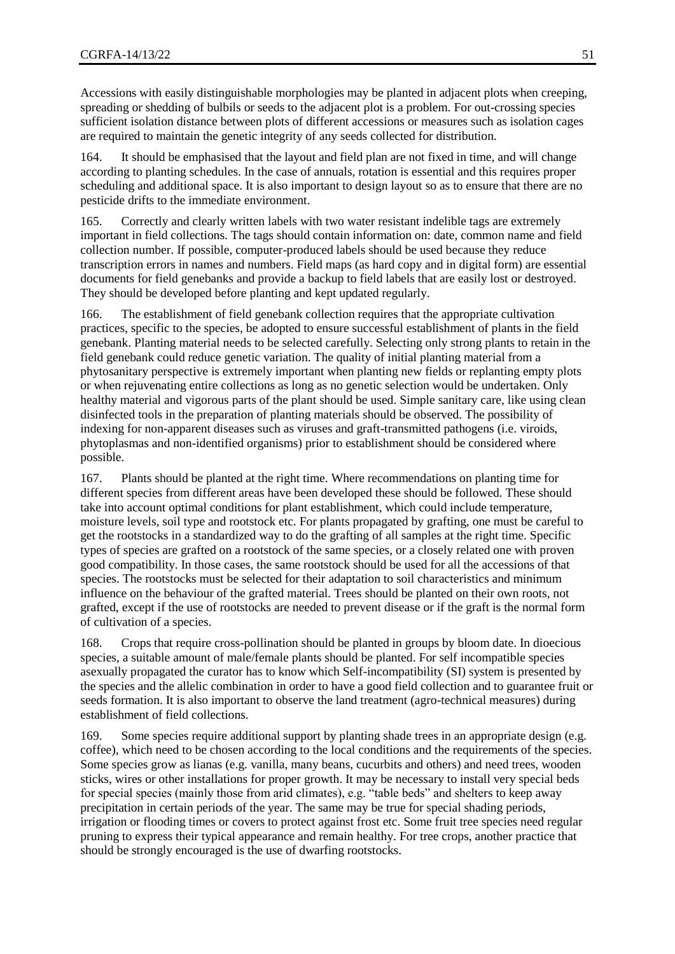Accessions with easily distinguishable morphologies may be planted in adjacent plots when creeping, spreading or shedding of bulbils or seeds to the adjacent plot is a problem. For out-crossing species sufficient isolation distance between plots of different accessions or measures such as isolation cages are required to maintain the genetic integrity of any seeds collected for distribution.

164. It should be emphasised that the layout and field plan are not fixed in time, and will change according to planting schedules. In the case of annuals, rotation is essential and this requires proper scheduling and additional space. It is also important to design layout so as to ensure that there are no pesticide drifts to the immediate environment.

165. Correctly and clearly written labels with two water resistant indelible tags are extremely important in field collections. The tags should contain information on: date, common name and field collection number. If possible, computer-produced labels should be used because they reduce transcription errors in names and numbers. Field maps (as hard copy and in digital form) are essential documents for field genebanks and provide a backup to field labels that are easily lost or destroyed. They should be developed before planting and kept updated regularly.

166. The establishment of field genebank collection requires that the appropriate cultivation practices, specific to the species, be adopted to ensure successful establishment of plants in the field genebank. Planting material needs to be selected carefully. Selecting only strong plants to retain in the field genebank could reduce genetic variation. The quality of initial planting material from a phytosanitary perspective is extremely important when planting new fields or replanting empty plots or when rejuvenating entire collections as long as no genetic selection would be undertaken. Only healthy material and vigorous parts of the plant should be used. Simple sanitary care, like using clean disinfected tools in the preparation of planting materials should be observed. The possibility of indexing for non-apparent diseases such as viruses and graft-transmitted pathogens (i.e. viroids, phytoplasmas and non-identified organisms) prior to establishment should be considered where possible.

167. Plants should be planted at the right time. Where recommendations on planting time for different species from different areas have been developed these should be followed. These should take into account optimal conditions for plant establishment, which could include temperature, moisture levels, soil type and rootstock etc. For plants propagated by grafting, one must be careful to get the rootstocks in a standardized way to do the grafting of all samples at the right time. Specific types of species are grafted on a rootstock of the same species, or a closely related one with proven good compatibility. In those cases, the same rootstock should be used for all the accessions of that species. The rootstocks must be selected for their adaptation to soil characteristics and minimum influence on the behaviour of the grafted material. Trees should be planted on their own roots, not grafted, except if the use of rootstocks are needed to prevent disease or if the graft is the normal form of cultivation of a species.

168. Crops that require cross-pollination should be planted in groups by bloom date. In dioecious species, a suitable amount of male/female plants should be planted. For self incompatible species asexually propagated the curator has to know which Self-incompatibility (SI) system is presented by the species and the allelic combination in order to have a good field collection and to guarantee fruit or seeds formation. It is also important to observe the land treatment (agro-technical measures) during establishment of field collections.

169. Some species require additional support by planting shade trees in an appropriate design (e.g. coffee), which need to be chosen according to the local conditions and the requirements of the species. Some species grow as lianas (e.g. vanilla, many beans, cucurbits and others) and need trees, wooden sticks, wires or other installations for proper growth. It may be necessary to install very special beds for special species (mainly those from arid climates), e.g. "table beds" and shelters to keep away precipitation in certain periods of the year. The same may be true for special shading periods, irrigation or flooding times or covers to protect against frost etc. Some fruit tree species need regular pruning to express their typical appearance and remain healthy. For tree crops, another practice that should be strongly encouraged is the use of dwarfing rootstocks.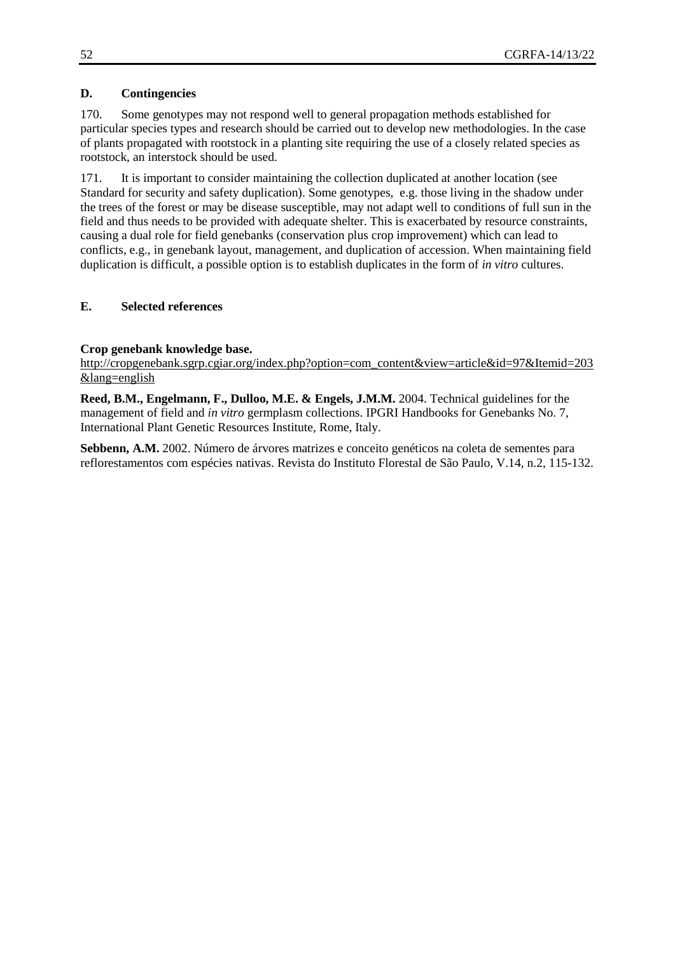### **D. Contingencies**

170. Some genotypes may not respond well to general propagation methods established for particular species types and research should be carried out to develop new methodologies. In the case of plants propagated with rootstock in a planting site requiring the use of a closely related species as rootstock, an interstock should be used.

171. It is important to consider maintaining the collection duplicated at another location (see Standard for security and safety duplication). Some genotypes, e.g. those living in the shadow under the trees of the forest or may be disease susceptible, may not adapt well to conditions of full sun in the field and thus needs to be provided with adequate shelter. This is exacerbated by resource constraints, causing a dual role for field genebanks (conservation plus crop improvement) which can lead to conflicts, e.g., in genebank layout, management, and duplication of accession. When maintaining field duplication is difficult, a possible option is to establish duplicates in the form of *in vitro* cultures.

### **E. Selected references**

#### **Crop genebank knowledge base.**

http://cropgenebank.sgrp.cgiar.org/index.php?option=com\_content&view=article&id=97&Itemid=203 &lang=english

**Reed, B.M., Engelmann, F., Dulloo, M.E. & Engels, J.M.M.** 2004. Technical guidelines for the management of field and *in vitro* germplasm collections. IPGRI Handbooks for Genebanks No. 7, International Plant Genetic Resources Institute, Rome, Italy.

**Sebbenn, A.M.** 2002. Número de árvores matrizes e conceito genéticos na coleta de sementes para reflorestamentos com espécies nativas. Revista do Instituto Florestal de São Paulo, V.14, n.2, 115-132.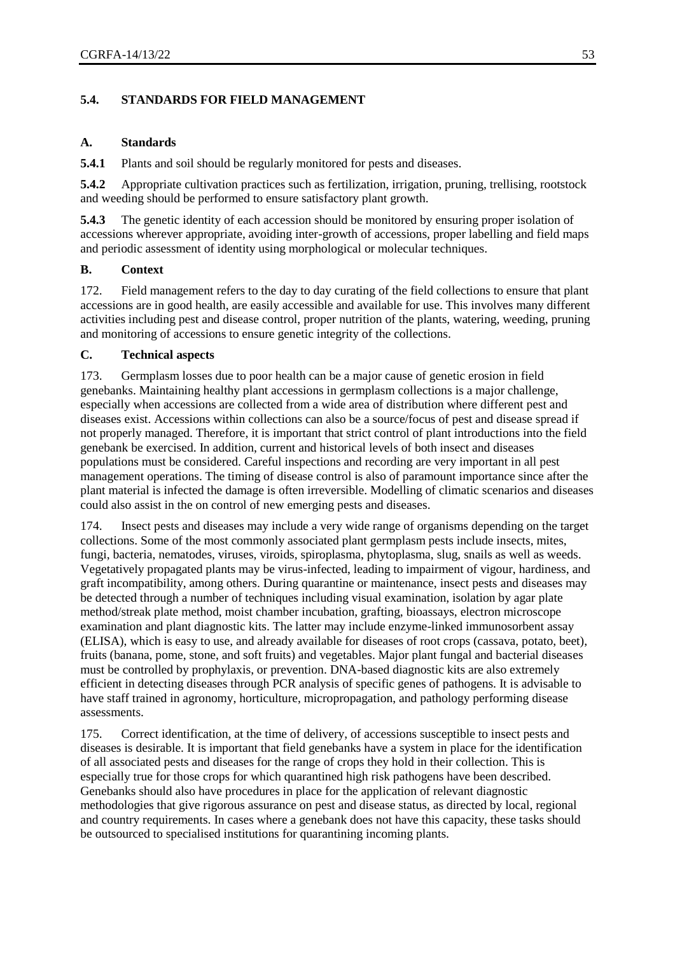## **5.4. STANDARDS FOR FIELD MANAGEMENT**

### **A. Standards**

**5.4.1** Plants and soil should be regularly monitored for pests and diseases.

**5.4.2** Appropriate cultivation practices such as fertilization, irrigation, pruning, trellising, rootstock and weeding should be performed to ensure satisfactory plant growth.

**5.4.3** The genetic identity of each accession should be monitored by ensuring proper isolation of accessions wherever appropriate, avoiding inter-growth of accessions, proper labelling and field maps and periodic assessment of identity using morphological or molecular techniques.

### **B. Context**

172. Field management refers to the day to day curating of the field collections to ensure that plant accessions are in good health, are easily accessible and available for use. This involves many different activities including pest and disease control, proper nutrition of the plants, watering, weeding, pruning and monitoring of accessions to ensure genetic integrity of the collections.

#### **C. Technical aspects**

173. Germplasm losses due to poor health can be a major cause of genetic erosion in field genebanks. Maintaining healthy plant accessions in germplasm collections is a major challenge, especially when accessions are collected from a wide area of distribution where different pest and diseases exist. Accessions within collections can also be a source/focus of pest and disease spread if not properly managed. Therefore, it is important that strict control of plant introductions into the field genebank be exercised. In addition, current and historical levels of both insect and diseases populations must be considered. Careful inspections and recording are very important in all pest management operations. The timing of disease control is also of paramount importance since after the plant material is infected the damage is often irreversible. Modelling of climatic scenarios and diseases could also assist in the on control of new emerging pests and diseases.

174. Insect pests and diseases may include a very wide range of organisms depending on the target collections. Some of the most commonly associated plant germplasm pests include insects, mites, fungi, bacteria, nematodes, viruses, viroids, spiroplasma, phytoplasma, slug, snails as well as weeds. Vegetatively propagated plants may be virus-infected, leading to impairment of vigour, hardiness, and graft incompatibility, among others. During quarantine or maintenance, insect pests and diseases may be detected through a number of techniques including visual examination, isolation by agar plate method/streak plate method, moist chamber incubation, grafting, bioassays, electron microscope examination and plant diagnostic kits. The latter may include enzyme-linked immunosorbent assay (ELISA), which is easy to use, and already available for diseases of root crops (cassava, potato, beet), fruits (banana, pome, stone, and soft fruits) and vegetables. Major plant fungal and bacterial diseases must be controlled by prophylaxis, or prevention. DNA-based diagnostic kits are also extremely efficient in detecting diseases through PCR analysis of specific genes of pathogens. It is advisable to have staff trained in agronomy, horticulture, micropropagation, and pathology performing disease assessments.

175. Correct identification, at the time of delivery, of accessions susceptible to insect pests and diseases is desirable. It is important that field genebanks have a system in place for the identification of all associated pests and diseases for the range of crops they hold in their collection. This is especially true for those crops for which quarantined high risk pathogens have been described. Genebanks should also have procedures in place for the application of relevant diagnostic methodologies that give rigorous assurance on pest and disease status, as directed by local, regional and country requirements. In cases where a genebank does not have this capacity, these tasks should be outsourced to specialised institutions for quarantining incoming plants.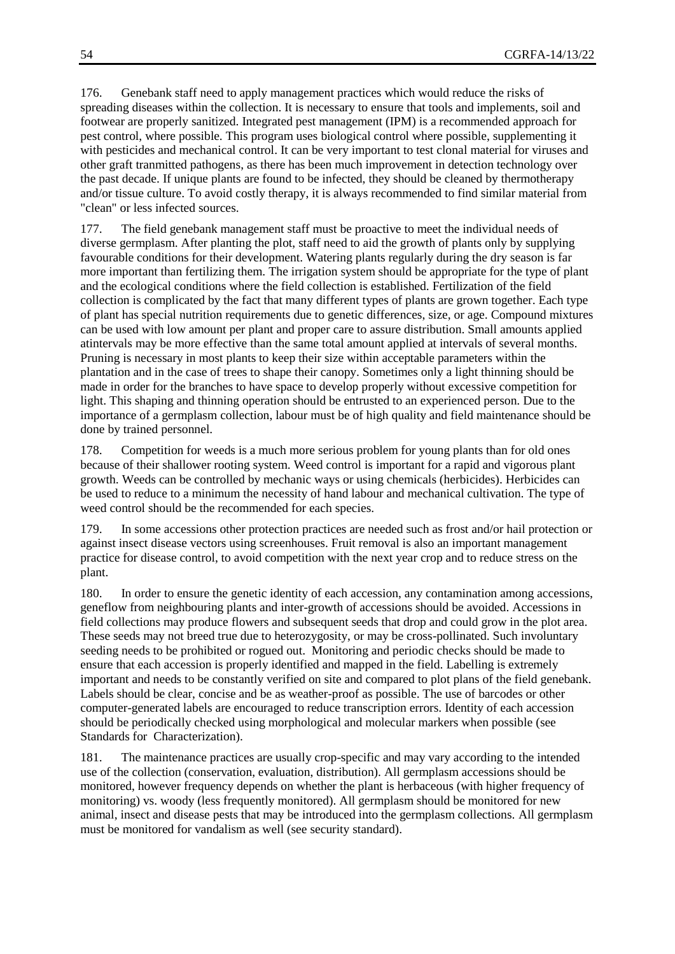176. Genebank staff need to apply management practices which would reduce the risks of spreading diseases within the collection. It is necessary to ensure that tools and implements, soil and footwear are properly sanitized. Integrated pest management (IPM) is a recommended approach for pest control, where possible. This program uses biological control where possible, supplementing it with pesticides and mechanical control. It can be very important to test clonal material for viruses and other graft tranmitted pathogens, as there has been much improvement in detection technology over the past decade. If unique plants are found to be infected, they should be cleaned by thermotherapy and/or tissue culture. To avoid costly therapy, it is always recommended to find similar material from "clean" or less infected sources.

177. The field genebank management staff must be proactive to meet the individual needs of diverse germplasm. After planting the plot, staff need to aid the growth of plants only by supplying favourable conditions for their development. Watering plants regularly during the dry season is far more important than fertilizing them. The irrigation system should be appropriate for the type of plant and the ecological conditions where the field collection is established. Fertilization of the field collection is complicated by the fact that many different types of plants are grown together. Each type of plant has special nutrition requirements due to genetic differences, size, or age. Compound mixtures can be used with low amount per plant and proper care to assure distribution. Small amounts applied atintervals may be more effective than the same total amount applied at intervals of several months. Pruning is necessary in most plants to keep their size within acceptable parameters within the plantation and in the case of trees to shape their canopy. Sometimes only a light thinning should be made in order for the branches to have space to develop properly without excessive competition for light. This shaping and thinning operation should be entrusted to an experienced person. Due to the importance of a germplasm collection, labour must be of high quality and field maintenance should be done by trained personnel.

178. Competition for weeds is a much more serious problem for young plants than for old ones because of their shallower rooting system. Weed control is important for a rapid and vigorous plant growth. Weeds can be controlled by mechanic ways or using chemicals (herbicides). Herbicides can be used to reduce to a minimum the necessity of hand labour and mechanical cultivation. The type of weed control should be the recommended for each species.

179. In some accessions other protection practices are needed such as frost and/or hail protection or against insect disease vectors using screenhouses. Fruit removal is also an important management practice for disease control, to avoid competition with the next year crop and to reduce stress on the plant.

180. In order to ensure the genetic identity of each accession, any contamination among accessions, geneflow from neighbouring plants and inter-growth of accessions should be avoided. Accessions in field collections may produce flowers and subsequent seeds that drop and could grow in the plot area. These seeds may not breed true due to heterozygosity, or may be cross-pollinated. Such involuntary seeding needs to be prohibited or rogued out. Monitoring and periodic checks should be made to ensure that each accession is properly identified and mapped in the field. Labelling is extremely important and needs to be constantly verified on site and compared to plot plans of the field genebank. Labels should be clear, concise and be as weather-proof as possible. The use of barcodes or other computer-generated labels are encouraged to reduce transcription errors. Identity of each accession should be periodically checked using morphological and molecular markers when possible (see Standards for Characterization).

181. The maintenance practices are usually crop-specific and may vary according to the intended use of the collection (conservation, evaluation, distribution). All germplasm accessions should be monitored, however frequency depends on whether the plant is herbaceous (with higher frequency of monitoring) vs. woody (less frequently monitored). All germplasm should be monitored for new animal, insect and disease pests that may be introduced into the germplasm collections. All germplasm must be monitored for vandalism as well (see security standard).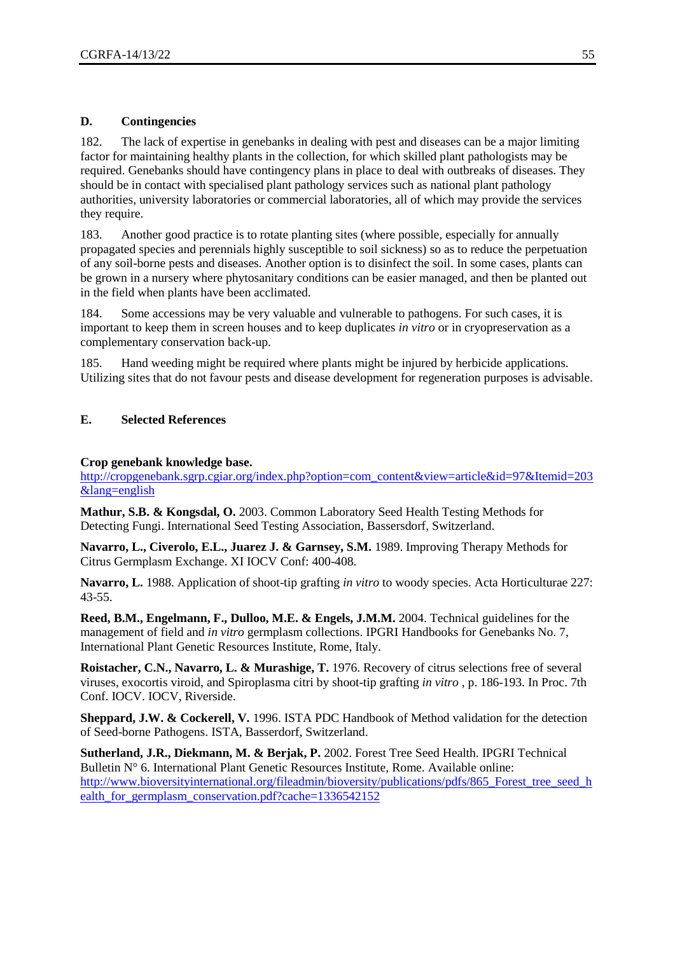### **D. Contingencies**

182. The lack of expertise in genebanks in dealing with pest and diseases can be a major limiting factor for maintaining healthy plants in the collection, for which skilled plant pathologists may be required. Genebanks should have contingency plans in place to deal with outbreaks of diseases. They should be in contact with specialised plant pathology services such as national plant pathology authorities, university laboratories or commercial laboratories, all of which may provide the services they require.

183. Another good practice is to rotate planting sites (where possible, especially for annually propagated species and perennials highly susceptible to soil sickness) so as to reduce the perpetuation of any soil-borne pests and diseases. Another option is to disinfect the soil. In some cases, plants can be grown in a nursery where phytosanitary conditions can be easier managed, and then be planted out in the field when plants have been acclimated.

184. Some accessions may be very valuable and vulnerable to pathogens. For such cases, it is important to keep them in screen houses and to keep duplicates *in vitro* or in cryopreservation as a complementary conservation back-up.

185. Hand weeding might be required where plants might be injured by herbicide applications. Utilizing sites that do not favour pests and disease development for regeneration purposes is advisable.

#### **E. Selected References**

#### **Crop genebank knowledge base.**

[http://cropgenebank.sgrp.cgiar.org/index.php?option=com\\_content&view=article&id=97&Itemid=203](http://cropgenebank.sgrp.cgiar.org/index.php?option=com_content&view=article&id=97&Itemid=203&lang=english) [&lang=english](http://cropgenebank.sgrp.cgiar.org/index.php?option=com_content&view=article&id=97&Itemid=203&lang=english)

**Mathur, S.B. & Kongsdal, O.** 2003. Common Laboratory Seed Health Testing Methods for Detecting Fungi. International Seed Testing Association, Bassersdorf, Switzerland.

**Navarro, L., Civerolo, E.L., Juarez J. & Garnsey, S.M.** 1989. Improving Therapy Methods for Citrus Germplasm Exchange. XI IOCV Conf: 400-408.

**Navarro, L.** 1988. Application of shoot-tip grafting *in vitro* to woody species. Acta Horticulturae 227: 43-55.

**Reed, B.M., Engelmann, F., Dulloo, M.E. & Engels, J.M.M.** 2004. Technical guidelines for the management of field and *in vitro* germplasm collections. IPGRI Handbooks for Genebanks No. 7, International Plant Genetic Resources Institute, Rome, Italy.

**Roistacher, C.N., Navarro, L. & Murashige, T.** 1976. Recovery of citrus selections free of several viruses, exocortis viroid, and Spiroplasma citri by shoot-tip grafting *in vitro* , p. 186-193. In Proc. 7th Conf. IOCV. IOCV, Riverside.

**Sheppard, J.W. & Cockerell, V.** 1996. ISTA PDC Handbook of Method validation for the detection of Seed-borne Pathogens. ISTA, Basserdorf, Switzerland.

**Sutherland, J.R., Diekmann, M. & Berjak, P.** 2002. Forest Tree Seed Health. IPGRI Technical Bulletin N° 6. International Plant Genetic Resources Institute, Rome. Available online: http://www.bioversityinternational.org/fileadmin/bioversity/publications/pdfs/865 Forest\_tree\_seed\_h [ealth\\_for\\_germplasm\\_conservation.pdf?cache=1336542152](http://www.bioversityinternational.org/fileadmin/bioversity/publications/pdfs/865_Forest_tree_seed_health_for_germplasm_conservation.pdf?cache=1336542152)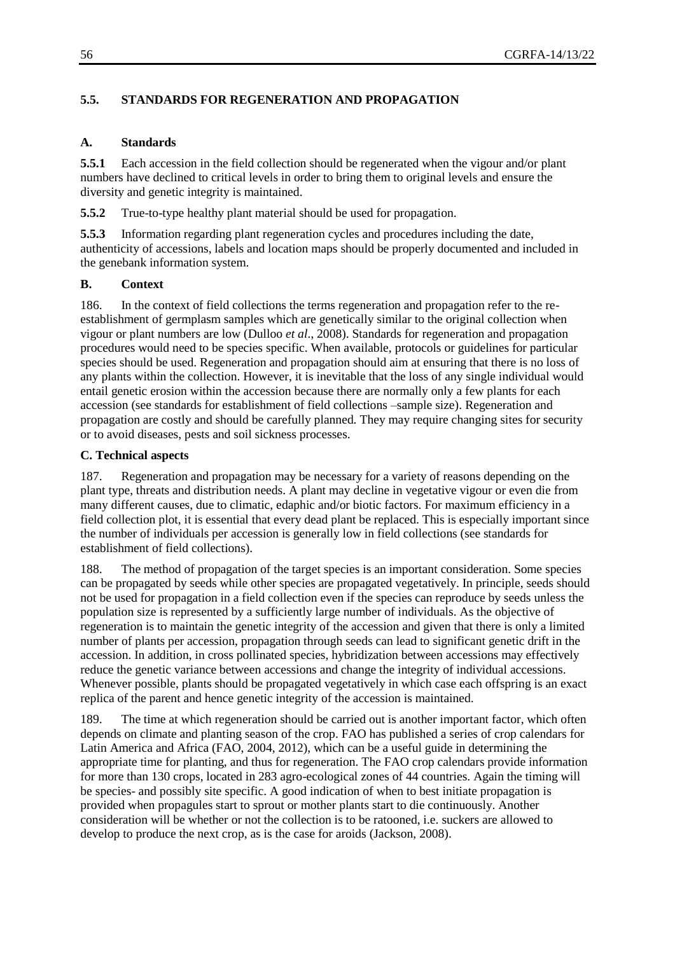## **5.5. STANDARDS FOR REGENERATION AND PROPAGATION**

### **A. Standards**

**5.5.1** Each accession in the field collection should be regenerated when the vigour and/or plant numbers have declined to critical levels in order to bring them to original levels and ensure the diversity and genetic integrity is maintained.

**5.5.2** True-to-type healthy plant material should be used for propagation.

**5.5.3** Information regarding plant regeneration cycles and procedures including the date, authenticity of accessions, labels and location maps should be properly documented and included in the genebank information system.

### **B. Context**

186. In the context of field collections the terms regeneration and propagation refer to the reestablishment of germplasm samples which are genetically similar to the original collection when vigour or plant numbers are low (Dulloo *et al*., 2008). Standards for regeneration and propagation procedures would need to be species specific. When available, protocols or guidelines for particular species should be used. Regeneration and propagation should aim at ensuring that there is no loss of any plants within the collection. However, it is inevitable that the loss of any single individual would entail genetic erosion within the accession because there are normally only a few plants for each accession (see standards for establishment of field collections –sample size). Regeneration and propagation are costly and should be carefully planned. They may require changing sites for security or to avoid diseases, pests and soil sickness processes.

#### **C. Technical aspects**

187. Regeneration and propagation may be necessary for a variety of reasons depending on the plant type, threats and distribution needs. A plant may decline in vegetative vigour or even die from many different causes, due to climatic, edaphic and/or biotic factors. For maximum efficiency in a field collection plot, it is essential that every dead plant be replaced. This is especially important since the number of individuals per accession is generally low in field collections (see standards for establishment of field collections).

188. The method of propagation of the target species is an important consideration. Some species can be propagated by seeds while other species are propagated vegetatively. In principle, seeds should not be used for propagation in a field collection even if the species can reproduce by seeds unless the population size is represented by a sufficiently large number of individuals. As the objective of regeneration is to maintain the genetic integrity of the accession and given that there is only a limited number of plants per accession, propagation through seeds can lead to significant genetic drift in the accession. In addition, in cross pollinated species, hybridization between accessions may effectively reduce the genetic variance between accessions and change the integrity of individual accessions. Whenever possible, plants should be propagated vegetatively in which case each offspring is an exact replica of the parent and hence genetic integrity of the accession is maintained.

189. The time at which regeneration should be carried out is another important factor, which often depends on climate and planting season of the crop. FAO has published a series of crop calendars for Latin America and Africa (FAO, 2004, 2012), which can be a useful guide in determining the appropriate time for planting, and thus for regeneration. The FAO crop calendars provide information for more than 130 crops, located in 283 agro-ecological zones of 44 countries. Again the timing will be species- and possibly site specific. A good indication of when to best initiate propagation is provided when propagules start to sprout or mother plants start to die continuously. Another consideration will be whether or not the collection is to be ratooned, i.e. suckers are allowed to develop to produce the next crop, as is the case for aroids (Jackson, 2008).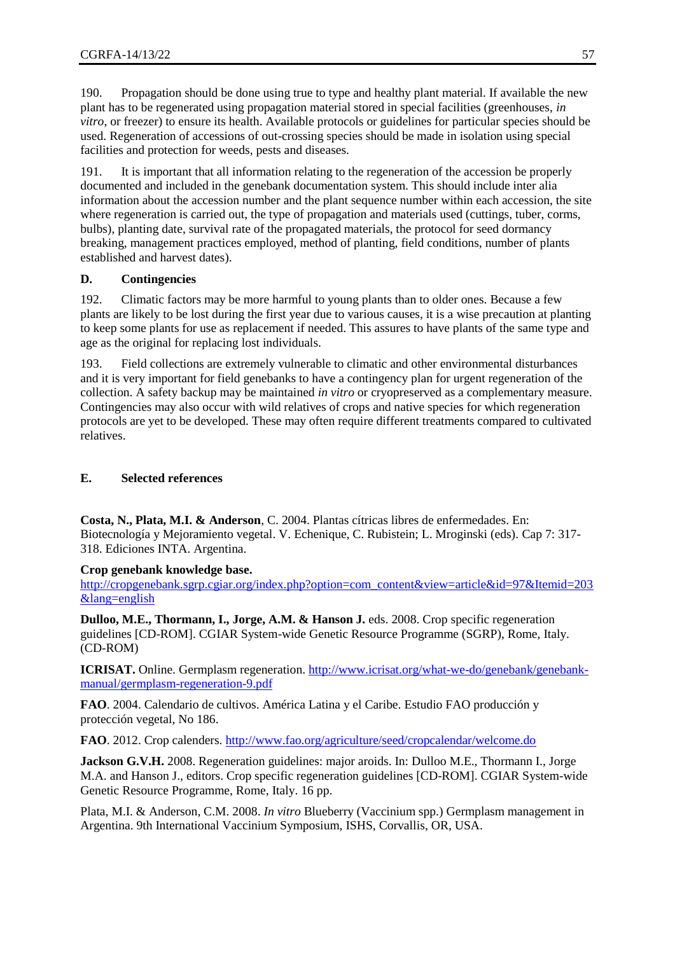190. Propagation should be done using true to type and healthy plant material. If available the new plant has to be regenerated using propagation material stored in special facilities (greenhouses, *in vitro*, or freezer) to ensure its health. Available protocols or guidelines for particular species should be used. Regeneration of accessions of out-crossing species should be made in isolation using special facilities and protection for weeds, pests and diseases.

191. It is important that all information relating to the regeneration of the accession be properly documented and included in the genebank documentation system. This should include inter alia information about the accession number and the plant sequence number within each accession, the site where regeneration is carried out, the type of propagation and materials used (cuttings, tuber, corms, bulbs), planting date, survival rate of the propagated materials, the protocol for seed dormancy breaking, management practices employed, method of planting, field conditions, number of plants established and harvest dates).

### **D. Contingencies**

192. Climatic factors may be more harmful to young plants than to older ones. Because a few plants are likely to be lost during the first year due to various causes, it is a wise precaution at planting to keep some plants for use as replacement if needed. This assures to have plants of the same type and age as the original for replacing lost individuals.

193. Field collections are extremely vulnerable to climatic and other environmental disturbances and it is very important for field genebanks to have a contingency plan for urgent regeneration of the collection. A safety backup may be maintained *in vitro* or cryopreserved as a complementary measure. Contingencies may also occur with wild relatives of crops and native species for which regeneration protocols are yet to be developed. These may often require different treatments compared to cultivated relatives.

## **E. Selected references**

**Costa, N., Plata, M.I. & Anderson**, C. 2004. Plantas cítricas libres de enfermedades. En: Biotecnología y Mejoramiento vegetal. V. Echenique, C. Rubistein; L. Mroginski (eds). Cap 7: 317- 318. Ediciones INTA. Argentina.

#### **Crop genebank knowledge base.**

[http://cropgenebank.sgrp.cgiar.org/index.php?option=com\\_content&view=article&id=97&Itemid=203](http://cropgenebank.sgrp.cgiar.org/index.php?option=com_content&view=article&id=97&Itemid=203&lang=english) [&lang=english](http://cropgenebank.sgrp.cgiar.org/index.php?option=com_content&view=article&id=97&Itemid=203&lang=english)

**Dulloo, M.E., Thormann, I., Jorge, A.M. & Hanson J.** eds. 2008. Crop specific regeneration guidelines [CD-ROM]. CGIAR System-wide Genetic Resource Programme (SGRP), Rome, Italy. (CD-ROM)

**ICRISAT.** Online. Germplasm regeneration. [http://www.icrisat.org/what-we-do/genebank/genebank](http://www.icrisat.org/what-we-do/genebank/genebank-manual/germplasm-regeneration-9.pdf)[manual/germplasm-regeneration-9.pdf](http://www.icrisat.org/what-we-do/genebank/genebank-manual/germplasm-regeneration-9.pdf)

**FAO**. 2004. Calendario de cultivos. América Latina y el Caribe. Estudio FAO producción y protección vegetal, No 186.

**FAO**. 2012. Crop calenders.<http://www.fao.org/agriculture/seed/cropcalendar/welcome.do>

**Jackson G.V.H.** 2008. Regeneration guidelines: major aroids. In: Dulloo M.E., Thormann I., Jorge M.A. and Hanson J., editors. Crop specific regeneration guidelines [CD-ROM]. CGIAR System-wide Genetic Resource Programme, Rome, Italy. 16 pp.

Plata, M.I. & Anderson, C.M. 2008. *In vitro* Blueberry (Vaccinium spp.) Germplasm management in Argentina. 9th International Vaccinium Symposium, ISHS, Corvallis, OR, USA.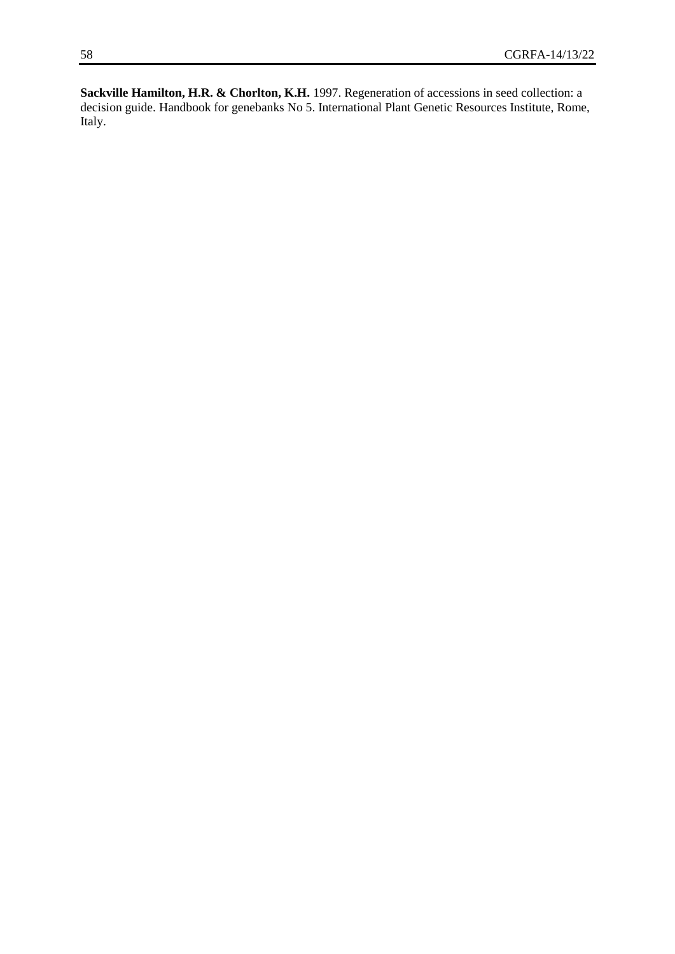**Sackville Hamilton, H.R. & Chorlton, K.H.** 1997. Regeneration of accessions in seed collection: a decision guide. Handbook for genebanks No 5. International Plant Genetic Resources Institute, Rome, Italy.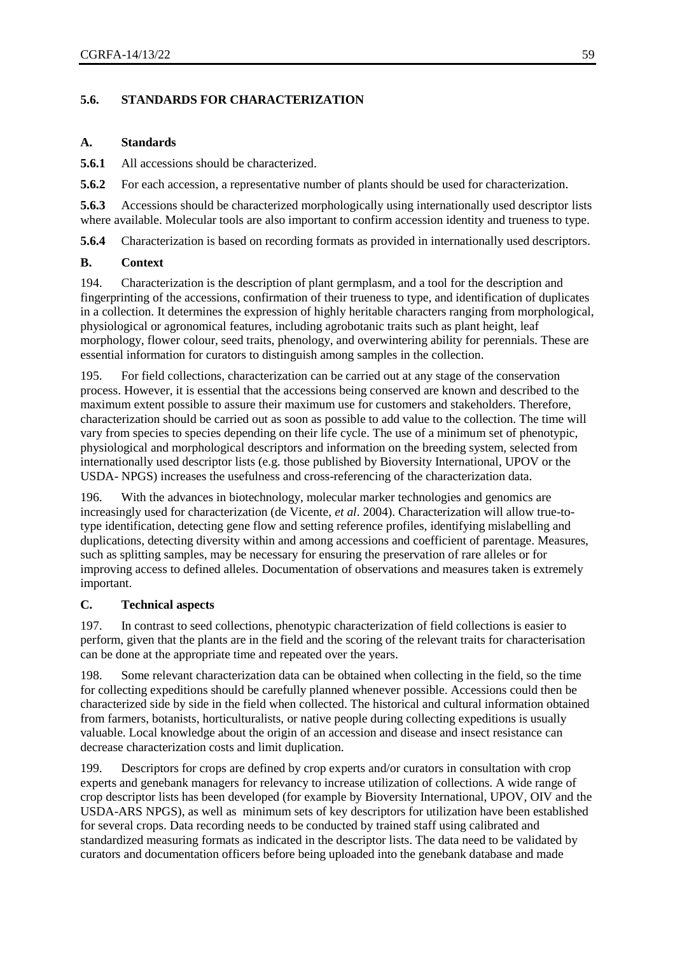## **5.6. STANDARDS FOR CHARACTERIZATION**

#### **A. Standards**

**5.6.1** All accessions should be characterized.

**5.6.2** For each accession, a representative number of plants should be used for characterization.

**5.6.3** Accessions should be characterized morphologically using internationally used descriptor lists where available. Molecular tools are also important to confirm accession identity and trueness to type.

**5.6.4** Characterization is based on recording formats as provided in internationally used descriptors.

#### **B. Context**

194. Characterization is the description of plant germplasm, and a tool for the description and fingerprinting of the accessions, confirmation of their trueness to type, and identification of duplicates in a collection. It determines the expression of highly heritable characters ranging from morphological, physiological or agronomical features, including agrobotanic traits such as plant height, leaf morphology, flower colour, seed traits, phenology, and overwintering ability for perennials. These are essential information for curators to distinguish among samples in the collection.

195. For field collections, characterization can be carried out at any stage of the conservation process. However, it is essential that the accessions being conserved are known and described to the maximum extent possible to assure their maximum use for customers and stakeholders. Therefore, characterization should be carried out as soon as possible to add value to the collection. The time will vary from species to species depending on their life cycle. The use of a minimum set of phenotypic, physiological and morphological descriptors and information on the breeding system, selected from internationally used descriptor lists (e.g. those published by Bioversity International, UPOV or the USDA- NPGS) increases the usefulness and cross-referencing of the characterization data.

196. With the advances in biotechnology, molecular marker technologies and genomics are increasingly used for characterization (de Vicente, *et al*. 2004). Characterization will allow true-totype identification, detecting gene flow and setting reference profiles, identifying mislabelling and duplications, detecting diversity within and among accessions and coefficient of parentage. Measures, such as splitting samples, may be necessary for ensuring the preservation of rare alleles or for improving access to defined alleles. Documentation of observations and measures taken is extremely important.

### **C. Technical aspects**

197. In contrast to seed collections, phenotypic characterization of field collections is easier to perform, given that the plants are in the field and the scoring of the relevant traits for characterisation can be done at the appropriate time and repeated over the years.

198. Some relevant characterization data can be obtained when collecting in the field, so the time for collecting expeditions should be carefully planned whenever possible. Accessions could then be characterized side by side in the field when collected. The historical and cultural information obtained from farmers, botanists, horticulturalists, or native people during collecting expeditions is usually valuable. Local knowledge about the origin of an accession and disease and insect resistance can decrease characterization costs and limit duplication.

199. Descriptors for crops are defined by crop experts and/or curators in consultation with crop experts and genebank managers for relevancy to increase utilization of collections. A wide range of crop descriptor lists has been developed (for example by Bioversity International, UPOV, OIV and the USDA-ARS NPGS), as well as minimum sets of key descriptors for utilization have been established for several crops. Data recording needs to be conducted by trained staff using calibrated and standardized measuring formats as indicated in the descriptor lists. The data need to be validated by curators and documentation officers before being uploaded into the genebank database and made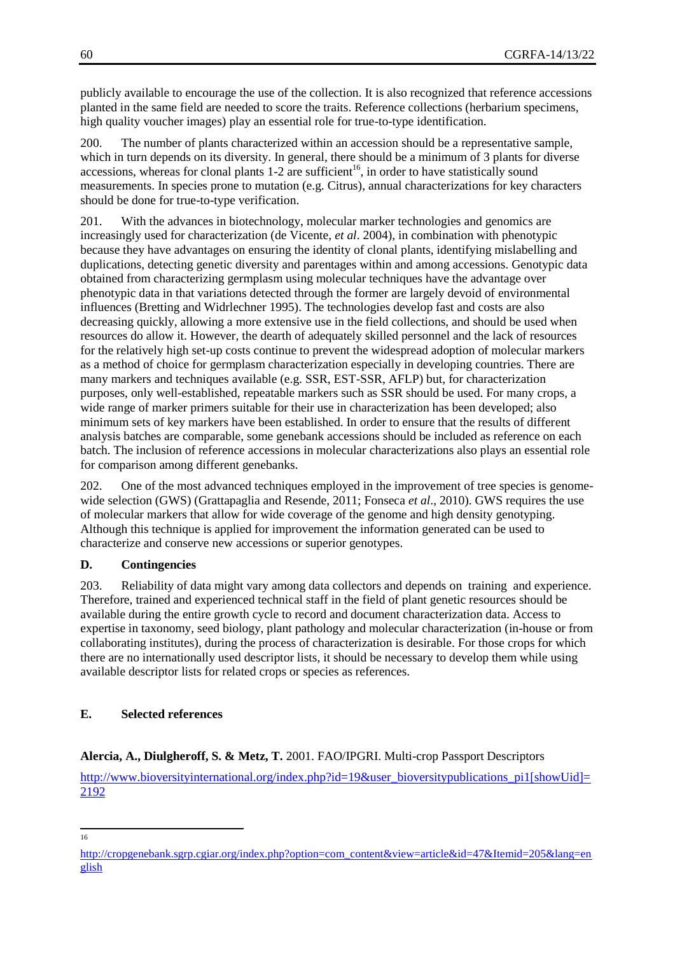publicly available to encourage the use of the collection. It is also recognized that reference accessions planted in the same field are needed to score the traits. Reference collections (herbarium specimens, high quality voucher images) play an essential role for true-to-type identification.

200. The number of plants characterized within an accession should be a representative sample, which in turn depends on its diversity. In general, there should be a minimum of 3 plants for diverse accessions, whereas for clonal plants  $1-2$  are sufficient<sup>16</sup>, in order to have statistically sound measurements. In species prone to mutation (e.g. Citrus), annual characterizations for key characters should be done for true-to-type verification.

201. With the advances in biotechnology, molecular marker technologies and genomics are increasingly used for characterization (de Vicente, *et al*. 2004), in combination with phenotypic because they have advantages on ensuring the identity of clonal plants, identifying mislabelling and duplications, detecting genetic diversity and parentages within and among accessions. Genotypic data obtained from characterizing germplasm using molecular techniques have the advantage over phenotypic data in that variations detected through the former are largely devoid of environmental influences (Bretting and Widrlechner 1995). The technologies develop fast and costs are also decreasing quickly, allowing a more extensive use in the field collections, and should be used when resources do allow it. However, the dearth of adequately skilled personnel and the lack of resources for the relatively high set-up costs continue to prevent the widespread adoption of molecular markers as a method of choice for germplasm characterization especially in developing countries. There are many markers and techniques available (e.g. SSR, EST-SSR, AFLP) but, for characterization purposes, only well-established, repeatable markers such as SSR should be used. For many crops, a wide range of marker primers suitable for their use in characterization has been developed; also minimum sets of key markers have been established. In order to ensure that the results of different analysis batches are comparable, some genebank accessions should be included as reference on each batch. The inclusion of reference accessions in molecular characterizations also plays an essential role for comparison among different genebanks.

202. One of the most advanced techniques employed in the improvement of tree species is genomewide selection (GWS) (Grattapaglia and Resende, 2011; Fonseca *et al*., 2010). GWS requires the use of molecular markers that allow for wide coverage of the genome and high density genotyping. Although this technique is applied for improvement the information generated can be used to characterize and conserve new accessions or superior genotypes.

## **D. Contingencies**

203. Reliability of data might vary among data collectors and depends on training and experience. Therefore, trained and experienced technical staff in the field of plant genetic resources should be available during the entire growth cycle to record and document characterization data. Access to expertise in taxonomy, seed biology, plant pathology and molecular characterization (in-house or from collaborating institutes), during the process of characterization is desirable. For those crops for which there are no internationally used descriptor lists, it should be necessary to develop them while using available descriptor lists for related crops or species as references.

## **E. Selected references**

**Alercia, A., Diulgheroff, S. & Metz, T.** 2001. FAO/IPGRI. Multi-crop Passport Descriptors

[http://www.bioversityinternational.org/index.php?id=19&user\\_bioversitypublications\\_pi1\[showUid\]=](http://www.bioversityinternational.org/index.php?id=19&user_bioversitypublications_pi1%5bshowUid%5d=2192) [2192](http://www.bioversityinternational.org/index.php?id=19&user_bioversitypublications_pi1%5bshowUid%5d=2192)

 16

[http://cropgenebank.sgrp.cgiar.org/index.php?option=com\\_content&view=article&id=47&Itemid=205&lang=en](http://cropgenebank.sgrp.cgiar.org/index.php?option=com_content&view=article&id=47&Itemid=205&lang=english) [glish](http://cropgenebank.sgrp.cgiar.org/index.php?option=com_content&view=article&id=47&Itemid=205&lang=english)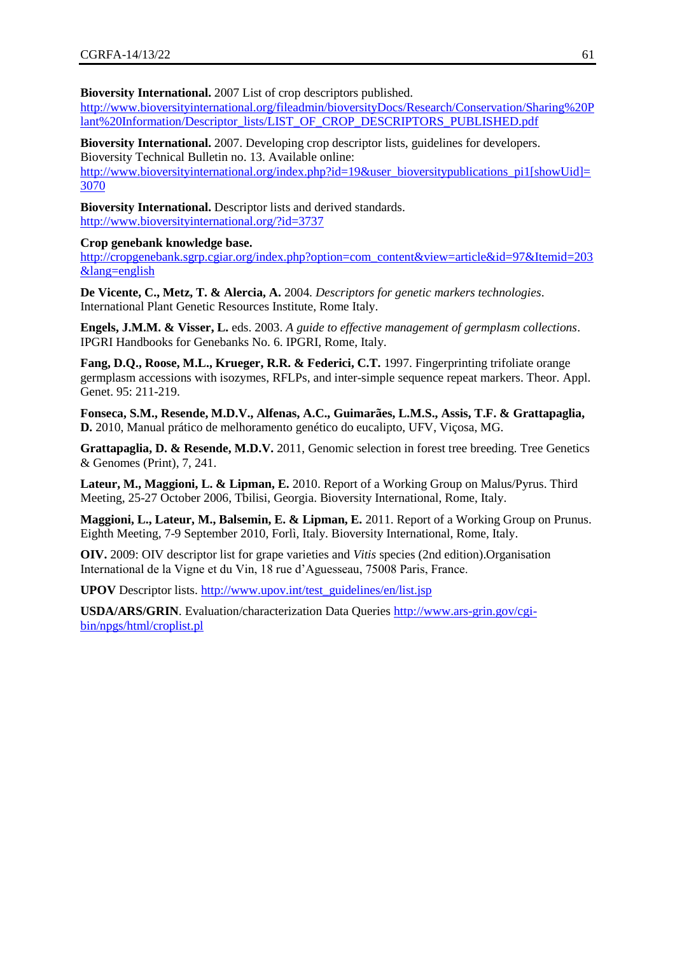**Bioversity International.** 2007 List of crop descriptors published.

[http://www.bioversityinternational.org/fileadmin/bioversityDocs/Research/Conservation/Sharing%20P](http://www.bioversityinternational.org/fileadmin/bioversityDocs/Research/Conservation/Sharing%20Plant%20Information/Descriptor_lists/LIST_OF_CROP_DESCRIPTORS_PUBLISHED.pdf) [lant%20Information/Descriptor\\_lists/LIST\\_OF\\_CROP\\_DESCRIPTORS\\_PUBLISHED.pdf](http://www.bioversityinternational.org/fileadmin/bioversityDocs/Research/Conservation/Sharing%20Plant%20Information/Descriptor_lists/LIST_OF_CROP_DESCRIPTORS_PUBLISHED.pdf)

**Bioversity International.** 2007. Developing crop descriptor lists, guidelines for developers. Bioversity Technical Bulletin no. 13. Available online: [http://www.bioversityinternational.org/index.php?id=19&user\\_bioversitypublications\\_pi1\[showUid\]=](http://www.bioversityinternational.org/index.php?id=19&user_bioversitypublications_pi1%5bshowUid%5d=3070) [3070](http://www.bioversityinternational.org/index.php?id=19&user_bioversitypublications_pi1%5bshowUid%5d=3070)

**Bioversity International.** Descriptor lists and derived standards. <http://www.bioversityinternational.org/?id=3737>

#### **Crop genebank knowledge base.**

[http://cropgenebank.sgrp.cgiar.org/index.php?option=com\\_content&view=article&id=97&Itemid=203](http://cropgenebank.sgrp.cgiar.org/index.php?option=com_content&view=article&id=97&Itemid=203&lang=english) [&lang=english](http://cropgenebank.sgrp.cgiar.org/index.php?option=com_content&view=article&id=97&Itemid=203&lang=english)

**De Vicente, C., Metz, T. & Alercia, A.** 2004. *Descriptors for genetic markers technologies*. International Plant Genetic Resources Institute, Rome Italy.

**Engels, J.M.M. & Visser, L.** eds. 2003. *A guide to effective management of germplasm collections*. IPGRI Handbooks for Genebanks No. 6. IPGRI, Rome, Italy.

**Fang, D.Q., Roose, M.L., Krueger, R.R. & Federici, C.T.** 1997. Fingerprinting trifoliate orange germplasm accessions with isozymes, RFLPs, and inter-simple sequence repeat markers. Theor. Appl. Genet. 95: 211-219.

**Fonseca, S.M., Resende, M.D.V., Alfenas, A.C., Guimarães, L.M.S., Assis, T.F. & Grattapaglia, D.** 2010, Manual prático de melhoramento genético do eucalipto, UFV, Viçosa, MG.

**Grattapaglia, D. & Resende, M.D.V.** 2011, Genomic selection in forest tree breeding. Tree Genetics & Genomes (Print), 7, 241.

**Lateur, M., Maggioni, L. & Lipman, E.** 2010. Report of a Working Group on Malus/Pyrus. Third Meeting, 25-27 October 2006, Tbilisi, Georgia. Bioversity International, Rome, Italy.

**Maggioni, L., Lateur, M., Balsemin, E. & Lipman, E.** 2011. Report of a Working Group on Prunus. Eighth Meeting, 7-9 September 2010, Forlì, Italy. Bioversity International, Rome, Italy.

**OIV.** 2009: OIV descriptor list for grape varieties and *Vitis* species (2nd edition).Organisation International de la Vigne et du Vin, 18 rue d'Aguesseau, 75008 Paris, France.

**UPOV** Descriptor lists. [http://www.upov.int/test\\_guidelines/en/list.jsp](http://www.upov.int/test_guidelines/en/list.jsp)

**USDA/ARS/GRIN**. Evaluation/characterization Data Queries [http://www.ars-grin.gov/cgi](http://www.ars-grin.gov/cgi-bin/npgs/html/croplist.pl)[bin/npgs/html/croplist.pl](http://www.ars-grin.gov/cgi-bin/npgs/html/croplist.pl)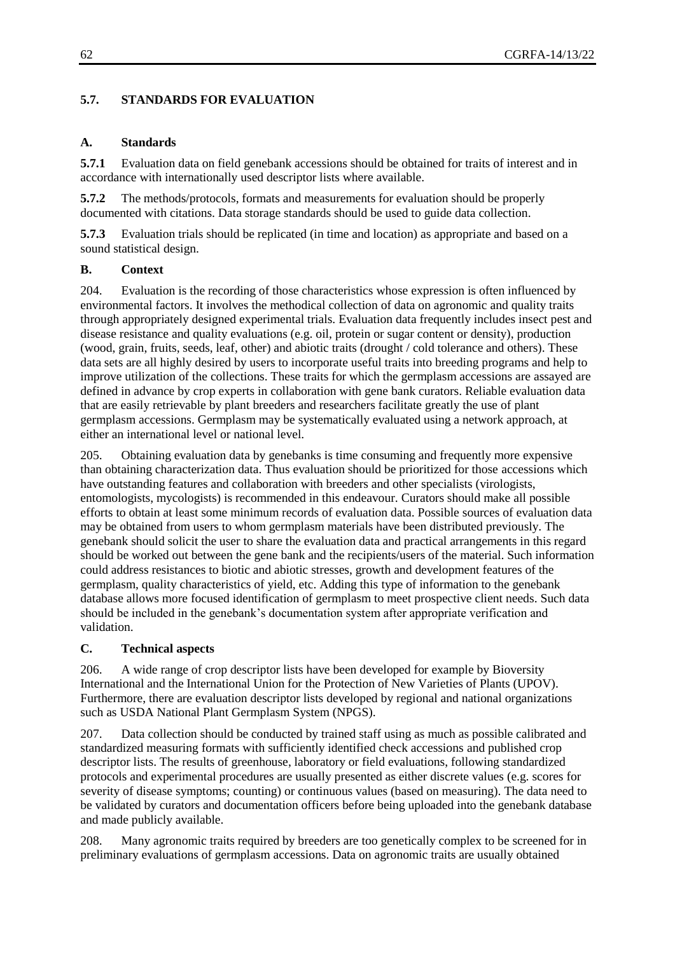## **5.7. STANDARDS FOR EVALUATION**

## **A. Standards**

**5.7.1** Evaluation data on field genebank accessions should be obtained for traits of interest and in accordance with internationally used descriptor lists where available.

**5.7.2** The methods/protocols, formats and measurements for evaluation should be properly documented with citations. Data storage standards should be used to guide data collection.

**5.7.3** Evaluation trials should be replicated (in time and location) as appropriate and based on a sound statistical design.

### **B. Context**

204. Evaluation is the recording of those characteristics whose expression is often influenced by environmental factors. It involves the methodical collection of data on agronomic and quality traits through appropriately designed experimental trials. Evaluation data frequently includes insect pest and disease resistance and quality evaluations (e.g. oil, protein or sugar content or density), production (wood, grain, fruits, seeds, leaf, other) and abiotic traits (drought / cold tolerance and others). These data sets are all highly desired by users to incorporate useful traits into breeding programs and help to improve utilization of the collections. These traits for which the germplasm accessions are assayed are defined in advance by crop experts in collaboration with gene bank curators. Reliable evaluation data that are easily retrievable by plant breeders and researchers facilitate greatly the use of plant germplasm accessions. Germplasm may be systematically evaluated using a network approach, at either an international level or national level.

205. Obtaining evaluation data by genebanks is time consuming and frequently more expensive than obtaining characterization data. Thus evaluation should be prioritized for those accessions which have outstanding features and collaboration with breeders and other specialists (virologists, entomologists, mycologists) is recommended in this endeavour. Curators should make all possible efforts to obtain at least some minimum records of evaluation data. Possible sources of evaluation data may be obtained from users to whom germplasm materials have been distributed previously. The genebank should solicit the user to share the evaluation data and practical arrangements in this regard should be worked out between the gene bank and the recipients/users of the material. Such information could address resistances to biotic and abiotic stresses, growth and development features of the germplasm, quality characteristics of yield, etc. Adding this type of information to the genebank database allows more focused identification of germplasm to meet prospective client needs. Such data should be included in the genebank's documentation system after appropriate verification and validation.

#### **C. Technical aspects**

206. A wide range of crop descriptor lists have been developed for example by Bioversity International and the International Union for the Protection of New Varieties of Plants (UPOV). Furthermore, there are evaluation descriptor lists developed by regional and national organizations such as USDA National Plant Germplasm System (NPGS).

207. Data collection should be conducted by trained staff using as much as possible calibrated and standardized measuring formats with sufficiently identified check accessions and published crop descriptor lists. The results of greenhouse, laboratory or field evaluations, following standardized protocols and experimental procedures are usually presented as either discrete values (e.g. scores for severity of disease symptoms; counting) or continuous values (based on measuring). The data need to be validated by curators and documentation officers before being uploaded into the genebank database and made publicly available.

208. Many agronomic traits required by breeders are too genetically complex to be screened for in preliminary evaluations of germplasm accessions. Data on agronomic traits are usually obtained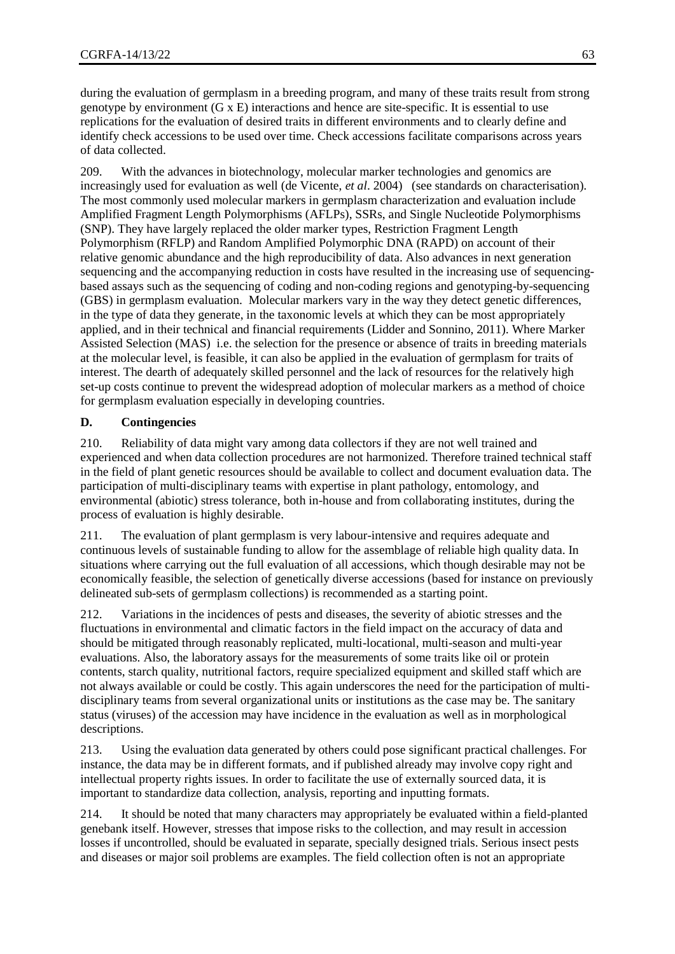during the evaluation of germplasm in a breeding program, and many of these traits result from strong genotype by environment  $(G \times E)$  interactions and hence are site-specific. It is essential to use replications for the evaluation of desired traits in different environments and to clearly define and identify check accessions to be used over time. Check accessions facilitate comparisons across years of data collected.

209. With the advances in biotechnology, molecular marker technologies and genomics are increasingly used for evaluation as well (de Vicente, *et al*. 2004) (see standards on characterisation). The most commonly used molecular markers in germplasm characterization and evaluation include Amplified Fragment Length Polymorphisms (AFLPs), SSRs, and Single Nucleotide Polymorphisms (SNP). They have largely replaced the older marker types, Restriction Fragment Length Polymorphism (RFLP) and Random Amplified Polymorphic DNA (RAPD) on account of their relative genomic abundance and the high reproducibility of data. Also advances in next generation sequencing and the accompanying reduction in costs have resulted in the increasing use of sequencingbased assays such as the sequencing of coding and non-coding regions and genotyping-by-sequencing (GBS) in germplasm evaluation. Molecular markers vary in the way they detect genetic differences, in the type of data they generate, in the taxonomic levels at which they can be most appropriately applied, and in their technical and financial requirements (Lidder and Sonnino, 2011). Where Marker Assisted Selection (MAS) i.e. the selection for the presence or absence of traits in breeding materials at the molecular level, is feasible, it can also be applied in the evaluation of germplasm for traits of interest. The dearth of adequately skilled personnel and the lack of resources for the relatively high set-up costs continue to prevent the widespread adoption of molecular markers as a method of choice for germplasm evaluation especially in developing countries.

#### **D. Contingencies**

210. Reliability of data might vary among data collectors if they are not well trained and experienced and when data collection procedures are not harmonized. Therefore trained technical staff in the field of plant genetic resources should be available to collect and document evaluation data. The participation of multi-disciplinary teams with expertise in plant pathology, entomology, and environmental (abiotic) stress tolerance, both in-house and from collaborating institutes, during the process of evaluation is highly desirable.

211. The evaluation of plant germplasm is very labour-intensive and requires adequate and continuous levels of sustainable funding to allow for the assemblage of reliable high quality data. In situations where carrying out the full evaluation of all accessions, which though desirable may not be economically feasible, the selection of genetically diverse accessions (based for instance on previously delineated sub-sets of germplasm collections) is recommended as a starting point.

212. Variations in the incidences of pests and diseases, the severity of abiotic stresses and the fluctuations in environmental and climatic factors in the field impact on the accuracy of data and should be mitigated through reasonably replicated, multi-locational, multi-season and multi-year evaluations. Also, the laboratory assays for the measurements of some traits like oil or protein contents, starch quality, nutritional factors, require specialized equipment and skilled staff which are not always available or could be costly. This again underscores the need for the participation of multidisciplinary teams from several organizational units or institutions as the case may be. The sanitary status (viruses) of the accession may have incidence in the evaluation as well as in morphological descriptions.

213. Using the evaluation data generated by others could pose significant practical challenges. For instance, the data may be in different formats, and if published already may involve copy right and intellectual property rights issues. In order to facilitate the use of externally sourced data, it is important to standardize data collection, analysis, reporting and inputting formats.

214. It should be noted that many characters may appropriately be evaluated within a field-planted genebank itself. However, stresses that impose risks to the collection, and may result in accession losses if uncontrolled, should be evaluated in separate, specially designed trials. Serious insect pests and diseases or major soil problems are examples. The field collection often is not an appropriate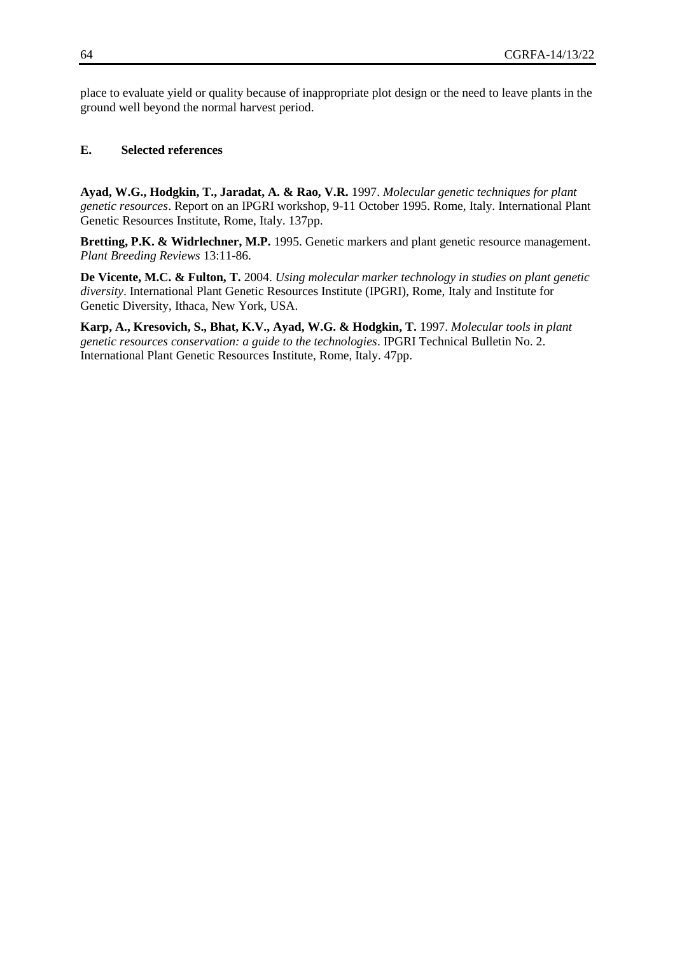place to evaluate yield or quality because of inappropriate plot design or the need to leave plants in the ground well beyond the normal harvest period.

### **E. Selected references**

**Ayad, W.G., Hodgkin, T., Jaradat, A. & Rao, V.R.** 1997. *Molecular genetic techniques for plant genetic resources*. Report on an IPGRI workshop, 9-11 October 1995. Rome, Italy. International Plant Genetic Resources Institute, Rome, Italy. 137pp.

**Bretting, P.K. & Widrlechner, M.P.** 1995. Genetic markers and plant genetic resource management. *Plant Breeding Reviews* 13:11-86.

**De Vicente, M.C. & Fulton, T.** 2004. *Using molecular marker technology in studies on plant genetic diversity*. International Plant Genetic Resources Institute (IPGRI), Rome, Italy and Institute for Genetic Diversity, Ithaca, New York, USA.

**Karp, A., Kresovich, S., Bhat, K.V., Ayad, W.G. & Hodgkin, T.** 1997. *Molecular tools in plant genetic resources conservation: a guide to the technologies*. IPGRI Technical Bulletin No. 2. International Plant Genetic Resources Institute, Rome, Italy. 47pp.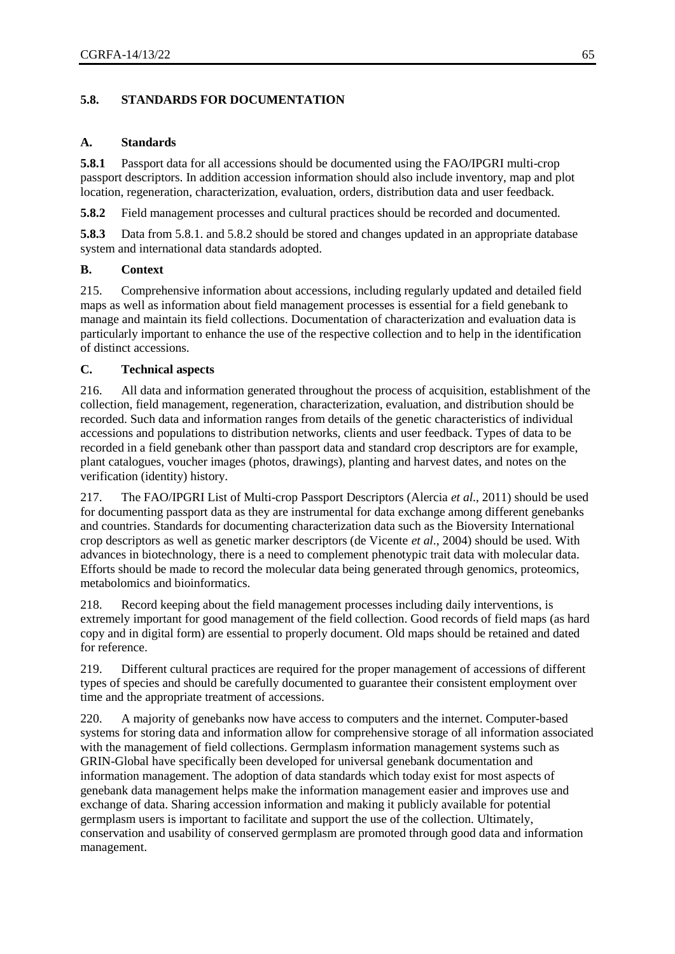## **5.8. STANDARDS FOR DOCUMENTATION**

### **A. Standards**

**5.8.1** Passport data for all accessions should be documented using the FAO/IPGRI multi-crop passport descriptors. In addition accession information should also include inventory, map and plot location, regeneration, characterization, evaluation, orders, distribution data and user feedback.

**5.8.2** Field management processes and cultural practices should be recorded and documented.

**5.8.3** Data from 5.8.1. and 5.8.2 should be stored and changes updated in an appropriate database system and international data standards adopted.

### **B. Context**

215. Comprehensive information about accessions, including regularly updated and detailed field maps as well as information about field management processes is essential for a field genebank to manage and maintain its field collections. Documentation of characterization and evaluation data is particularly important to enhance the use of the respective collection and to help in the identification of distinct accessions.

### **C. Technical aspects**

216. All data and information generated throughout the process of acquisition, establishment of the collection, field management, regeneration, characterization, evaluation, and distribution should be recorded. Such data and information ranges from details of the genetic characteristics of individual accessions and populations to distribution networks, clients and user feedback. Types of data to be recorded in a field genebank other than passport data and standard crop descriptors are for example, plant catalogues, voucher images (photos, drawings), planting and harvest dates, and notes on the verification (identity) history.

217. The FAO/IPGRI List of Multi-crop Passport Descriptors (Alercia *et al*., 2011) should be used for documenting passport data as they are instrumental for data exchange among different genebanks and countries. Standards for documenting characterization data such as the Bioversity International crop descriptors as well as genetic marker descriptors (de Vicente *et al*., 2004) should be used. With advances in biotechnology, there is a need to complement phenotypic trait data with molecular data. Efforts should be made to record the molecular data being generated through genomics, proteomics, metabolomics and bioinformatics.

218. Record keeping about the field management processes including daily interventions, is extremely important for good management of the field collection. Good records of field maps (as hard copy and in digital form) are essential to properly document. Old maps should be retained and dated for reference.

219. Different cultural practices are required for the proper management of accessions of different types of species and should be carefully documented to guarantee their consistent employment over time and the appropriate treatment of accessions.

220. A majority of genebanks now have access to computers and the internet. Computer-based systems for storing data and information allow for comprehensive storage of all information associated with the management of field collections. Germplasm information management systems such as GRIN-Global have specifically been developed for universal genebank documentation and information management. The adoption of data standards which today exist for most aspects of genebank data management helps make the information management easier and improves use and exchange of data. Sharing accession information and making it publicly available for potential germplasm users is important to facilitate and support the use of the collection. Ultimately, conservation and usability of conserved germplasm are promoted through good data and information management.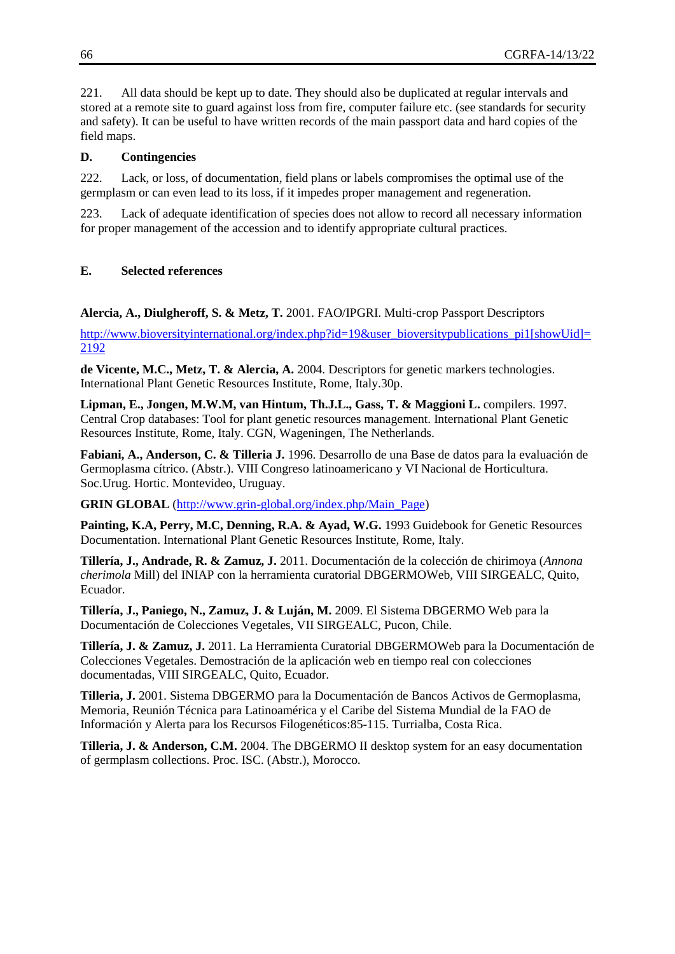221. All data should be kept up to date. They should also be duplicated at regular intervals and stored at a remote site to guard against loss from fire, computer failure etc. (see standards for security and safety). It can be useful to have written records of the main passport data and hard copies of the field maps.

## **D. Contingencies**

222. Lack, or loss, of documentation, field plans or labels compromises the optimal use of the germplasm or can even lead to its loss, if it impedes proper management and regeneration.

223. Lack of adequate identification of species does not allow to record all necessary information for proper management of the accession and to identify appropriate cultural practices.

### **E. Selected references**

**Alercia, A., Diulgheroff, S. & Metz, T.** 2001. FAO/IPGRI. Multi-crop Passport Descriptors

[http://www.bioversityinternational.org/index.php?id=19&user\\_bioversitypublications\\_pi1\[showUid\]=](http://www.bioversityinternational.org/index.php?id=19&user_bioversitypublications_pi1%5bshowUid%5d=2192) [2192](http://www.bioversityinternational.org/index.php?id=19&user_bioversitypublications_pi1%5bshowUid%5d=2192)

**de Vicente, M.C., Metz, T. & Alercia, A.** 2004. Descriptors for genetic markers technologies. International Plant Genetic Resources Institute, Rome, Italy.30p.

**Lipman, E., Jongen, M.W.M, van Hintum, Th.J.L., Gass, T. & Maggioni L.** compilers. 1997. Central Crop databases: Tool for plant genetic resources management. International Plant Genetic Resources Institute, Rome, Italy. CGN, Wageningen, The Netherlands.

**Fabiani, A., Anderson, C. & Tilleria J.** 1996. Desarrollo de una Base de datos para la evaluación de Germoplasma cítrico. (Abstr.). VIII Congreso latinoamericano y VI Nacional de Horticultura. Soc.Urug. Hortic. Montevideo, Uruguay.

**GRIN GLOBAL** [\(http://www.grin-global.org/index.php/Main\\_Page\)](http://www.grin-global.org/index.php/Main_Page)

**Painting, K.A, Perry, M.C, Denning, R.A. & Ayad, W.G.** 1993 Guidebook for Genetic Resources Documentation. International Plant Genetic Resources Institute, Rome, Italy.

**Tillería, J., Andrade, R. & Zamuz, J.** 2011. Documentación de la colección de chirimoya (*Annona cherimola* Mill) del INIAP con la herramienta curatorial DBGERMOWeb, VIII SIRGEALC, Quito, Ecuador.

**Tillería, J., Paniego, N., Zamuz, J. & Luján, M.** 2009. El Sistema DBGERMO Web para la Documentación de Colecciones Vegetales, VII SIRGEALC, Pucon, Chile.

**Tillería, J. & Zamuz, J.** 2011. La Herramienta Curatorial DBGERMOWeb para la Documentación de Colecciones Vegetales. Demostración de la aplicación web en tiempo real con colecciones documentadas, VIII SIRGEALC, Quito, Ecuador.

**Tilleria, J.** 2001. Sistema DBGERMO para la Documentación de Bancos Activos de Germoplasma, Memoria, Reunión Técnica para Latinoamérica y el Caribe del Sistema Mundial de la FAO de Información y Alerta para los Recursos Filogenéticos:85-115. Turrialba, Costa Rica.

**Tilleria, J. & Anderson, C.M.** 2004. The DBGERMO II desktop system for an easy documentation of germplasm collections. Proc. ISC. (Abstr.), Morocco.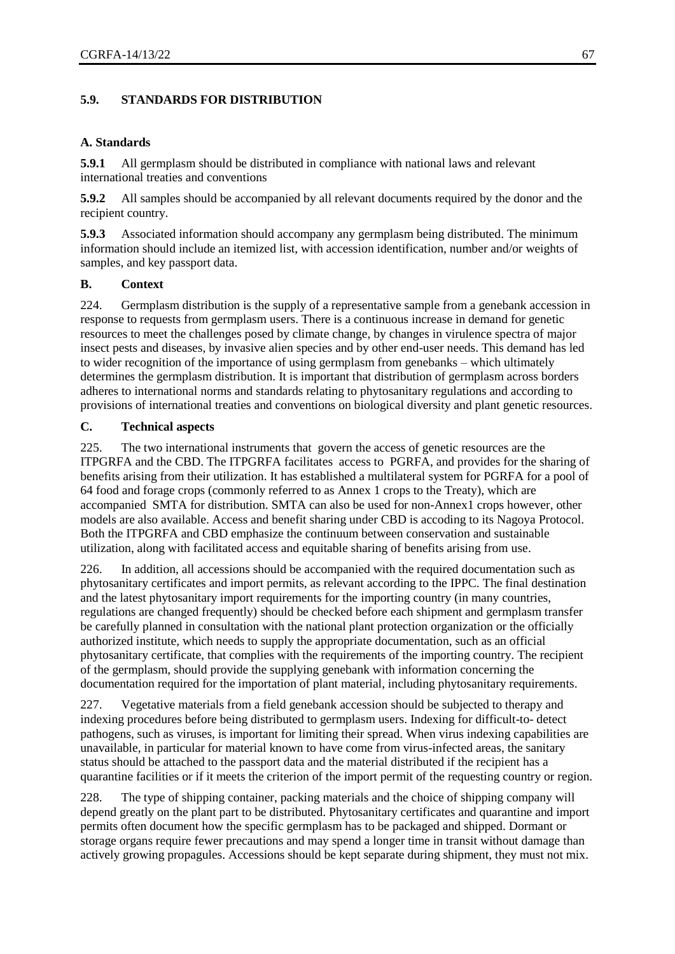## **5.9. STANDARDS FOR DISTRIBUTION**

#### **A. Standards**

**5.9.1** All germplasm should be distributed in compliance with national laws and relevant international treaties and conventions

**5.9.2** All samples should be accompanied by all relevant documents required by the donor and the recipient country.

**5.9.3** Associated information should accompany any germplasm being distributed. The minimum information should include an itemized list, with accession identification, number and/or weights of samples, and key passport data.

#### **B. Context**

224. Germplasm distribution is the supply of a representative sample from a genebank accession in response to requests from germplasm users. There is a continuous increase in demand for genetic resources to meet the challenges posed by climate change, by changes in virulence spectra of major insect pests and diseases, by invasive alien species and by other end-user needs. This demand has led to wider recognition of the importance of using germplasm from genebanks – which ultimately determines the germplasm distribution. It is important that distribution of germplasm across borders adheres to international norms and standards relating to phytosanitary regulations and according to provisions of international treaties and conventions on biological diversity and plant genetic resources.

#### **C. Technical aspects**

225. The two international instruments that govern the access of genetic resources are the ITPGRFA and the CBD. The ITPGRFA facilitates access to PGRFA, and provides for the sharing of benefits arising from their utilization. It has established a multilateral system for PGRFA for a pool of 64 food and forage crops (commonly referred to as Annex 1 crops to the Treaty), which are accompanied SMTA for distribution. SMTA can also be used for non-Annex1 crops however, other models are also available. Access and benefit sharing under CBD is accoding to its Nagoya Protocol. Both the ITPGRFA and CBD emphasize the continuum between conservation and sustainable utilization, along with facilitated access and equitable sharing of benefits arising from use.

226. In addition, all accessions should be accompanied with the required documentation such as phytosanitary certificates and import permits, as relevant according to the IPPC. The final destination and the latest phytosanitary import requirements for the importing country (in many countries, regulations are changed frequently) should be checked before each shipment and germplasm transfer be carefully planned in consultation with the national plant protection organization or the officially authorized institute, which needs to supply the appropriate documentation, such as an official phytosanitary certificate, that complies with the requirements of the importing country. The recipient of the germplasm, should provide the supplying genebank with information concerning the documentation required for the importation of plant material, including phytosanitary requirements.

227. Vegetative materials from a field genebank accession should be subjected to therapy and indexing procedures before being distributed to germplasm users. Indexing for difficult-to- detect pathogens, such as viruses, is important for limiting their spread. When virus indexing capabilities are unavailable, in particular for material known to have come from virus-infected areas, the sanitary status should be attached to the passport data and the material distributed if the recipient has a quarantine facilities or if it meets the criterion of the import permit of the requesting country or region.

228. The type of shipping container, packing materials and the choice of shipping company will depend greatly on the plant part to be distributed. Phytosanitary certificates and quarantine and import permits often document how the specific germplasm has to be packaged and shipped. Dormant or storage organs require fewer precautions and may spend a longer time in transit without damage than actively growing propagules. Accessions should be kept separate during shipment, they must not mix.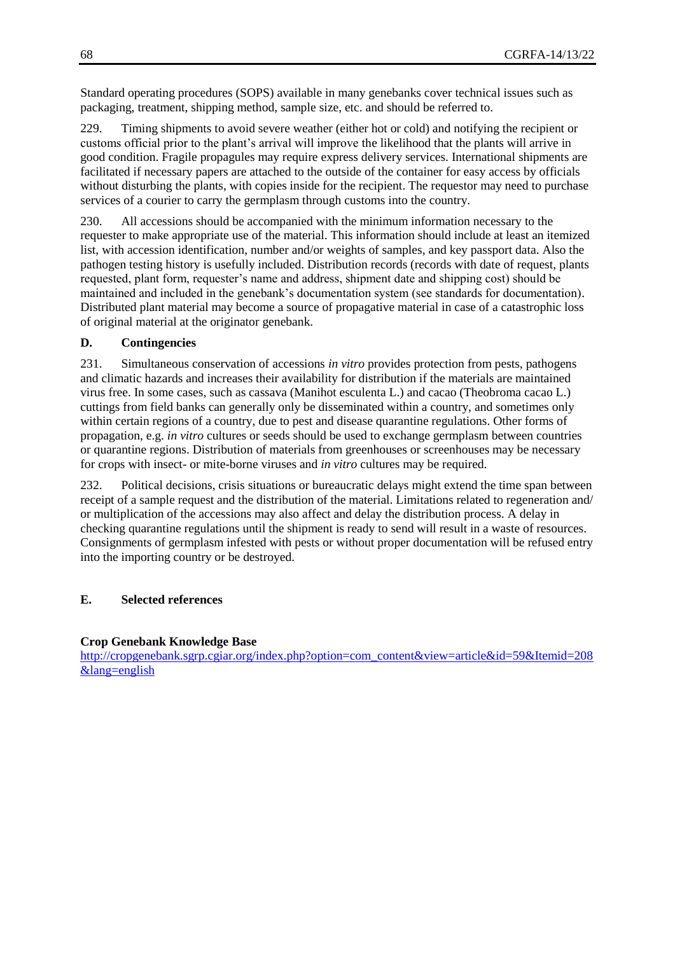Standard operating procedures (SOPS) available in many genebanks cover technical issues such as packaging, treatment, shipping method, sample size, etc. and should be referred to.

229. Timing shipments to avoid severe weather (either hot or cold) and notifying the recipient or customs official prior to the plant's arrival will improve the likelihood that the plants will arrive in good condition. Fragile propagules may require express delivery services. International shipments are facilitated if necessary papers are attached to the outside of the container for easy access by officials without disturbing the plants, with copies inside for the recipient. The requestor may need to purchase services of a courier to carry the germplasm through customs into the country.

230. All accessions should be accompanied with the minimum information necessary to the requester to make appropriate use of the material. This information should include at least an itemized list, with accession identification, number and/or weights of samples, and key passport data. Also the pathogen testing history is usefully included. Distribution records (records with date of request, plants requested, plant form, requester's name and address, shipment date and shipping cost) should be maintained and included in the genebank's documentation system (see standards for documentation). Distributed plant material may become a source of propagative material in case of a catastrophic loss of original material at the originator genebank.

## **D. Contingencies**

231. Simultaneous conservation of accessions *in vitro* provides protection from pests, pathogens and climatic hazards and increases their availability for distribution if the materials are maintained virus free. In some cases, such as cassava (Manihot esculenta L.) and cacao (Theobroma cacao L.) cuttings from field banks can generally only be disseminated within a country, and sometimes only within certain regions of a country, due to pest and disease quarantine regulations. Other forms of propagation, e.g. *in vitro* cultures or seeds should be used to exchange germplasm between countries or quarantine regions. Distribution of materials from greenhouses or screenhouses may be necessary for crops with insect- or mite-borne viruses and *in vitro* cultures may be required.

232. Political decisions, crisis situations or bureaucratic delays might extend the time span between receipt of a sample request and the distribution of the material. Limitations related to regeneration and/ or multiplication of the accessions may also affect and delay the distribution process. A delay in checking quarantine regulations until the shipment is ready to send will result in a waste of resources. Consignments of germplasm infested with pests or without proper documentation will be refused entry into the importing country or be destroyed.

## **E. Selected references**

## **Crop Genebank Knowledge Base**

[http://cropgenebank.sgrp.cgiar.org/index.php?option=com\\_content&view=article&id=59&Itemid=208](http://cropgenebank.sgrp.cgiar.org/index.php?option=com_content&view=article&id=59&Itemid=208&lang=english) [&lang=english](http://cropgenebank.sgrp.cgiar.org/index.php?option=com_content&view=article&id=59&Itemid=208&lang=english)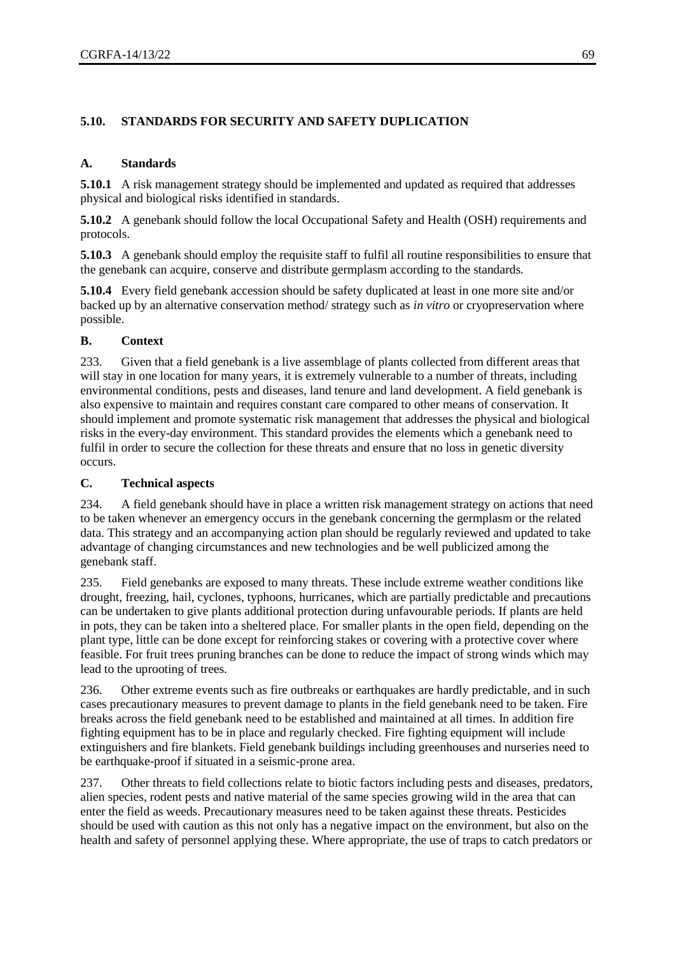## **5.10. STANDARDS FOR SECURITY AND SAFETY DUPLICATION**

## **A. Standards**

**5.10.1** A risk management strategy should be implemented and updated as required that addresses physical and biological risks identified in standards.

**5.10.2** A genebank should follow the local Occupational Safety and Health (OSH) requirements and protocols.

**5.10.3** A genebank should employ the requisite staff to fulfil all routine responsibilities to ensure that the genebank can acquire, conserve and distribute germplasm according to the standards.

**5.10.4** Every field genebank accession should be safety duplicated at least in one more site and/or backed up by an alternative conservation method/ strategy such as *in vitro* or cryopreservation where possible.

### **B. Context**

233. Given that a field genebank is a live assemblage of plants collected from different areas that will stay in one location for many years, it is extremely vulnerable to a number of threats, including environmental conditions, pests and diseases, land tenure and land development. A field genebank is also expensive to maintain and requires constant care compared to other means of conservation. It should implement and promote systematic risk management that addresses the physical and biological risks in the every-day environment. This standard provides the elements which a genebank need to fulfil in order to secure the collection for these threats and ensure that no loss in genetic diversity occurs.

### **C. Technical aspects**

234. A field genebank should have in place a written risk management strategy on actions that need to be taken whenever an emergency occurs in the genebank concerning the germplasm or the related data. This strategy and an accompanying action plan should be regularly reviewed and updated to take advantage of changing circumstances and new technologies and be well publicized among the genebank staff.

235. Field genebanks are exposed to many threats. These include extreme weather conditions like drought, freezing, hail, cyclones, typhoons, hurricanes, which are partially predictable and precautions can be undertaken to give plants additional protection during unfavourable periods. If plants are held in pots, they can be taken into a sheltered place. For smaller plants in the open field, depending on the plant type, little can be done except for reinforcing stakes or covering with a protective cover where feasible. For fruit trees pruning branches can be done to reduce the impact of strong winds which may lead to the uprooting of trees.

236. Other extreme events such as fire outbreaks or earthquakes are hardly predictable, and in such cases precautionary measures to prevent damage to plants in the field genebank need to be taken. Fire breaks across the field genebank need to be established and maintained at all times. In addition fire fighting equipment has to be in place and regularly checked. Fire fighting equipment will include extinguishers and fire blankets. Field genebank buildings including greenhouses and nurseries need to be earthquake-proof if situated in a seismic-prone area.

237. Other threats to field collections relate to biotic factors including pests and diseases, predators, alien species, rodent pests and native material of the same species growing wild in the area that can enter the field as weeds. Precautionary measures need to be taken against these threats. Pesticides should be used with caution as this not only has a negative impact on the environment, but also on the health and safety of personnel applying these. Where appropriate, the use of traps to catch predators or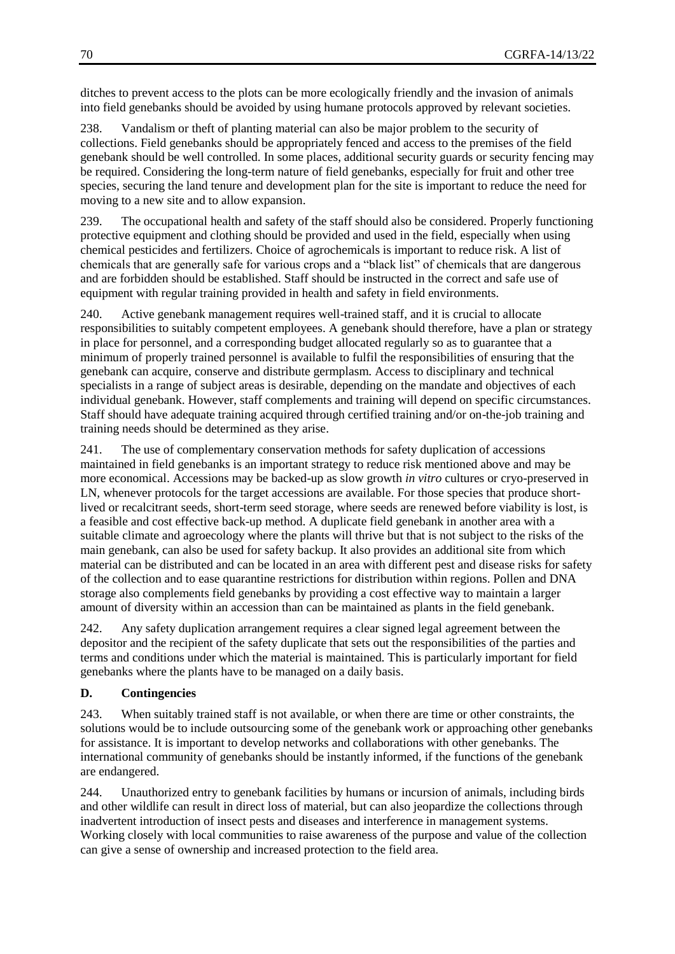ditches to prevent access to the plots can be more ecologically friendly and the invasion of animals into field genebanks should be avoided by using humane protocols approved by relevant societies.

238. Vandalism or theft of planting material can also be major problem to the security of collections. Field genebanks should be appropriately fenced and access to the premises of the field genebank should be well controlled. In some places, additional security guards or security fencing may be required. Considering the long-term nature of field genebanks, especially for fruit and other tree species, securing the land tenure and development plan for the site is important to reduce the need for moving to a new site and to allow expansion.

239. The occupational health and safety of the staff should also be considered. Properly functioning protective equipment and clothing should be provided and used in the field, especially when using chemical pesticides and fertilizers. Choice of agrochemicals is important to reduce risk. A list of chemicals that are generally safe for various crops and a "black list" of chemicals that are dangerous and are forbidden should be established. Staff should be instructed in the correct and safe use of equipment with regular training provided in health and safety in field environments.

240. Active genebank management requires well-trained staff, and it is crucial to allocate responsibilities to suitably competent employees. A genebank should therefore, have a plan or strategy in place for personnel, and a corresponding budget allocated regularly so as to guarantee that a minimum of properly trained personnel is available to fulfil the responsibilities of ensuring that the genebank can acquire, conserve and distribute germplasm. Access to disciplinary and technical specialists in a range of subject areas is desirable, depending on the mandate and objectives of each individual genebank. However, staff complements and training will depend on specific circumstances. Staff should have adequate training acquired through certified training and/or on-the-job training and training needs should be determined as they arise.

241. The use of complementary conservation methods for safety duplication of accessions maintained in field genebanks is an important strategy to reduce risk mentioned above and may be more economical. Accessions may be backed-up as slow growth *in vitro* cultures or cryo-preserved in LN, whenever protocols for the target accessions are available. For those species that produce shortlived or recalcitrant seeds, short-term seed storage, where seeds are renewed before viability is lost, is a feasible and cost effective back-up method. A duplicate field genebank in another area with a suitable climate and agroecology where the plants will thrive but that is not subject to the risks of the main genebank, can also be used for safety backup. It also provides an additional site from which material can be distributed and can be located in an area with different pest and disease risks for safety of the collection and to ease quarantine restrictions for distribution within regions. Pollen and DNA storage also complements field genebanks by providing a cost effective way to maintain a larger amount of diversity within an accession than can be maintained as plants in the field genebank.

242. Any safety duplication arrangement requires a clear signed legal agreement between the depositor and the recipient of the safety duplicate that sets out the responsibilities of the parties and terms and conditions under which the material is maintained. This is particularly important for field genebanks where the plants have to be managed on a daily basis.

#### **D. Contingencies**

243. When suitably trained staff is not available, or when there are time or other constraints, the solutions would be to include outsourcing some of the genebank work or approaching other genebanks for assistance. It is important to develop networks and collaborations with other genebanks. The international community of genebanks should be instantly informed, if the functions of the genebank are endangered.

244. Unauthorized entry to genebank facilities by humans or incursion of animals, including birds and other wildlife can result in direct loss of material, but can also jeopardize the collections through inadvertent introduction of insect pests and diseases and interference in management systems. Working closely with local communities to raise awareness of the purpose and value of the collection can give a sense of ownership and increased protection to the field area.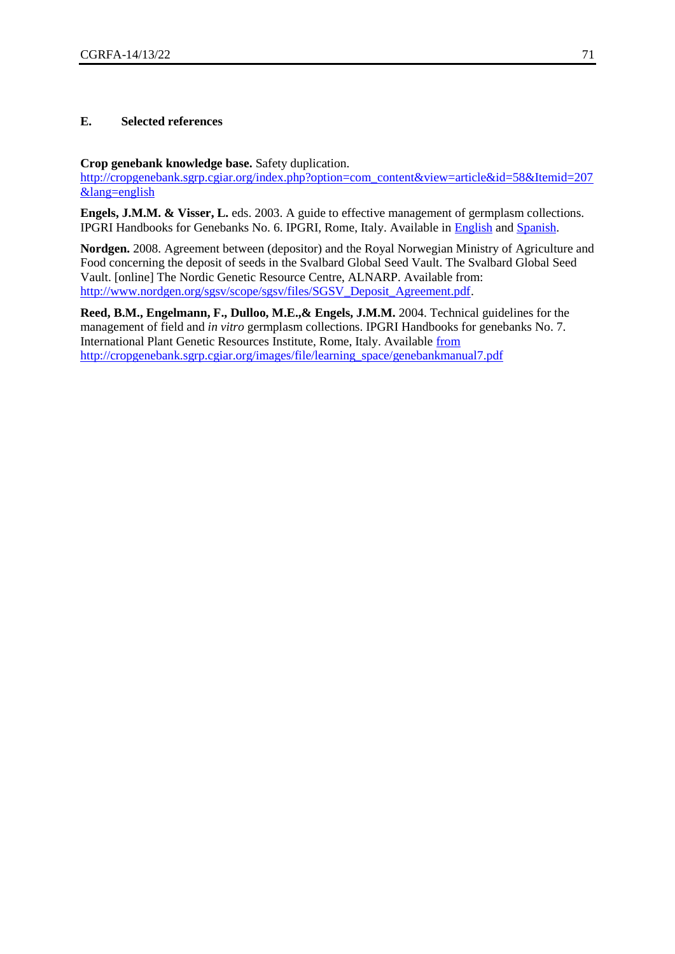### **E. Selected references**

**Crop genebank knowledge base.** Safety duplication.

[http://cropgenebank.sgrp.cgiar.org/index.php?option=com\\_content&view=article&id=58&Itemid=207](http://cropgenebank.sgrp.cgiar.org/index.php?option=com_content&view=article&id=58&Itemid=207&lang=english) [&lang=english](http://cropgenebank.sgrp.cgiar.org/index.php?option=com_content&view=article&id=58&Itemid=207&lang=english)

**Engels, J.M.M. & Visser, L.** eds. 2003. A guide to effective management of germplasm collections. IPGRI Handbooks for Genebanks No. 6. IPGRI, Rome, Italy. Available in [English](http://cropgenebank.sgrp.cgiar.org/images/file/learning_space/genebankmanual6.pdf) and [Spanish.](http://cropgenebank.sgrp.cgiar.org/images/file/learning_space/genebankmanual6_spa.pdf)

**Nordgen.** 2008. Agreement between (depositor) and the Royal Norwegian Ministry of Agriculture and Food concerning the deposit of seeds in the Svalbard Global Seed Vault. The Svalbard Global Seed Vault. [online] The Nordic Genetic Resource Centre, ALNARP. Available from: [http://www.nordgen.org/sgsv/scope/sgsv/files/SGSV\\_Deposit\\_Agreement.pdf.](http://www.nordgen.org/sgsv/scope/sgsv/files/SGSV_Deposit_Agreement.pdf)

**Reed, B.M., Engelmann, F., Dulloo, M.E.,& Engels, J.M.M.** 2004. Technical guidelines for the management of field and *in vitro* germplasm collections. IPGRI Handbooks for genebanks No. 7. International Plant Genetic Resources Institute, Rome, Italy. Available [from](file:///C:/Users/Noorani/Documents/Ex%20Situ/from) [http://cropgenebank.sgrp.cgiar.org/images/file/learning\\_space/genebankmanual7.pdf](http://cropgenebank.sgrp.cgiar.org/images/file/learning_space/genebankmanual7.pdf)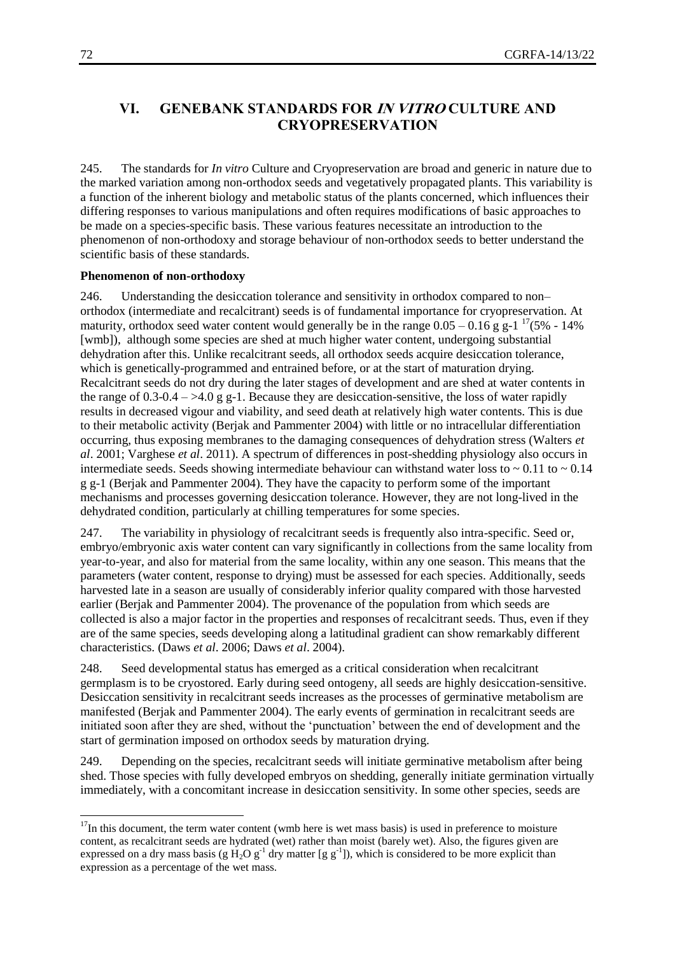# **VI. GENEBANK STANDARDS FOR IN VITRO CULTURE AND CRYOPRESERVATION**

245. The standards for *In vitro* Culture and Cryopreservation are broad and generic in nature due to the marked variation among non-orthodox seeds and vegetatively propagated plants. This variability is a function of the inherent biology and metabolic status of the plants concerned, which influences their differing responses to various manipulations and often requires modifications of basic approaches to be made on a species-specific basis. These various features necessitate an introduction to the phenomenon of non-orthodoxy and storage behaviour of non-orthodox seeds to better understand the scientific basis of these standards.

#### **Phenomenon of non-orthodoxy**

246. Understanding the desiccation tolerance and sensitivity in orthodox compared to non– orthodox (intermediate and recalcitrant) seeds is of fundamental importance for cryopreservation. At maturity, orthodox seed water content would generally be in the range  $0.05 - 0.16$  g g-1<sup>17</sup>(5% - 14%) [wmb]), although some species are shed at much higher water content, undergoing substantial dehydration after this. Unlike recalcitrant seeds, all orthodox seeds acquire desiccation tolerance, which is genetically-programmed and entrained before, or at the start of maturation drying. Recalcitrant seeds do not dry during the later stages of development and are shed at water contents in the range of  $0.3$ - $0.4 - 1.9$  g g-1. Because they are desiccation-sensitive, the loss of water rapidly results in decreased vigour and viability, and seed death at relatively high water contents. This is due to their metabolic activity (Berjak and Pammenter 2004) with little or no intracellular differentiation occurring, thus exposing membranes to the damaging consequences of dehydration stress (Walters *et al*. 2001; Varghese *et al*. 2011). A spectrum of differences in post-shedding physiology also occurs in intermediate seeds. Seeds showing intermediate behaviour can withstand water loss to  $\sim 0.11$  to  $\sim 0.14$ g g-1 (Berjak and Pammenter 2004). They have the capacity to perform some of the important mechanisms and processes governing desiccation tolerance. However, they are not long-lived in the dehydrated condition, particularly at chilling temperatures for some species.

247. The variability in physiology of recalcitrant seeds is frequently also intra-specific. Seed or, embryo/embryonic axis water content can vary significantly in collections from the same locality from year-to-year, and also for material from the same locality, within any one season. This means that the parameters (water content, response to drying) must be assessed for each species. Additionally, seeds harvested late in a season are usually of considerably inferior quality compared with those harvested earlier (Berjak and Pammenter 2004). The provenance of the population from which seeds are collected is also a major factor in the properties and responses of recalcitrant seeds. Thus, even if they are of the same species, seeds developing along a latitudinal gradient can show remarkably different characteristics. (Daws *et al*. 2006; Daws *et al*. 2004).

248. Seed developmental status has emerged as a critical consideration when recalcitrant germplasm is to be cryostored. Early during seed ontogeny, all seeds are highly desiccation-sensitive. Desiccation sensitivity in recalcitrant seeds increases as the processes of germinative metabolism are manifested (Berjak and Pammenter 2004). The early events of germination in recalcitrant seeds are initiated soon after they are shed, without the 'punctuation' between the end of development and the start of germination imposed on orthodox seeds by maturation drying.

249. Depending on the species, recalcitrant seeds will initiate germinative metabolism after being shed. Those species with fully developed embryos on shedding, generally initiate germination virtually immediately, with a concomitant increase in desiccation sensitivity. In some other species, seeds are

 $\overline{a}$ 

 $17$ In this document, the term water content (wmb here is wet mass basis) is used in preference to moisture content, as recalcitrant seeds are hydrated (wet) rather than moist (barely wet). Also, the figures given are expressed on a dry mass basis (g  $H_2O g^{-1}$  dry matter [g g<sup>-1</sup>]), which is considered to be more explicit than expression as a percentage of the wet mass.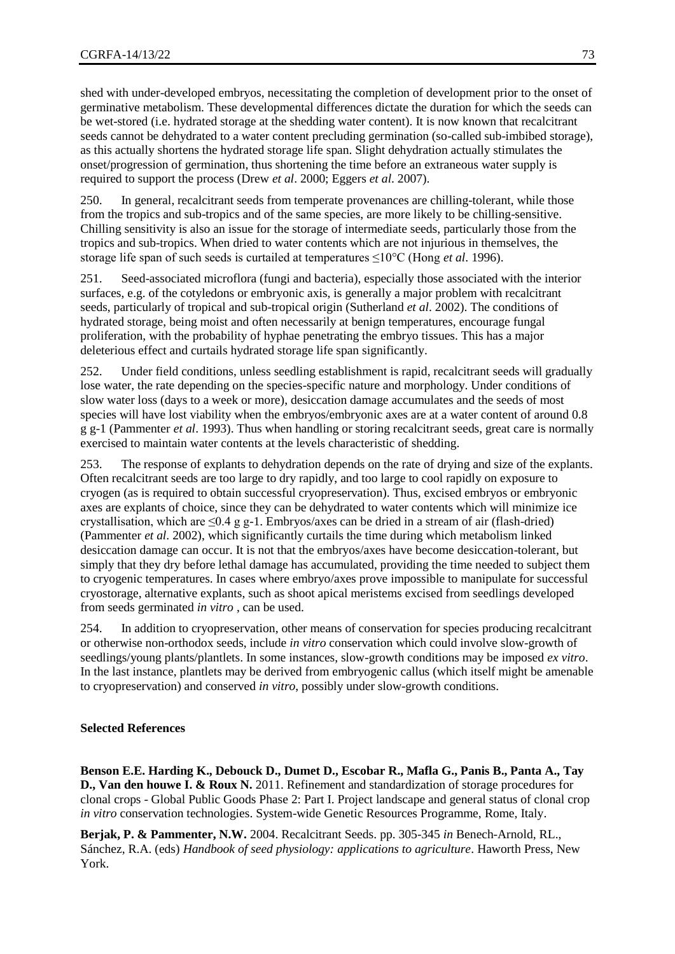shed with under-developed embryos, necessitating the completion of development prior to the onset of germinative metabolism. These developmental differences dictate the duration for which the seeds can be wet-stored (i.e. hydrated storage at the shedding water content). It is now known that recalcitrant seeds cannot be dehydrated to a water content precluding germination (so-called sub-imbibed storage), as this actually shortens the hydrated storage life span. Slight dehydration actually stimulates the onset/progression of germination, thus shortening the time before an extraneous water supply is required to support the process (Drew *et al*. 2000; Eggers *et al*. 2007).

250. In general, recalcitrant seeds from temperate provenances are chilling-tolerant, while those from the tropics and sub-tropics and of the same species, are more likely to be chilling-sensitive. Chilling sensitivity is also an issue for the storage of intermediate seeds, particularly those from the tropics and sub-tropics. When dried to water contents which are not injurious in themselves, the storage life span of such seeds is curtailed at temperatures ≤10°C (Hong *et al*. 1996).

251. Seed-associated microflora (fungi and bacteria), especially those associated with the interior surfaces, e.g. of the cotyledons or embryonic axis, is generally a major problem with recalcitrant seeds, particularly of tropical and sub-tropical origin (Sutherland *et al*. 2002). The conditions of hydrated storage, being moist and often necessarily at benign temperatures, encourage fungal proliferation, with the probability of hyphae penetrating the embryo tissues. This has a major deleterious effect and curtails hydrated storage life span significantly.

252. Under field conditions, unless seedling establishment is rapid, recalcitrant seeds will gradually lose water, the rate depending on the species-specific nature and morphology. Under conditions of slow water loss (days to a week or more), desiccation damage accumulates and the seeds of most species will have lost viability when the embryos/embryonic axes are at a water content of around 0.8 g g-1 (Pammenter *et al*. 1993). Thus when handling or storing recalcitrant seeds, great care is normally exercised to maintain water contents at the levels characteristic of shedding.

253. The response of explants to dehydration depends on the rate of drying and size of the explants. Often recalcitrant seeds are too large to dry rapidly, and too large to cool rapidly on exposure to cryogen (as is required to obtain successful cryopreservation). Thus, excised embryos or embryonic axes are explants of choice, since they can be dehydrated to water contents which will minimize ice crystallisation, which are  $\leq 0.4$  g g-1. Embryos/axes can be dried in a stream of air (flash-dried) (Pammenter *et al*. 2002), which significantly curtails the time during which metabolism linked desiccation damage can occur. It is not that the embryos/axes have become desiccation-tolerant, but simply that they dry before lethal damage has accumulated, providing the time needed to subject them to cryogenic temperatures. In cases where embryo/axes prove impossible to manipulate for successful cryostorage, alternative explants, such as shoot apical meristems excised from seedlings developed from seeds germinated *in vitro* , can be used.

254. In addition to cryopreservation, other means of conservation for species producing recalcitrant or otherwise non-orthodox seeds, include *in vitro* conservation which could involve slow-growth of seedlings/young plants/plantlets. In some instances, slow-growth conditions may be imposed *ex vitro*. In the last instance, plantlets may be derived from embryogenic callus (which itself might be amenable to cryopreservation) and conserved *in vitro*, possibly under slow-growth conditions.

#### **Selected References**

**Benson E.E. Harding K., Debouck D., Dumet D., Escobar R., Mafla G., Panis B., Panta A., Tay D., Van den houwe I. & Roux N.** 2011. Refinement and standardization of storage procedures for clonal crops - Global Public Goods Phase 2: Part I. Project landscape and general status of clonal crop *in vitro* conservation technologies. System-wide Genetic Resources Programme, Rome, Italy.

**Berjak, P. & Pammenter, N.W.** 2004. Recalcitrant Seeds. pp. 305-345 *in* Benech-Arnold, RL., Sánchez, R.A. (eds) *Handbook of seed physiology: applications to agriculture*. Haworth Press, New York.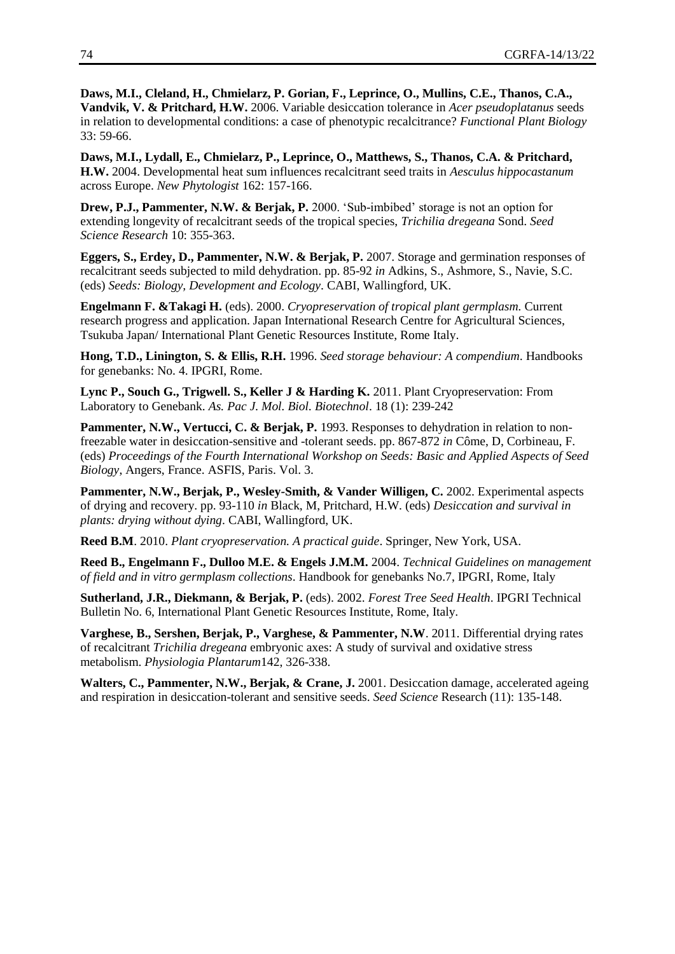**Daws, M.I., Cleland, H., Chmielarz, P. Gorian, F., Leprince, O., Mullins, C.E., Thanos, C.A., Vandvik, V. & Pritchard, H.W.** 2006. Variable desiccation tolerance in *Acer pseudoplatanus* seeds in relation to developmental conditions: a case of phenotypic recalcitrance? *Functional Plant Biology*  33: 59-66.

**Daws, M.I., Lydall, E., Chmielarz, P., Leprince, O., Matthews, S., Thanos, C.A. & Pritchard, H.W.** 2004. Developmental heat sum influences recalcitrant seed traits in *Aesculus hippocastanum* across Europe. *New Phytologist* 162: 157-166.

**Drew, P.J., Pammenter, N.W. & Berjak, P.** 2000. 'Sub-imbibed' storage is not an option for extending longevity of recalcitrant seeds of the tropical species, *Trichilia dregeana* Sond. *Seed Science Research* 10: 355-363.

**Eggers, S., Erdey, D., Pammenter, N.W. & Berjak, P.** 2007. Storage and germination responses of recalcitrant seeds subjected to mild dehydration. pp. 85-92 *in* Adkins, S., Ashmore, S., Navie, S.C. (eds) *Seeds: Biology, Development and Ecology*. CABI, Wallingford, UK.

**Engelmann F. &Takagi H.** (eds). 2000. *Cryopreservation of tropical plant germplasm.* Current research progress and application. Japan International Research Centre for Agricultural Sciences, Tsukuba Japan/ International Plant Genetic Resources Institute, Rome Italy.

**Hong, T.D., Linington, S. & Ellis, R.H.** 1996. *Seed storage behaviour: A compendium*. Handbooks for genebanks: No. 4. IPGRI, Rome.

**Lync P., Souch G., Trigwell. S., Keller J & Harding K.** 2011. Plant Cryopreservation: From Laboratory to Genebank. *As. Pac J. Mol. Biol. Biotechnol*. 18 (1): 239-242

Pammenter, N.W., Vertucci, C. & Berjak, P. 1993. Responses to dehydration in relation to nonfreezable water in desiccation-sensitive and -tolerant seeds. pp. 867-872 *in* Côme, D, Corbineau, F. (eds) *Proceedings of the Fourth International Workshop on Seeds: Basic and Applied Aspects of Seed Biology*, Angers, France. ASFIS, Paris. Vol. 3.

**Pammenter, N.W., Berjak, P., Wesley-Smith, & Vander Willigen, C.** 2002. Experimental aspects of drying and recovery. pp. 93-110 *in* Black, M, Pritchard, H.W. (eds) *Desiccation and survival in plants: drying without dying*. CABI, Wallingford, UK.

**Reed B.M**. 2010. *Plant cryopreservation. A practical guide*. Springer, New York, USA.

**Reed B., Engelmann F., Dulloo M.E. & Engels J.M.M.** 2004. *Technical Guidelines on management of field and in vitro germplasm collections*. Handbook for genebanks No.7, IPGRI, Rome, Italy

**Sutherland, J.R., Diekmann, & Berjak, P.** (eds). 2002. *Forest Tree Seed Health*. IPGRI Technical Bulletin No. 6, International Plant Genetic Resources Institute, Rome, Italy.

**Varghese, B., Sershen, Berjak, P., Varghese, & Pammenter, N.W**. 2011. Differential drying rates of recalcitrant *Trichilia dregeana* embryonic axes: A study of survival and oxidative stress metabolism. *Physiologia Plantarum*142, 326-338.

**Walters, C., Pammenter, N.W., Berjak, & Crane, J.** 2001. Desiccation damage, accelerated ageing and respiration in desiccation-tolerant and sensitive seeds. *Seed Science* Research (11): 135-148.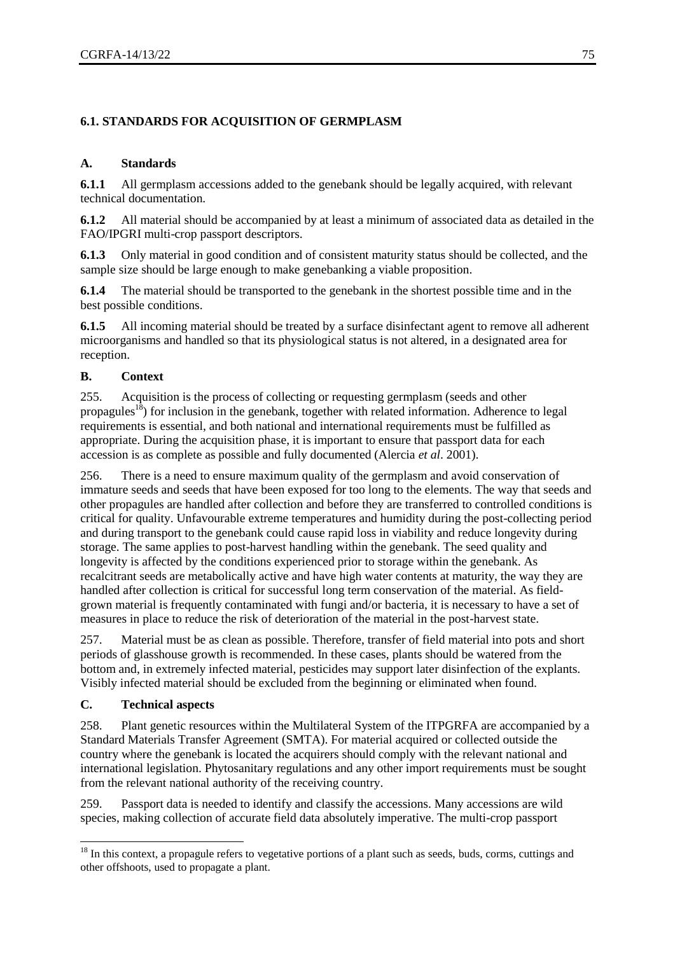# **6.1. STANDARDS FOR ACQUISITION OF GERMPLASM**

# **A. Standards**

**6.1.1** All germplasm accessions added to the genebank should be legally acquired, with relevant technical documentation.

**6.1.2** All material should be accompanied by at least a minimum of associated data as detailed in the FAO/IPGRI multi-crop passport descriptors.

**6.1.3** Only material in good condition and of consistent maturity status should be collected, and the sample size should be large enough to make genebanking a viable proposition.

**6.1.4** The material should be transported to the genebank in the shortest possible time and in the best possible conditions.

**6.1.5** All incoming material should be treated by a surface disinfectant agent to remove all adherent microorganisms and handled so that its physiological status is not altered, in a designated area for reception.

#### **B. Context**

255. Acquisition is the process of collecting or requesting germplasm (seeds and other propagules<sup>18</sup>) for inclusion in the genebank, together with related information. Adherence to legal requirements is essential, and both national and international requirements must be fulfilled as appropriate. During the acquisition phase, it is important to ensure that passport data for each accession is as complete as possible and fully documented (Alercia *et al*. 2001).

256. There is a need to ensure maximum quality of the germplasm and avoid conservation of immature seeds and seeds that have been exposed for too long to the elements. The way that seeds and other propagules are handled after collection and before they are transferred to controlled conditions is critical for quality. Unfavourable extreme temperatures and humidity during the post-collecting period and during transport to the genebank could cause rapid loss in viability and reduce longevity during storage. The same applies to post-harvest handling within the genebank. The seed quality and longevity is affected by the conditions experienced prior to storage within the genebank. As recalcitrant seeds are metabolically active and have high water contents at maturity, the way they are handled after collection is critical for successful long term conservation of the material. As fieldgrown material is frequently contaminated with fungi and/or bacteria, it is necessary to have a set of measures in place to reduce the risk of deterioration of the material in the post-harvest state.

257. Material must be as clean as possible. Therefore, transfer of field material into pots and short periods of glasshouse growth is recommended. In these cases, plants should be watered from the bottom and, in extremely infected material, pesticides may support later disinfection of the explants. Visibly infected material should be excluded from the beginning or eliminated when found.

#### **C. Technical aspects**

l

258. Plant genetic resources within the Multilateral System of the ITPGRFA are accompanied by a Standard Materials Transfer Agreement (SMTA). For material acquired or collected outside the country where the genebank is located the acquirers should comply with the relevant national and international legislation. Phytosanitary regulations and any other import requirements must be sought from the relevant national authority of the receiving country.

259. Passport data is needed to identify and classify the accessions. Many accessions are wild species, making collection of accurate field data absolutely imperative. The multi-crop passport

 $18$  In this context, a propagule refers to vegetative portions of a plant such as seeds, buds, corms, cuttings and other offshoots, used to propagate a plant.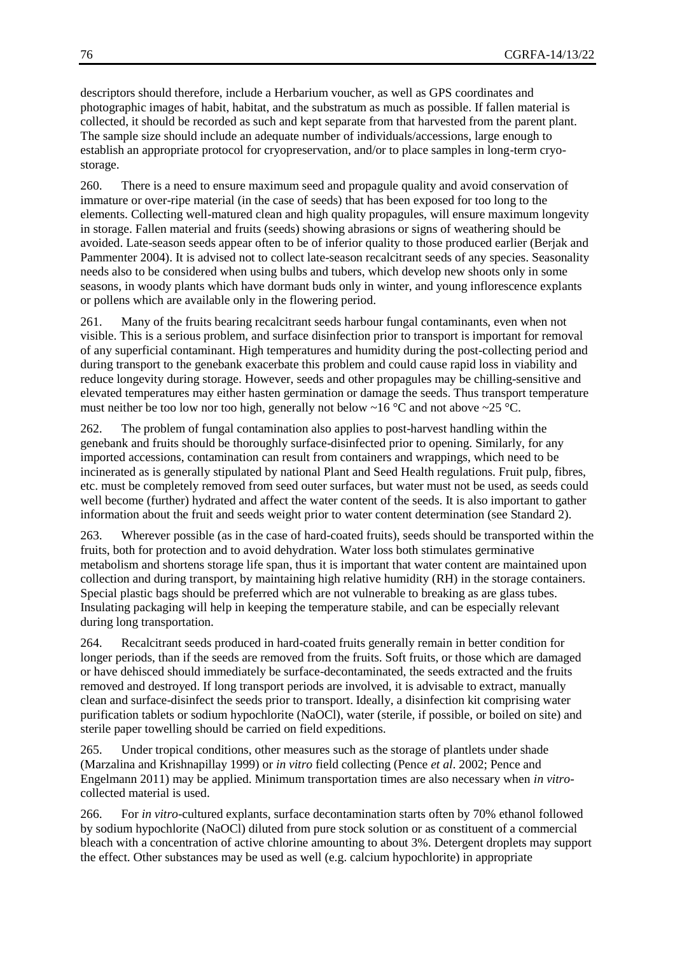descriptors should therefore, include a Herbarium voucher, as well as GPS coordinates and photographic images of habit, habitat, and the substratum as much as possible. If fallen material is collected, it should be recorded as such and kept separate from that harvested from the parent plant. The sample size should include an adequate number of individuals/accessions, large enough to establish an appropriate protocol for cryopreservation, and/or to place samples in long-term cryostorage.

260. There is a need to ensure maximum seed and propagule quality and avoid conservation of immature or over-ripe material (in the case of seeds) that has been exposed for too long to the elements. Collecting well-matured clean and high quality propagules, will ensure maximum longevity in storage. Fallen material and fruits (seeds) showing abrasions or signs of weathering should be avoided. Late-season seeds appear often to be of inferior quality to those produced earlier (Berjak and Pammenter 2004). It is advised not to collect late-season recalcitrant seeds of any species. Seasonality needs also to be considered when using bulbs and tubers, which develop new shoots only in some seasons, in woody plants which have dormant buds only in winter, and young inflorescence explants or pollens which are available only in the flowering period.

261. Many of the fruits bearing recalcitrant seeds harbour fungal contaminants, even when not visible. This is a serious problem, and surface disinfection prior to transport is important for removal of any superficial contaminant. High temperatures and humidity during the post-collecting period and during transport to the genebank exacerbate this problem and could cause rapid loss in viability and reduce longevity during storage. However, seeds and other propagules may be chilling-sensitive and elevated temperatures may either hasten germination or damage the seeds. Thus transport temperature must neither be too low nor too high, generally not below  $\sim$  16 °C and not above  $\sim$  25 °C.

262. The problem of fungal contamination also applies to post-harvest handling within the genebank and fruits should be thoroughly surface-disinfected prior to opening. Similarly, for any imported accessions, contamination can result from containers and wrappings, which need to be incinerated as is generally stipulated by national Plant and Seed Health regulations. Fruit pulp, fibres, etc. must be completely removed from seed outer surfaces, but water must not be used, as seeds could well become (further) hydrated and affect the water content of the seeds. It is also important to gather information about the fruit and seeds weight prior to water content determination (see Standard 2).

263. Wherever possible (as in the case of hard-coated fruits), seeds should be transported within the fruits, both for protection and to avoid dehydration. Water loss both stimulates germinative metabolism and shortens storage life span, thus it is important that water content are maintained upon collection and during transport, by maintaining high relative humidity (RH) in the storage containers. Special plastic bags should be preferred which are not vulnerable to breaking as are glass tubes. Insulating packaging will help in keeping the temperature stabile, and can be especially relevant during long transportation.

264. Recalcitrant seeds produced in hard-coated fruits generally remain in better condition for longer periods, than if the seeds are removed from the fruits. Soft fruits, or those which are damaged or have dehisced should immediately be surface-decontaminated, the seeds extracted and the fruits removed and destroyed. If long transport periods are involved, it is advisable to extract, manually clean and surface-disinfect the seeds prior to transport. Ideally, a disinfection kit comprising water purification tablets or sodium hypochlorite (NaOCl), water (sterile, if possible, or boiled on site) and sterile paper towelling should be carried on field expeditions.

265. Under tropical conditions, other measures such as the storage of plantlets under shade (Marzalina and Krishnapillay 1999) or *in vitro* field collecting (Pence *et al*. 2002; Pence and Engelmann 2011) may be applied. Minimum transportation times are also necessary when *in vitro*collected material is used.

266. For *in vitro*-cultured explants, surface decontamination starts often by 70% ethanol followed by sodium hypochlorite (NaOCl) diluted from pure stock solution or as constituent of a commercial bleach with a concentration of active chlorine amounting to about 3%. Detergent droplets may support the effect. Other substances may be used as well (e.g. calcium hypochlorite) in appropriate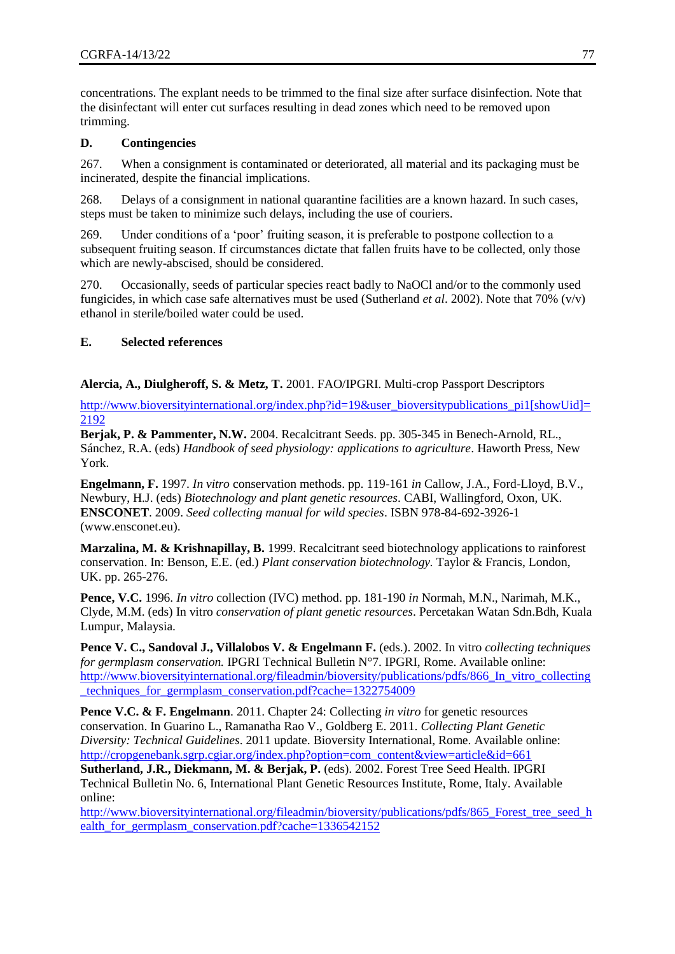concentrations. The explant needs to be trimmed to the final size after surface disinfection. Note that the disinfectant will enter cut surfaces resulting in dead zones which need to be removed upon trimming.

# **D. Contingencies**

267. When a consignment is contaminated or deteriorated, all material and its packaging must be incinerated, despite the financial implications.

268. Delays of a consignment in national quarantine facilities are a known hazard. In such cases, steps must be taken to minimize such delays, including the use of couriers.

269. Under conditions of a 'poor' fruiting season, it is preferable to postpone collection to a subsequent fruiting season. If circumstances dictate that fallen fruits have to be collected, only those which are newly-abscised, should be considered.

270. Occasionally, seeds of particular species react badly to NaOCl and/or to the commonly used fungicides, in which case safe alternatives must be used (Sutherland *et al*. 2002). Note that 70% (v/v) ethanol in sterile/boiled water could be used.

# **E. Selected references**

**Alercia, A., Diulgheroff, S. & Metz, T.** 2001. FAO/IPGRI. Multi-crop Passport Descriptors

[http://www.bioversityinternational.org/index.php?id=19&user\\_bioversitypublications\\_pi1\[showUid\]=](http://www.bioversityinternational.org/index.php?id=19&user_bioversitypublications_pi1%5bshowUid%5d=2192) [2192](http://www.bioversityinternational.org/index.php?id=19&user_bioversitypublications_pi1%5bshowUid%5d=2192)

**Berjak, P. & Pammenter, N.W.** 2004. Recalcitrant Seeds. pp. 305-345 in Benech-Arnold, RL., Sánchez, R.A. (eds) *Handbook of seed physiology: applications to agriculture*. Haworth Press, New York.

**Engelmann, F.** 1997. *In vitro* conservation methods. pp. 119-161 *in* Callow, J.A., Ford-Lloyd, B.V., Newbury, H.J. (eds) *Biotechnology and plant genetic resources*. CABI, Wallingford, Oxon, UK. **ENSCONET**. 2009. *Seed collecting manual for wild species*. ISBN 978-84-692-3926-1 (www.ensconet.eu).

**Marzalina, M. & Krishnapillay, B.** 1999. Recalcitrant seed biotechnology applications to rainforest conservation. In: Benson, E.E. (ed.) *Plant conservation biotechnology.* Taylor & Francis, London, UK. pp. 265-276.

**Pence, V.C.** 1996. *In vitro* collection (IVC) method. pp. 181-190 *in* Normah, M.N., Narimah, M.K., Clyde, M.M. (eds) In vitro *conservation of plant genetic resources*. Percetakan Watan Sdn.Bdh, Kuala Lumpur, Malaysia.

**Pence V. C., Sandoval J., Villalobos V. & Engelmann F.** (eds.). 2002. In vitro *collecting techniques for germplasm conservation.* IPGRI Technical Bulletin N°7. IPGRI, Rome. Available online: [http://www.bioversityinternational.org/fileadmin/bioversity/publications/pdfs/866\\_In\\_vitro\\_collecting](http://www.bioversityinternational.org/fileadmin/bioversity/publications/pdfs/866_In_vitro_collecting_techniques_for_germplasm_conservation.pdf?cache=1322754009) [\\_techniques\\_for\\_germplasm\\_conservation.pdf?cache=1322754009](http://www.bioversityinternational.org/fileadmin/bioversity/publications/pdfs/866_In_vitro_collecting_techniques_for_germplasm_conservation.pdf?cache=1322754009)

**Pence V.C. & F. Engelmann**. 2011. Chapter 24: Collecting *in vitro* for genetic resources conservation. In Guarino L., Ramanatha Rao V., Goldberg E. 2011. *Collecting Plant Genetic Diversity: Technical Guidelines*. 2011 update. Bioversity International, Rome. Available online: [http://cropgenebank.sgrp.cgiar.org/index.php?option=com\\_content&view=article&id=661](http://cropgenebank.sgrp.cgiar.org/index.php?option=com_content&view=article&id=661)

**Sutherland, J.R., Diekmann, M. & Berjak, P.** (eds). 2002. Forest Tree Seed Health. IPGRI Technical Bulletin No. 6, International Plant Genetic Resources Institute, Rome, Italy. Available online:

[http://www.bioversityinternational.org/fileadmin/bioversity/publications/pdfs/865\\_Forest\\_tree\\_seed\\_h](http://www.bioversityinternational.org/fileadmin/bioversity/publications/pdfs/865_Forest_tree_seed_health_for_germplasm_conservation.pdf?cache=1336542152) [ealth\\_for\\_germplasm\\_conservation.pdf?cache=1336542152](http://www.bioversityinternational.org/fileadmin/bioversity/publications/pdfs/865_Forest_tree_seed_health_for_germplasm_conservation.pdf?cache=1336542152)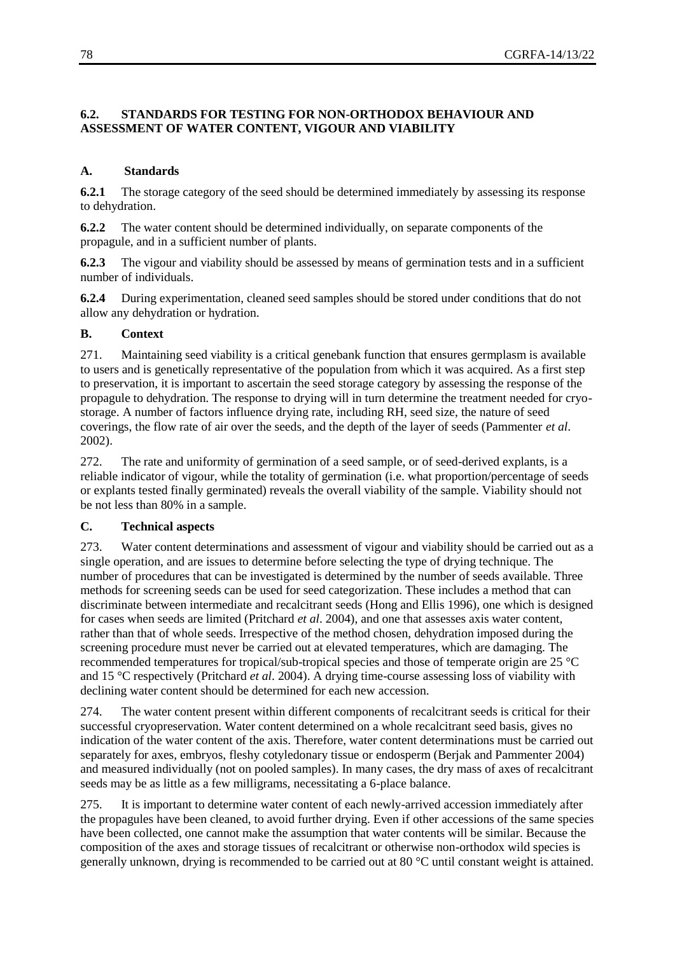# **6.2. STANDARDS FOR TESTING FOR NON-ORTHODOX BEHAVIOUR AND ASSESSMENT OF WATER CONTENT, VIGOUR AND VIABILITY**

# **A. Standards**

**6.2.1** The storage category of the seed should be determined immediately by assessing its response to dehydration.

**6.2.2** The water content should be determined individually, on separate components of the propagule, and in a sufficient number of plants.

**6.2.3** The vigour and viability should be assessed by means of germination tests and in a sufficient number of individuals.

**6.2.4** During experimentation, cleaned seed samples should be stored under conditions that do not allow any dehydration or hydration.

# **B. Context**

271. Maintaining seed viability is a critical genebank function that ensures germplasm is available to users and is genetically representative of the population from which it was acquired. As a first step to preservation, it is important to ascertain the seed storage category by assessing the response of the propagule to dehydration. The response to drying will in turn determine the treatment needed for cryostorage. A number of factors influence drying rate, including RH, seed size, the nature of seed coverings, the flow rate of air over the seeds, and the depth of the layer of seeds (Pammenter *et al*. 2002).

272. The rate and uniformity of germination of a seed sample, or of seed-derived explants, is a reliable indicator of vigour, while the totality of germination (i.e. what proportion/percentage of seeds or explants tested finally germinated) reveals the overall viability of the sample. Viability should not be not less than 80% in a sample.

# **C. Technical aspects**

273. Water content determinations and assessment of vigour and viability should be carried out as a single operation, and are issues to determine before selecting the type of drying technique. The number of procedures that can be investigated is determined by the number of seeds available. Three methods for screening seeds can be used for seed categorization. These includes a method that can discriminate between intermediate and recalcitrant seeds (Hong and Ellis 1996), one which is designed for cases when seeds are limited (Pritchard *et al*. 2004), and one that assesses axis water content, rather than that of whole seeds. Irrespective of the method chosen, dehydration imposed during the screening procedure must never be carried out at elevated temperatures, which are damaging. The recommended temperatures for tropical/sub-tropical species and those of temperate origin are 25 °C and 15 °C respectively (Pritchard *et al*. 2004). A drying time-course assessing loss of viability with declining water content should be determined for each new accession.

274. The water content present within different components of recalcitrant seeds is critical for their successful cryopreservation. Water content determined on a whole recalcitrant seed basis, gives no indication of the water content of the axis. Therefore, water content determinations must be carried out separately for axes, embryos, fleshy cotyledonary tissue or endosperm (Berjak and Pammenter 2004) and measured individually (not on pooled samples). In many cases, the dry mass of axes of recalcitrant seeds may be as little as a few milligrams, necessitating a 6-place balance.

275. It is important to determine water content of each newly-arrived accession immediately after the propagules have been cleaned, to avoid further drying. Even if other accessions of the same species have been collected, one cannot make the assumption that water contents will be similar. Because the composition of the axes and storage tissues of recalcitrant or otherwise non-orthodox wild species is generally unknown, drying is recommended to be carried out at 80 °C until constant weight is attained.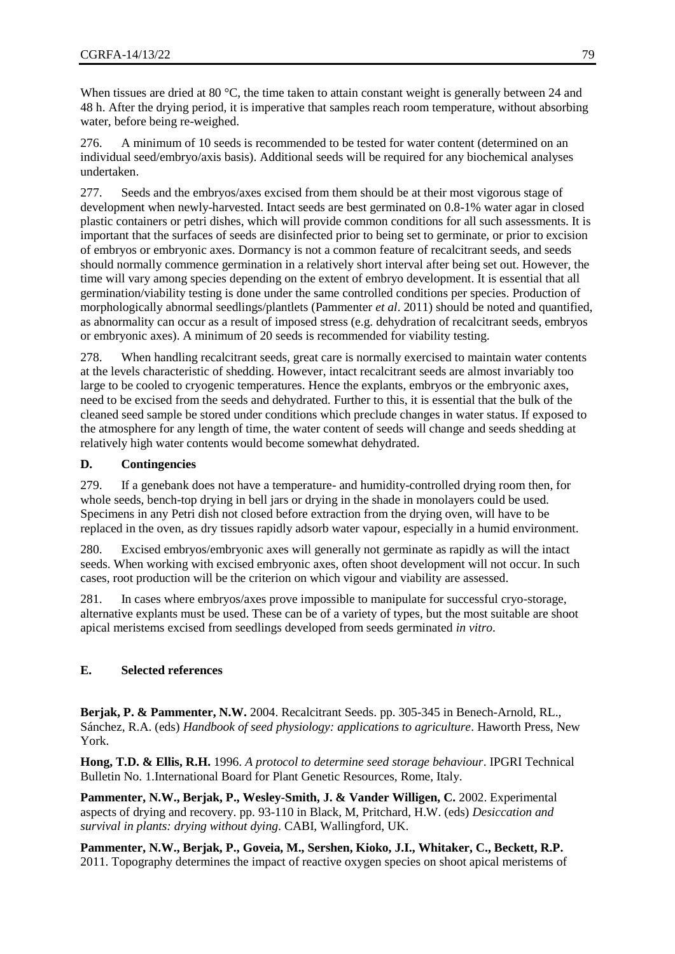When tissues are dried at 80 °C, the time taken to attain constant weight is generally between 24 and 48 h. After the drying period, it is imperative that samples reach room temperature, without absorbing water, before being re-weighed.

276. A minimum of 10 seeds is recommended to be tested for water content (determined on an individual seed/embryo/axis basis). Additional seeds will be required for any biochemical analyses undertaken.

277. Seeds and the embryos/axes excised from them should be at their most vigorous stage of development when newly-harvested. Intact seeds are best germinated on 0.8-1% water agar in closed plastic containers or petri dishes, which will provide common conditions for all such assessments. It is important that the surfaces of seeds are disinfected prior to being set to germinate, or prior to excision of embryos or embryonic axes. Dormancy is not a common feature of recalcitrant seeds, and seeds should normally commence germination in a relatively short interval after being set out. However, the time will vary among species depending on the extent of embryo development. It is essential that all germination/viability testing is done under the same controlled conditions per species. Production of morphologically abnormal seedlings/plantlets (Pammenter *et al*. 2011) should be noted and quantified, as abnormality can occur as a result of imposed stress (e.g. dehydration of recalcitrant seeds, embryos or embryonic axes). A minimum of 20 seeds is recommended for viability testing.

278. When handling recalcitrant seeds, great care is normally exercised to maintain water contents at the levels characteristic of shedding. However, intact recalcitrant seeds are almost invariably too large to be cooled to cryogenic temperatures. Hence the explants, embryos or the embryonic axes, need to be excised from the seeds and dehydrated. Further to this, it is essential that the bulk of the cleaned seed sample be stored under conditions which preclude changes in water status. If exposed to the atmosphere for any length of time, the water content of seeds will change and seeds shedding at relatively high water contents would become somewhat dehydrated.

# **D. Contingencies**

279. If a genebank does not have a temperature- and humidity-controlled drying room then, for whole seeds, bench-top drying in bell jars or drying in the shade in monolayers could be used. Specimens in any Petri dish not closed before extraction from the drying oven, will have to be replaced in the oven, as dry tissues rapidly adsorb water vapour, especially in a humid environment.

280. Excised embryos/embryonic axes will generally not germinate as rapidly as will the intact seeds. When working with excised embryonic axes, often shoot development will not occur. In such cases, root production will be the criterion on which vigour and viability are assessed.

281. In cases where embryos/axes prove impossible to manipulate for successful cryo-storage, alternative explants must be used. These can be of a variety of types, but the most suitable are shoot apical meristems excised from seedlings developed from seeds germinated *in vitro*.

#### **E. Selected references**

**Berjak, P. & Pammenter, N.W.** 2004. Recalcitrant Seeds. pp. 305-345 in Benech-Arnold, RL., Sánchez, R.A. (eds) *Handbook of seed physiology: applications to agriculture*. Haworth Press, New York.

**Hong, T.D. & Ellis, R.H.** 1996. *A protocol to determine seed storage behaviour*. IPGRI Technical Bulletin No. 1.International Board for Plant Genetic Resources, Rome, Italy.

**Pammenter, N.W., Berjak, P., Wesley-Smith, J. & Vander Willigen, C.** 2002. Experimental aspects of drying and recovery. pp. 93-110 in Black, M, Pritchard, H.W. (eds) *Desiccation and survival in plants: drying without dying*. CABI, Wallingford, UK.

**Pammenter, N.W., Berjak, P., Goveia, M., Sershen, Kioko, J.I., Whitaker, C., Beckett, R.P.** 2011. Topography determines the impact of reactive oxygen species on shoot apical meristems of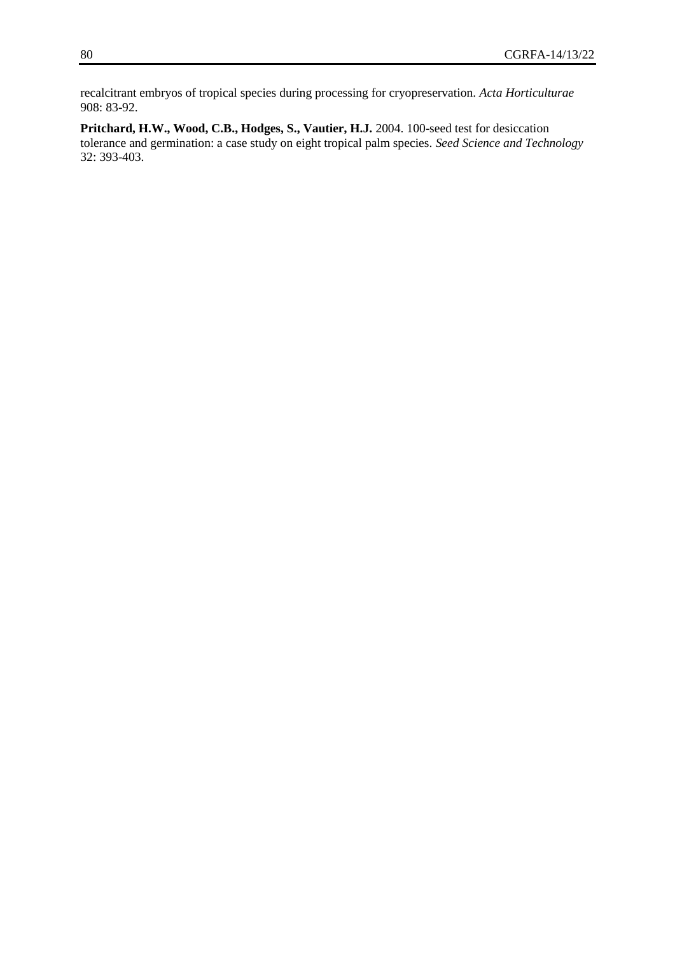recalcitrant embryos of tropical species during processing for cryopreservation. *Acta Horticulturae* 908: 83-92.

**Pritchard, H.W., Wood, C.B., Hodges, S., Vautier, H.J.** 2004. 100-seed test for desiccation tolerance and germination: a case study on eight tropical palm species. *Seed Science and Technology* 32: 393-403.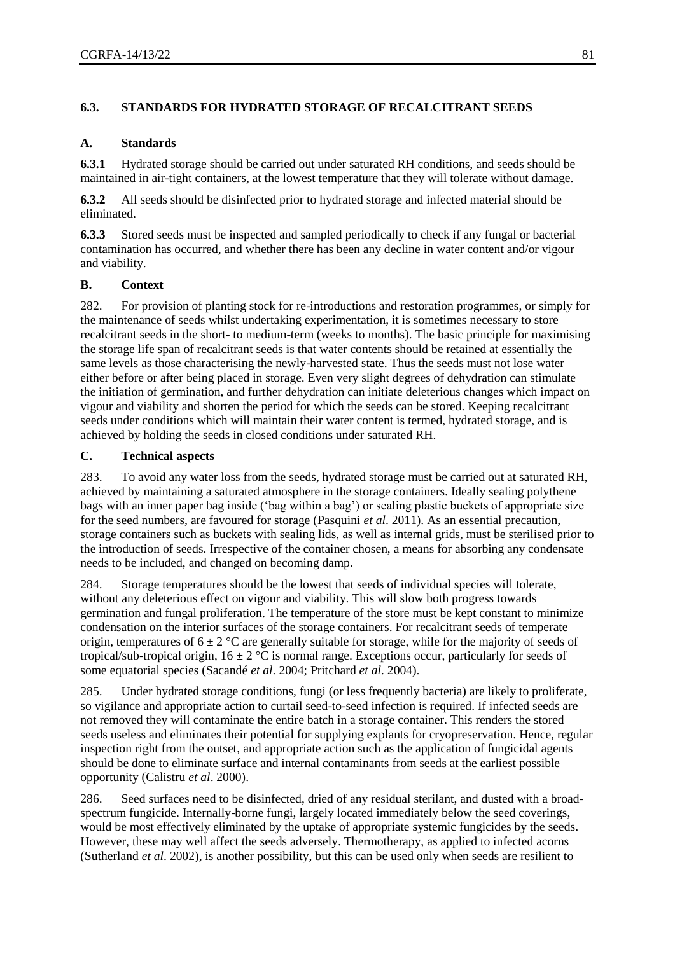# **6.3. STANDARDS FOR HYDRATED STORAGE OF RECALCITRANT SEEDS**

# **A. Standards**

**6.3.1** Hydrated storage should be carried out under saturated RH conditions, and seeds should be maintained in air-tight containers, at the lowest temperature that they will tolerate without damage.

**6.3.2** All seeds should be disinfected prior to hydrated storage and infected material should be eliminated.

**6.3.3** Stored seeds must be inspected and sampled periodically to check if any fungal or bacterial contamination has occurred, and whether there has been any decline in water content and/or vigour and viability.

# **B. Context**

282. For provision of planting stock for re-introductions and restoration programmes, or simply for the maintenance of seeds whilst undertaking experimentation, it is sometimes necessary to store recalcitrant seeds in the short- to medium-term (weeks to months). The basic principle for maximising the storage life span of recalcitrant seeds is that water contents should be retained at essentially the same levels as those characterising the newly-harvested state. Thus the seeds must not lose water either before or after being placed in storage. Even very slight degrees of dehydration can stimulate the initiation of germination, and further dehydration can initiate deleterious changes which impact on vigour and viability and shorten the period for which the seeds can be stored. Keeping recalcitrant seeds under conditions which will maintain their water content is termed, hydrated storage, and is achieved by holding the seeds in closed conditions under saturated RH.

# **C. Technical aspects**

283. To avoid any water loss from the seeds, hydrated storage must be carried out at saturated RH, achieved by maintaining a saturated atmosphere in the storage containers. Ideally sealing polythene bags with an inner paper bag inside ('bag within a bag') or sealing plastic buckets of appropriate size for the seed numbers, are favoured for storage (Pasquini *et al*. 2011). As an essential precaution, storage containers such as buckets with sealing lids, as well as internal grids, must be sterilised prior to the introduction of seeds. Irrespective of the container chosen, a means for absorbing any condensate needs to be included, and changed on becoming damp.

284. Storage temperatures should be the lowest that seeds of individual species will tolerate, without any deleterious effect on vigour and viability. This will slow both progress towards germination and fungal proliferation. The temperature of the store must be kept constant to minimize condensation on the interior surfaces of the storage containers. For recalcitrant seeds of temperate origin, temperatures of  $6 \pm 2$  °C are generally suitable for storage, while for the majority of seeds of tropical/sub-tropical origin,  $16 \pm 2$  °C is normal range. Exceptions occur, particularly for seeds of some equatorial species (Sacandé *et al*. 2004; Pritchard *et al*. 2004).

285. Under hydrated storage conditions, fungi (or less frequently bacteria) are likely to proliferate, so vigilance and appropriate action to curtail seed-to-seed infection is required. If infected seeds are not removed they will contaminate the entire batch in a storage container. This renders the stored seeds useless and eliminates their potential for supplying explants for cryopreservation. Hence, regular inspection right from the outset, and appropriate action such as the application of fungicidal agents should be done to eliminate surface and internal contaminants from seeds at the earliest possible opportunity (Calistru *et al*. 2000).

286. Seed surfaces need to be disinfected, dried of any residual sterilant, and dusted with a broadspectrum fungicide. Internally-borne fungi, largely located immediately below the seed coverings, would be most effectively eliminated by the uptake of appropriate systemic fungicides by the seeds. However, these may well affect the seeds adversely. Thermotherapy, as applied to infected acorns (Sutherland *et al*. 2002), is another possibility, but this can be used only when seeds are resilient to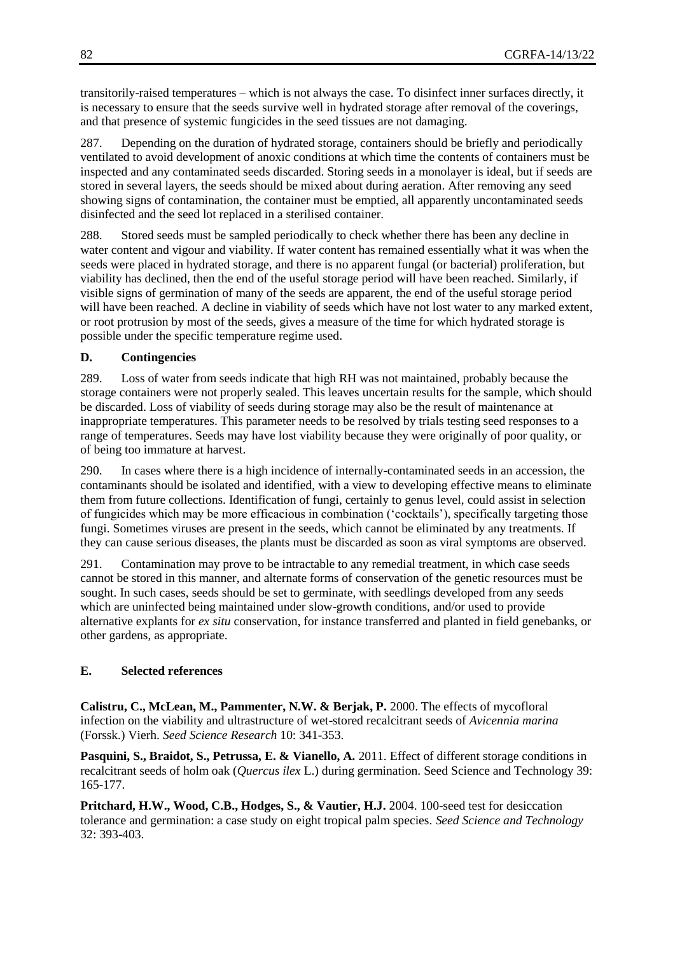transitorily-raised temperatures – which is not always the case. To disinfect inner surfaces directly, it is necessary to ensure that the seeds survive well in hydrated storage after removal of the coverings, and that presence of systemic fungicides in the seed tissues are not damaging.

287. Depending on the duration of hydrated storage, containers should be briefly and periodically ventilated to avoid development of anoxic conditions at which time the contents of containers must be inspected and any contaminated seeds discarded. Storing seeds in a monolayer is ideal, but if seeds are stored in several layers, the seeds should be mixed about during aeration. After removing any seed showing signs of contamination, the container must be emptied, all apparently uncontaminated seeds disinfected and the seed lot replaced in a sterilised container.

288. Stored seeds must be sampled periodically to check whether there has been any decline in water content and vigour and viability. If water content has remained essentially what it was when the seeds were placed in hydrated storage, and there is no apparent fungal (or bacterial) proliferation, but viability has declined, then the end of the useful storage period will have been reached. Similarly, if visible signs of germination of many of the seeds are apparent, the end of the useful storage period will have been reached. A decline in viability of seeds which have not lost water to any marked extent, or root protrusion by most of the seeds, gives a measure of the time for which hydrated storage is possible under the specific temperature regime used.

# **D. Contingencies**

289. Loss of water from seeds indicate that high RH was not maintained, probably because the storage containers were not properly sealed. This leaves uncertain results for the sample, which should be discarded. Loss of viability of seeds during storage may also be the result of maintenance at inappropriate temperatures. This parameter needs to be resolved by trials testing seed responses to a range of temperatures. Seeds may have lost viability because they were originally of poor quality, or of being too immature at harvest.

290. In cases where there is a high incidence of internally-contaminated seeds in an accession, the contaminants should be isolated and identified, with a view to developing effective means to eliminate them from future collections. Identification of fungi, certainly to genus level, could assist in selection of fungicides which may be more efficacious in combination ('cocktails'), specifically targeting those fungi. Sometimes viruses are present in the seeds, which cannot be eliminated by any treatments. If they can cause serious diseases, the plants must be discarded as soon as viral symptoms are observed.

291. Contamination may prove to be intractable to any remedial treatment, in which case seeds cannot be stored in this manner, and alternate forms of conservation of the genetic resources must be sought. In such cases, seeds should be set to germinate, with seedlings developed from any seeds which are uninfected being maintained under slow-growth conditions, and/or used to provide alternative explants for *ex situ* conservation, for instance transferred and planted in field genebanks, or other gardens, as appropriate.

#### **E. Selected references**

**Calistru, C., McLean, M., Pammenter, N.W. & Berjak, P.** 2000. The effects of mycofloral infection on the viability and ultrastructure of wet-stored recalcitrant seeds of *Avicennia marina* (Forssk.) Vierh. *Seed Science Research* 10: 341-353.

**Pasquini, S., Braidot, S., Petrussa, E. & Vianello, A.** 2011. Effect of different storage conditions in recalcitrant seeds of holm oak (*Quercus ilex* L.) during germination. Seed Science and Technology 39: 165-177.

**Pritchard, H.W., Wood, C.B., Hodges, S., & Vautier, H.J.** 2004. 100-seed test for desiccation tolerance and germination: a case study on eight tropical palm species. *Seed Science and Technology* 32: 393-403.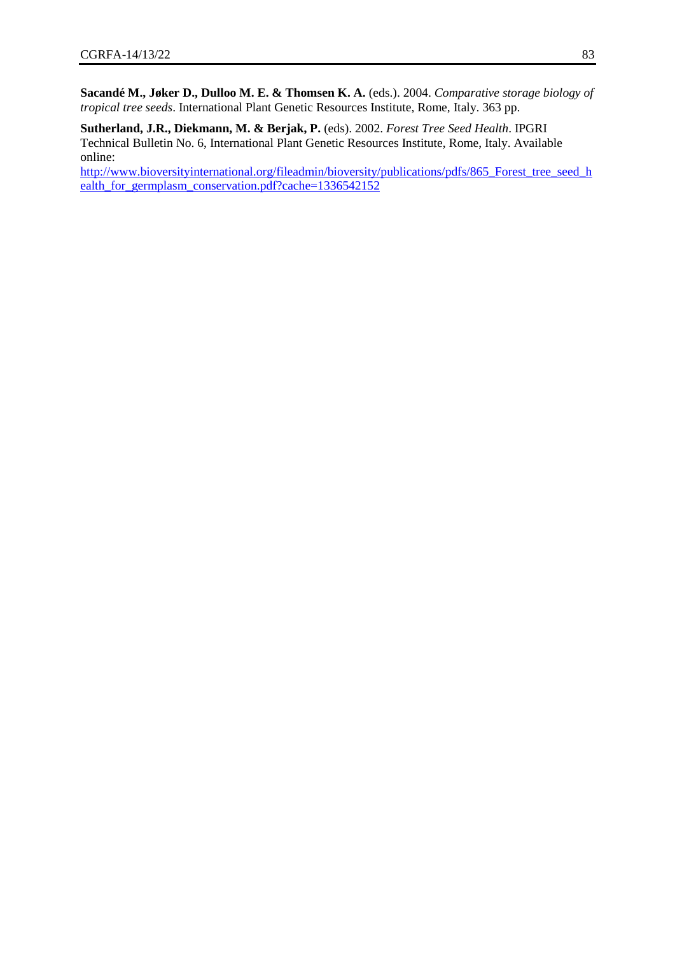**Sacandé M., Jøker D., Dulloo M. E. & Thomsen K. A.** (eds.). 2004. *Comparative storage biology of tropical tree seeds*. International Plant Genetic Resources Institute, Rome, Italy. 363 pp.

**Sutherland, J.R., Diekmann, M. & Berjak, P.** (eds). 2002. *Forest Tree Seed Health*. IPGRI Technical Bulletin No. 6, International Plant Genetic Resources Institute, Rome, Italy. Available online:

[http://www.bioversityinternational.org/fileadmin/bioversity/publications/pdfs/865\\_Forest\\_tree\\_seed\\_h](http://www.bioversityinternational.org/fileadmin/bioversity/publications/pdfs/865_Forest_tree_seed_health_for_germplasm_conservation.pdf?cache=1336542152) [ealth\\_for\\_germplasm\\_conservation.pdf?cache=1336542152](http://www.bioversityinternational.org/fileadmin/bioversity/publications/pdfs/865_Forest_tree_seed_health_for_germplasm_conservation.pdf?cache=1336542152)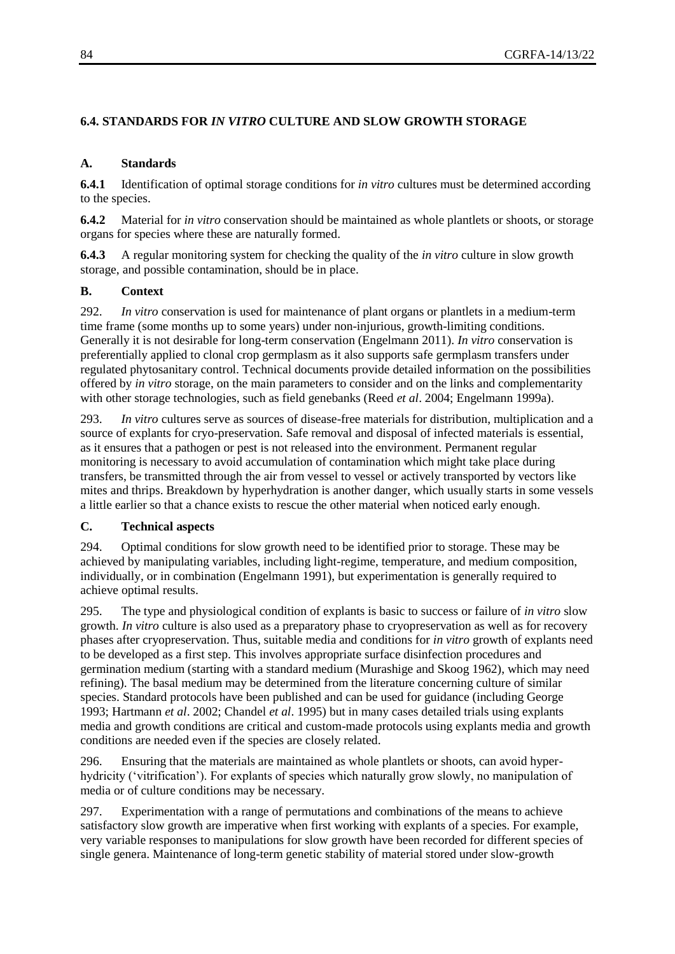# **6.4. STANDARDS FOR** *IN VITRO* **CULTURE AND SLOW GROWTH STORAGE**

# **A. Standards**

**6.4.1** Identification of optimal storage conditions for *in vitro* cultures must be determined according to the species.

**6.4.2** Material for *in vitro* conservation should be maintained as whole plantlets or shoots, or storage organs for species where these are naturally formed.

**6.4.3** A regular monitoring system for checking the quality of the *in vitro* culture in slow growth storage, and possible contamination, should be in place.

#### **B. Context**

292. *In vitro* conservation is used for maintenance of plant organs or plantlets in a medium-term time frame (some months up to some years) under non-injurious, growth-limiting conditions. Generally it is not desirable for long-term conservation (Engelmann 2011). *In vitro* conservation is preferentially applied to clonal crop germplasm as it also supports safe germplasm transfers under regulated phytosanitary control. Technical documents provide detailed information on the possibilities offered by *in vitro* storage, on the main parameters to consider and on the links and complementarity with other storage technologies, such as field genebanks (Reed *et al*. 2004; Engelmann 1999a).

293. *In vitro* cultures serve as sources of disease-free materials for distribution, multiplication and a source of explants for cryo-preservation. Safe removal and disposal of infected materials is essential, as it ensures that a pathogen or pest is not released into the environment. Permanent regular monitoring is necessary to avoid accumulation of contamination which might take place during transfers, be transmitted through the air from vessel to vessel or actively transported by vectors like mites and thrips. Breakdown by hyperhydration is another danger, which usually starts in some vessels a little earlier so that a chance exists to rescue the other material when noticed early enough.

# **C. Technical aspects**

294. Optimal conditions for slow growth need to be identified prior to storage. These may be achieved by manipulating variables, including light-regime, temperature, and medium composition, individually, or in combination (Engelmann 1991), but experimentation is generally required to achieve optimal results.

295. The type and physiological condition of explants is basic to success or failure of *in vitro* slow growth. *In vitro* culture is also used as a preparatory phase to cryopreservation as well as for recovery phases after cryopreservation. Thus, suitable media and conditions for *in vitro* growth of explants need to be developed as a first step. This involves appropriate surface disinfection procedures and germination medium (starting with a standard medium (Murashige and Skoog 1962), which may need refining). The basal medium may be determined from the literature concerning culture of similar species. Standard protocols have been published and can be used for guidance (including George 1993; Hartmann *et al*. 2002; Chandel *et al*. 1995) but in many cases detailed trials using explants media and growth conditions are critical and custom-made protocols using explants media and growth conditions are needed even if the species are closely related.

296. Ensuring that the materials are maintained as whole plantlets or shoots, can avoid hyperhydricity ('vitrification'). For explants of species which naturally grow slowly, no manipulation of media or of culture conditions may be necessary.

297. Experimentation with a range of permutations and combinations of the means to achieve satisfactory slow growth are imperative when first working with explants of a species. For example, very variable responses to manipulations for slow growth have been recorded for different species of single genera. Maintenance of long-term genetic stability of material stored under slow-growth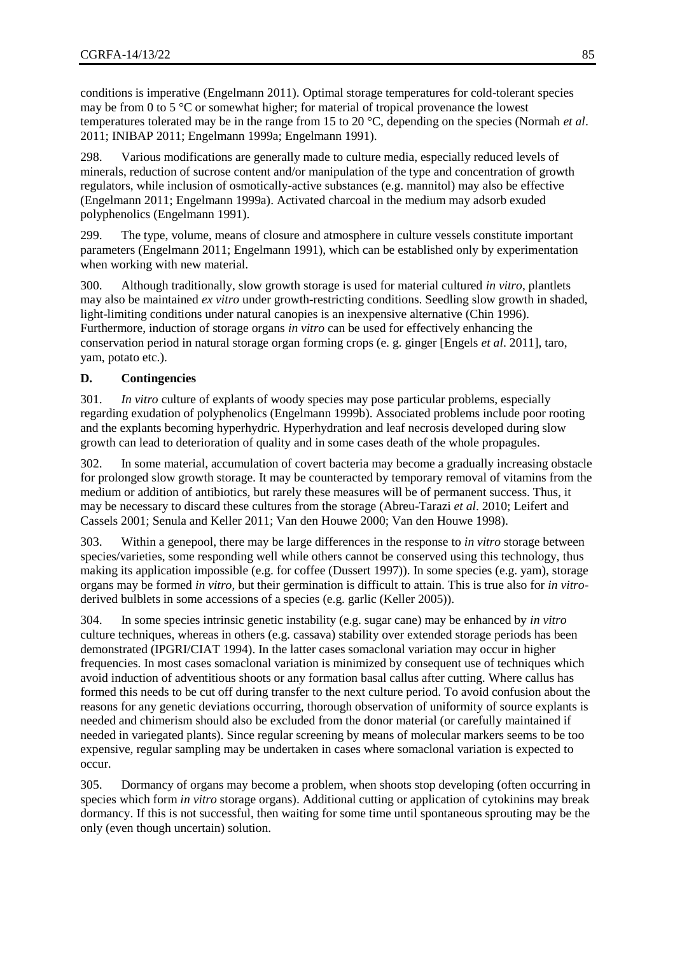conditions is imperative (Engelmann 2011). Optimal storage temperatures for cold-tolerant species may be from 0 to 5 °C or somewhat higher; for material of tropical provenance the lowest temperatures tolerated may be in the range from 15 to 20 °C, depending on the species (Normah *et al*. 2011; INIBAP 2011; Engelmann 1999a; Engelmann 1991).

298. Various modifications are generally made to culture media, especially reduced levels of minerals, reduction of sucrose content and/or manipulation of the type and concentration of growth regulators, while inclusion of osmotically-active substances (e.g. mannitol) may also be effective (Engelmann 2011; Engelmann 1999a). Activated charcoal in the medium may adsorb exuded polyphenolics (Engelmann 1991).

299. The type, volume, means of closure and atmosphere in culture vessels constitute important parameters (Engelmann 2011; Engelmann 1991), which can be established only by experimentation when working with new material.

300. Although traditionally, slow growth storage is used for material cultured *in vitro*, plantlets may also be maintained *ex vitro* under growth-restricting conditions. Seedling slow growth in shaded, light-limiting conditions under natural canopies is an inexpensive alternative (Chin 1996). Furthermore, induction of storage organs *in vitro* can be used for effectively enhancing the conservation period in natural storage organ forming crops (e. g. ginger [Engels *et al*. 2011], taro, yam, potato etc.).

# **D. Contingencies**

301. *In vitro* culture of explants of woody species may pose particular problems, especially regarding exudation of polyphenolics (Engelmann 1999b). Associated problems include poor rooting and the explants becoming hyperhydric. Hyperhydration and leaf necrosis developed during slow growth can lead to deterioration of quality and in some cases death of the whole propagules.

302. In some material, accumulation of covert bacteria may become a gradually increasing obstacle for prolonged slow growth storage. It may be counteracted by temporary removal of vitamins from the medium or addition of antibiotics, but rarely these measures will be of permanent success. Thus, it may be necessary to discard these cultures from the storage (Abreu-Tarazi *et al*. 2010; Leifert and Cassels 2001; Senula and Keller 2011; Van den Houwe 2000; Van den Houwe 1998).

303. Within a genepool, there may be large differences in the response to *in vitro* storage between species/varieties, some responding well while others cannot be conserved using this technology, thus making its application impossible (e.g. for coffee (Dussert 1997)). In some species (e.g. yam), storage organs may be formed *in vitro*, but their germination is difficult to attain. This is true also for *in vitro*derived bulblets in some accessions of a species (e.g. garlic (Keller 2005)).

304. In some species intrinsic genetic instability (e.g. sugar cane) may be enhanced by *in vitro* culture techniques, whereas in others (e.g. cassava) stability over extended storage periods has been demonstrated (IPGRI/CIAT 1994). In the latter cases somaclonal variation may occur in higher frequencies. In most cases somaclonal variation is minimized by consequent use of techniques which avoid induction of adventitious shoots or any formation basal callus after cutting. Where callus has formed this needs to be cut off during transfer to the next culture period. To avoid confusion about the reasons for any genetic deviations occurring, thorough observation of uniformity of source explants is needed and chimerism should also be excluded from the donor material (or carefully maintained if needed in variegated plants). Since regular screening by means of molecular markers seems to be too expensive, regular sampling may be undertaken in cases where somaclonal variation is expected to occur.

305. Dormancy of organs may become a problem, when shoots stop developing (often occurring in species which form *in vitro* storage organs). Additional cutting or application of cytokinins may break dormancy. If this is not successful, then waiting for some time until spontaneous sprouting may be the only (even though uncertain) solution.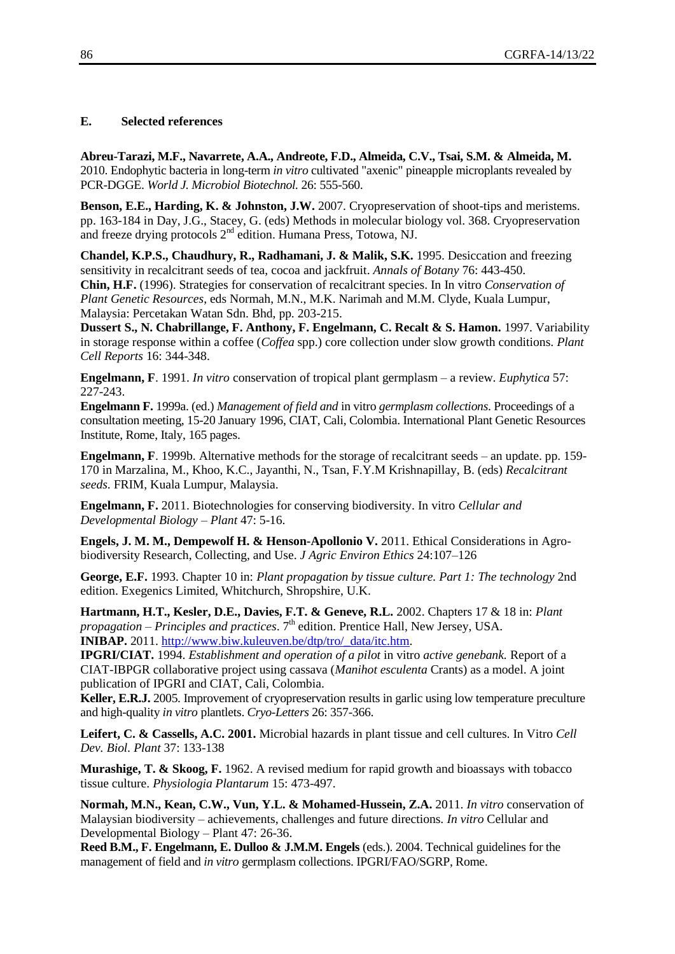#### **E. Selected references**

**Abreu-Tarazi, M.F., Navarrete, A.A., Andreote, F.D., Almeida, C.V., Tsai, S.M. & Almeida, M.** 2010. Endophytic bacteria in long-term *in vitro* cultivated "axenic" pineapple microplants revealed by PCR-DGGE. *World J. Microbiol Biotechnol.* 26: 555-560.

**Benson, E.E., Harding, K. & Johnston, J.W.** 2007. Cryopreservation of shoot-tips and meristems. pp. 163-184 in Day, J.G., Stacey, G. (eds) Methods in molecular biology vol. 368. Cryopreservation and freeze drying protocols  $2<sup>nd</sup>$  edition. Humana Press, Totowa, NJ.

**Chandel, K.P.S., Chaudhury, R., Radhamani, J. & Malik, S.K.** 1995. Desiccation and freezing sensitivity in recalcitrant seeds of tea, cocoa and jackfruit. *Annals of Botany* 76: 443-450. **Chin, H.F.** (1996). Strategies for conservation of recalcitrant species. In In vitro *Conservation of Plant Genetic Resources*, eds Normah, M.N., M.K. Narimah and M.M. Clyde, Kuala Lumpur, Malaysia: Percetakan Watan Sdn. Bhd, pp. 203-215.

**Dussert S., N. Chabrillange, F. Anthony, F. Engelmann, C. Recalt & S. Hamon.** 1997. Variability in storage response within a coffee (*Coffea* spp.) core collection under slow growth conditions. *Plant Cell Reports* 16: 344-348.

**Engelmann, F**. 1991. *In vitro* conservation of tropical plant germplasm – a review. *Euphytica* 57: 227-243.

**Engelmann F.** 1999a. (ed.) *Management of field and* in vitro *germplasm collections*. Proceedings of a consultation meeting, 15-20 January 1996, CIAT, Cali, Colombia. International Plant Genetic Resources Institute, Rome, Italy, 165 pages.

**Engelmann, F**. 1999b. Alternative methods for the storage of recalcitrant seeds – an update. pp. 159- 170 in Marzalina, M., Khoo, K.C., Jayanthi, N., Tsan, F.Y.M Krishnapillay, B. (eds) *Recalcitrant seeds*. FRIM, Kuala Lumpur, Malaysia.

**Engelmann, F.** 2011. Biotechnologies for conserving biodiversity. In vitro *Cellular and Developmental Biology – Plant* 47: 5-16.

**Engels, J. M. M., Dempewolf H. & Henson-Apollonio V.** 2011. Ethical Considerations in Agrobiodiversity Research, Collecting, and Use. *J Agric Environ Ethics* 24:107–126

**George, E.F.** 1993. Chapter 10 in: *Plant propagation by tissue culture. Part 1: The technology* 2nd edition. Exegenics Limited, Whitchurch, Shropshire, U.K.

**Hartmann, H.T., Kesler, D.E., Davies, F.T. & Geneve, R.L.** 2002. Chapters 17 & 18 in: *Plant propagation – Principles and practices.* 7<sup>th</sup> edition. Prentice Hall, New Jersey, USA. **INIBAP.** 2011. [http://www.biw.kuleuven.be/dtp/tro/\\_data/itc.htm.](http://www.biw.kuleuven.be/dtp/tro/_data/itc.htm)

**IPGRI/CIAT.** 1994. *Establishment and operation of a pilot* in vitro *active genebank.* Report of a CIAT-IBPGR collaborative project using cassava (*Manihot esculenta* Crants) as a model. A joint publication of IPGRI and CIAT, Cali, Colombia.

**Keller, E.R.J.** 2005. Improvement of cryopreservation results in garlic using low temperature preculture and high-quality *in vitro* plantlets. *Cryo-Letters* 26: 357-366.

**Leifert, C. & Cassells, A.C. 2001.** Microbial hazards in plant tissue and cell cultures. In Vitro *Cell Dev. Biol. Plant* 37: 133-138

**Murashige, T. & Skoog, F.** 1962. A revised medium for rapid growth and bioassays with tobacco tissue culture. *Physiologia Plantarum* 15: 473-497.

**Normah, M.N., Kean, C.W., Vun, Y.L. & Mohamed-Hussein, Z.A.** 2011. *In vitro* conservation of Malaysian biodiversity – achievements, challenges and future directions. *In vitro* Cellular and Developmental Biology – Plant 47: 26-36.

**Reed B.M., F. Engelmann, E. Dulloo & J.M.M. Engels** (eds.). 2004. Technical guidelines for the management of field and *in vitro* germplasm collections. IPGRI/FAO/SGRP, Rome.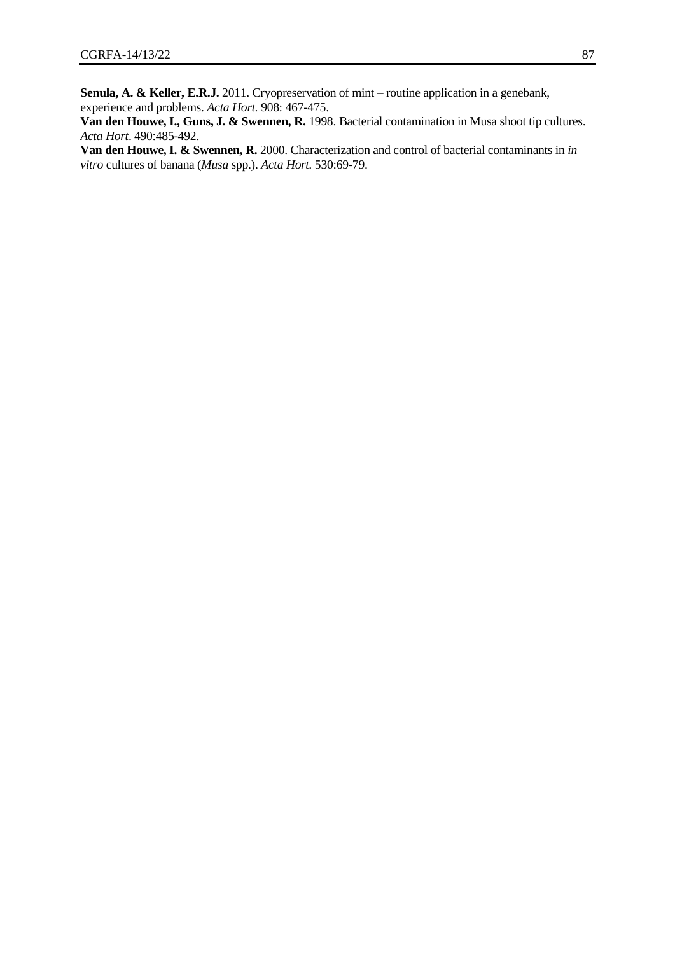**Senula, A. & Keller, E.R.J.** 2011. Cryopreservation of mint – routine application in a genebank, experience and problems. *Acta Hort.* 908: 467-475.

**Van den Houwe, I., Guns, J. & Swennen, R.** 1998. Bacterial contamination in Musa shoot tip cultures. *Acta Hort*. 490:485-492.

**Van den Houwe, I. & Swennen, R.** 2000. Characterization and control of bacterial contaminants in *in vitro* cultures of banana (*Musa* spp.). *Acta Hort.* 530:69-79.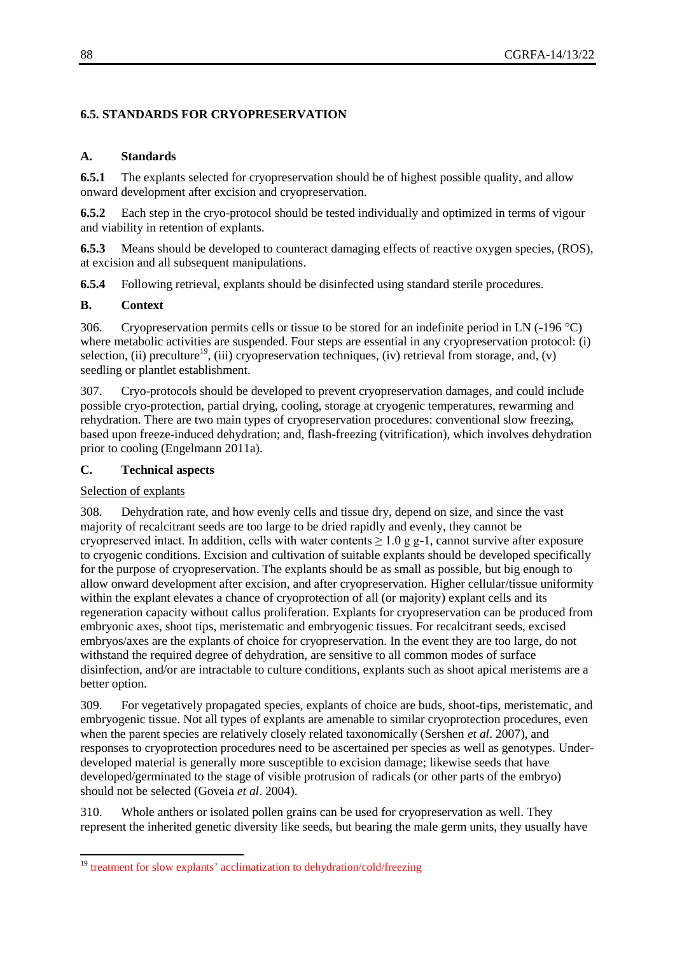# **6.5. STANDARDS FOR CRYOPRESERVATION**

# **A. Standards**

**6.5.1** The explants selected for cryopreservation should be of highest possible quality, and allow onward development after excision and cryopreservation.

**6.5.2** Each step in the cryo-protocol should be tested individually and optimized in terms of vigour and viability in retention of explants.

**6.5.3** Means should be developed to counteract damaging effects of reactive oxygen species, (ROS), at excision and all subsequent manipulations.

**6.5.4** Following retrieval, explants should be disinfected using standard sterile procedures.

# **B. Context**

306. Cryopreservation permits cells or tissue to be stored for an indefinite period in LN  $(-196 \degree C)$ where metabolic activities are suspended. Four steps are essential in any cryopreservation protocol: (i) selection, (ii) preculture<sup>19</sup>, (iii) cryopreservation techniques, (iv) retrieval from storage, and, (v) seedling or plantlet establishment.

307. Cryo-protocols should be developed to prevent cryopreservation damages, and could include possible cryo-protection, partial drying, cooling, storage at cryogenic temperatures, rewarming and rehydration. There are two main types of cryopreservation procedures: conventional slow freezing, based upon freeze-induced dehydration; and, flash-freezing (vitrification), which involves dehydration prior to cooling (Engelmann 2011a).

# **C. Technical aspects**

#### Selection of explants

 $\overline{a}$ 

308. Dehydration rate, and how evenly cells and tissue dry, depend on size, and since the vast majority of recalcitrant seeds are too large to be dried rapidly and evenly, they cannot be cryopreserved intact. In addition, cells with water contents  $\geq 1.0$  g g-1, cannot survive after exposure to cryogenic conditions. Excision and cultivation of suitable explants should be developed specifically for the purpose of cryopreservation. The explants should be as small as possible, but big enough to allow onward development after excision, and after cryopreservation. Higher cellular/tissue uniformity within the explant elevates a chance of cryoprotection of all (or majority) explant cells and its regeneration capacity without callus proliferation. Explants for cryopreservation can be produced from embryonic axes, shoot tips, meristematic and embryogenic tissues. For recalcitrant seeds, excised embryos/axes are the explants of choice for cryopreservation. In the event they are too large, do not withstand the required degree of dehydration, are sensitive to all common modes of surface disinfection, and/or are intractable to culture conditions, explants such as shoot apical meristems are a better option.

309. For vegetatively propagated species, explants of choice are buds, shoot-tips, meristematic, and embryogenic tissue. Not all types of explants are amenable to similar cryoprotection procedures, even when the parent species are relatively closely related taxonomically (Sershen *et al*. 2007), and responses to cryoprotection procedures need to be ascertained per species as well as genotypes. Underdeveloped material is generally more susceptible to excision damage; likewise seeds that have developed/germinated to the stage of visible protrusion of radicals (or other parts of the embryo) should not be selected (Goveia *et al*. 2004).

310. Whole anthers or isolated pollen grains can be used for cryopreservation as well. They represent the inherited genetic diversity like seeds, but bearing the male germ units, they usually have

<sup>&</sup>lt;sup>19</sup> treatment for slow explants' acclimatization to dehydration/cold/freezing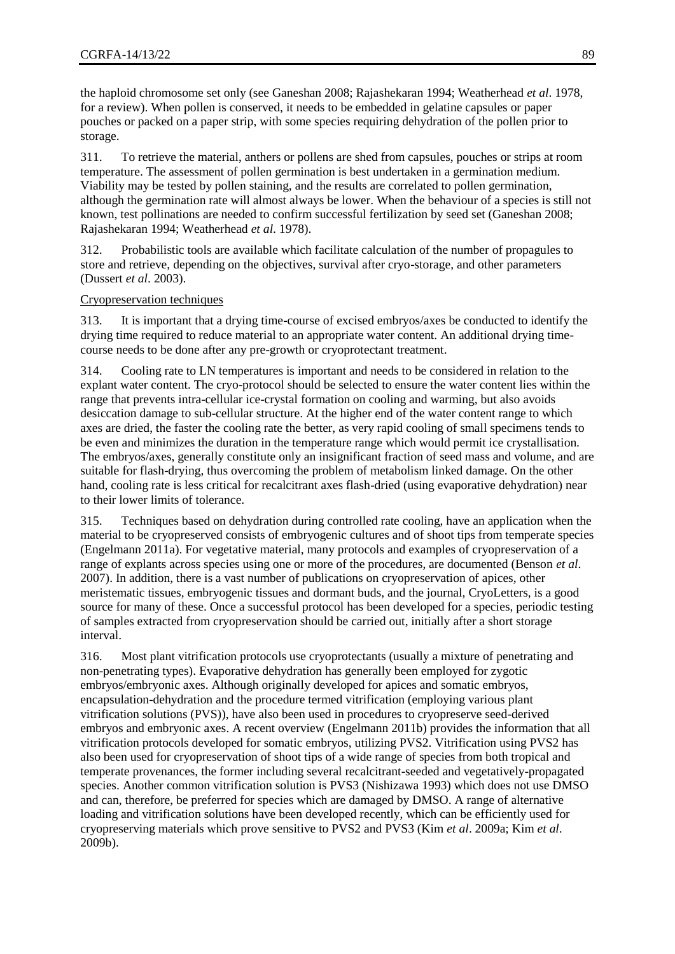the haploid chromosome set only (see Ganeshan 2008; Rajashekaran 1994; Weatherhead *et al*. 1978, for a review). When pollen is conserved, it needs to be embedded in gelatine capsules or paper pouches or packed on a paper strip, with some species requiring dehydration of the pollen prior to storage.

311. To retrieve the material, anthers or pollens are shed from capsules, pouches or strips at room temperature. The assessment of pollen germination is best undertaken in a germination medium. Viability may be tested by pollen staining, and the results are correlated to pollen germination, although the germination rate will almost always be lower. When the behaviour of a species is still not known, test pollinations are needed to confirm successful fertilization by seed set (Ganeshan 2008; Rajashekaran 1994; Weatherhead *et al*. 1978).

312. Probabilistic tools are available which facilitate calculation of the number of propagules to store and retrieve, depending on the objectives, survival after cryo-storage, and other parameters (Dussert *et al*. 2003).

#### Cryopreservation techniques

313. It is important that a drying time-course of excised embryos/axes be conducted to identify the drying time required to reduce material to an appropriate water content. An additional drying timecourse needs to be done after any pre-growth or cryoprotectant treatment.

314. Cooling rate to LN temperatures is important and needs to be considered in relation to the explant water content. The cryo-protocol should be selected to ensure the water content lies within the range that prevents intra-cellular ice-crystal formation on cooling and warming, but also avoids desiccation damage to sub-cellular structure. At the higher end of the water content range to which axes are dried, the faster the cooling rate the better, as very rapid cooling of small specimens tends to be even and minimizes the duration in the temperature range which would permit ice crystallisation. The embryos/axes, generally constitute only an insignificant fraction of seed mass and volume, and are suitable for flash-drying, thus overcoming the problem of metabolism linked damage. On the other hand, cooling rate is less critical for recalcitrant axes flash-dried (using evaporative dehydration) near to their lower limits of tolerance.

315. Techniques based on dehydration during controlled rate cooling, have an application when the material to be cryopreserved consists of embryogenic cultures and of shoot tips from temperate species (Engelmann 2011a). For vegetative material, many protocols and examples of cryopreservation of a range of explants across species using one or more of the procedures, are documented (Benson *et al*. 2007). In addition, there is a vast number of publications on cryopreservation of apices, other meristematic tissues, embryogenic tissues and dormant buds, and the journal, CryoLetters, is a good source for many of these. Once a successful protocol has been developed for a species, periodic testing of samples extracted from cryopreservation should be carried out, initially after a short storage interval.

316. Most plant vitrification protocols use cryoprotectants (usually a mixture of penetrating and non-penetrating types). Evaporative dehydration has generally been employed for zygotic embryos/embryonic axes. Although originally developed for apices and somatic embryos, encapsulation-dehydration and the procedure termed vitrification (employing various plant vitrification solutions (PVS)), have also been used in procedures to cryopreserve seed-derived embryos and embryonic axes. A recent overview (Engelmann 2011b) provides the information that all vitrification protocols developed for somatic embryos, utilizing PVS2. Vitrification using PVS2 has also been used for cryopreservation of shoot tips of a wide range of species from both tropical and temperate provenances, the former including several recalcitrant-seeded and vegetatively-propagated species. Another common vitrification solution is PVS3 (Nishizawa 1993) which does not use DMSO and can, therefore, be preferred for species which are damaged by DMSO. A range of alternative loading and vitrification solutions have been developed recently, which can be efficiently used for cryopreserving materials which prove sensitive to PVS2 and PVS3 (Kim *et al*. 2009a; Kim *et al*. 2009b).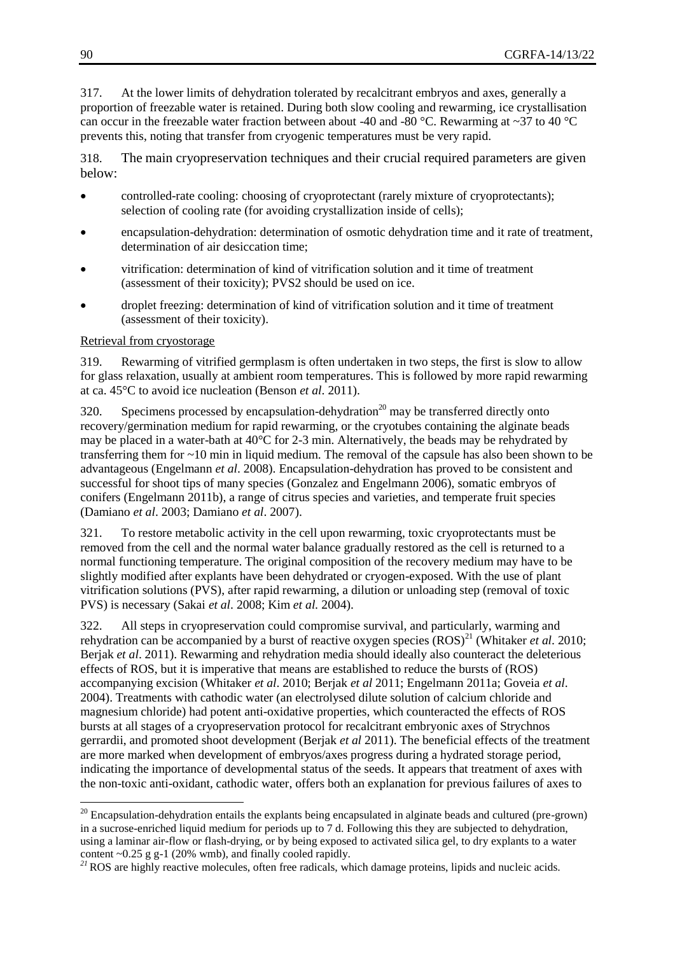317. At the lower limits of dehydration tolerated by recalcitrant embryos and axes, generally a proportion of freezable water is retained. During both slow cooling and rewarming, ice crystallisation can occur in the freezable water fraction between about -40 and -80 °C. Rewarming at  $\sim$ 37 to 40 °C prevents this, noting that transfer from cryogenic temperatures must be very rapid.

318. The main cryopreservation techniques and their crucial required parameters are given below:

- controlled-rate cooling: choosing of cryoprotectant (rarely mixture of cryoprotectants); selection of cooling rate (for avoiding crystallization inside of cells);
- encapsulation-dehydration: determination of osmotic dehydration time and it rate of treatment, determination of air desiccation time;
- vitrification: determination of kind of vitrification solution and it time of treatment (assessment of their toxicity); PVS2 should be used on ice.
- droplet freezing: determination of kind of vitrification solution and it time of treatment (assessment of their toxicity).

#### Retrieval from cryostorage

319. Rewarming of vitrified germplasm is often undertaken in two steps, the first is slow to allow for glass relaxation, usually at ambient room temperatures. This is followed by more rapid rewarming at ca. 45°C to avoid ice nucleation (Benson *et al*. 2011).

320. Specimens processed by encapsulation-dehydration<sup>20</sup> may be transferred directly onto recovery/germination medium for rapid rewarming, or the cryotubes containing the alginate beads may be placed in a water-bath at 40°C for 2-3 min. Alternatively, the beads may be rehydrated by transferring them for ~10 min in liquid medium. The removal of the capsule has also been shown to be advantageous (Engelmann *et al*. 2008). Encapsulation-dehydration has proved to be consistent and successful for shoot tips of many species (Gonzalez and Engelmann 2006), somatic embryos of conifers (Engelmann 2011b), a range of citrus species and varieties, and temperate fruit species (Damiano *et al*. 2003; Damiano *et al*. 2007).

321. To restore metabolic activity in the cell upon rewarming, toxic cryoprotectants must be removed from the cell and the normal water balance gradually restored as the cell is returned to a normal functioning temperature. The original composition of the recovery medium may have to be slightly modified after explants have been dehydrated or cryogen-exposed. With the use of plant vitrification solutions (PVS), after rapid rewarming, a dilution or unloading step (removal of toxic PVS) is necessary (Sakai *et al*. 2008; Kim *et al.* 2004).

322. All steps in cryopreservation could compromise survival, and particularly, warming and rehydration can be accompanied by a burst of reactive oxygen species  $(ROS)^{21}$  (Whitaker *et al.* 2010; Berjak *et al*. 2011). Rewarming and rehydration media should ideally also counteract the deleterious effects of ROS, but it is imperative that means are established to reduce the bursts of (ROS) accompanying excision (Whitaker *et al*. 2010; Berjak *et al* 2011; Engelmann 2011a; Goveia *et al*. 2004). Treatments with cathodic water (an electrolysed dilute solution of calcium chloride and magnesium chloride) had potent anti-oxidative properties, which counteracted the effects of ROS bursts at all stages of a cryopreservation protocol for recalcitrant embryonic axes of Strychnos gerrardii, and promoted shoot development (Berjak *et al* 2011). The beneficial effects of the treatment are more marked when development of embryos/axes progress during a hydrated storage period, indicating the importance of developmental status of the seeds. It appears that treatment of axes with the non-toxic anti-oxidant, cathodic water, offers both an explanation for previous failures of axes to

l

<sup>&</sup>lt;sup>20</sup> Encapsulation-dehydration entails the explants being encapsulated in alginate beads and cultured (pre-grown) in a sucrose-enriched liquid medium for periods up to 7 d. Following this they are subjected to dehydration, using a laminar air-flow or flash-drying, or by being exposed to activated silica gel, to dry explants to a water content  $\sim 0.25$  g g-1 (20% wmb), and finally cooled rapidly.

*<sup>21</sup>* ROS are highly reactive molecules, often free radicals, which damage proteins, lipids and nucleic acids.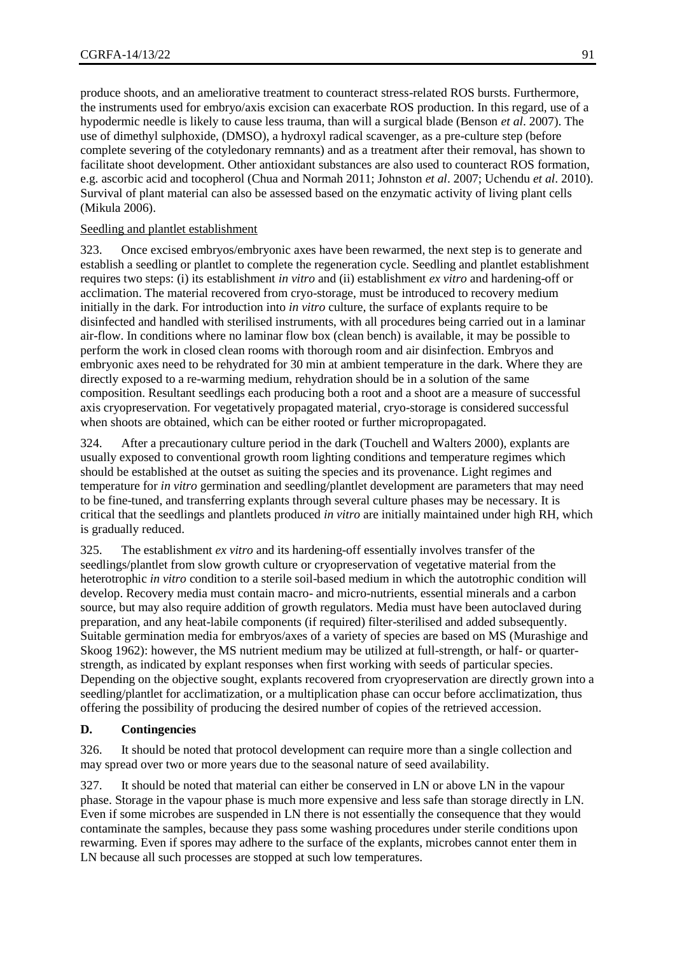produce shoots, and an ameliorative treatment to counteract stress-related ROS bursts. Furthermore, the instruments used for embryo/axis excision can exacerbate ROS production. In this regard, use of a hypodermic needle is likely to cause less trauma, than will a surgical blade (Benson *et al*. 2007). The use of dimethyl sulphoxide, (DMSO), a hydroxyl radical scavenger, as a pre-culture step (before complete severing of the cotyledonary remnants) and as a treatment after their removal, has shown to facilitate shoot development. Other antioxidant substances are also used to counteract ROS formation, e.g. ascorbic acid and tocopherol (Chua and Normah 2011; Johnston *et al*. 2007; Uchendu *et al*. 2010). Survival of plant material can also be assessed based on the enzymatic activity of living plant cells (Mikula 2006).

#### Seedling and plantlet establishment

323. Once excised embryos/embryonic axes have been rewarmed, the next step is to generate and establish a seedling or plantlet to complete the regeneration cycle. Seedling and plantlet establishment requires two steps: (i) its establishment *in vitro* and (ii) establishment *ex vitro* and hardening-off or acclimation. The material recovered from cryo-storage, must be introduced to recovery medium initially in the dark. For introduction into *in vitro* culture, the surface of explants require to be disinfected and handled with sterilised instruments, with all procedures being carried out in a laminar air-flow. In conditions where no laminar flow box (clean bench) is available, it may be possible to perform the work in closed clean rooms with thorough room and air disinfection. Embryos and embryonic axes need to be rehydrated for 30 min at ambient temperature in the dark. Where they are directly exposed to a re-warming medium, rehydration should be in a solution of the same composition. Resultant seedlings each producing both a root and a shoot are a measure of successful axis cryopreservation. For vegetatively propagated material, cryo-storage is considered successful when shoots are obtained, which can be either rooted or further micropropagated.

324. After a precautionary culture period in the dark (Touchell and Walters 2000), explants are usually exposed to conventional growth room lighting conditions and temperature regimes which should be established at the outset as suiting the species and its provenance. Light regimes and temperature for *in vitro* germination and seedling/plantlet development are parameters that may need to be fine-tuned, and transferring explants through several culture phases may be necessary. It is critical that the seedlings and plantlets produced *in vitro* are initially maintained under high RH, which is gradually reduced.

325. The establishment *ex vitro* and its hardening-off essentially involves transfer of the seedlings/plantlet from slow growth culture or cryopreservation of vegetative material from the heterotrophic *in vitro* condition to a sterile soil-based medium in which the autotrophic condition will develop. Recovery media must contain macro- and micro-nutrients, essential minerals and a carbon source, but may also require addition of growth regulators. Media must have been autoclaved during preparation, and any heat-labile components (if required) filter-sterilised and added subsequently. Suitable germination media for embryos/axes of a variety of species are based on MS (Murashige and Skoog 1962): however, the MS nutrient medium may be utilized at full-strength, or half- or quarterstrength, as indicated by explant responses when first working with seeds of particular species. Depending on the objective sought, explants recovered from cryopreservation are directly grown into a seedling/plantlet for acclimatization, or a multiplication phase can occur before acclimatization, thus offering the possibility of producing the desired number of copies of the retrieved accession.

#### **D. Contingencies**

326. It should be noted that protocol development can require more than a single collection and may spread over two or more years due to the seasonal nature of seed availability.

327. It should be noted that material can either be conserved in LN or above LN in the vapour phase. Storage in the vapour phase is much more expensive and less safe than storage directly in LN. Even if some microbes are suspended in LN there is not essentially the consequence that they would contaminate the samples, because they pass some washing procedures under sterile conditions upon rewarming. Even if spores may adhere to the surface of the explants, microbes cannot enter them in LN because all such processes are stopped at such low temperatures.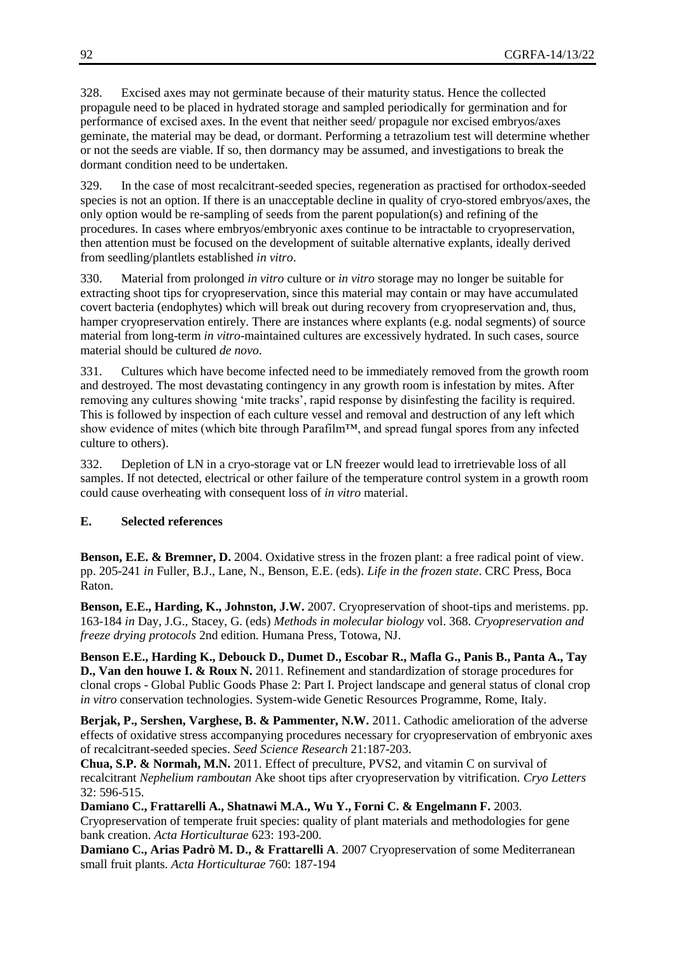328. Excised axes may not germinate because of their maturity status. Hence the collected propagule need to be placed in hydrated storage and sampled periodically for germination and for performance of excised axes. In the event that neither seed/ propagule nor excised embryos/axes geminate, the material may be dead, or dormant. Performing a tetrazolium test will determine whether or not the seeds are viable. If so, then dormancy may be assumed, and investigations to break the dormant condition need to be undertaken.

329. In the case of most recalcitrant-seeded species, regeneration as practised for orthodox-seeded species is not an option. If there is an unacceptable decline in quality of cryo-stored embryos/axes, the only option would be re-sampling of seeds from the parent population(s) and refining of the procedures. In cases where embryos/embryonic axes continue to be intractable to cryopreservation, then attention must be focused on the development of suitable alternative explants, ideally derived from seedling/plantlets established *in vitro*.

330. Material from prolonged *in vitro* culture or *in vitro* storage may no longer be suitable for extracting shoot tips for cryopreservation, since this material may contain or may have accumulated covert bacteria (endophytes) which will break out during recovery from cryopreservation and, thus, hamper cryopreservation entirely. There are instances where explants (e.g. nodal segments) of source material from long-term *in vitro*-maintained cultures are excessively hydrated. In such cases, source material should be cultured *de novo*.

331. Cultures which have become infected need to be immediately removed from the growth room and destroyed. The most devastating contingency in any growth room is infestation by mites. After removing any cultures showing 'mite tracks', rapid response by disinfesting the facility is required. This is followed by inspection of each culture vessel and removal and destruction of any left which show evidence of mites (which bite through Parafilm™, and spread fungal spores from any infected culture to others).

332. Depletion of LN in a cryo-storage vat or LN freezer would lead to irretrievable loss of all samples. If not detected, electrical or other failure of the temperature control system in a growth room could cause overheating with consequent loss of *in vitro* material.

#### **E. Selected references**

**Benson, E.E. & Bremner, D.** 2004. Oxidative stress in the frozen plant: a free radical point of view. pp. 205-241 *in* Fuller, B.J., Lane, N., Benson, E.E. (eds). *Life in the frozen state*. CRC Press, Boca Raton.

**Benson, E.E., Harding, K., Johnston, J.W.** 2007. Cryopreservation of shoot-tips and meristems. pp. 163-184 *in* Day, J.G., Stacey, G. (eds) *Methods in molecular biology* vol. 368. *Cryopreservation and freeze drying protocols* 2nd edition. Humana Press, Totowa, NJ.

**Benson E.E., Harding K., Debouck D., Dumet D., Escobar R., Mafla G., Panis B., Panta A., Tay D., Van den houwe I. & Roux N.** 2011. Refinement and standardization of storage procedures for clonal crops - Global Public Goods Phase 2: Part I. Project landscape and general status of clonal crop *in vitro* conservation technologies. System-wide Genetic Resources Programme, Rome, Italy.

**Berjak, P., Sershen, Varghese, B. & Pammenter, N.W.** 2011. Cathodic amelioration of the adverse effects of oxidative stress accompanying procedures necessary for cryopreservation of embryonic axes of recalcitrant-seeded species. *Seed Science Research* 21:187-203.

**Chua, S.P. & Normah, M.N.** 2011. Effect of preculture, PVS2, and vitamin C on survival of recalcitrant *Nephelium ramboutan* Ake shoot tips after cryopreservation by vitrification. *Cryo Letters* 32: 596-515.

**Damiano C., Frattarelli A., Shatnawi M.A., Wu Y., Forni C. & Engelmann F.** 2003. Cryopreservation of temperate fruit species: quality of plant materials and methodologies for gene bank creation. *Acta Horticulturae* 623: 193-200.

**Damiano C., Arias Padrò M. D., & Frattarelli A.** 2007 Cryopreservation of some Mediterranean small fruit plants. *Acta Horticulturae* 760: 187-194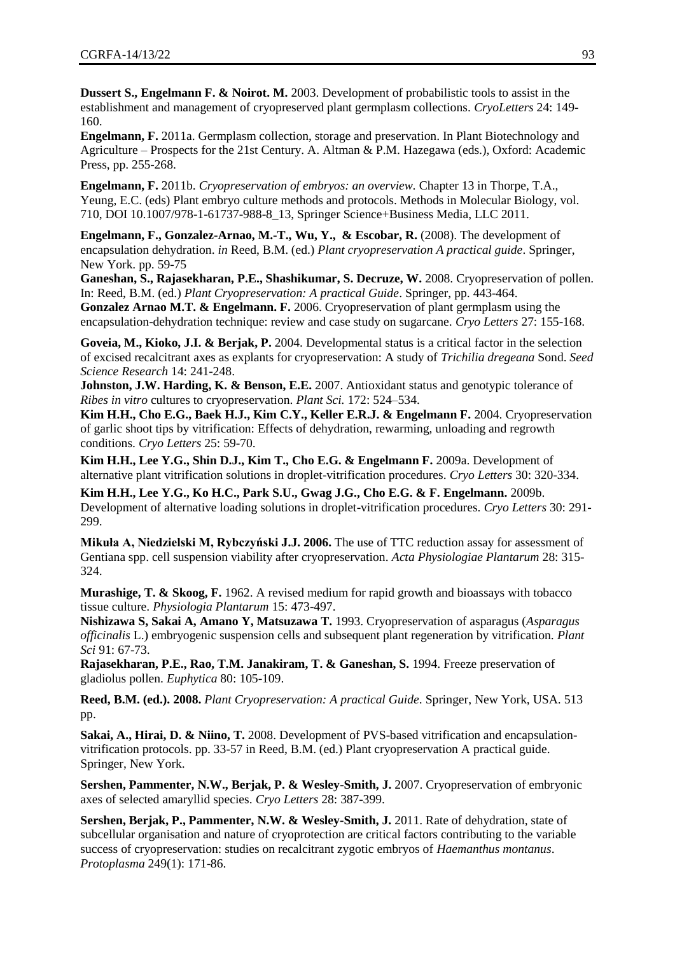**Dussert S., Engelmann F. & Noirot. M.** 2003. Development of probabilistic tools to assist in the establishment and management of cryopreserved plant germplasm collections. *CryoLetters* 24: 149- 160.

**Engelmann, F.** 2011a. Germplasm collection, storage and preservation. In Plant Biotechnology and Agriculture – Prospects for the 21st Century. A. Altman & P.M. Hazegawa (eds.), Oxford: Academic Press, pp. 255-268.

**Engelmann, F.** 2011b. *Cryopreservation of embryos: an overview.* Chapter 13 in Thorpe, T.A., Yeung, E.C. (eds) Plant embryo culture methods and protocols. Methods in Molecular Biology, vol. 710, DOI 10.1007/978-1-61737-988-8\_13, Springer Science+Business Media, LLC 2011.

**Engelmann, F., Gonzalez-Arnao, M.-T., Wu, Y., & Escobar, R.** (2008). The development of encapsulation dehydration. *in* Reed, B.M. (ed.) *Plant cryopreservation A practical guide*. Springer, New York. pp. 59-75

**Ganeshan, S., Rajasekharan, P.E., Shashikumar, S. Decruze, W.** 2008. Cryopreservation of pollen. In: Reed, B.M. (ed.) *Plant Cryopreservation: A practical Guide*. Springer, pp. 443-464. **Gonzalez Arnao M.T. & Engelmann. F.** 2006. Cryopreservation of plant germplasm using the encapsulation-dehydration technique: review and case study on sugarcane. *Cryo Letters* 27: 155-168.

**Goveia, M., Kioko, J.I. & Berjak, P.** 2004. Developmental status is a critical factor in the selection of excised recalcitrant axes as explants for cryopreservation: A study of *Trichilia dregeana* Sond. *Seed Science Research* 14: 241-248.

Johnston, J.W. Harding, K. & Benson, E.E. 2007. Antioxidant status and genotypic tolerance of *Ribes in vitro* cultures to cryopreservation. *Plant Sci.* 172: 524–534.

**Kim H.H., Cho E.G., Baek H.J., Kim C.Y., Keller E.R.J. & Engelmann F.** 2004. Cryopreservation of garlic shoot tips by vitrification: Effects of dehydration, rewarming, unloading and regrowth conditions. *Cryo Letters* 25: 59-70.

**Kim H.H., Lee Y.G., Shin D.J., Kim T., Cho E.G. & Engelmann F.** 2009a. Development of alternative plant vitrification solutions in droplet-vitrification procedures. *Cryo Letters* 30: 320-334.

**Kim H.H., Lee Y.G., Ko H.C., Park S.U., Gwag J.G., Cho E.G. & F. Engelmann.** 2009b. Development of alternative loading solutions in droplet-vitrification procedures. *Cryo Letters* 30: 291- 299.

**Mikuła A, Niedzielski M, Rybczyński J.J. 2006.** The use of TTC reduction assay for assessment of Gentiana spp. cell suspension viability after cryopreservation. *Acta Physiologiae Plantarum* 28: 315- 324.

**Murashige, T. & Skoog, F.** 1962. A revised medium for rapid growth and bioassays with tobacco tissue culture. *Physiologia Plantarum* 15: 473-497.

**Nishizawa S, Sakai A, Amano Y, Matsuzawa T.** 1993. Cryopreservation of asparagus (*Asparagus officinalis* L.) embryogenic suspension cells and subsequent plant regeneration by vitrification. *Plant Sci* 91: 67-73.

**Rajasekharan, P.E., Rao, T.M. Janakiram, T. & Ganeshan, S.** 1994. Freeze preservation of gladiolus pollen. *Euphytica* 80: 105-109.

**Reed, B.M. (ed.). 2008.** *Plant Cryopreservation: A practical Guide*. Springer, New York, USA. 513 pp.

**Sakai, A., Hirai, D. & Niino, T.** 2008. Development of PVS-based vitrification and encapsulationvitrification protocols. pp. 33-57 in Reed, B.M. (ed.) Plant cryopreservation A practical guide. Springer, New York.

**Sershen, Pammenter, N.W., Berjak, P. & Wesley-Smith, J.** 2007. Cryopreservation of embryonic axes of selected amaryllid species. *Cryo Letters* 28: 387-399.

Sershen, Berjak, P., Pammenter, N.W. & Wesley-Smith, J. 2011. Rate of dehydration, state of subcellular organisation and nature of cryoprotection are critical factors contributing to the variable success of cryopreservation: studies on recalcitrant zygotic embryos of *Haemanthus montanus*. *Protoplasma* 249(1): 171-86.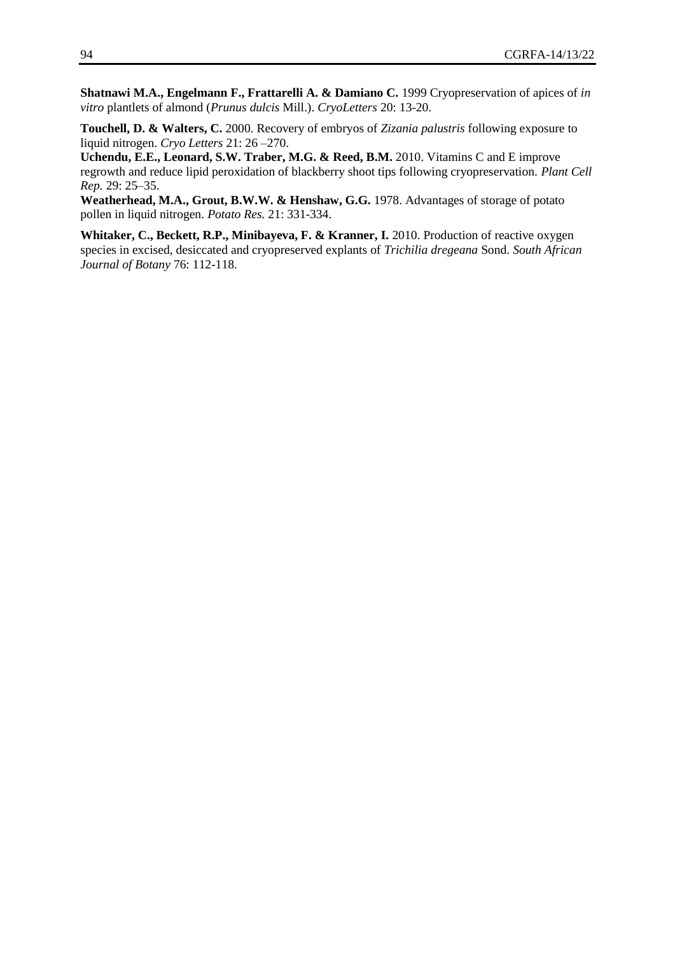**Shatnawi M.A., Engelmann F., Frattarelli A. & Damiano C.** 1999 Cryopreservation of apices of *in vitro* plantlets of almond (*Prunus dulcis* Mill.). *CryoLetters* 20: 13-20.

**Touchell, D. & Walters, C.** 2000. Recovery of embryos of *Zizania palustris* following exposure to liquid nitrogen. *Cryo Letters* 21: 26 –270.

**Uchendu, E.E., Leonard, S.W. Traber, M.G. & Reed, B.M.** 2010. Vitamins C and E improve regrowth and reduce lipid peroxidation of blackberry shoot tips following cryopreservation. *Plant Cell Rep.* 29: 25–35.

**Weatherhead, M.A., Grout, B.W.W. & Henshaw, G.G.** 1978. Advantages of storage of potato pollen in liquid nitrogen. *Potato Res.* 21: 331-334.

**Whitaker, C., Beckett, R.P., Minibayeva, F. & Kranner, I.** 2010. Production of reactive oxygen species in excised, desiccated and cryopreserved explants of *Trichilia dregeana* Sond. *South African Journal of Botany* 76: 112-118.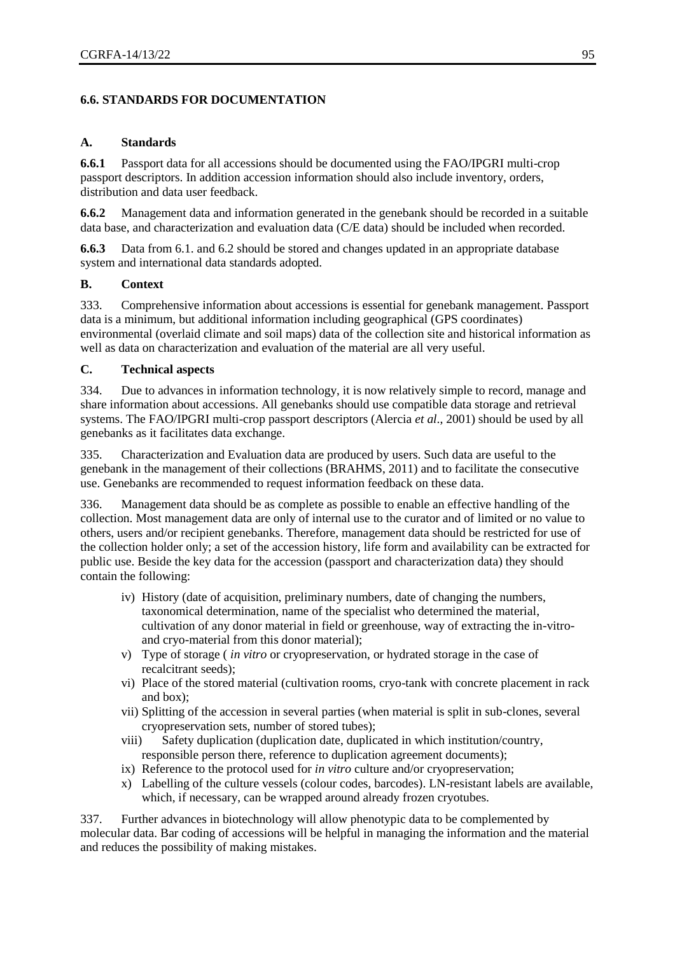# **6.6. STANDARDS FOR DOCUMENTATION**

#### **A. Standards**

**6.6.1** Passport data for all accessions should be documented using the FAO/IPGRI multi-crop passport descriptors. In addition accession information should also include inventory, orders, distribution and data user feedback.

**6.6.2** Management data and information generated in the genebank should be recorded in a suitable data base, and characterization and evaluation data (C/E data) should be included when recorded.

**6.6.3** Data from 6.1. and 6.2 should be stored and changes updated in an appropriate database system and international data standards adopted.

# **B. Context**

333. Comprehensive information about accessions is essential for genebank management. Passport data is a minimum, but additional information including geographical (GPS coordinates) environmental (overlaid climate and soil maps) data of the collection site and historical information as well as data on characterization and evaluation of the material are all very useful.

#### **C. Technical aspects**

334. Due to advances in information technology, it is now relatively simple to record, manage and share information about accessions. All genebanks should use compatible data storage and retrieval systems. The FAO/IPGRI multi-crop passport descriptors (Alercia *et al*., 2001) should be used by all genebanks as it facilitates data exchange.

335. Characterization and Evaluation data are produced by users. Such data are useful to the genebank in the management of their collections (BRAHMS, 2011) and to facilitate the consecutive use. Genebanks are recommended to request information feedback on these data.

336. Management data should be as complete as possible to enable an effective handling of the collection. Most management data are only of internal use to the curator and of limited or no value to others, users and/or recipient genebanks. Therefore, management data should be restricted for use of the collection holder only; a set of the accession history, life form and availability can be extracted for public use. Beside the key data for the accession (passport and characterization data) they should contain the following:

- iv) History (date of acquisition, preliminary numbers, date of changing the numbers, taxonomical determination, name of the specialist who determined the material, cultivation of any donor material in field or greenhouse, way of extracting the in-vitroand cryo-material from this donor material);
- v) Type of storage ( *in vitro* or cryopreservation, or hydrated storage in the case of recalcitrant seeds);
- vi) Place of the stored material (cultivation rooms, cryo-tank with concrete placement in rack and box);
- vii) Splitting of the accession in several parties (when material is split in sub-clones, several cryopreservation sets, number of stored tubes);
- viii) Safety duplication (duplication date, duplicated in which institution/country, responsible person there, reference to duplication agreement documents);
- ix) Reference to the protocol used for *in vitro* culture and/or cryopreservation;
- x) Labelling of the culture vessels (colour codes, barcodes). LN-resistant labels are available, which, if necessary, can be wrapped around already frozen cryotubes.

337. Further advances in biotechnology will allow phenotypic data to be complemented by molecular data. Bar coding of accessions will be helpful in managing the information and the material and reduces the possibility of making mistakes.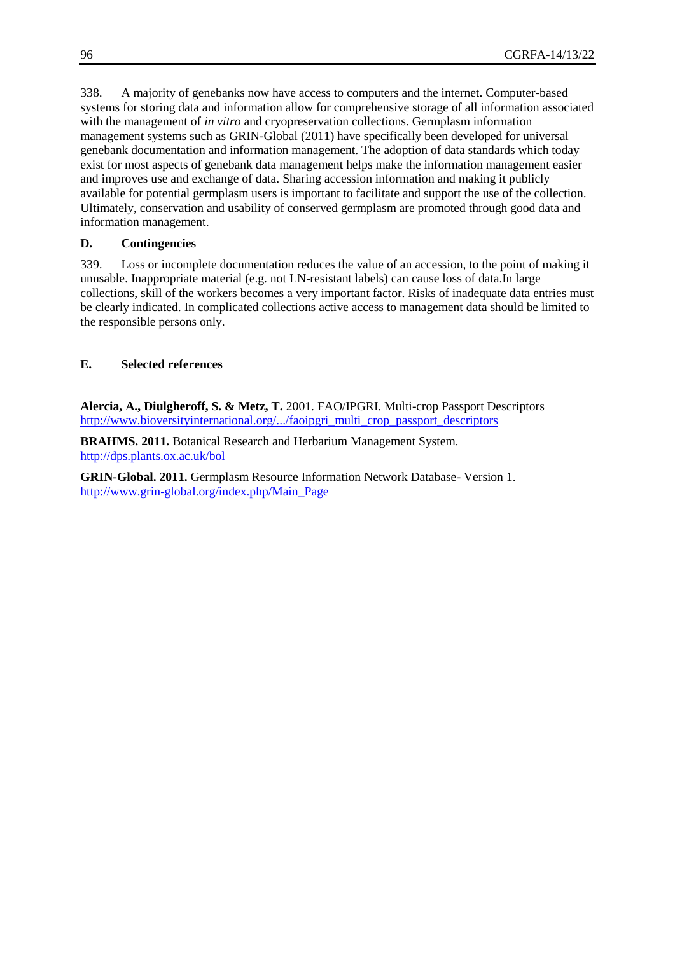338. A majority of genebanks now have access to computers and the internet. Computer-based systems for storing data and information allow for comprehensive storage of all information associated with the management of *in vitro* and cryopreservation collections. Germplasm information management systems such as GRIN-Global (2011) have specifically been developed for universal genebank documentation and information management. The adoption of data standards which today exist for most aspects of genebank data management helps make the information management easier and improves use and exchange of data. Sharing accession information and making it publicly available for potential germplasm users is important to facilitate and support the use of the collection. Ultimately, conservation and usability of conserved germplasm are promoted through good data and information management.

# **D. Contingencies**

339. Loss or incomplete documentation reduces the value of an accession, to the point of making it unusable. Inappropriate material (e.g. not LN-resistant labels) can cause loss of data.In large collections, skill of the workers becomes a very important factor. Risks of inadequate data entries must be clearly indicated. In complicated collections active access to management data should be limited to the responsible persons only.

# **E. Selected references**

**Alercia, A., Diulgheroff, S. & Metz, T.** 2001. FAO/IPGRI. Multi-crop Passport Descriptors [http://www.bioversityinternational.org/.../faoipgri\\_multi\\_crop\\_passport\\_descriptors](http://www.bioversityinternational.org/.../faoipgri_multi_crop_passport_descriptors)

**BRAHMS. 2011.** Botanical Research and Herbarium Management System. <http://dps.plants.ox.ac.uk/bol>

**GRIN-Global. 2011.** Germplasm Resource Information Network Database- Version 1. [http://www.grin-global.org/index.php/Main\\_Page](http://www.grin-global.org/index.php/Main_Page)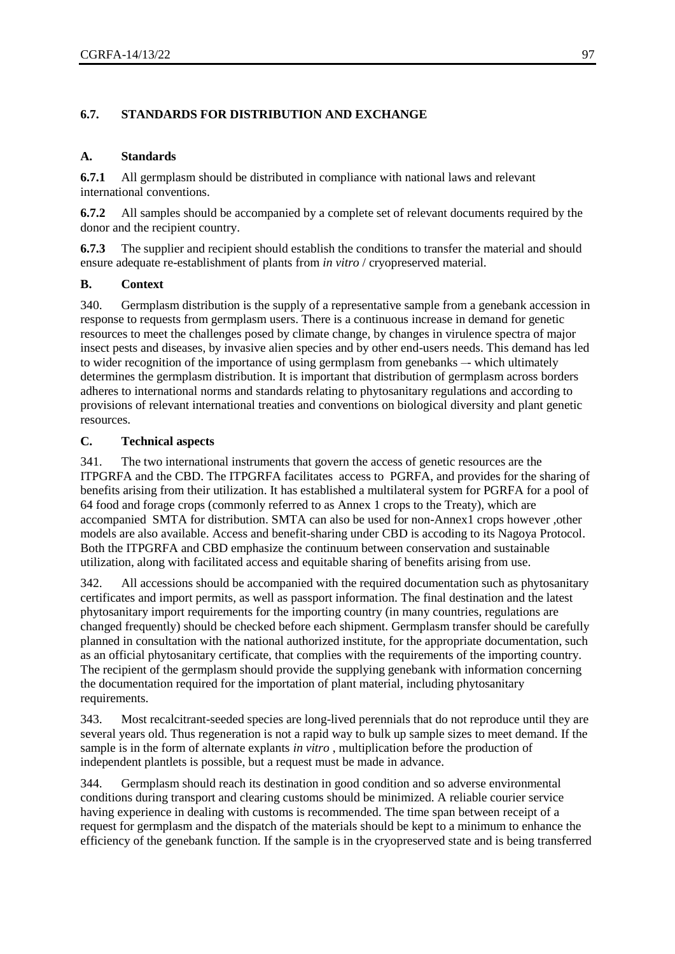# **6.7. STANDARDS FOR DISTRIBUTION AND EXCHANGE**

# **A. Standards**

**6.7.1** All germplasm should be distributed in compliance with national laws and relevant international conventions.

**6.7.2** All samples should be accompanied by a complete set of relevant documents required by the donor and the recipient country.

**6.7.3** The supplier and recipient should establish the conditions to transfer the material and should ensure adequate re-establishment of plants from *in vitro* / cryopreserved material.

# **B. Context**

340. Germplasm distribution is the supply of a representative sample from a genebank accession in response to requests from germplasm users. There is a continuous increase in demand for genetic resources to meet the challenges posed by climate change, by changes in virulence spectra of major insect pests and diseases, by invasive alien species and by other end-users needs. This demand has led to wider recognition of the importance of using germplasm from genebanks –- which ultimately determines the germplasm distribution. It is important that distribution of germplasm across borders adheres to international norms and standards relating to phytosanitary regulations and according to provisions of relevant international treaties and conventions on biological diversity and plant genetic resources.

# **C. Technical aspects**

341. The two international instruments that govern the access of genetic resources are the ITPGRFA and the CBD. The ITPGRFA facilitates access to PGRFA, and provides for the sharing of benefits arising from their utilization. It has established a multilateral system for PGRFA for a pool of 64 food and forage crops (commonly referred to as Annex 1 crops to the Treaty), which are accompanied SMTA for distribution. SMTA can also be used for non-Annex1 crops however ,other models are also available. Access and benefit-sharing under CBD is accoding to its Nagoya Protocol. Both the ITPGRFA and CBD emphasize the continuum between conservation and sustainable utilization, along with facilitated access and equitable sharing of benefits arising from use.

342. All accessions should be accompanied with the required documentation such as phytosanitary certificates and import permits, as well as passport information. The final destination and the latest phytosanitary import requirements for the importing country (in many countries, regulations are changed frequently) should be checked before each shipment. Germplasm transfer should be carefully planned in consultation with the national authorized institute, for the appropriate documentation, such as an official phytosanitary certificate, that complies with the requirements of the importing country. The recipient of the germplasm should provide the supplying genebank with information concerning the documentation required for the importation of plant material, including phytosanitary requirements.

343. Most recalcitrant-seeded species are long-lived perennials that do not reproduce until they are several years old. Thus regeneration is not a rapid way to bulk up sample sizes to meet demand. If the sample is in the form of alternate explants *in vitro* , multiplication before the production of independent plantlets is possible, but a request must be made in advance.

344. Germplasm should reach its destination in good condition and so adverse environmental conditions during transport and clearing customs should be minimized. A reliable courier service having experience in dealing with customs is recommended. The time span between receipt of a request for germplasm and the dispatch of the materials should be kept to a minimum to enhance the efficiency of the genebank function. If the sample is in the cryopreserved state and is being transferred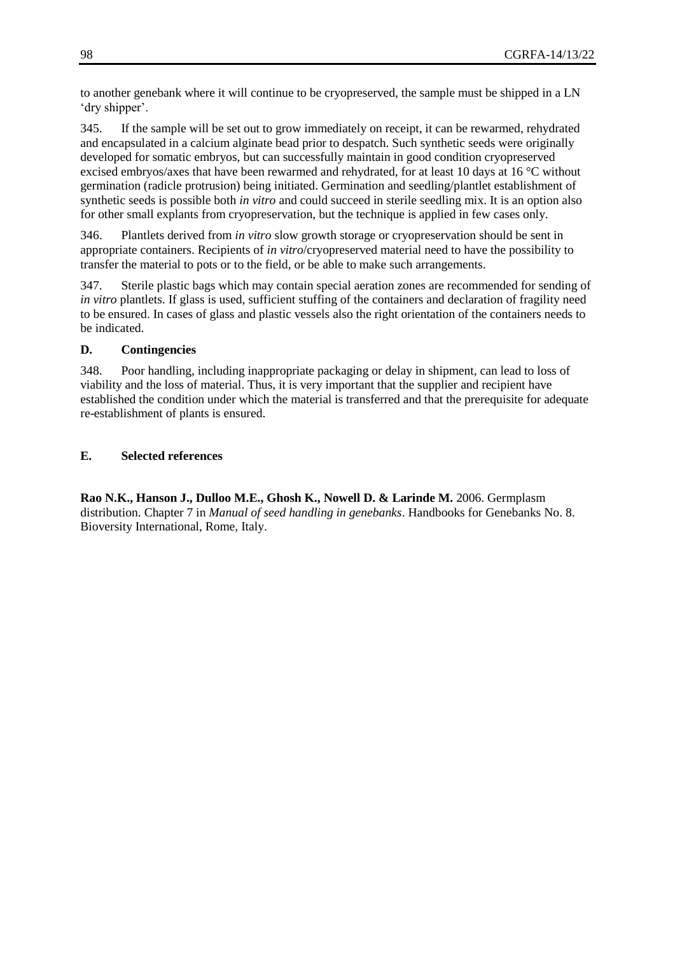to another genebank where it will continue to be cryopreserved, the sample must be shipped in a LN 'dry shipper'.

345. If the sample will be set out to grow immediately on receipt, it can be rewarmed, rehydrated and encapsulated in a calcium alginate bead prior to despatch. Such synthetic seeds were originally developed for somatic embryos, but can successfully maintain in good condition cryopreserved excised embryos/axes that have been rewarmed and rehydrated, for at least 10 days at 16 °C without germination (radicle protrusion) being initiated. Germination and seedling/plantlet establishment of synthetic seeds is possible both *in vitro* and could succeed in sterile seedling mix. It is an option also for other small explants from cryopreservation, but the technique is applied in few cases only.

346. Plantlets derived from *in vitro* slow growth storage or cryopreservation should be sent in appropriate containers. Recipients of *in vitro*/cryopreserved material need to have the possibility to transfer the material to pots or to the field, or be able to make such arrangements.

347. Sterile plastic bags which may contain special aeration zones are recommended for sending of *in vitro* plantlets. If glass is used, sufficient stuffing of the containers and declaration of fragility need to be ensured. In cases of glass and plastic vessels also the right orientation of the containers needs to be indicated.

# **D. Contingencies**

348. Poor handling, including inappropriate packaging or delay in shipment, can lead to loss of viability and the loss of material. Thus, it is very important that the supplier and recipient have established the condition under which the material is transferred and that the prerequisite for adequate re-establishment of plants is ensured.

# **E. Selected references**

**Rao N.K., Hanson J., Dulloo M.E., Ghosh K., Nowell D. & Larinde M.** 2006. Germplasm distribution. Chapter 7 in *Manual of seed handling in genebanks*. Handbooks for Genebanks No. 8. Bioversity International, Rome, Italy.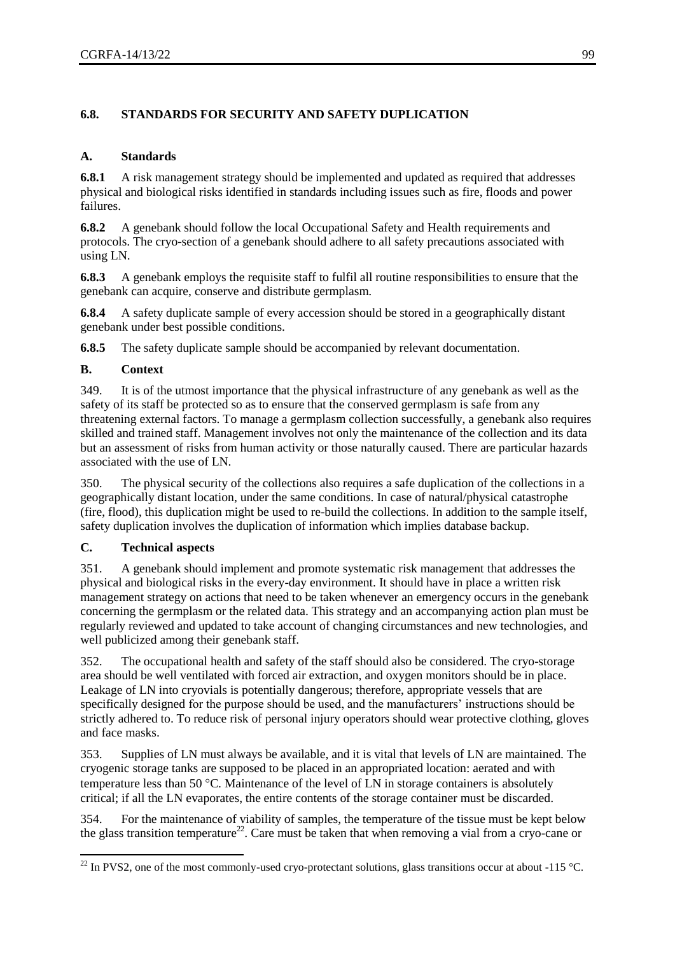# **6.8. STANDARDS FOR SECURITY AND SAFETY DUPLICATION**

# **A. Standards**

**6.8.1** A risk management strategy should be implemented and updated as required that addresses physical and biological risks identified in standards including issues such as fire, floods and power failures.

**6.8.2** A genebank should follow the local Occupational Safety and Health requirements and protocols. The cryo-section of a genebank should adhere to all safety precautions associated with using LN.

**6.8.3** A genebank employs the requisite staff to fulfil all routine responsibilities to ensure that the genebank can acquire, conserve and distribute germplasm.

**6.8.4** A safety duplicate sample of every accession should be stored in a geographically distant genebank under best possible conditions.

**6.8.5** The safety duplicate sample should be accompanied by relevant documentation.

# **B. Context**

349. It is of the utmost importance that the physical infrastructure of any genebank as well as the safety of its staff be protected so as to ensure that the conserved germplasm is safe from any threatening external factors. To manage a germplasm collection successfully, a genebank also requires skilled and trained staff. Management involves not only the maintenance of the collection and its data but an assessment of risks from human activity or those naturally caused. There are particular hazards associated with the use of LN.

350. The physical security of the collections also requires a safe duplication of the collections in a geographically distant location, under the same conditions. In case of natural/physical catastrophe (fire, flood), this duplication might be used to re-build the collections. In addition to the sample itself, safety duplication involves the duplication of information which implies database backup.

# **C. Technical aspects**

 $\overline{a}$ 

351. A genebank should implement and promote systematic risk management that addresses the physical and biological risks in the every-day environment. It should have in place a written risk management strategy on actions that need to be taken whenever an emergency occurs in the genebank concerning the germplasm or the related data. This strategy and an accompanying action plan must be regularly reviewed and updated to take account of changing circumstances and new technologies, and well publicized among their genebank staff.

352. The occupational health and safety of the staff should also be considered. The cryo-storage area should be well ventilated with forced air extraction, and oxygen monitors should be in place. Leakage of LN into cryovials is potentially dangerous; therefore, appropriate vessels that are specifically designed for the purpose should be used, and the manufacturers' instructions should be strictly adhered to. To reduce risk of personal injury operators should wear protective clothing, gloves and face masks.

353. Supplies of LN must always be available, and it is vital that levels of LN are maintained. The cryogenic storage tanks are supposed to be placed in an appropriated location: aerated and with temperature less than 50  $^{\circ}$ C. Maintenance of the level of LN in storage containers is absolutely critical; if all the LN evaporates, the entire contents of the storage container must be discarded.

354. For the maintenance of viability of samples, the temperature of the tissue must be kept below the glass transition temperature<sup>22</sup>. Care must be taken that when removing a vial from a cryo-cane or

 $^{22}$  In PVS2, one of the most commonly-used cryo-protectant solutions, glass transitions occur at about -115 °C.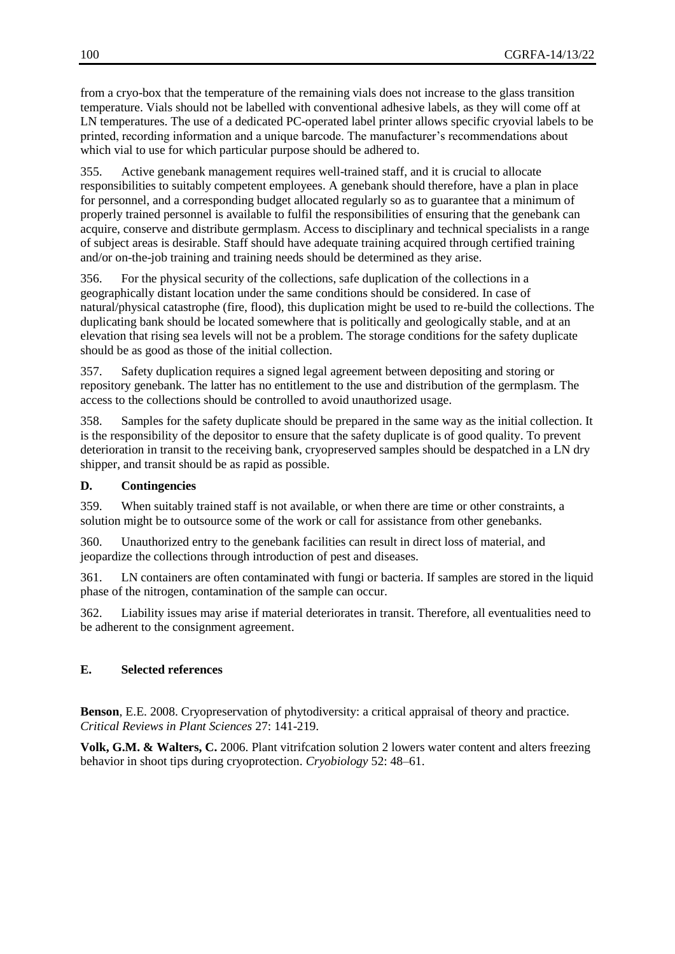from a cryo-box that the temperature of the remaining vials does not increase to the glass transition temperature. Vials should not be labelled with conventional adhesive labels, as they will come off at LN temperatures. The use of a dedicated PC-operated label printer allows specific cryovial labels to be printed, recording information and a unique barcode. The manufacturer's recommendations about which vial to use for which particular purpose should be adhered to.

355. Active genebank management requires well-trained staff, and it is crucial to allocate responsibilities to suitably competent employees. A genebank should therefore, have a plan in place for personnel, and a corresponding budget allocated regularly so as to guarantee that a minimum of properly trained personnel is available to fulfil the responsibilities of ensuring that the genebank can acquire, conserve and distribute germplasm. Access to disciplinary and technical specialists in a range of subject areas is desirable. Staff should have adequate training acquired through certified training and/or on-the-job training and training needs should be determined as they arise.

356. For the physical security of the collections, safe duplication of the collections in a geographically distant location under the same conditions should be considered. In case of natural/physical catastrophe (fire, flood), this duplication might be used to re-build the collections. The duplicating bank should be located somewhere that is politically and geologically stable, and at an elevation that rising sea levels will not be a problem. The storage conditions for the safety duplicate should be as good as those of the initial collection.

357. Safety duplication requires a signed legal agreement between depositing and storing or repository genebank. The latter has no entitlement to the use and distribution of the germplasm. The access to the collections should be controlled to avoid unauthorized usage.

358. Samples for the safety duplicate should be prepared in the same way as the initial collection. It is the responsibility of the depositor to ensure that the safety duplicate is of good quality. To prevent deterioration in transit to the receiving bank, cryopreserved samples should be despatched in a LN dry shipper, and transit should be as rapid as possible.

# **D. Contingencies**

359. When suitably trained staff is not available, or when there are time or other constraints, a solution might be to outsource some of the work or call for assistance from other genebanks.

360. Unauthorized entry to the genebank facilities can result in direct loss of material, and jeopardize the collections through introduction of pest and diseases.

361. LN containers are often contaminated with fungi or bacteria. If samples are stored in the liquid phase of the nitrogen, contamination of the sample can occur.

362. Liability issues may arise if material deteriorates in transit. Therefore, all eventualities need to be adherent to the consignment agreement.

# **E. Selected references**

**Benson**, E.E. 2008. Cryopreservation of phytodiversity: a critical appraisal of theory and practice. *Critical Reviews in Plant Sciences* 27: 141-219.

**Volk, G.M. & Walters, C.** 2006. Plant vitrifcation solution 2 lowers water content and alters freezing behavior in shoot tips during cryoprotection. *Cryobiology* 52: 48–61.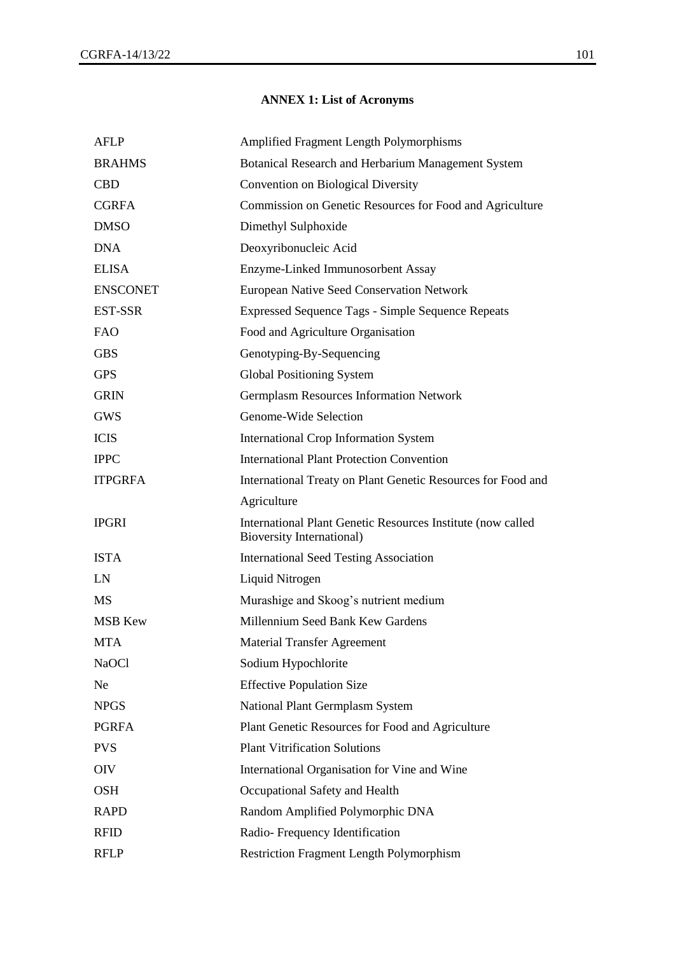# **ANNEX 1: List of Acronyms**

| <b>AFLP</b>     | <b>Amplified Fragment Length Polymorphisms</b>                                           |
|-----------------|------------------------------------------------------------------------------------------|
| <b>BRAHMS</b>   | <b>Botanical Research and Herbarium Management System</b>                                |
| <b>CBD</b>      | Convention on Biological Diversity                                                       |
| <b>CGRFA</b>    | Commission on Genetic Resources for Food and Agriculture                                 |
| <b>DMSO</b>     | Dimethyl Sulphoxide                                                                      |
| <b>DNA</b>      | Deoxyribonucleic Acid                                                                    |
| <b>ELISA</b>    | Enzyme-Linked Immunosorbent Assay                                                        |
| <b>ENSCONET</b> | <b>European Native Seed Conservation Network</b>                                         |
| <b>EST-SSR</b>  | <b>Expressed Sequence Tags - Simple Sequence Repeats</b>                                 |
| <b>FAO</b>      | Food and Agriculture Organisation                                                        |
| <b>GBS</b>      | Genotyping-By-Sequencing                                                                 |
| <b>GPS</b>      | Global Positioning System                                                                |
| <b>GRIN</b>     | Germplasm Resources Information Network                                                  |
| <b>GWS</b>      | Genome-Wide Selection                                                                    |
| <b>ICIS</b>     | <b>International Crop Information System</b>                                             |
| <b>IPPC</b>     | <b>International Plant Protection Convention</b>                                         |
| <b>ITPGRFA</b>  | International Treaty on Plant Genetic Resources for Food and                             |
|                 | Agriculture                                                                              |
| <b>IPGRI</b>    | International Plant Genetic Resources Institute (now called<br>Bioversity International) |
| <b>ISTA</b>     | <b>International Seed Testing Association</b>                                            |
| LN              | Liquid Nitrogen                                                                          |
| <b>MS</b>       | Murashige and Skoog's nutrient medium                                                    |
| <b>MSB</b> Kew  | Millennium Seed Bank Kew Gardens                                                         |
| MTA             | <b>Material Transfer Agreement</b>                                                       |
| <b>NaOCl</b>    | Sodium Hypochlorite                                                                      |
| Ne              | <b>Effective Population Size</b>                                                         |
| <b>NPGS</b>     | National Plant Germplasm System                                                          |
| <b>PGRFA</b>    | Plant Genetic Resources for Food and Agriculture                                         |
| <b>PVS</b>      | <b>Plant Vitrification Solutions</b>                                                     |
| <b>OIV</b>      | International Organisation for Vine and Wine                                             |
| <b>OSH</b>      | Occupational Safety and Health                                                           |
| <b>RAPD</b>     | Random Amplified Polymorphic DNA                                                         |
| <b>RFID</b>     | Radio-Frequency Identification                                                           |
| <b>RFLP</b>     | <b>Restriction Fragment Length Polymorphism</b>                                          |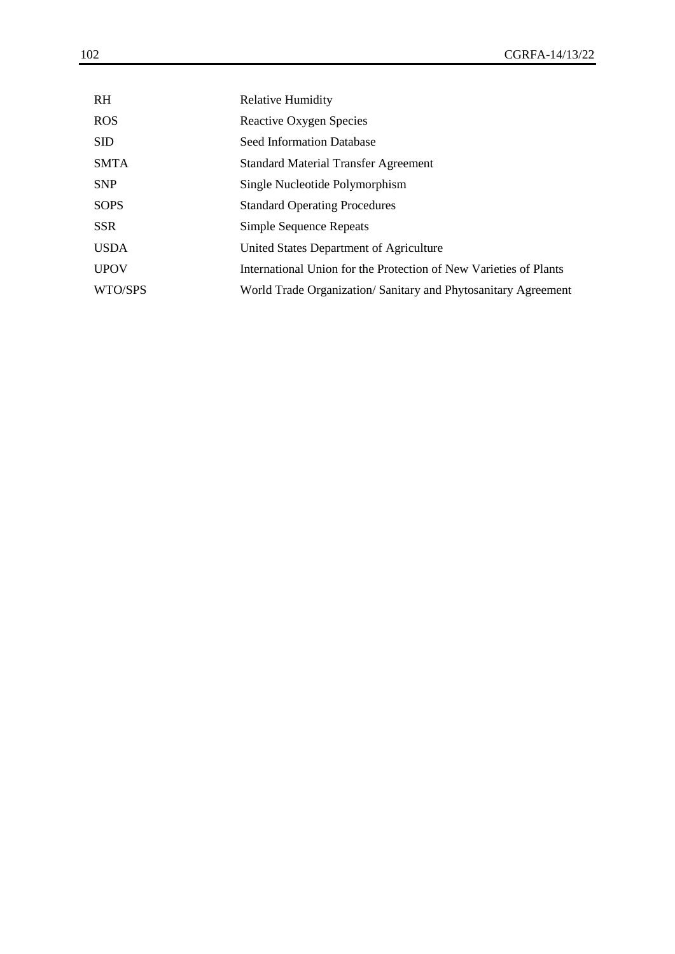| <b>RH</b>   | <b>Relative Humidity</b>                                          |
|-------------|-------------------------------------------------------------------|
| <b>ROS</b>  | <b>Reactive Oxygen Species</b>                                    |
| <b>SID</b>  | <b>Seed Information Database</b>                                  |
| <b>SMTA</b> | <b>Standard Material Transfer Agreement</b>                       |
| <b>SNP</b>  | Single Nucleotide Polymorphism                                    |
| <b>SOPS</b> | <b>Standard Operating Procedures</b>                              |
| <b>SSR</b>  | Simple Sequence Repeats                                           |
| <b>USDA</b> | United States Department of Agriculture                           |
| <b>UPOV</b> | International Union for the Protection of New Varieties of Plants |
| WTO/SPS     | World Trade Organization/Sanitary and Phytosanitary Agreement     |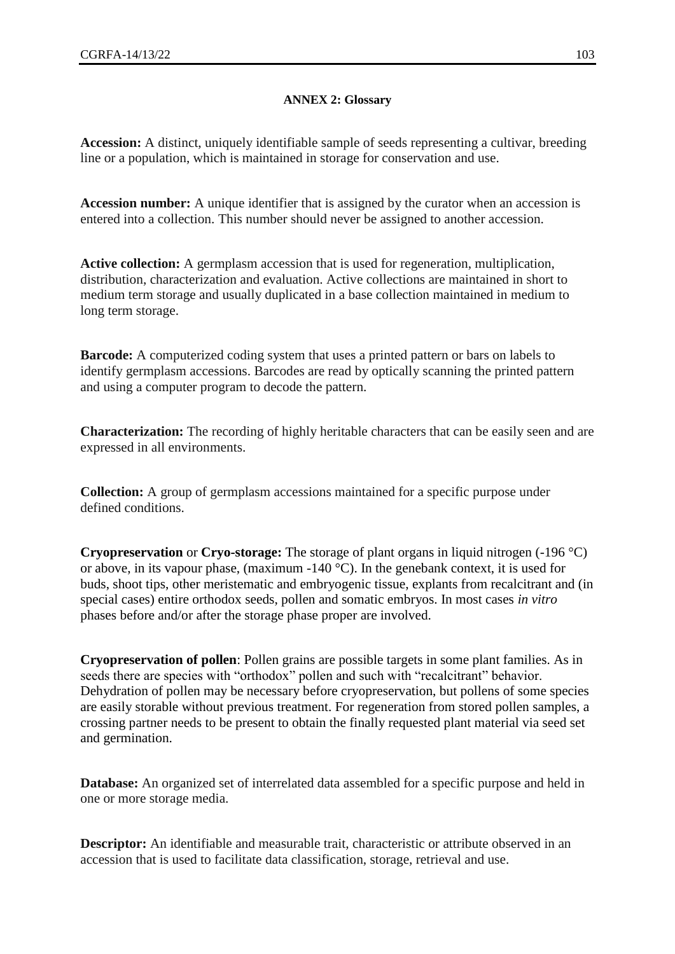# **ANNEX 2: Glossary**

**Accession:** A distinct, uniquely identifiable sample of seeds representing a cultivar, breeding line or a population, which is maintained in storage for conservation and use.

**Accession number:** A unique identifier that is assigned by the curator when an accession is entered into a collection. This number should never be assigned to another accession.

**Active collection:** A germplasm accession that is used for regeneration, multiplication, distribution, characterization and evaluation. Active collections are maintained in short to medium term storage and usually duplicated in a base collection maintained in medium to long term storage.

**Barcode:** A computerized coding system that uses a printed pattern or bars on labels to identify germplasm accessions. Barcodes are read by optically scanning the printed pattern and using a computer program to decode the pattern.

**Characterization:** The recording of highly heritable characters that can be easily seen and are expressed in all environments.

**Collection:** A group of germplasm accessions maintained for a specific purpose under defined conditions.

**Cryopreservation** or **Cryo-storage:** The storage of plant organs in liquid nitrogen (-196 °C) or above, in its vapour phase, (maximum -140 °C). In the genebank context, it is used for buds, shoot tips, other meristematic and embryogenic tissue, explants from recalcitrant and (in special cases) entire orthodox seeds, pollen and somatic embryos. In most cases *in vitro* phases before and/or after the storage phase proper are involved.

**Cryopreservation of pollen**: Pollen grains are possible targets in some plant families. As in seeds there are species with "orthodox" pollen and such with "recalcitrant" behavior. Dehydration of pollen may be necessary before cryopreservation, but pollens of some species are easily storable without previous treatment. For regeneration from stored pollen samples, a crossing partner needs to be present to obtain the finally requested plant material via seed set and germination.

**Database:** An organized set of interrelated data assembled for a specific purpose and held in one or more storage media.

**Descriptor:** An identifiable and measurable trait, characteristic or attribute observed in an accession that is used to facilitate data classification, storage, retrieval and use.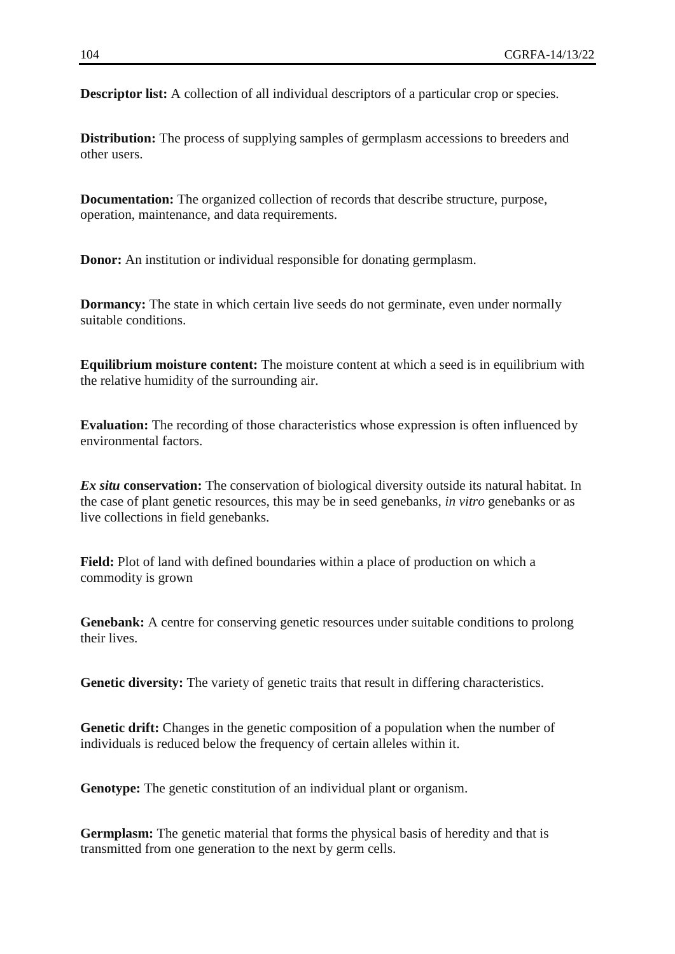**Descriptor list:** A collection of all individual descriptors of a particular crop or species.

**Distribution:** The process of supplying samples of germplasm accessions to breeders and other users.

**Documentation:** The organized collection of records that describe structure, purpose, operation, maintenance, and data requirements.

**Donor:** An institution or individual responsible for donating germplasm.

**Dormancy:** The state in which certain live seeds do not germinate, even under normally suitable conditions.

**Equilibrium moisture content:** The moisture content at which a seed is in equilibrium with the relative humidity of the surrounding air.

**Evaluation:** The recording of those characteristics whose expression is often influenced by environmental factors.

*Ex situ* **conservation:** The conservation of biological diversity outside its natural habitat. In the case of plant genetic resources, this may be in seed genebanks, *in vitro* genebanks or as live collections in field genebanks.

**Field:** Plot of land with defined boundaries within a place of production on which a commodity is grown

**Genebank:** A centre for conserving genetic resources under suitable conditions to prolong their lives.

Genetic diversity: The variety of genetic traits that result in differing characteristics.

Genetic drift: Changes in the genetic composition of a population when the number of individuals is reduced below the frequency of certain alleles within it.

**Genotype:** The genetic constitution of an individual plant or organism.

**Germplasm:** The genetic material that forms the physical basis of heredity and that is transmitted from one generation to the next by germ cells.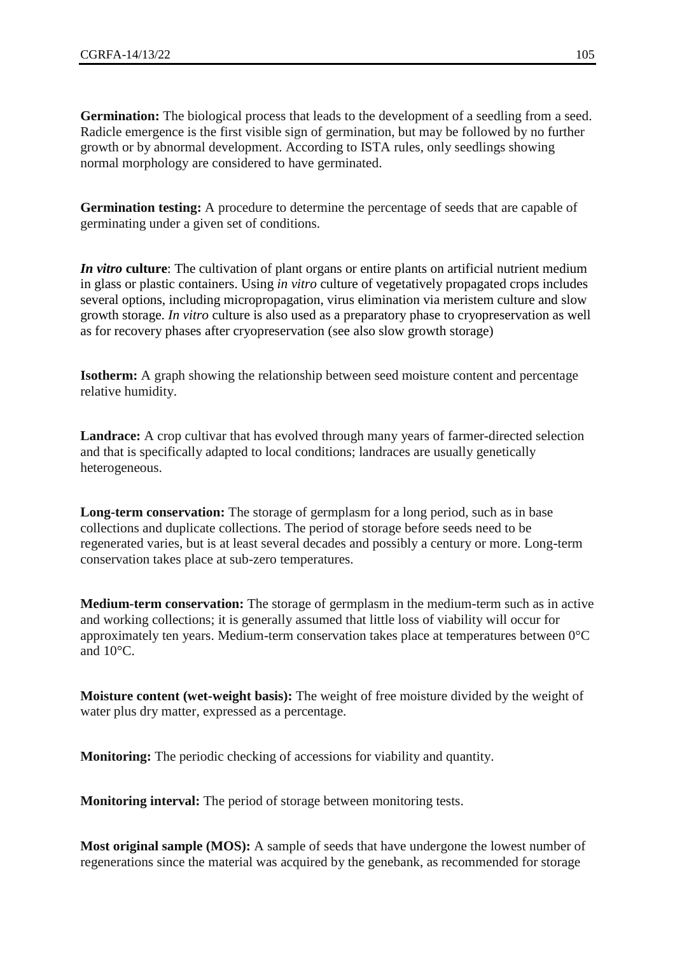**Germination:** The biological process that leads to the development of a seedling from a seed. Radicle emergence is the first visible sign of germination, but may be followed by no further growth or by abnormal development. According to ISTA rules, only seedlings showing normal morphology are considered to have germinated.

**Germination testing:** A procedure to determine the percentage of seeds that are capable of germinating under a given set of conditions.

*In vitro* **culture**: The cultivation of plant organs or entire plants on artificial nutrient medium in glass or plastic containers. Using *in vitro* culture of vegetatively propagated crops includes several options, including micropropagation, virus elimination via meristem culture and slow growth storage. *In vitro* culture is also used as a preparatory phase to cryopreservation as well as for recovery phases after cryopreservation (see also slow growth storage)

**Isotherm:** A graph showing the relationship between seed moisture content and percentage relative humidity.

**Landrace:** A crop cultivar that has evolved through many years of farmer-directed selection and that is specifically adapted to local conditions; landraces are usually genetically heterogeneous.

**Long-term conservation:** The storage of germplasm for a long period, such as in base collections and duplicate collections. The period of storage before seeds need to be regenerated varies, but is at least several decades and possibly a century or more. Long-term conservation takes place at sub-zero temperatures.

**Medium-term conservation:** The storage of germplasm in the medium-term such as in active and working collections; it is generally assumed that little loss of viability will occur for approximately ten years. Medium-term conservation takes place at temperatures between 0°C and 10°C.

**Moisture content (wet-weight basis):** The weight of free moisture divided by the weight of water plus dry matter, expressed as a percentage.

**Monitoring:** The periodic checking of accessions for viability and quantity.

**Monitoring interval:** The period of storage between monitoring tests.

**Most original sample (MOS):** A sample of seeds that have undergone the lowest number of regenerations since the material was acquired by the genebank, as recommended for storage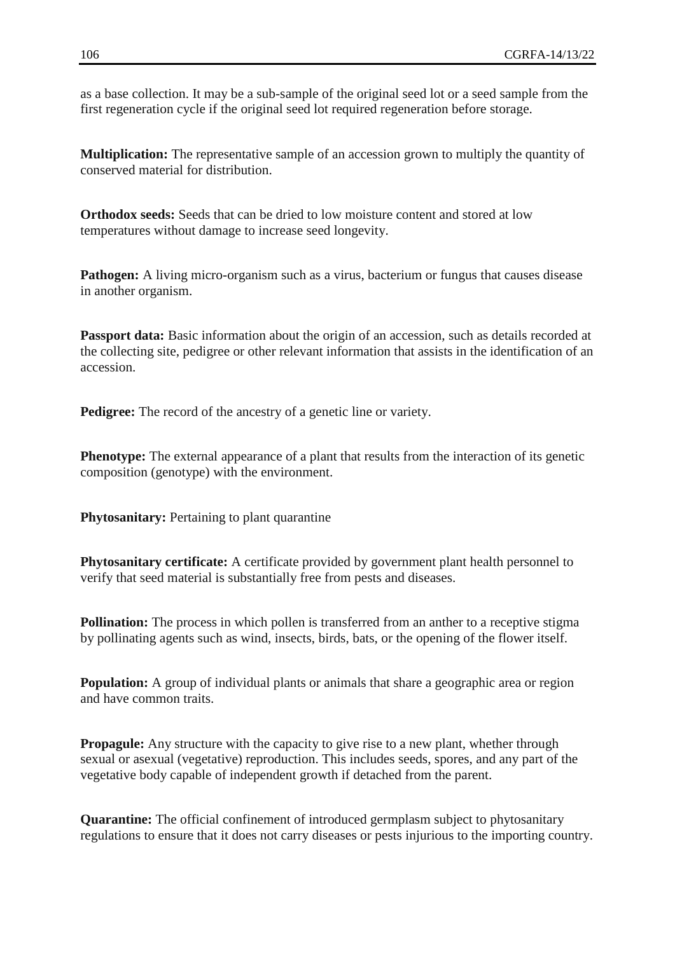as a base collection. It may be a sub-sample of the original seed lot or a seed sample from the first regeneration cycle if the original seed lot required regeneration before storage.

**Multiplication:** The representative sample of an accession grown to multiply the quantity of conserved material for distribution.

**Orthodox seeds:** Seeds that can be dried to low moisture content and stored at low temperatures without damage to increase seed longevity.

**Pathogen:** A living micro-organism such as a virus, bacterium or fungus that causes disease in another organism.

**Passport data:** Basic information about the origin of an accession, such as details recorded at the collecting site, pedigree or other relevant information that assists in the identification of an accession.

**Pedigree:** The record of the ancestry of a genetic line or variety.

**Phenotype:** The external appearance of a plant that results from the interaction of its genetic composition (genotype) with the environment.

**Phytosanitary:** Pertaining to plant quarantine

**Phytosanitary certificate:** A certificate provided by government plant health personnel to verify that seed material is substantially free from pests and diseases.

**Pollination:** The process in which pollen is transferred from an anther to a receptive stigma by pollinating agents such as wind, insects, birds, bats, or the opening of the flower itself.

**Population:** A group of individual plants or animals that share a geographic area or region and have common traits.

**Propagule:** Any structure with the capacity to give rise to a new plant, whether through sexual or asexual (vegetative) reproduction. This includes seeds, spores, and any part of the vegetative body capable of independent growth if detached from the parent.

**Quarantine:** The official confinement of introduced germplasm subject to phytosanitary regulations to ensure that it does not carry diseases or pests injurious to the importing country.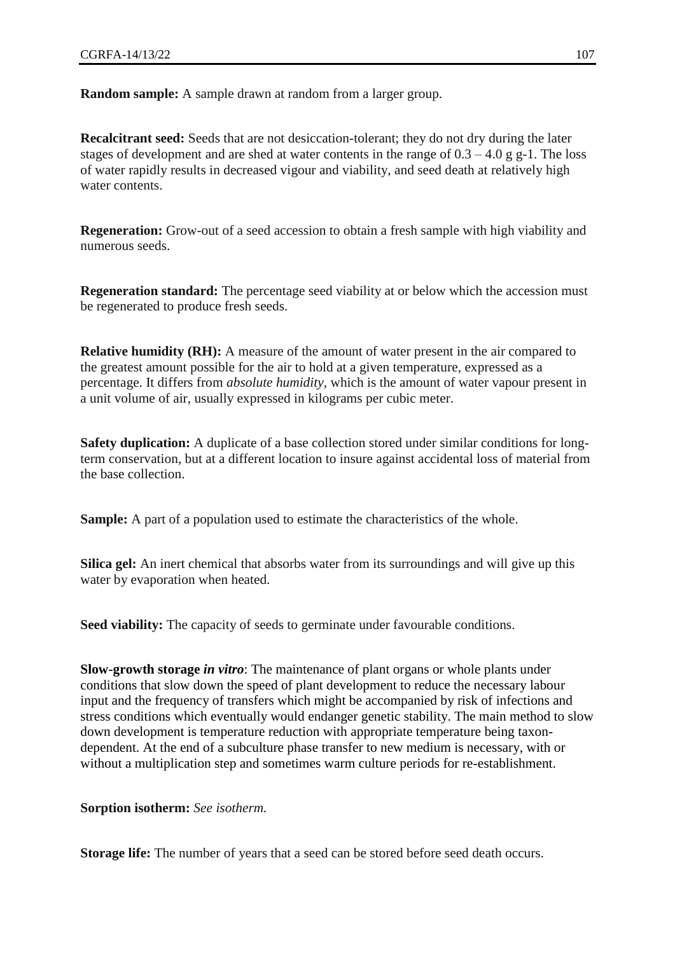**Random sample:** A sample drawn at random from a larger group.

**Recalcitrant seed:** Seeds that are not desiccation-tolerant; they do not dry during the later stages of development and are shed at water contents in the range of  $0.3 - 4.0$  g g-1. The loss of water rapidly results in decreased vigour and viability, and seed death at relatively high water contents.

**Regeneration:** Grow-out of a seed accession to obtain a fresh sample with high viability and numerous seeds.

**Regeneration standard:** The percentage seed viability at or below which the accession must be regenerated to produce fresh seeds.

**Relative humidity (RH):** A measure of the amount of water present in the air compared to the greatest amount possible for the air to hold at a given temperature, expressed as a percentage. It differs from *absolute humidity,* which is the amount of water vapour present in a unit volume of air, usually expressed in kilograms per cubic meter.

**Safety duplication:** A duplicate of a base collection stored under similar conditions for longterm conservation, but at a different location to insure against accidental loss of material from the base collection.

**Sample:** A part of a population used to estimate the characteristics of the whole.

**Silica gel:** An inert chemical that absorbs water from its surroundings and will give up this water by evaporation when heated.

**Seed viability:** The capacity of seeds to germinate under favourable conditions.

**Slow-growth storage** *in vitro*: The maintenance of plant organs or whole plants under conditions that slow down the speed of plant development to reduce the necessary labour input and the frequency of transfers which might be accompanied by risk of infections and stress conditions which eventually would endanger genetic stability. The main method to slow down development is temperature reduction with appropriate temperature being taxondependent. At the end of a subculture phase transfer to new medium is necessary, with or without a multiplication step and sometimes warm culture periods for re-establishment.

**Sorption isotherm:** *See isotherm.*

**Storage life:** The number of years that a seed can be stored before seed death occurs.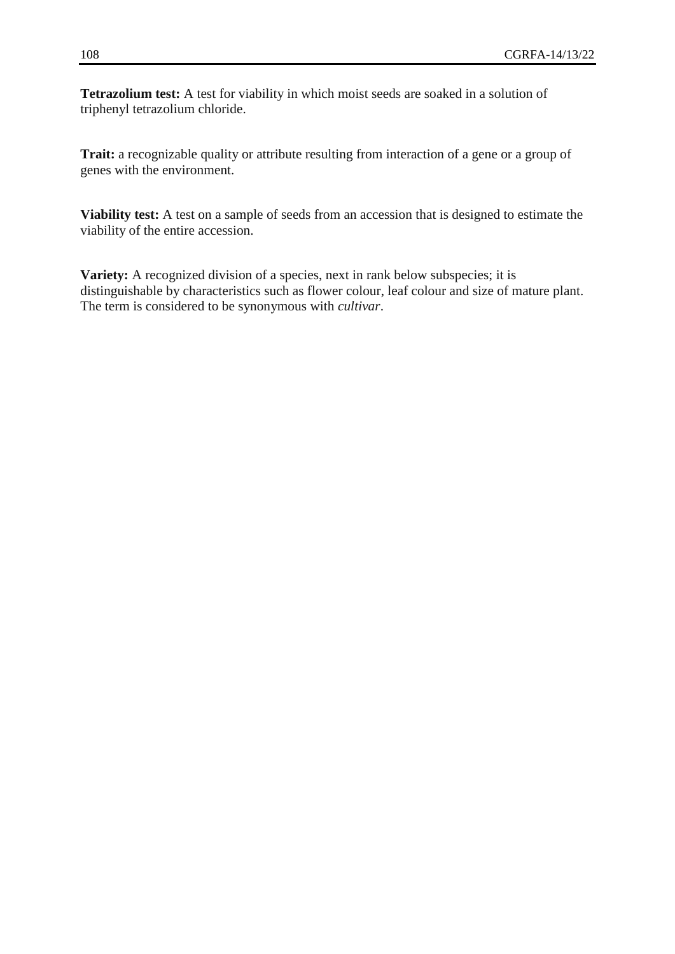**Tetrazolium test:** A test for viability in which moist seeds are soaked in a solution of triphenyl tetrazolium chloride.

**Trait:** a recognizable quality or attribute resulting from interaction of a gene or a group of genes with the environment.

**Viability test:** A test on a sample of seeds from an accession that is designed to estimate the viability of the entire accession.

**Variety:** A recognized division of a species, next in rank below subspecies; it is distinguishable by characteristics such as flower colour, leaf colour and size of mature plant. The term is considered to be synonymous with *cultivar*.